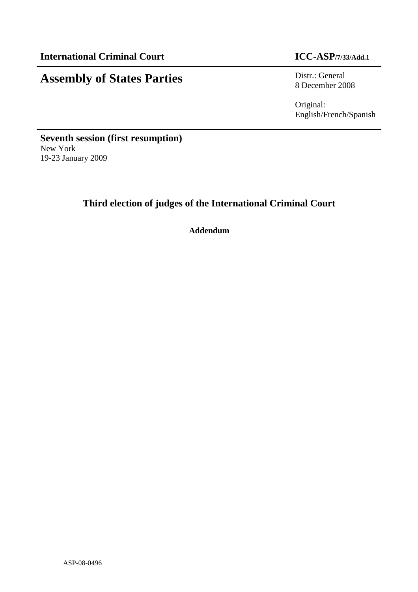# **Assembly of States Parties** Distr.: General

8 December 2008

Original: English/French/Spanish

**Seventh session (first resumption)**  New York 19-23 January 2009

## **Third election of judges of the International Criminal Court**

**Addendum**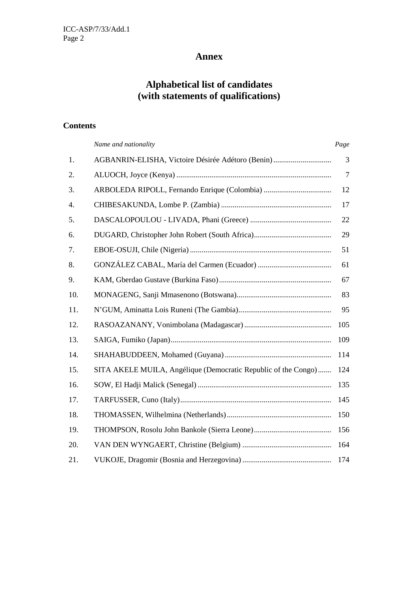### **Annex**

### **Alphabetical list of candidates (with statements of qualifications)**

### **Contents**

|     | Name and nationality                                           | Page           |
|-----|----------------------------------------------------------------|----------------|
| 1.  | AGBANRIN-ELISHA, Victoire Désirée Adétoro (Benin)              | 3              |
| 2.  |                                                                | $\overline{7}$ |
| 3.  |                                                                | 12             |
| 4.  |                                                                | 17             |
| 5.  |                                                                | 22             |
| 6.  |                                                                | 29             |
| 7.  |                                                                | 51             |
| 8.  |                                                                | 61             |
| 9.  |                                                                | 67             |
| 10. |                                                                | 83             |
| 11. |                                                                | 95             |
| 12. |                                                                | 105            |
| 13. |                                                                | 109            |
| 14. |                                                                | 114            |
| 15. | SITA AKELE MUILA, Angélique (Democratic Republic of the Congo) | 124            |
| 16. |                                                                | 135            |
| 17. |                                                                | 145            |
| 18. |                                                                | 150            |
| 19. |                                                                | 156            |
| 20. |                                                                | 164            |
| 21. |                                                                | 174            |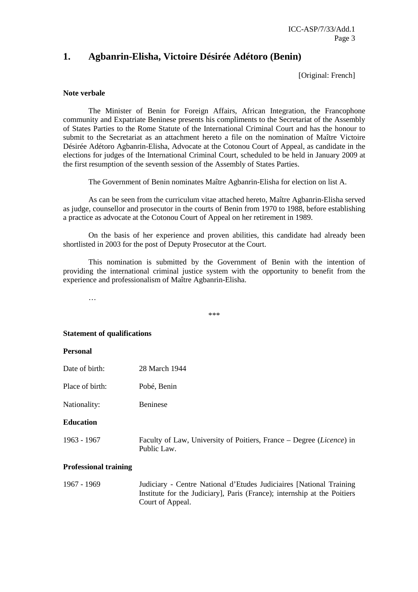### **1. Agbanrin-Elisha, Victoire Désirée Adétoro (Benin)**

[Original: French]

#### **Note verbale**

 The Minister of Benin for Foreign Affairs, African Integration, the Francophone community and Expatriate Beninese presents his compliments to the Secretariat of the Assembly of States Parties to the Rome Statute of the International Criminal Court and has the honour to submit to the Secretariat as an attachment hereto a file on the nomination of Maître Victoire Désirée Adétoro Agbanrin-Elisha, Advocate at the Cotonou Court of Appeal, as candidate in the elections for judges of the International Criminal Court, scheduled to be held in January 2009 at the first resumption of the seventh session of the Assembly of States Parties.

The Government of Benin nominates Maître Agbanrin-Elisha for election on list A.

 As can be seen from the curriculum vitae attached hereto, Maître Agbanrin-Elisha served as judge, counsellor and prosecutor in the courts of Benin from 1970 to 1988, before establishing a practice as advocate at the Cotonou Court of Appeal on her retirement in 1989.

 On the basis of her experience and proven abilities, this candidate had already been shortlisted in 2003 for the post of Deputy Prosecutor at the Court.

 This nomination is submitted by the Government of Benin with the intention of providing the international criminal justice system with the opportunity to benefit from the experience and professionalism of Maître Agbanrin-Elisha.

…

\*\*\*

#### **Statement of qualifications**

#### **Personal**

- Date of birth: 28 March 1944
- Place of birth: Pobé, Benin
- Nationality: Beninese

#### **Education**

1963 - 1967 Faculty of Law, University of Poitiers, France – Degree (*Licence*) in Public Law.

#### **Professional training**

1967 - 1969 Judiciary - Centre National d'Etudes Judiciaires [National Training Institute for the Judiciary], Paris (France); internship at the Poitiers Court of Appeal.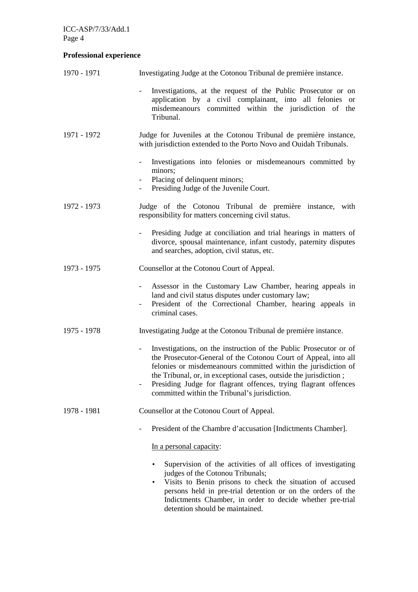### **Professional experience**

| 1970 - 1971 | Investigating Judge at the Cotonou Tribunal de première instance.                                                                                                                                                                                                                                                                                                                                                           |
|-------------|-----------------------------------------------------------------------------------------------------------------------------------------------------------------------------------------------------------------------------------------------------------------------------------------------------------------------------------------------------------------------------------------------------------------------------|
|             | Investigations, at the request of the Public Prosecutor or on<br>application by a civil complainant, into all felonies or<br>misdemeanours committed within the jurisdiction of the<br>Tribunal.                                                                                                                                                                                                                            |
| 1971 - 1972 | Judge for Juveniles at the Cotonou Tribunal de première instance,<br>with jurisdiction extended to the Porto Novo and Ouidah Tribunals.                                                                                                                                                                                                                                                                                     |
|             | Investigations into felonies or misdemeanours committed by<br>$\sim$<br>minors;<br>Placing of delinquent minors;<br>Presiding Judge of the Juvenile Court.<br>$\sim$                                                                                                                                                                                                                                                        |
| 1972 - 1973 | Judge of the Cotonou Tribunal de première instance, with<br>responsibility for matters concerning civil status.                                                                                                                                                                                                                                                                                                             |
|             | Presiding Judge at conciliation and trial hearings in matters of<br>divorce, spousal maintenance, infant custody, paternity disputes<br>and searches, adoption, civil status, etc.                                                                                                                                                                                                                                          |
| 1973 - 1975 | Counsellor at the Cotonou Court of Appeal.                                                                                                                                                                                                                                                                                                                                                                                  |
|             | Assessor in the Customary Law Chamber, hearing appeals in<br>land and civil status disputes under customary law;<br>President of the Correctional Chamber, hearing appeals in<br>criminal cases.                                                                                                                                                                                                                            |
| 1975 - 1978 | Investigating Judge at the Cotonou Tribunal de première instance.                                                                                                                                                                                                                                                                                                                                                           |
|             | Investigations, on the instruction of the Public Prosecutor or of<br>$\overline{\phantom{a}}$<br>the Prosecutor-General of the Cotonou Court of Appeal, into all<br>felonies or misdemeanours committed within the jurisdiction of<br>the Tribunal, or, in exceptional cases, outside the jurisdiction;<br>Presiding Judge for flagrant offences, trying flagrant offences<br>committed within the Tribunal's jurisdiction. |
| 1978 - 1981 | Counsellor at the Cotonou Court of Appeal.                                                                                                                                                                                                                                                                                                                                                                                  |
|             | President of the Chambre d'accusation [Indictments Chamber].                                                                                                                                                                                                                                                                                                                                                                |
|             | In a personal capacity:                                                                                                                                                                                                                                                                                                                                                                                                     |
|             | Supervision of the activities of all offices of investigating<br>judges of the Cotonou Tribunals;<br>Visits to Benin prisons to check the situation of accused<br>persons held in pre-trial detention or on the orders of the<br>Indictments Chamber, in order to decide whether pre-trial<br>detention should be maintained.                                                                                               |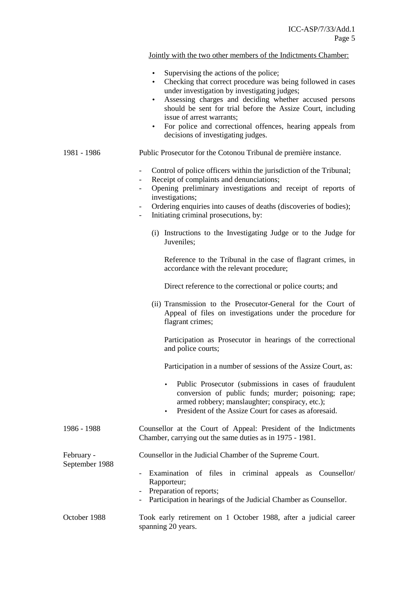Jointly with the two other members of the Indictments Chamber:

- Supervising the actions of the police;
- Checking that correct procedure was being followed in cases under investigation by investigating judges;
- Assessing charges and deciding whether accused persons should be sent for trial before the Assize Court, including issue of arrest warrants;
- For police and correctional offences, hearing appeals from decisions of investigating judges.

#### 1981 - 1986 Public Prosecutor for the Cotonou Tribunal de première instance.

- Control of police officers within the jurisdiction of the Tribunal;
- Receipt of complaints and denunciations;
- Opening preliminary investigations and receipt of reports of investigations;
- Ordering enquiries into causes of deaths (discoveries of bodies);
- Initiating criminal prosecutions, by:
	- (i) Instructions to the Investigating Judge or to the Judge for Juveniles;

Reference to the Tribunal in the case of flagrant crimes, in accordance with the relevant procedure;

Direct reference to the correctional or police courts; and

(ii) Transmission to the Prosecutor-General for the Court of Appeal of files on investigations under the procedure for flagrant crimes;

 Participation as Prosecutor in hearings of the correctional and police courts;

Participation in a number of sessions of the Assize Court, as:

- Public Prosecutor (submissions in cases of fraudulent conversion of public funds; murder; poisoning; rape; armed robbery; manslaughter; conspiracy, etc.);
- President of the Assize Court for cases as aforesaid.
- 1986 1988 Counsellor at the Court of Appeal: President of the Indictments Chamber, carrying out the same duties as in 1975 - 1981.

February - Counsellor in the Judicial Chamber of the Supreme Court.

- Examination of files in criminal appeals as Counsellor/ Rapporteur;
	- Preparation of reports;

September 1988

- Participation in hearings of the Judicial Chamber as Counsellor.
- October 1988 Took early retirement on 1 October 1988, after a judicial career spanning 20 years.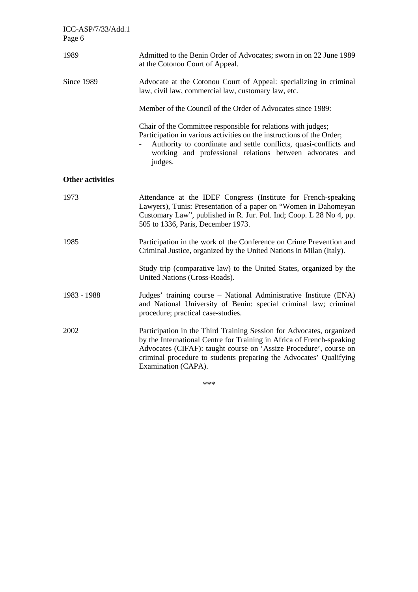| ICC-ASP/7/33/Add.1<br>Page 6 |                                                                                                                                                                                                                                                                                                                 |
|------------------------------|-----------------------------------------------------------------------------------------------------------------------------------------------------------------------------------------------------------------------------------------------------------------------------------------------------------------|
| 1989                         | Admitted to the Benin Order of Advocates; sworn in on 22 June 1989<br>at the Cotonou Court of Appeal.                                                                                                                                                                                                           |
| Since 1989                   | Advocate at the Cotonou Court of Appeal: specializing in criminal<br>law, civil law, commercial law, customary law, etc.                                                                                                                                                                                        |
|                              | Member of the Council of the Order of Advocates since 1989:                                                                                                                                                                                                                                                     |
|                              | Chair of the Committee responsible for relations with judges;<br>Participation in various activities on the instructions of the Order;<br>Authority to coordinate and settle conflicts, quasi-conflicts and<br>working and professional relations between advocates and<br>judges.                              |
| <b>Other activities</b>      |                                                                                                                                                                                                                                                                                                                 |
| 1973                         | Attendance at the IDEF Congress (Institute for French-speaking<br>Lawyers), Tunis: Presentation of a paper on "Women in Dahomeyan<br>Customary Law", published in R. Jur. Pol. Ind; Coop. L 28 No 4, pp.<br>505 to 1336, Paris, December 1973.                                                                  |
| 1985                         | Participation in the work of the Conference on Crime Prevention and<br>Criminal Justice, organized by the United Nations in Milan (Italy).                                                                                                                                                                      |
|                              | Study trip (comparative law) to the United States, organized by the<br>United Nations (Cross-Roads).                                                                                                                                                                                                            |
| 1983 - 1988                  | Judges' training course - National Administrative Institute (ENA)<br>and National University of Benin: special criminal law; criminal<br>procedure; practical case-studies.                                                                                                                                     |
| 2002                         | Participation in the Third Training Session for Advocates, organized<br>by the International Centre for Training in Africa of French-speaking<br>Advocates (CIFAF): taught course on 'Assize Procedure', course on<br>criminal procedure to students preparing the Advocates' Qualifying<br>Examination (CAPA). |

\*\*\*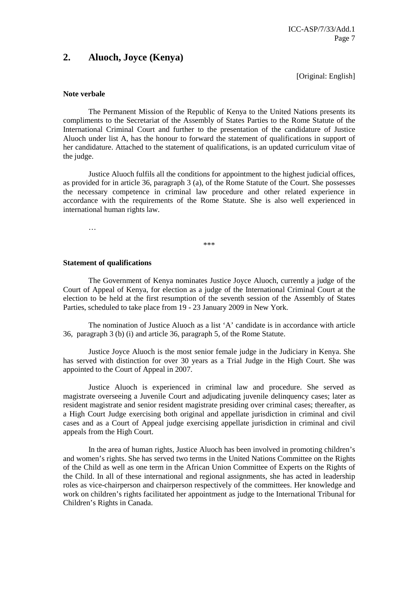### **2. Aluoch, Joyce (Kenya)**

[Original: English]

#### **Note verbale**

 The Permanent Mission of the Republic of Kenya to the United Nations presents its compliments to the Secretariat of the Assembly of States Parties to the Rome Statute of the International Criminal Court and further to the presentation of the candidature of Justice Aluoch under list A, has the honour to forward the statement of qualifications in support of her candidature. Attached to the statement of qualifications, is an updated curriculum vitae of the judge.

 Justice Aluoch fulfils all the conditions for appointment to the highest judicial offices, as provided for in article 36, paragraph 3 (a), of the Rome Statute of the Court. She possesses the necessary competence in criminal law procedure and other related experience in accordance with the requirements of the Rome Statute. She is also well experienced in international human rights law.

…

\*\*\*

#### **Statement of qualifications**

 The Government of Kenya nominates Justice Joyce Aluoch, currently a judge of the Court of Appeal of Kenya, for election as a judge of the International Criminal Court at the election to be held at the first resumption of the seventh session of the Assembly of States Parties, scheduled to take place from 19 - 23 January 2009 in New York.

 The nomination of Justice Aluoch as a list 'A' candidate is in accordance with article 36, paragraph 3 (b) (i) and article 36, paragraph 5, of the Rome Statute.

 Justice Joyce Aluoch is the most senior female judge in the Judiciary in Kenya. She has served with distinction for over 30 years as a Trial Judge in the High Court. She was appointed to the Court of Appeal in 2007.

 Justice Aluoch is experienced in criminal law and procedure. She served as magistrate overseeing a Juvenile Court and adjudicating juvenile delinquency cases; later as resident magistrate and senior resident magistrate presiding over criminal cases; thereafter, as a High Court Judge exercising both original and appellate jurisdiction in criminal and civil cases and as a Court of Appeal judge exercising appellate jurisdiction in criminal and civil appeals from the High Court.

 In the area of human rights, Justice Aluoch has been involved in promoting children's and women's rights. She has served two terms in the United Nations Committee on the Rights of the Child as well as one term in the African Union Committee of Experts on the Rights of the Child. In all of these international and regional assignments, she has acted in leadership roles as vice-chairperson and chairperson respectively of the committees. Her knowledge and work on children's rights facilitated her appointment as judge to the International Tribunal for Children's Rights in Canada.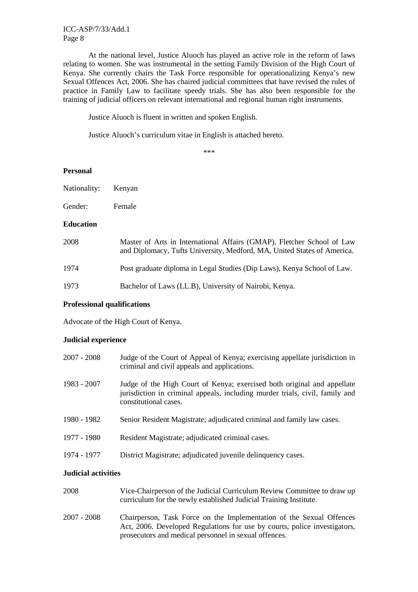At the national level, Justice Aluoch has played an active role in the reform of laws relating to women. She was instrumental in the setting Family Division of the High Court of Kenya. She currently chairs the Task Force responsible for operationalizing Kenya's new Sexual Offences Act, 2006. She has chaired judicial committees that have revised the rules of practice in Family Law to facilitate speedy trials. She has also been responsible for the training of judicial officers on relevant international and regional human right instruments.

Justice Aluoch is fluent in written and spoken English.

Justice Aluoch's curriculum vitae in English is attached hereto.

\*\*\*

#### **Personal**

| Nationality: | Kenyan |
|--------------|--------|
|--------------|--------|

Gender: Female

#### **Education**

| 2008 | Master of Arts in International Affairs (GMAP), Fletcher School of Law<br>and Diplomacy, Tufts University, Medford, MA, United States of America. |
|------|---------------------------------------------------------------------------------------------------------------------------------------------------|
| 1974 | Post graduate diploma in Legal Studies (Dip Laws), Kenya School of Law.                                                                           |
| 1973 | Bachelor of Laws (LL.B), University of Nairobi, Kenya.                                                                                            |

#### **Professional qualifications**

Advocate of the High Court of Kenya.

#### **Judicial experience**

| 2007 - 2008 | Judge of the Court of Appeal of Kenya; exercising appellate jurisdiction in<br>criminal and civil appeals and applications.                                                      |
|-------------|----------------------------------------------------------------------------------------------------------------------------------------------------------------------------------|
| 1983 - 2007 | Judge of the High Court of Kenya; exercised both original and appellate<br>jurisdiction in criminal appeals, including murder trials, civil, family and<br>constitutional cases. |
| 1980 - 1982 | Senior Resident Magistrate; adjudicated criminal and family law cases.                                                                                                           |
| 1977 - 1980 | Resident Magistrate; adjudicated criminal cases.                                                                                                                                 |
| 1974 - 1977 | District Magistrate; adjudicated juvenile delinquency cases.                                                                                                                     |

#### **Judicial activities**

| 2008        | Vice-Chairperson of the Judicial Curriculum Review Committee to draw up<br>curriculum for the newly established Judicial Training Institute.                                                               |
|-------------|------------------------------------------------------------------------------------------------------------------------------------------------------------------------------------------------------------|
| 2007 - 2008 | Chairperson, Task Force on the Implementation of the Sexual Offences<br>Act, 2006. Developed Regulations for use by courts, police investigators,<br>prosecutors and medical personnel in sexual offences. |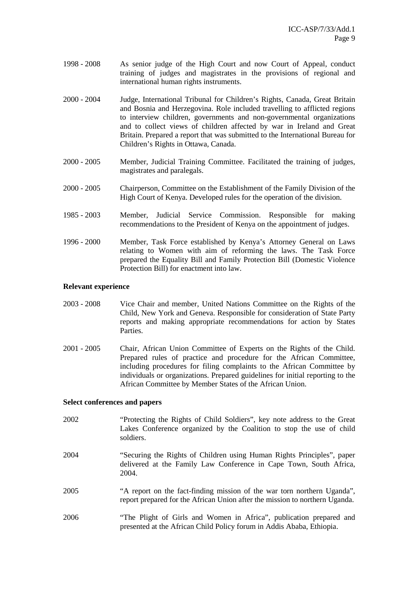- 1998 2008 As senior judge of the High Court and now Court of Appeal, conduct training of judges and magistrates in the provisions of regional and international human rights instruments.
- 2000 2004 Judge, International Tribunal for Children's Rights, Canada, Great Britain and Bosnia and Herzegovina. Role included travelling to afflicted regions to interview children, governments and non-governmental organizations and to collect views of children affected by war in Ireland and Great Britain. Prepared a report that was submitted to the International Bureau for Children's Rights in Ottawa, Canada.
- 2000 2005 Member, Judicial Training Committee. Facilitated the training of judges, magistrates and paralegals.
- 2000 2005 Chairperson, Committee on the Establishment of the Family Division of the High Court of Kenya. Developed rules for the operation of the division.
- 1985 2003 Member, Judicial Service Commission. Responsible for making recommendations to the President of Kenya on the appointment of judges.
- 1996 2000 Member, Task Force established by Kenya's Attorney General on Laws relating to Women with aim of reforming the laws. The Task Force prepared the Equality Bill and Family Protection Bill (Domestic Violence Protection Bill) for enactment into law.

#### **Relevant experience**

- 2003 2008 Vice Chair and member, United Nations Committee on the Rights of the Child, New York and Geneva. Responsible for consideration of State Party reports and making appropriate recommendations for action by States Parties.
- 2001 2005 Chair, African Union Committee of Experts on the Rights of the Child. Prepared rules of practice and procedure for the African Committee, including procedures for filing complaints to the African Committee by individuals or organizations. Prepared guidelines for initial reporting to the African Committee by Member States of the African Union.

#### **Select conferences and papers**

- 2002 "Protecting the Rights of Child Soldiers", key note address to the Great Lakes Conference organized by the Coalition to stop the use of child soldiers.
- 2004 "Securing the Rights of Children using Human Rights Principles", paper delivered at the Family Law Conference in Cape Town, South Africa, 2004.
- 2005 "A report on the fact-finding mission of the war torn northern Uganda", report prepared for the African Union after the mission to northern Uganda.
- 2006 "The Plight of Girls and Women in Africa", publication prepared and presented at the African Child Policy forum in Addis Ababa, Ethiopia.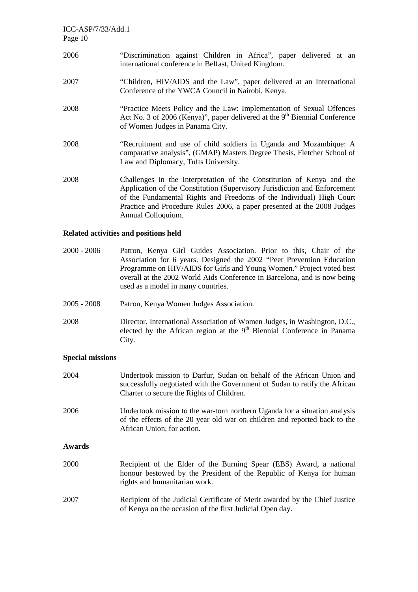- 2006 "Discrimination against Children in Africa", paper delivered at an international conference in Belfast, United Kingdom.
- 2007 "Children, HIV/AIDS and the Law", paper delivered at an International Conference of the YWCA Council in Nairobi, Kenya.
- 2008 "Practice Meets Policy and the Law: Implementation of Sexual Offences Act No. 3 of 2006 (Kenya)", paper delivered at the 9<sup>th</sup> Biennial Conference of Women Judges in Panama City.
- 2008 "Recruitment and use of child soldiers in Uganda and Mozambique: A comparative analysis", (GMAP) Masters Degree Thesis, Fletcher School of Law and Diplomacy, Tufts University.
- 2008 Challenges in the Interpretation of the Constitution of Kenya and the Application of the Constitution (Supervisory Jurisdiction and Enforcement of the Fundamental Rights and Freedoms of the Individual) High Court Practice and Procedure Rules 2006, a paper presented at the 2008 Judges Annual Colloquium.

### **Related activities and positions held**

- 2000 2006 Patron, Kenya Girl Guides Association. Prior to this, Chair of the Association for 6 years. Designed the 2002 "Peer Prevention Education Programme on HIV/AIDS for Girls and Young Women." Project voted best overall at the 2002 World Aids Conference in Barcelona, and is now being used as a model in many countries.
- 2005 2008 Patron, Kenya Women Judges Association.
- 2008 Director, International Association of Women Judges, in Washington, D.C., elected by the African region at the  $9<sup>th</sup>$  Biennial Conference in Panama City.

#### **Special missions**

| 2004   | Undertook mission to Darfur, Sudan on behalf of the African Union and<br>successfully negotiated with the Government of Sudan to ratify the African<br>Charter to secure the Rights of Children. |
|--------|--------------------------------------------------------------------------------------------------------------------------------------------------------------------------------------------------|
| 2006   | Undertook mission to the war-torn northern Uganda for a situation analysis<br>of the effects of the 20 year old war on children and reported back to the<br>African Union, for action.           |
| Awards |                                                                                                                                                                                                  |
| 2000   | Recipient of the Elder of the Burning Spear (EBS) Award, a national<br>honour bestowed by the President of the Republic of Kenya for human<br>rights and humanitarian work.                      |
| 2007   | Recipient of the Judicial Certificate of Merit awarded by the Chief Justice<br>of Kenya on the occasion of the first Judicial Open day.                                                          |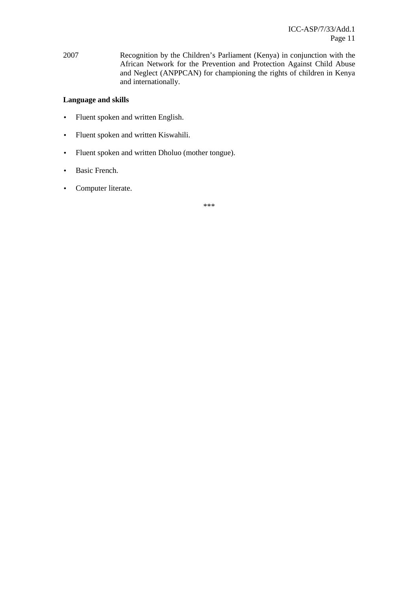2007 Recognition by the Children's Parliament (Kenya) in conjunction with the African Network for the Prevention and Protection Against Child Abuse and Neglect (ANPPCAN) for championing the rights of children in Kenya and internationally.

### **Language and skills**

- Fluent spoken and written English.
- Fluent spoken and written Kiswahili.
- Fluent spoken and written Dholuo (mother tongue).
- Basic French.
- Computer literate.

\*\*\*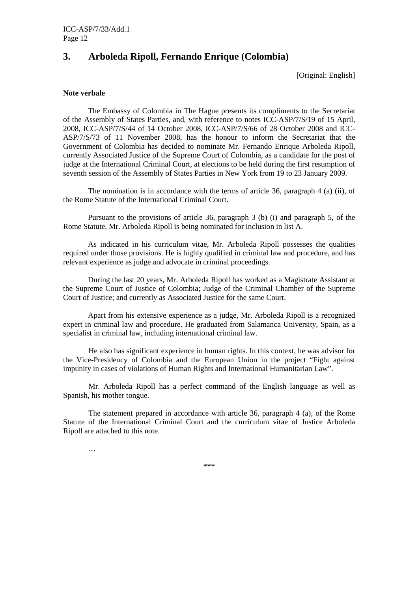### **3. Arboleda Ripoll, Fernando Enrique (Colombia)**

[Original: English]

#### **Note verbale**

The Embassy of Colombia in The Hague presents its compliments to the Secretariat of the Assembly of States Parties, and, with reference to notes ICC-ASP/7/S/19 of 15 April, 2008, ICC-ASP/7/S/44 of 14 October 2008, ICC-ASP/7/S/66 of 28 October 2008 and ICC-ASP/7/S/73 of 11 November 2008, has the honour to inform the Secretariat that the Government of Colombia has decided to nominate Mr. Fernando Enrique Arboleda Ripoll, currently Associated Justice of the Supreme Court of Colombia, as a candidate for the post of judge at the International Criminal Court, at elections to be held during the first resumption of seventh session of the Assembly of States Parties in New York from 19 to 23 January 2009.

The nomination is in accordance with the terms of article 36, paragraph 4 (a) (ii), of the Rome Statute of the International Criminal Court.

Pursuant to the provisions of article 36, paragraph 3 (b) (i) and paragraph 5, of the Rome Statute, Mr. Arboleda Ripoll is being nominated for inclusion in list A.

As indicated in his curriculum vitae, Mr. Arboleda Ripoll possesses the qualities required under those provisions. He is highly qualified in criminal law and procedure, and has relevant experience as judge and advocate in criminal proceedings.

During the last 20 years, Mr. Arboleda Ripoll has worked as a Magistrate Assistant at the Supreme Court of Justice of Colombia; Judge of the Criminal Chamber of the Supreme Court of Justice; and currently as Associated Justice for the same Court.

Apart from his extensive experience as a judge, Mr. Arboleda Ripoll is a recognized expert in criminal law and procedure. He graduated from Salamanca University, Spain, as a specialist in criminal law, including international criminal law.

 He also has significant experience in human rights. In this context, he was advisor for the Vice-Presidency of Colombia and the European Union in the project "Fight against impunity in cases of violations of Human Rights and International Humanitarian Law".

 Mr. Arboleda Ripoll has a perfect command of the English language as well as Spanish, his mother tongue.

 The statement prepared in accordance with article 36, paragraph 4 (a), of the Rome Statute of the International Criminal Court and the curriculum vitae of Justice Arboleda Ripoll are attached to this note.

…

\*\*\*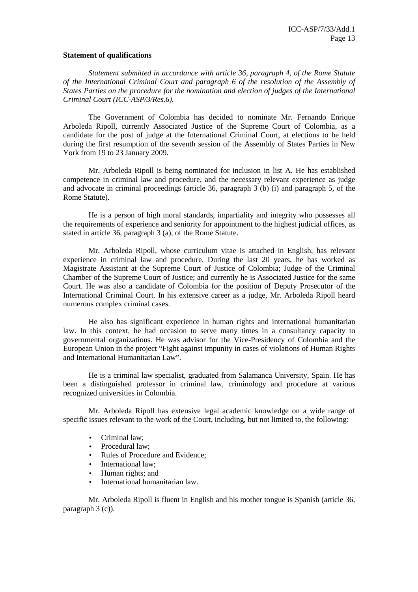#### **Statement of qualifications**

 *Statement submitted in accordance with article 36, paragraph 4, of the Rome Statute of the International Criminal Court and paragraph 6 of the resolution of the Assembly of States Parties on the procedure for the nomination and election of judges of the International Criminal Court (ICC-ASP/3/Res.6).* 

 The Government of Colombia has decided to nominate Mr. Fernando Enrique Arboleda Ripoll, currently Associated Justice of the Supreme Court of Colombia, as a candidate for the post of judge at the International Criminal Court, at elections to be held during the first resumption of the seventh session of the Assembly of States Parties in New York from 19 to 23 January 2009.

 Mr. Arboleda Ripoll is being nominated for inclusion in list A. He has established competence in criminal law and procedure, and the necessary relevant experience as judge and advocate in criminal proceedings (article 36, paragraph 3 (b) (i) and paragraph 5, of the Rome Statute).

 He is a person of high moral standards, impartiality and integrity who possesses all the requirements of experience and seniority for appointment to the highest judicial offices, as stated in article 36, paragraph 3 (a), of the Rome Statute.

 Mr. Arboleda Ripoll, whose curriculum vitae is attached in English, has relevant experience in criminal law and procedure. During the last 20 years, he has worked as Magistrate Assistant at the Supreme Court of Justice of Colombia; Judge of the Criminal Chamber of the Supreme Court of Justice; and currently he is Associated Justice for the same Court. He was also a candidate of Colombia for the position of Deputy Prosecutor of the International Criminal Court. In his extensive career as a judge, Mr. Arboleda Ripoll heard numerous complex criminal cases.

 He also has significant experience in human rights and international humanitarian law. In this context, he had occasion to serve many times in a consultancy capacity to governmental organizations. He was advisor for the Vice-Presidency of Colombia and the European Union in the project "Fight against impunity in cases of violations of Human Rights and International Humanitarian Law".

 He is a criminal law specialist, graduated from Salamanca University, Spain. He has been a distinguished professor in criminal law, criminology and procedure at various recognized universities in Colombia.

 Mr. Arboleda Ripoll has extensive legal academic knowledge on a wide range of specific issues relevant to the work of the Court, including, but not limited to, the following:

- Criminal law;
- Procedural law:
- Rules of Procedure and Evidence;
- International law:
- Human rights; and
- International humanitarian law.

 Mr. Arboleda Ripoll is fluent in English and his mother tongue is Spanish (article 36, paragraph 3 (c)).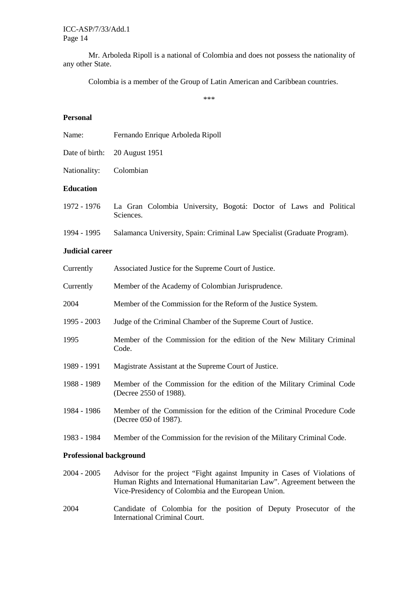Mr. Arboleda Ripoll is a national of Colombia and does not possess the nationality of any other State.

Colombia is a member of the Group of Latin American and Caribbean countries.

\*\*\*

#### **Personal**

| Name:            | Fernando Enrique Arboleda Ripoll                                               |  |
|------------------|--------------------------------------------------------------------------------|--|
| Date of birth:   | 20 August 1951                                                                 |  |
| Nationality:     | Colombian                                                                      |  |
| <b>Education</b> |                                                                                |  |
| 1972 - 1976      | La Gran Colombia University, Bogotá: Doctor of Laws and Political<br>Sciences. |  |
| 1994 - 1995      | Salamanca University, Spain: Criminal Law Specialist (Graduate Program).       |  |

### **Judicial career**

| Currently     | Associated Justice for the Supreme Court of Justice.                                             |
|---------------|--------------------------------------------------------------------------------------------------|
| Currently     | Member of the Academy of Colombian Jurisprudence.                                                |
| 2004          | Member of the Commission for the Reform of the Justice System.                                   |
| $1995 - 2003$ | Judge of the Criminal Chamber of the Supreme Court of Justice.                                   |
| 1995          | Member of the Commission for the edition of the New Military Criminal<br>Code.                   |
| 1989 - 1991   | Magistrate Assistant at the Supreme Court of Justice.                                            |
| 1988 - 1989   | Member of the Commission for the edition of the Military Criminal Code<br>(Decree 2550 of 1988). |
| 1984 - 1986   | Member of the Commission for the edition of the Criminal Procedure Code<br>(Decree 050 of 1987). |
| 1983 - 1984   | Member of the Commission for the revision of the Military Criminal Code.                         |
|               |                                                                                                  |

### **Professional background**

- 2004 2005 Advisor for the project "Fight against Impunity in Cases of Violations of Human Rights and International Humanitarian Law". Agreement between the Vice-Presidency of Colombia and the European Union.
- 2004 Candidate of Colombia for the position of Deputy Prosecutor of the International Criminal Court.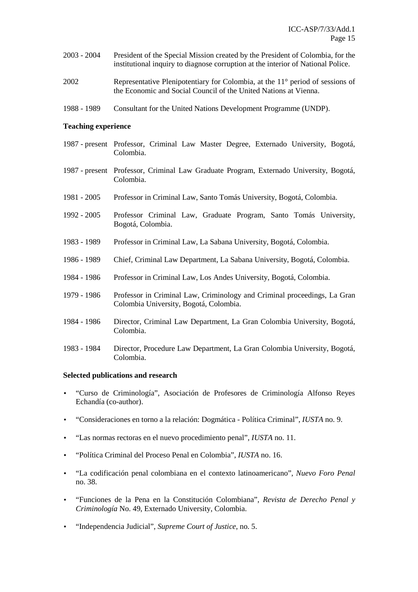- 2003 2004 President of the Special Mission created by the President of Colombia, for the institutional inquiry to diagnose corruption at the interior of National Police.
- 2002 Representative Plenipotentiary for Colombia, at the 11° period of sessions of the Economic and Social Council of the United Nations at Vienna.
- 1988 1989 Consultant for the United Nations Development Programme (UNDP).

#### **Teaching experience**

- 1987 present Professor, Criminal Law Master Degree, Externado University, Bogotá, Colombia.
- 1987 present Professor, Criminal Law Graduate Program, Externado University, Bogotá, Colombia.
- 1981 2005 Professor in Criminal Law, Santo Tomás University, Bogotá, Colombia.
- 1992 2005 Professor Criminal Law, Graduate Program, Santo Tomás University, Bogotá, Colombia.
- 1983 1989 Professor in Criminal Law, La Sabana University, Bogotá, Colombia.
- 1986 1989 Chief, Criminal Law Department, La Sabana University, Bogotá, Colombia.
- 1984 1986 Professor in Criminal Law, Los Andes University, Bogotá, Colombia.
- 1979 1986 Professor in Criminal Law, Criminology and Criminal proceedings, La Gran Colombia University, Bogotá, Colombia.
- 1984 1986 Director, Criminal Law Department, La Gran Colombia University, Bogotá, Colombia.
- 1983 1984 Director, Procedure Law Department, La Gran Colombia University, Bogotá, Colombia.

#### **Selected publications and research**

- "Curso de Criminología", Asociación de Profesores de Criminología Alfonso Reyes Echandía (co-author).
- "Consideraciones en torno a la relación: Dogmática Política Criminal", *IUSTA* no. 9.
- "Las normas rectoras en el nuevo procedimiento penal", *IUSTA* no. 11.
- "Política Criminal del Proceso Penal en Colombia", *IUSTA* no. 16.
- "La codificación penal colombiana en el contexto latinoamericano", *Nuevo Foro Penal* no. 38.
- "Funciones de la Pena en la Constitución Colombiana", *Revista de Derecho Penal y Criminología* No. 49, Externado University, Colombia.
- "Independencia Judicial", *Supreme Court of Justice*, no. 5.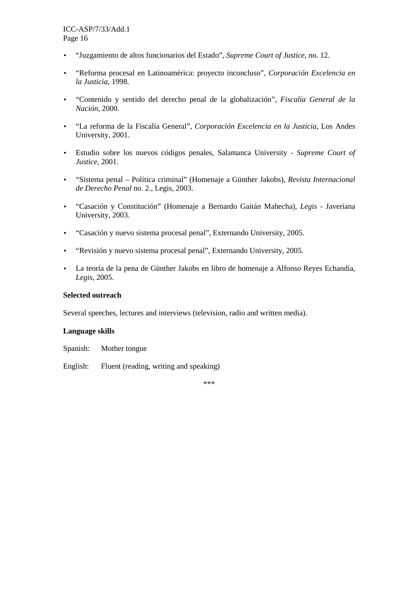- "Juzgamiento de altos funcionarios del Estado", *Supreme Court of Justice*, no. 12.
- "Reforma procesal en Latinoamérica: proyecto inconcluso", *Corporación Excelencia en la Justicia*, 1998.
- "Contenido y sentido del derecho penal de la globalización", *Fiscalía General de la Nación*, 2000.
- "La reforma de la Fiscalía General", *Corporación Excelencia en la Justicia*, Los Andes University, 2001.
- Estudio sobre los nuevos códigos penales, Salamanca University *Supreme Court of Justice*, 2001.
- "Sistema penal Política criminal" (Homenaje a Günther Jakobs), *Revista Internacional de Derecho Penal* no. 2., Legis, 2003.
- "Casación y Constitución" (Homenaje a Bernardo Gaitán Mahecha), *Legis* Javeriana University, 2003.
- "Casación y nuevo sistema procesal penal", Externando University, 2005.
- "Revisión y nuevo sistema procesal penal", Externando University, 2005.
- La teoría de la pena de Günther Jakobs en libro de homenaje a Alfonso Reyes Echandía, *Legis*, 2005.

#### **Selected outreach**

Several speeches, lectures and interviews (television, radio and written media).

#### **Language skills**

Spanish: Mother tongue

English: Fluent (reading, writing and speaking)

\*\*\*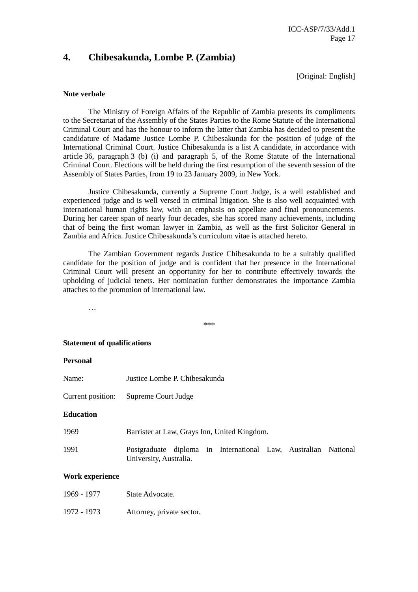### **4. Chibesakunda, Lombe P. (Zambia)**

[Original: English]

#### **Note verbale**

The Ministry of Foreign Affairs of the Republic of Zambia presents its compliments to the Secretariat of the Assembly of the States Parties to the Rome Statute of the International Criminal Court and has the honour to inform the latter that Zambia has decided to present the candidature of Madame Justice Lombe P. Chibesakunda for the position of judge of the International Criminal Court. Justice Chibesakunda is a list A candidate, in accordance with article 36, paragraph 3 (b) (i) and paragraph 5, of the Rome Statute of the International Criminal Court. Elections will be held during the first resumption of the seventh session of the Assembly of States Parties, from 19 to 23 January 2009, in New York.

Justice Chibesakunda, currently a Supreme Court Judge, is a well established and experienced judge and is well versed in criminal litigation. She is also well acquainted with international human rights law, with an emphasis on appellate and final pronouncements. During her career span of nearly four decades, she has scored many achievements, including that of being the first woman lawyer in Zambia, as well as the first Solicitor General in Zambia and Africa. Justice Chibesakunda's curriculum vitae is attached hereto.

The Zambian Government regards Justice Chibesakunda to be a suitably qualified candidate for the position of judge and is confident that her presence in the International Criminal Court will present an opportunity for her to contribute effectively towards the upholding of judicial tenets. Her nomination further demonstrates the importance Zambia attaches to the promotion of international law.

…

\*\*\*

#### **Statement of qualifications**

#### **Personal**

- Name: Justice Lombe P. Chibesakunda
- Current position: Supreme Court Judge

#### **Education**

| 1969 | Barrister at Law, Grays Inn, United Kingdom. |
|------|----------------------------------------------|
|------|----------------------------------------------|

1991 Postgraduate diploma in International Law, Australian National University, Australia.

#### **Work experience**

| 1969 - 1977 | State Advocate.           |
|-------------|---------------------------|
| 1972 - 1973 | Attorney, private sector. |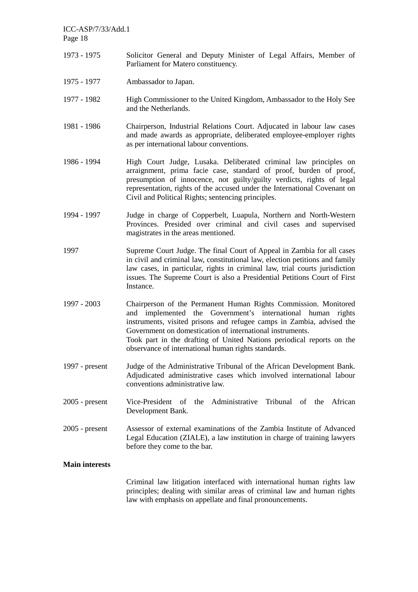- 1973 1975 Solicitor General and Deputy Minister of Legal Affairs, Member of Parliament for Matero constituency.
- 1975 1977 Ambassador to Japan.
- 1977 1982 High Commissioner to the United Kingdom, Ambassador to the Holy See and the Netherlands.
- 1981 1986 Chairperson, Industrial Relations Court. Adjucated in labour law cases and made awards as appropriate, deliberated employee-employer rights as per international labour conventions.
- 1986 1994 High Court Judge, Lusaka. Deliberated criminal law principles on arraignment, prima facie case, standard of proof, burden of proof, presumption of innocence, not guilty/guilty verdicts, rights of legal representation, rights of the accused under the International Covenant on Civil and Political Rights; sentencing principles.
- 1994 1997 Judge in charge of Copperbelt, Luapula, Northern and North-Western Provinces. Presided over criminal and civil cases and supervised magistrates in the areas mentioned.
- 1997 Supreme Court Judge. The final Court of Appeal in Zambia for all cases in civil and criminal law, constitutional law, election petitions and family law cases, in particular, rights in criminal law, trial courts jurisdiction issues. The Supreme Court is also a Presidential Petitions Court of First Instance.
- 1997 2003 Chairperson of the Permanent Human Rights Commission. Monitored and implemented the Government's international human rights instruments, visited prisons and refugee camps in Zambia, advised the Government on domestication of international instruments. Took part in the drafting of United Nations periodical reports on the observance of international human rights standards.
- 1997 present Judge of the Administrative Tribunal of the African Development Bank. Adjudicated administrative cases which involved international labour conventions administrative law.
- 2005 present Vice-President of the Administrative Tribunal of the African Development Bank.
- 2005 present Assessor of external examinations of the Zambia Institute of Advanced Legal Education (ZIALE), a law institution in charge of training lawyers before they come to the bar.

#### **Main interests**

Criminal law litigation interfaced with international human rights law principles; dealing with similar areas of criminal law and human rights law with emphasis on appellate and final pronouncements.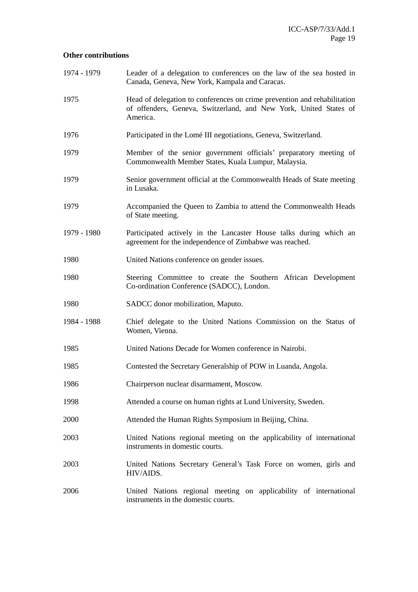### **Other contributions**

| 1974 - 1979 | Leader of a delegation to conferences on the law of the sea hosted in<br>Canada, Geneva, New York, Kampala and Caracas.                                   |
|-------------|-----------------------------------------------------------------------------------------------------------------------------------------------------------|
| 1975        | Head of delegation to conferences on crime prevention and rehabilitation<br>of offenders, Geneva, Switzerland, and New York, United States of<br>America. |
| 1976        | Participated in the Lomé III negotiations, Geneva, Switzerland.                                                                                           |
| 1979        | Member of the senior government officials' preparatory meeting of<br>Commonwealth Member States, Kuala Lumpur, Malaysia.                                  |
| 1979        | Senior government official at the Commonwealth Heads of State meeting<br>in Lusaka.                                                                       |
| 1979        | Accompanied the Queen to Zambia to attend the Commonwealth Heads<br>of State meeting.                                                                     |
| 1979 - 1980 | Participated actively in the Lancaster House talks during which an<br>agreement for the independence of Zimbabwe was reached.                             |
| 1980        | United Nations conference on gender issues.                                                                                                               |
| 1980        | Steering Committee to create the Southern African Development<br>Co-ordination Conference (SADCC), London.                                                |
| 1980        | SADCC donor mobilization, Maputo.                                                                                                                         |
| 1984 - 1988 | Chief delegate to the United Nations Commission on the Status of<br>Women, Vienna.                                                                        |
| 1985        | United Nations Decade for Women conference in Nairobi.                                                                                                    |
| 1985        | Contested the Secretary Generalship of POW in Luanda, Angola.                                                                                             |
| 1986        | Chairperson nuclear disarmament, Moscow.                                                                                                                  |
| 1998        | Attended a course on human rights at Lund University, Sweden.                                                                                             |
| 2000        | Attended the Human Rights Symposium in Beijing, China.                                                                                                    |
| 2003        | United Nations regional meeting on the applicability of international<br>instruments in domestic courts.                                                  |
| 2003        | United Nations Secretary General's Task Force on women, girls and<br>HIV/AIDS.                                                                            |
| 2006        | United Nations regional meeting on applicability of international<br>instruments in the domestic courts.                                                  |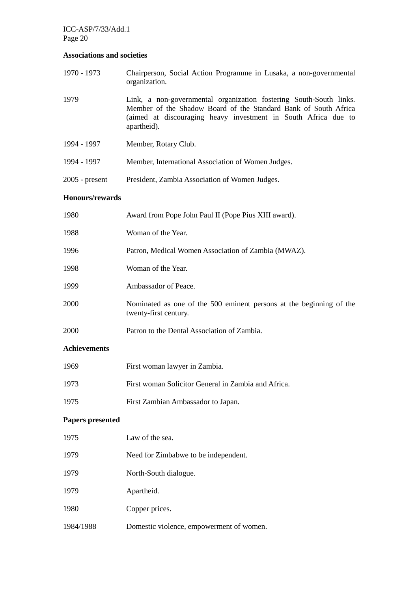### **Associations and societies**

| 1970 - 1973            | Chairperson, Social Action Programme in Lusaka, a non-governmental<br>organization.                                                                                                                                    |
|------------------------|------------------------------------------------------------------------------------------------------------------------------------------------------------------------------------------------------------------------|
| 1979                   | Link, a non-governmental organization fostering South-South links.<br>Member of the Shadow Board of the Standard Bank of South Africa<br>(aimed at discouraging heavy investment in South Africa due to<br>apartheid). |
| 1994 - 1997            | Member, Rotary Club.                                                                                                                                                                                                   |
| 1994 - 1997            | Member, International Association of Women Judges.                                                                                                                                                                     |
| $2005$ - present       | President, Zambia Association of Women Judges.                                                                                                                                                                         |
| <b>Honours/rewards</b> |                                                                                                                                                                                                                        |
| 1980                   | Award from Pope John Paul II (Pope Pius XIII award).                                                                                                                                                                   |
| 1988                   | Woman of the Year.                                                                                                                                                                                                     |
| 1996                   | Patron, Medical Women Association of Zambia (MWAZ).                                                                                                                                                                    |
| 1998                   | Woman of the Year.                                                                                                                                                                                                     |
| 1999                   | Ambassador of Peace.                                                                                                                                                                                                   |
| 2000                   | Nominated as one of the 500 eminent persons at the beginning of the<br>twenty-first century.                                                                                                                           |
| 2000                   | Patron to the Dental Association of Zambia.                                                                                                                                                                            |
| <b>Achievements</b>    |                                                                                                                                                                                                                        |
| 1969                   | First woman lawyer in Zambia.                                                                                                                                                                                          |
| 1973                   | First woman Solicitor General in Zambia and Africa.                                                                                                                                                                    |

1975 First Zambian Ambassador to Japan.

### **Papers presented**

| 1975      | Law of the sea.                          |
|-----------|------------------------------------------|
| 1979      | Need for Zimbabwe to be independent.     |
| 1979      | North-South dialogue.                    |
| 1979      | Apartheid.                               |
| 1980      | Copper prices.                           |
| 1984/1988 | Domestic violence, empowerment of women. |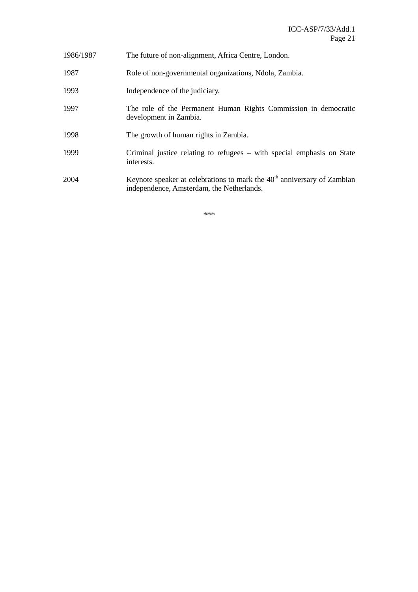| 1986/1987 | The future of non-alignment, Africa Centre, London.                                                                    |
|-----------|------------------------------------------------------------------------------------------------------------------------|
| 1987      | Role of non-governmental organizations, Ndola, Zambia.                                                                 |
| 1993      | Independence of the judiciary.                                                                                         |
| 1997      | The role of the Permanent Human Rights Commission in democratic<br>development in Zambia.                              |
| 1998      | The growth of human rights in Zambia.                                                                                  |
| 1999      | Criminal justice relating to refugees – with special emphasis on State<br>interests.                                   |
| 2004      | Keynote speaker at celebrations to mark the $40th$ anniversary of Zambian<br>independence, Amsterdam, the Netherlands. |

\*\*\*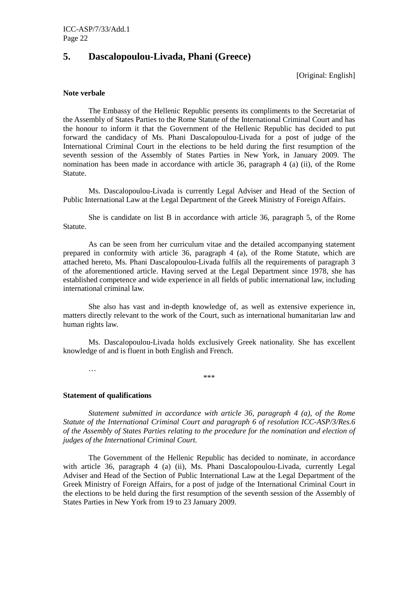### **5. Dascalopoulou-Livada, Phani (Greece)**

[Original: English]

#### **Note verbale**

 The Embassy of the Hellenic Republic presents its compliments to the Secretariat of the Assembly of States Parties to the Rome Statute of the International Criminal Court and has the honour to inform it that the Government of the Hellenic Republic has decided to put forward the candidacy of Ms. Phani Dascalopoulou-Livada for a post of judge of the International Criminal Court in the elections to be held during the first resumption of the seventh session of the Assembly of States Parties in New York, in January 2009. The nomination has been made in accordance with article 36, paragraph 4 (a) (ii), of the Rome Statute.

 Ms. Dascalopoulou-Livada is currently Legal Adviser and Head of the Section of Public International Law at the Legal Department of the Greek Ministry of Foreign Affairs.

 She is candidate on list B in accordance with article 36, paragraph 5, of the Rome Statute.

 As can be seen from her curriculum vitae and the detailed accompanying statement prepared in conformity with article 36, paragraph 4 (a), of the Rome Statute, which are attached hereto, Ms. Phani Dascalopoulou-Livada fulfils all the requirements of paragraph 3 of the aforementioned article. Having served at the Legal Department since 1978, she has established competence and wide experience in all fields of public international law, including international criminal law.

 She also has vast and in-depth knowledge of, as well as extensive experience in, matters directly relevant to the work of the Court, such as international humanitarian law and human rights law.

 Ms. Dascalopoulou-Livada holds exclusively Greek nationality. She has excellent knowledge of and is fluent in both English and French.

\*\*\*

#### **Statement of qualifications**

…

 *Statement submitted in accordance with article 36, paragraph 4 (a), of the Rome Statute of the International Criminal Court and paragraph 6 of resolution ICC-ASP/3/Res.6 of the Assembly of States Parties relating to the procedure for the nomination and election of judges of the International Criminal Court.* 

 The Government of the Hellenic Republic has decided to nominate, in accordance with article 36, paragraph 4 (a) (ii), Ms. Phani Dascalopoulou-Livada, currently Legal Adviser and Head of the Section of Public International Law at the Legal Department of the Greek Ministry of Foreign Affairs, for a post of judge of the International Criminal Court in the elections to be held during the first resumption of the seventh session of the Assembly of States Parties in New York from 19 to 23 January 2009.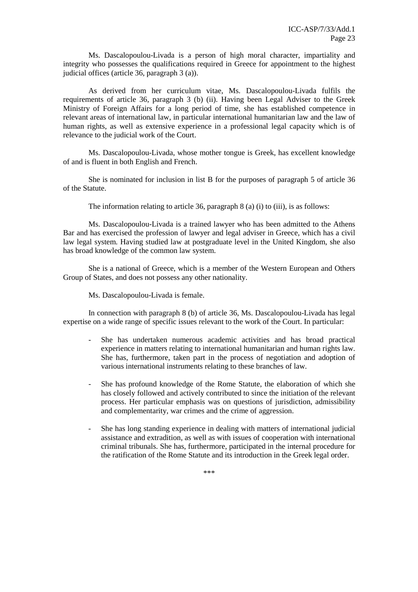Ms. Dascalopoulou-Livada is a person of high moral character, impartiality and integrity who possesses the qualifications required in Greece for appointment to the highest judicial offices (article 36, paragraph 3 (a)).

 As derived from her curriculum vitae, Ms. Dascalopoulou-Livada fulfils the requirements of article 36, paragraph 3 (b) (ii). Having been Legal Adviser to the Greek Ministry of Foreign Affairs for a long period of time, she has established competence in relevant areas of international law, in particular international humanitarian law and the law of human rights, as well as extensive experience in a professional legal capacity which is of relevance to the judicial work of the Court.

 Ms. Dascalopoulou-Livada, whose mother tongue is Greek, has excellent knowledge of and is fluent in both English and French.

 She is nominated for inclusion in list B for the purposes of paragraph 5 of article 36 of the Statute.

The information relating to article 36, paragraph 8 (a) (i) to (iii), is as follows:

 Ms. Dascalopoulou-Livada is a trained lawyer who has been admitted to the Athens Bar and has exercised the profession of lawyer and legal adviser in Greece, which has a civil law legal system. Having studied law at postgraduate level in the United Kingdom, she also has broad knowledge of the common law system.

 She is a national of Greece, which is a member of the Western European and Others Group of States, and does not possess any other nationality.

Ms. Dascalopoulou-Livada is female.

 In connection with paragraph 8 (b) of article 36, Ms. Dascalopoulou-Livada has legal expertise on a wide range of specific issues relevant to the work of the Court. In particular:

- She has undertaken numerous academic activities and has broad practical experience in matters relating to international humanitarian and human rights law. She has, furthermore, taken part in the process of negotiation and adoption of various international instruments relating to these branches of law.
- She has profound knowledge of the Rome Statute, the elaboration of which she has closely followed and actively contributed to since the initiation of the relevant process. Her particular emphasis was on questions of jurisdiction, admissibility and complementarity, war crimes and the crime of aggression.
- She has long standing experience in dealing with matters of international judicial assistance and extradition, as well as with issues of cooperation with international criminal tribunals. She has, furthermore, participated in the internal procedure for the ratification of the Rome Statute and its introduction in the Greek legal order.

\*\*\*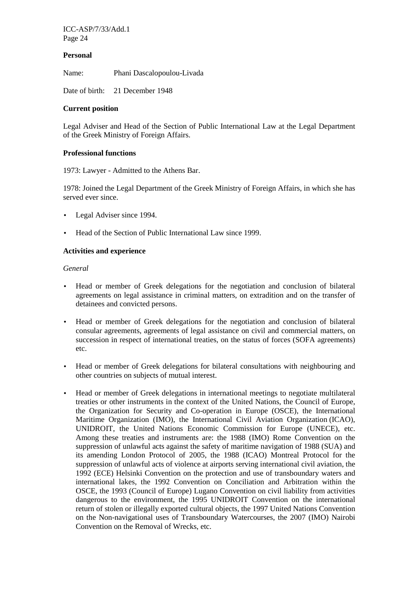#### **Personal**

Name: Phani Dascalopoulou-Livada

Date of birth: 21 December 1948

#### **Current position**

Legal Adviser and Head of the Section of Public International Law at the Legal Department of the Greek Ministry of Foreign Affairs.

#### **Professional functions**

1973: Lawyer - Admitted to the Athens Bar.

1978: Joined the Legal Department of the Greek Ministry of Foreign Affairs, in which she has served ever since.

- Legal Adviser since 1994.
- Head of the Section of Public International Law since 1999.

#### **Activities and experience**

#### *General*

- Head or member of Greek delegations for the negotiation and conclusion of bilateral agreements on legal assistance in criminal matters, on extradition and on the transfer of detainees and convicted persons.
- Head or member of Greek delegations for the negotiation and conclusion of bilateral consular agreements, agreements of legal assistance on civil and commercial matters, on succession in respect of international treaties, on the status of forces (SOFA agreements) etc.
- Head or member of Greek delegations for bilateral consultations with neighbouring and other countries on subjects of mutual interest.
- Head or member of Greek delegations in international meetings to negotiate multilateral treaties or other instruments in the context of the United Nations, the Council of Europe, the Organization for Security and Co-operation in Europe (OSCE), the International Maritime Organization (IMO), the International Civil Aviation Organization (ICAO), UNIDROIT, the United Nations Economic Commission for Europe (UNECE), etc. Among these treaties and instruments are: the 1988 (IMO) Rome Convention on the suppression of unlawful acts against the safety of maritime navigation of 1988 (SUA) and its amending London Protocol of 2005, the 1988 (ICAO) Montreal Protocol for the suppression of unlawful acts of violence at airports serving international civil aviation, the 1992 (ECE) Helsinki Convention on the protection and use of transboundary waters and international lakes, the 1992 Convention on Conciliation and Arbitration within the OSCE, the 1993 (Council of Europe) Lugano Convention on civil liability from activities dangerous to the environment, the 1995 UNIDROIT Convention on the international return of stolen or illegally exported cultural objects, the 1997 United Nations Convention on the Non-navigational uses of Transboundary Watercourses, the 2007 (IMO) Nairobi Convention on the Removal of Wrecks, etc.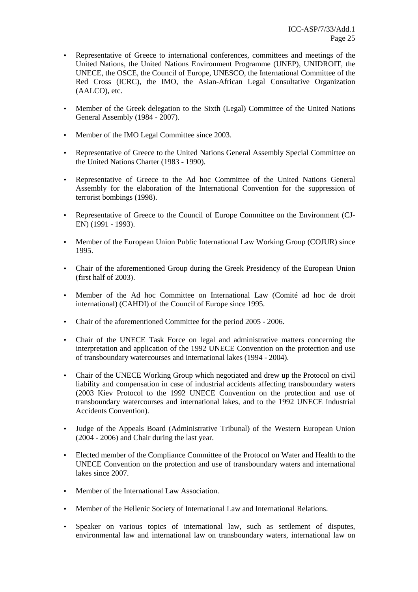- Representative of Greece to international conferences, committees and meetings of the United Nations, the United Nations Environment Programme (UNEP), UNIDROIT, the UNECE, the OSCE, the Council of Europe, UNESCO, the International Committee of the Red Cross (ICRC), the IMO, the Asian-African Legal Consultative Organization (AALCO), etc.
- Member of the Greek delegation to the Sixth (Legal) Committee of the United Nations General Assembly (1984 - 2007).
- Member of the IMO Legal Committee since 2003.
- Representative of Greece to the United Nations General Assembly Special Committee on the United Nations Charter (1983 - 1990).
- Representative of Greece to the Ad hoc Committee of the United Nations General Assembly for the elaboration of the International Convention for the suppression of terrorist bombings (1998).
- Representative of Greece to the Council of Europe Committee on the Environment (CJ-EN) (1991 - 1993).
- Member of the European Union Public International Law Working Group (COJUR) since 1995.
- Chair of the aforementioned Group during the Greek Presidency of the European Union (first half of 2003).
- Member of the Ad hoc Committee on International Law (Comité ad hoc de droit international) (CAHDI) of the Council of Europe since 1995.
- Chair of the aforementioned Committee for the period 2005 2006.
- Chair of the UNECE Task Force on legal and administrative matters concerning the interpretation and application of the 1992 UNECE Convention on the protection and use of transboundary watercourses and international lakes (1994 - 2004).
- Chair of the UNECE Working Group which negotiated and drew up the Protocol on civil liability and compensation in case of industrial accidents affecting transboundary waters (2003 Kiev Protocol to the 1992 UNECE Convention on the protection and use of transboundary watercourses and international lakes, and to the 1992 UNECE Industrial Accidents Convention).
- Judge of the Appeals Board (Administrative Tribunal) of the Western European Union (2004 - 2006) and Chair during the last year.
- Elected member of the Compliance Committee of the Protocol on Water and Health to the UNECE Convention on the protection and use of transboundary waters and international lakes since 2007.
- Member of the International Law Association.
- Member of the Hellenic Society of International Law and International Relations.
- Speaker on various topics of international law, such as settlement of disputes, environmental law and international law on transboundary waters, international law on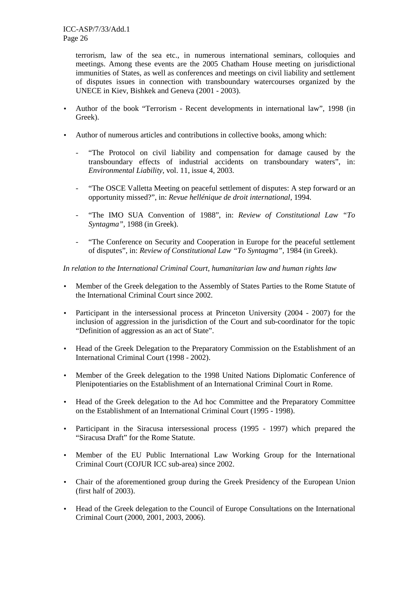terrorism, law of the sea etc., in numerous international seminars, colloquies and meetings. Among these events are the 2005 Chatham House meeting on jurisdictional immunities of States, as well as conferences and meetings on civil liability and settlement of disputes issues in connection with transboundary watercourses organized by the UNECE in Kiev, Bishkek and Geneva (2001 - 2003).

- Author of the book "Terrorism Recent developments in international law", 1998 (in Greek).
- Author of numerous articles and contributions in collective books, among which:
	- *-* "The Protocol on civil liability and compensation for damage caused by the transboundary effects of industrial accidents on transboundary waters", in: *Environmental Liability*, vol. 11, issue 4, 2003.
	- *-* "The OSCE Valletta Meeting on peaceful settlement of disputes: A step forward or an opportunity missed?", in: *Revue hellénique de droit international*, 1994.
	- *-* "The IMO SUA Convention of 1988", in: *Review of Constitutional Law "To Syntagma",* 1988 (in Greek).
	- *-* "The Conference on Security and Cooperation in Europe for the peaceful settlement of disputes", in: *Review of Constitutional Law "To Syntagma",* 1984 (in Greek).

#### *In relation to the International Criminal Court, humanitarian law and human rights law*

- Member of the Greek delegation to the Assembly of States Parties to the Rome Statute of the International Criminal Court since 2002.
- Participant in the intersessional process at Princeton University (2004 2007) for the inclusion of aggression in the jurisdiction of the Court and sub-coordinator for the topic "Definition of aggression as an act of State".
- Head of the Greek Delegation to the Preparatory Commission on the Establishment of an International Criminal Court (1998 - 2002).
- Member of the Greek delegation to the 1998 United Nations Diplomatic Conference of Plenipotentiaries on the Establishment of an International Criminal Court in Rome.
- Head of the Greek delegation to the Ad hoc Committee and the Preparatory Committee on the Establishment of an International Criminal Court (1995 - 1998).
- Participant in the Siracusa intersessional process (1995 1997) which prepared the "Siracusa Draft" for the Rome Statute.
- Member of the EU Public International Law Working Group for the International Criminal Court (COJUR ICC sub-area) since 2002.
- Chair of the aforementioned group during the Greek Presidency of the European Union (first half of 2003).
- Head of the Greek delegation to the Council of Europe Consultations on the International Criminal Court (2000, 2001, 2003, 2006).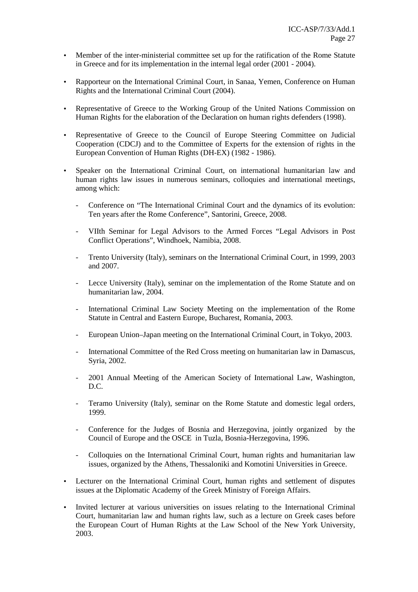- Member of the inter-ministerial committee set up for the ratification of the Rome Statute in Greece and for its implementation in the internal legal order (2001 - 2004).
- Rapporteur on the International Criminal Court, in Sanaa, Yemen, Conference on Human Rights and the International Criminal Court (2004).
- Representative of Greece to the Working Group of the United Nations Commission on Human Rights for the elaboration of the Declaration on human rights defenders (1998).
- Representative of Greece to the Council of Europe Steering Committee on Judicial Cooperation (CDCJ) and to the Committee of Experts for the extension of rights in the European Convention of Human Rights (DH-EX) (1982 - 1986).
- Speaker on the International Criminal Court, on international humanitarian law and human rights law issues in numerous seminars, colloquies and international meetings, among which:
	- *-* Conference on "The International Criminal Court and the dynamics of its evolution: Ten years after the Rome Conference", Santorini, Greece, 2008.
	- *-* VIIth Seminar for Legal Advisors to the Armed Forces "Legal Advisors in Post Conflict Operations", Windhoek, Namibia, 2008.
	- *-* Trento University (Italy), seminars on the International Criminal Court, in 1999, 2003 and 2007.
	- Lecce University (Italy), seminar on the implementation of the Rome Statute and on humanitarian law, 2004.
	- *-* International Criminal Law Society Meeting on the implementation of the Rome Statute in Central and Eastern Europe, Bucharest, Romania, 2003.
	- *-* European Union–Japan meeting on the International Criminal Court, in Tokyo, 2003.
	- *-* International Committee of the Red Cross meeting on humanitarian law in Damascus, Syria, 2002.
	- *-* 2001 Annual Meeting of the American Society of International Law, Washington, D.C.
	- *-* Teramo University (Italy), seminar on the Rome Statute and domestic legal orders, 1999.
	- *-* Conference for the Judges of Bosnia and Herzegovina, jointly organized by the Council of Europe and the OSCE in Tuzla, Bosnia-Herzegovina, 1996.
	- *-* Colloquies on the International Criminal Court, human rights and humanitarian law issues, organized by the Athens, Thessaloniki and Komotini Universities in Greece.
- Lecturer on the International Criminal Court, human rights and settlement of disputes issues at the Diplomatic Academy of the Greek Ministry of Foreign Affairs.
- Invited lecturer at various universities on issues relating to the International Criminal Court, humanitarian law and human rights law, such as a lecture on Greek cases before the European Court of Human Rights at the Law School of the New York University, 2003.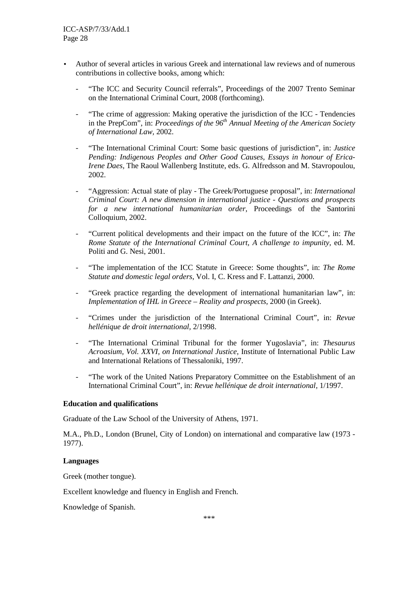- Author of several articles in various Greek and international law reviews and of numerous contributions in collective books, among which:
	- *-* "The ICC and Security Council referrals", Proceedings of the 2007 Trento Seminar on the International Criminal Court, 2008 (forthcoming).
	- *-* "The crime of aggression: Making operative the jurisdiction of the ICC Tendencies in the PrepCom", in: *Proceedings of the 96th Annual Meeting of the American Society of International Law,* 2002.
	- *-* "The International Criminal Court: Some basic questions of jurisdiction", in: *Justice Pending: Indigenous Peoples and Other Good Causes, Essays in honour of Erica-Irene Daes,* The Raoul Wallenberg Institute, eds. G. Alfredsson and M. Stavropoulou, 2002.
	- *-* "Aggression: Actual state of play The Greek/Portuguese proposal", in: *International Criminal Court: A new dimension in international justice - Questions and prospects for a new international humanitarian order*, Proceedings of the Santorini Colloquium, 2002.
	- *-* "Current political developments and their impact on the future of the ICC", in: *The Rome Statute of the International Criminal Court, A challenge to impunity,* ed. M. Politi and G. Nesi, 2001.
	- *-* "The implementation of the ICC Statute in Greece: Some thoughts", in: *The Rome Statute and domestic legal orders*, Vol. I, C. Kress and F. Lattanzi, 2000.
	- *-* "Greek practice regarding the development of international humanitarian law", in: *Implementation of IHL in Greece – Reality and prospects, 2000 (in Greek).*
	- *-* "Crimes under the jurisdiction of the International Criminal Court", in: *Revue hellénique de droit international,* 2/1998.
	- *-* "The International Criminal Tribunal for the former Yugoslavia", in: *Thesaurus Acroasium, Vol. XXVI, on International Justice,* Institute of International Public Law and International Relations of Thessaloniki, 1997.
	- *-* "The work of the United Nations Preparatory Committee on the Establishment of an International Criminal Court", in: *Revue hellénique de droit international,* 1/1997.

#### **Education and qualifications**

Graduate of the Law School of the University of Athens, 1971.

M.A., Ph.D., London (Brunel, City of London) on international and comparative law (1973 - 1977).

#### **Languages**

Greek (mother tongue).

Excellent knowledge and fluency in English and French.

Knowledge of Spanish.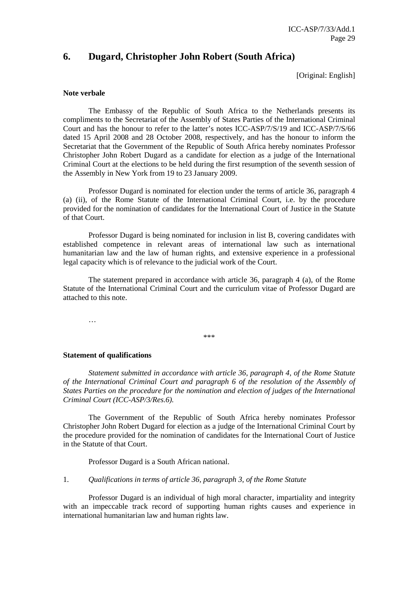### **6. Dugard, Christopher John Robert (South Africa)**

[Original: English]

#### **Note verbale**

 The Embassy of the Republic of South Africa to the Netherlands presents its compliments to the Secretariat of the Assembly of States Parties of the International Criminal Court and has the honour to refer to the latter's notes ICC-ASP/7/S/19 and ICC-ASP/7/S/66 dated 15 April 2008 and 28 October 2008, respectively, and has the honour to inform the Secretariat that the Government of the Republic of South Africa hereby nominates Professor Christopher John Robert Dugard as a candidate for election as a judge of the International Criminal Court at the elections to be held during the first resumption of the seventh session of the Assembly in New York from 19 to 23 January 2009.

 Professor Dugard is nominated for election under the terms of article 36, paragraph 4 (a) (ii), of the Rome Statute of the International Criminal Court, i.e. by the procedure provided for the nomination of candidates for the International Court of Justice in the Statute of that Court.

 Professor Dugard is being nominated for inclusion in list B, covering candidates with established competence in relevant areas of international law such as international humanitarian law and the law of human rights, and extensive experience in a professional legal capacity which is of relevance to the judicial work of the Court.

 The statement prepared in accordance with article 36, paragraph 4 (a), of the Rome Statute of the International Criminal Court and the curriculum vitae of Professor Dugard are attached to this note.

…

\*\*\*

#### **Statement of qualifications**

 *Statement submitted in accordance with article 36, paragraph 4, of the Rome Statute of the International Criminal Court and paragraph 6 of the resolution of the Assembly of States Parties on the procedure for the nomination and election of judges of the International Criminal Court (ICC-ASP/3/Res.6).* 

 The Government of the Republic of South Africa hereby nominates Professor Christopher John Robert Dugard for election as a judge of the International Criminal Court by the procedure provided for the nomination of candidates for the International Court of Justice in the Statute of that Court.

Professor Dugard is a South African national.

#### 1. *Qualifications in terms of article 36, paragraph 3, of the Rome Statute*

 Professor Dugard is an individual of high moral character, impartiality and integrity with an impeccable track record of supporting human rights causes and experience in international humanitarian law and human rights law.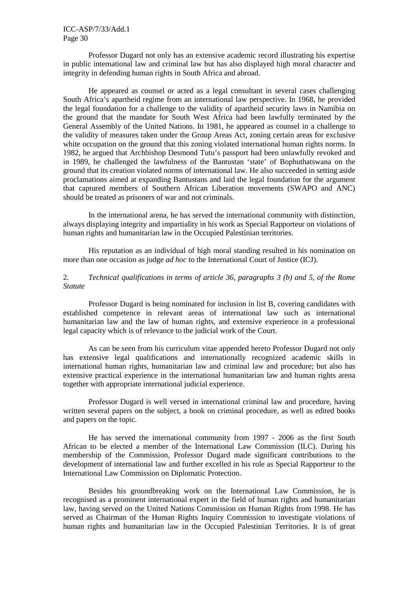Professor Dugard not only has an extensive academic record illustrating his expertise in public international law and criminal law but has also displayed high moral character and integrity in defending human rights in South Africa and abroad.

 He appeared as counsel or acted as a legal consultant in several cases challenging South Africa's apartheid regime from an international law perspective. In 1968, he provided the legal foundation for a challenge to the validity of apartheid security laws in Namibia on the ground that the mandate for South West Africa had been lawfully terminated by the General Assembly of the United Nations. In 1981, he appeared as counsel in a challenge to the validity of measures taken under the Group Areas Act, zoning certain areas for exclusive white occupation on the ground that this zoning violated international human rights norms. In 1982, he argued that Archbishop Desmond Tutu's passport had been unlawfully revoked and in 1989, he challenged the lawfulness of the Bantustan 'state' of Bophuthatswana on the ground that its creation violated norms of international law. He also succeeded in setting aside proclamations aimed at expanding Bantustans and laid the legal foundation for the argument that captured members of Southern African Liberation movements (SWAPO and ANC) should be treated as prisoners of war and not criminals.

 In the international arena, he has served the international community with distinction, always displaying integrity and impartiality in his work as Special Rapporteur on violations of human rights and humanitarian law in the Occupied Palestinian territories.

 His reputation as an individual of high moral standing resulted in his nomination on more than one occasion as judge *ad hoc* to the International Court of Justice (ICJ).

#### 2. *Technical qualifications in terms of article 36, paragraphs 3 (b) and 5, of the Rome Statute*

 Professor Dugard is being nominated for inclusion in list B, covering candidates with established competence in relevant areas of international law such as international humanitarian law and the law of human rights, and extensive experience in a professional legal capacity which is of relevance to the judicial work of the Court.

 As can be seen from his curriculum vitae appended hereto Professor Dugard not only has extensive legal qualifications and internationally recognized academic skills in international human rights, humanitarian law and criminal law and procedure; but also has extensive practical experience in the international humanitarian law and human rights arena together with appropriate international judicial experience.

 Professor Dugard is well versed in international criminal law and procedure, having written several papers on the subject, a book on criminal procedure, as well as edited books and papers on the topic.

 He has served the international community from 1997 - 2006 as the first South African to be elected a member of the International Law Commission (ILC). During his membership of the Commission, Professor Dugard made significant contributions to the development of international law and further excelled in his role as Special Rapporteur to the International Law Commission on Diplomatic Protection.

 Besides his groundbreaking work on the International Law Commission, he is recognised as a prominent international expert in the field of human rights and humanitarian law, having served on the United Nations Commission on Human Rights from 1998. He has served as Chairman of the Human Rights Inquiry Commission to investigate violations of human rights and humanitarian law in the Occupied Palestinian Territories. It is of great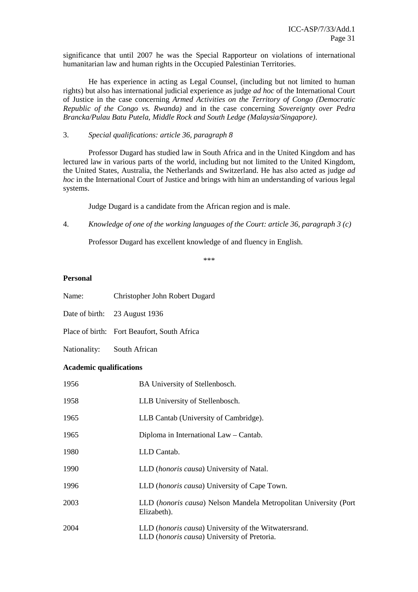significance that until 2007 he was the Special Rapporteur on violations of international humanitarian law and human rights in the Occupied Palestinian Territories.

 He has experience in acting as Legal Counsel, (including but not limited to human rights) but also has international judicial experience as judge *ad hoc* of the International Court of Justice in the case concerning *Armed Activities on the Territory of Congo (Democratic Republic of the Congo vs. Rwanda)* and in the case concerning *Sovereignty over Pedra Brancka/Pulau Batu Putela, Middle Rock and South Ledge (Malaysia/Singapore)*.

3. *Special qualifications: article 36, paragraph 8* 

 Professor Dugard has studied law in South Africa and in the United Kingdom and has lectured law in various parts of the world, including but not limited to the United Kingdom, the United States, Australia, the Netherlands and Switzerland. He has also acted as judge *ad hoc* in the International Court of Justice and brings with him an understanding of various legal systems.

Judge Dugard is a candidate from the African region and is male.

4. *Knowledge of one of the working languages of the Court: article 36, paragraph 3 (c)* 

Professor Dugard has excellent knowledge of and fluency in English.

\*\*\*

#### **Personal**

- Name: Christopher John Robert Dugard
- Date of birth: 23 August 1936
- Place of birth: Fort Beaufort, South Africa
- Nationality: South African

#### **Academic qualifications**

| 1956 | BA University of Stellenbosch.                                                                               |
|------|--------------------------------------------------------------------------------------------------------------|
| 1958 | LLB University of Stellenbosch.                                                                              |
| 1965 | LLB Cantab (University of Cambridge).                                                                        |
| 1965 | Diploma in International Law - Cantab.                                                                       |
| 1980 | LLD Cantab.                                                                                                  |
| 1990 | LLD ( <i>honoris causa</i> ) University of Natal.                                                            |
| 1996 | LLD ( <i>honoris causa</i> ) University of Cape Town.                                                        |
| 2003 | LLD (honoris causa) Nelson Mandela Metropolitan University (Port<br>Elizabeth).                              |
| 2004 | LLD ( <i>honoris causa</i> ) University of the Witwatersrand.<br>LLD (honoris causa) University of Pretoria. |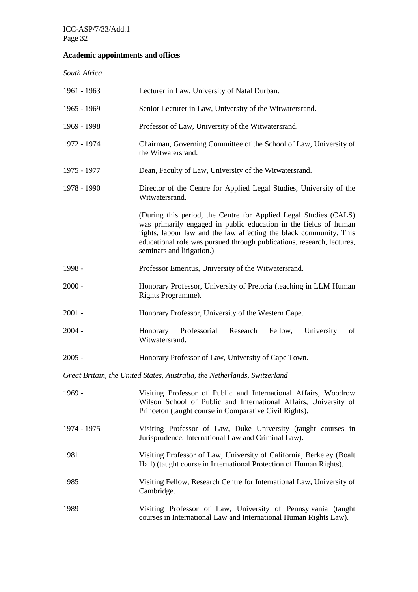### **Academic appointments and offices**

*South Africa* 

| 1961 - 1963                                                               | Lecturer in Law, University of Natal Durban.                                                                                                                                                                                                                                                                      |  |
|---------------------------------------------------------------------------|-------------------------------------------------------------------------------------------------------------------------------------------------------------------------------------------------------------------------------------------------------------------------------------------------------------------|--|
| 1965 - 1969                                                               | Senior Lecturer in Law, University of the Witwatersrand.                                                                                                                                                                                                                                                          |  |
| 1969 - 1998                                                               | Professor of Law, University of the Witwatersrand.                                                                                                                                                                                                                                                                |  |
| 1972 - 1974                                                               | Chairman, Governing Committee of the School of Law, University of<br>the Witwatersrand.                                                                                                                                                                                                                           |  |
| 1975 - 1977                                                               | Dean, Faculty of Law, University of the Witwatersrand.                                                                                                                                                                                                                                                            |  |
| 1978 - 1990                                                               | Director of the Centre for Applied Legal Studies, University of the<br>Witwatersrand.                                                                                                                                                                                                                             |  |
|                                                                           | (During this period, the Centre for Applied Legal Studies (CALS)<br>was primarily engaged in public education in the fields of human<br>rights, labour law and the law affecting the black community. This<br>educational role was pursued through publications, research, lectures,<br>seminars and litigation.) |  |
| 1998 -                                                                    | Professor Emeritus, University of the Witwatersrand.                                                                                                                                                                                                                                                              |  |
| $2000 -$                                                                  | Honorary Professor, University of Pretoria (teaching in LLM Human<br>Rights Programme).                                                                                                                                                                                                                           |  |
| $2001 -$                                                                  | Honorary Professor, University of the Western Cape.                                                                                                                                                                                                                                                               |  |
| $2004 -$                                                                  | Research<br>Honorary<br>Professorial<br>Fellow,<br>University<br>of<br>Witwatersrand.                                                                                                                                                                                                                             |  |
| $2005 -$                                                                  | Honorary Professor of Law, University of Cape Town.                                                                                                                                                                                                                                                               |  |
| Great Britain, the United States, Australia, the Netherlands, Switzerland |                                                                                                                                                                                                                                                                                                                   |  |
| 1969 -                                                                    | Visiting Professor of Public and International Affairs, Woodrow<br>Wilson School of Public and International Affairs, University of<br>Princeton (taught course in Comparative Civil Rights).                                                                                                                     |  |
| 1974 - 1975                                                               | Visiting Professor of Law, Duke University (taught courses in<br>Jurisprudence, International Law and Criminal Law).                                                                                                                                                                                              |  |
| 1981                                                                      | Visiting Professor of Law, University of California, Berkeley (Boalt<br>Hall) (taught course in International Protection of Human Rights).                                                                                                                                                                        |  |
| 1985                                                                      | Visiting Fellow, Research Centre for International Law, University of<br>Cambridge.                                                                                                                                                                                                                               |  |
| 1989                                                                      | Visiting Professor of Law, University of Pennsylvania (taught<br>courses in International Law and International Human Rights Law).                                                                                                                                                                                |  |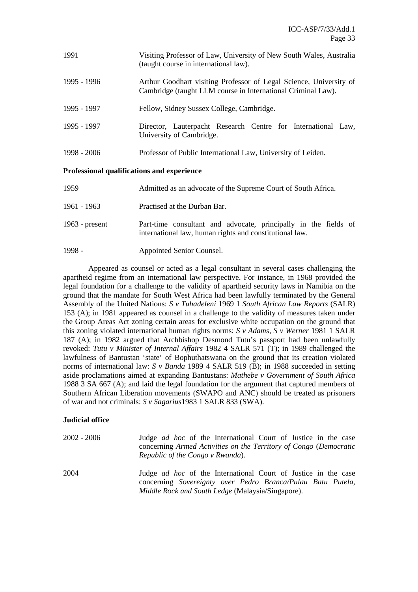| 1991        | Visiting Professor of Law, University of New South Wales, Australia<br>(taught course in international law).                       |
|-------------|------------------------------------------------------------------------------------------------------------------------------------|
| 1995 - 1996 | Arthur Goodhart visiting Professor of Legal Science, University of<br>Cambridge (taught LLM course in International Criminal Law). |
| 1995 - 1997 | Fellow, Sidney Sussex College, Cambridge.                                                                                          |
| 1995 - 1997 | Director, Lauterpacht Research Centre for International Law,<br>University of Cambridge.                                           |
| 1998 - 2006 | Professor of Public International Law, University of Leiden.                                                                       |

### **Professional qualifications and experience**

| 1959             | Admitted as an advocate of the Supreme Court of South Africa.                                                              |
|------------------|----------------------------------------------------------------------------------------------------------------------------|
| 1961 - 1963      | Practised at the Durban Bar.                                                                                               |
| 1963 - $present$ | Part-time consultant and advocate, principally in the fields of<br>international law, human rights and constitutional law. |
| $1998 -$         | Appointed Senior Counsel.                                                                                                  |

Appeared as counsel or acted as a legal consultant in several cases challenging the apartheid regime from an international law perspective. For instance, in 1968 provided the legal foundation for a challenge to the validity of apartheid security laws in Namibia on the ground that the mandate for South West Africa had been lawfully terminated by the General Assembly of the United Nations: *S v Tuhadeleni* 1969 1 *South African Law Reports* (SALR) 153 (A); in 1981 appeared as counsel in a challenge to the validity of measures taken under the Group Areas Act zoning certain areas for exclusive white occupation on the ground that this zoning violated international human rights norms: *S v Adams, S v Werner* 1981 1 SALR 187 (A); in 1982 argued that Archbishop Desmond Tutu's passport had been unlawfully revoked: *Tutu v Minister of Internal Affairs* 1982 4 SALR 571 (T); in 1989 challenged the lawfulness of Bantustan 'state' of Bophuthatswana on the ground that its creation violated norms of international law: *S v Banda* 1989 4 SALR 519 (B); in 1988 succeeded in setting aside proclamations aimed at expanding Bantustans: *Mathebe v Government of South Africa*  1988 3 SA 667 (A); and laid the legal foundation for the argument that captured members of Southern African Liberation movements (SWAPO and ANC) should be treated as prisoners of war and not criminals: *S v Sagarius*1983 1 SALR 833 (SWA).

### **Judicial office**

| 2002 - 2006 | Judge <i>ad hoc</i> of the International Court of Justice in the case<br>concerning Armed Activities on the Territory of Congo (Democratic<br>Republic of the Congo v Rwanda).            |
|-------------|-------------------------------------------------------------------------------------------------------------------------------------------------------------------------------------------|
| 2004        | Judge <i>ad hoc</i> of the International Court of Justice in the case<br>concerning Sovereignty over Pedro Branca/Pulau Batu Putela,<br>Middle Rock and South Ledge (Malaysia/Singapore). |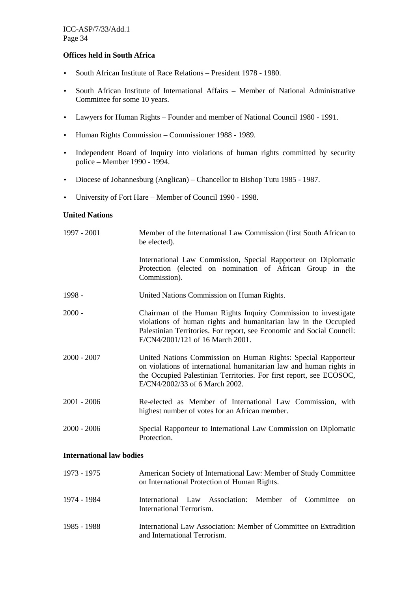#### **Offices held in South Africa**

- South African Institute of Race Relations President 1978 1980.
- South African Institute of International Affairs Member of National Administrative Committee for some 10 years.
- Lawyers for Human Rights Founder and member of National Council 1980 1991.
- Human Rights Commission Commissioner 1988 1989.
- Independent Board of Inquiry into violations of human rights committed by security police – Member 1990 - 1994.
- Diocese of Johannesburg (Anglican) Chancellor to Bishop Tutu 1985 1987.
- University of Fort Hare Member of Council 1990 1998.

#### **United Nations**

| 1997 - 2001                     | Member of the International Law Commission (first South African to<br>be elected).                                                                                                                                                             |
|---------------------------------|------------------------------------------------------------------------------------------------------------------------------------------------------------------------------------------------------------------------------------------------|
|                                 | International Law Commission, Special Rapporteur on Diplomatic<br>Protection (elected on nomination of African Group in the<br>Commission).                                                                                                    |
| 1998 -                          | United Nations Commission on Human Rights.                                                                                                                                                                                                     |
| $2000 -$                        | Chairman of the Human Rights Inquiry Commission to investigate<br>violations of human rights and humanitarian law in the Occupied<br>Palestinian Territories. For report, see Economic and Social Council:<br>E/CN4/2001/121 of 16 March 2001. |
| $2000 - 2007$                   | United Nations Commission on Human Rights: Special Rapporteur<br>on violations of international humanitarian law and human rights in<br>the Occupied Palestinian Territories. For first report, see ECOSOC,<br>E/CN4/2002/33 of 6 March 2002.  |
| $2001 - 2006$                   | Re-elected as Member of International Law Commission, with<br>highest number of votes for an African member.                                                                                                                                   |
| $2000 - 2006$                   | Special Rapporteur to International Law Commission on Diplomatic<br>Protection.                                                                                                                                                                |
| <b>International law bodies</b> |                                                                                                                                                                                                                                                |
| 1973 - 1975                     | American Society of International Law: Member of Study Committee<br>on International Protection of Human Rights.                                                                                                                               |
| 1071 1001                       | $\mathbf{r}$ , and the contract of the contract of the contract of the contract of the contract of the contract of the contract of the contract of the contract of the contract of the contract of the contract of the contract o              |

- 1974 1984 International Law Association: Member of Committee on International Terrorism.
- 1985 1988 International Law Association: Member of Committee on Extradition and International Terrorism.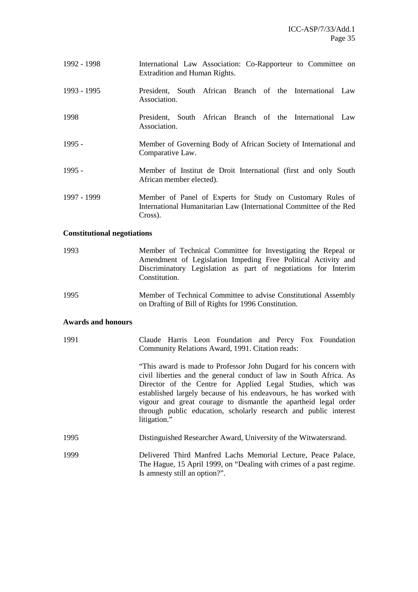- 1992 1998 International Law Association: Co-Rapporteur to Committee on Extradition and Human Rights.
- 1993 1995 President, South African Branch of the International Law Association.
- 1998 President, South African Branch of the International Law Association.
- 1995 Member of Governing Body of African Society of International and Comparative Law.
- 1995 Member of Institut de Droit International (first and only South African member elected).
- 1997 1999 Member of Panel of Experts for Study on Customary Rules of International Humanitarian Law (International Committee of the Red Cross).

#### **Constitutional negotiations**

- 1993 Member of Technical Committee for Investigating the Repeal or Amendment of Legislation Impeding Free Political Activity and Discriminatory Legislation as part of negotiations for Interim Constitution.
- 1995 Member of Technical Committee to advise Constitutional Assembly on Drafting of Bill of Rights for 1996 Constitution.

#### **Awards and honours**

| 1991 | Claude Harris Leon Foundation and Percy Fox Foundation<br>Community Relations Award, 1991. Citation reads:                                                                                                                                                                                                                                                                                                                         |
|------|------------------------------------------------------------------------------------------------------------------------------------------------------------------------------------------------------------------------------------------------------------------------------------------------------------------------------------------------------------------------------------------------------------------------------------|
|      | "This award is made to Professor John Dugard for his concern with<br>civil liberties and the general conduct of law in South Africa. As<br>Director of the Centre for Applied Legal Studies, which was<br>established largely because of his endeavours, he has worked with<br>vigour and great courage to dismantle the apartheid legal order<br>through public education, scholarly research and public interest<br>litigation." |
| 1995 | Distinguished Researcher Award, University of the Witwatersrand.                                                                                                                                                                                                                                                                                                                                                                   |
| 1999 | Delivered Third Manfred Lachs Memorial Lecture, Peace Palace,<br>The Hague, 15 April 1999, on "Dealing with crimes of a past regime.<br>Is amnesty still an option?".                                                                                                                                                                                                                                                              |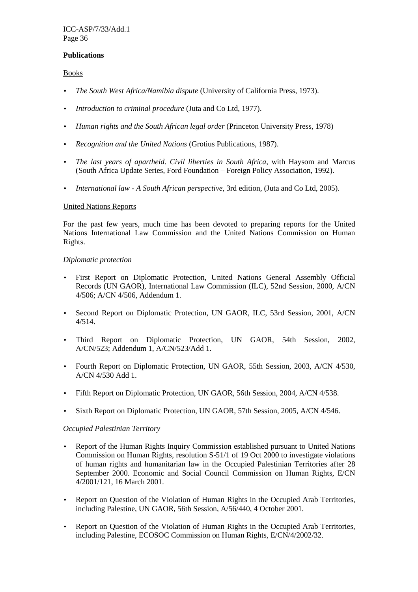#### **Publications**

Books

- *The South West Africa/Namibia dispute* (University of California Press, 1973).
- *Introduction to criminal procedure* (Juta and Co Ltd, 1977).
- *Human rights and the South African legal order* (Princeton University Press, 1978)
- *Recognition and the United Nations* (Grotius Publications, 1987).
- *The last years of apartheid. Civil liberties in South Africa*, with Haysom and Marcus (South Africa Update Series, Ford Foundation – Foreign Policy Association, 1992).
- *International law A South African perspective*, 3rd edition, (Juta and Co Ltd, 2005).

#### United Nations Reports

For the past few years, much time has been devoted to preparing reports for the United Nations International Law Commission and the United Nations Commission on Human Rights.

#### *Diplomatic protection*

- First Report on Diplomatic Protection, United Nations General Assembly Official Records (UN GAOR), International Law Commission (ILC), 52nd Session, 2000, A/CN 4/506; A/CN 4/506, Addendum 1.
- Second Report on Diplomatic Protection, UN GAOR, ILC, 53rd Session, 2001, A/CN 4/514.
- Third Report on Diplomatic Protection, UN GAOR, 54th Session, 2002, A/CN/523; Addendum 1, A/CN/523/Add 1.
- Fourth Report on Diplomatic Protection, UN GAOR, 55th Session, 2003, A/CN 4/530, A/CN 4/530 Add 1.
- Fifth Report on Diplomatic Protection, UN GAOR, 56th Session, 2004, A/CN 4/538.
- Sixth Report on Diplomatic Protection, UN GAOR, 57th Session, 2005, A/CN 4/546.

### *Occupied Palestinian Territory*

- Report of the Human Rights Inquiry Commission established pursuant to United Nations Commission on Human Rights, resolution S-51/1 of 19 Oct 2000 to investigate violations of human rights and humanitarian law in the Occupied Palestinian Territories after 28 September 2000. Economic and Social Council Commission on Human Rights, E/CN 4/2001/121, 16 March 2001.
- Report on Question of the Violation of Human Rights in the Occupied Arab Territories, including Palestine, UN GAOR, 56th Session, A/56/440, 4 October 2001.
- Report on Question of the Violation of Human Rights in the Occupied Arab Territories, including Palestine, ECOSOC Commission on Human Rights, E/CN/4/2002/32.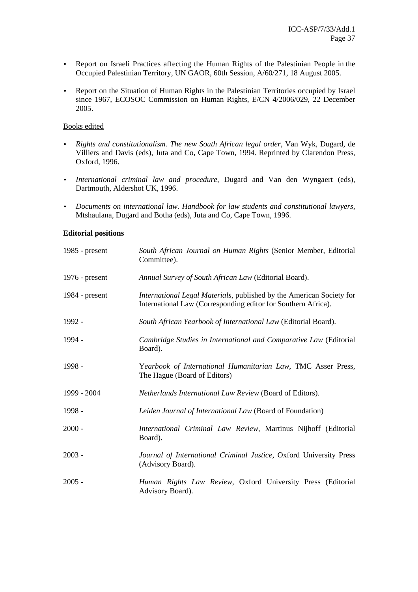- Report on Israeli Practices affecting the Human Rights of the Palestinian People in the Occupied Palestinian Territory, UN GAOR, 60th Session, A/60/271, 18 August 2005.
- Report on the Situation of Human Rights in the Palestinian Territories occupied by Israel since 1967, ECOSOC Commission on Human Rights, E/CN 4/2006/029, 22 December 2005.

# Books edited

- *Rights and constitutionalism. The new South African legal order*, Van Wyk, Dugard, de Villiers and Davis (eds), Juta and Co, Cape Town, 1994. Reprinted by Clarendon Press, Oxford, 1996.
- *International criminal law and procedure*, Dugard and Van den Wyngaert (eds), Dartmouth, Aldershot UK, 1996.
- *Documents on international law. Handbook for law students and constitutional lawyers*, Mtshaulana, Dugard and Botha (eds), Juta and Co, Cape Town, 1996.

# **Editorial positions**

| 1985 - $present$ | South African Journal on Human Rights (Senior Member, Editorial<br>Committee).                                                        |
|------------------|---------------------------------------------------------------------------------------------------------------------------------------|
| $1976$ - present | Annual Survey of South African Law (Editorial Board).                                                                                 |
| $1984$ - present | International Legal Materials, published by the American Society for<br>International Law (Corresponding editor for Southern Africa). |
| 1992 -           | South African Yearbook of International Law (Editorial Board).                                                                        |
| 1994 -           | Cambridge Studies in International and Comparative Law (Editorial<br>Board).                                                          |
| 1998 -           | Yearbook of International Humanitarian Law, TMC Asser Press,<br>The Hague (Board of Editors)                                          |
| 1999 - 2004      | Netherlands International Law Review (Board of Editors).                                                                              |
| 1998 -           | Leiden Journal of International Law (Board of Foundation)                                                                             |
| $2000 -$         | International Criminal Law Review, Martinus Nijhoff (Editorial<br>Board).                                                             |
| $2003 -$         | Journal of International Criminal Justice, Oxford University Press<br>(Advisory Board).                                               |
| $2005 -$         | Human Rights Law Review, Oxford University Press (Editorial<br>Advisory Board).                                                       |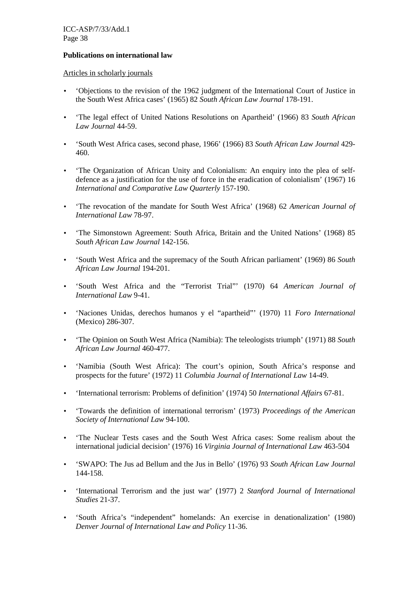## **Publications on international law**

Articles in scholarly journals

- 'Objections to the revision of the 1962 judgment of the International Court of Justice in the South West Africa cases' (1965) 82 *South African Law Journal* 178-191.
- 'The legal effect of United Nations Resolutions on Apartheid' (1966) 83 *South African Law Journal* 44-59.
- 'South West Africa cases, second phase, 1966' (1966) 83 *South African Law Journal* 429- 460.
- The Organization of African Unity and Colonialism: An enquiry into the plea of selfdefence as a justification for the use of force in the eradication of colonialism' (1967) 16 *International and Comparative Law Quarterly* 157-190.
- 'The revocation of the mandate for South West Africa' (1968) 62 *American Journal of International Law* 78-97.
- 'The Simonstown Agreement: South Africa, Britain and the United Nations' (1968) 85 *South African Law Journal* 142-156.
- 'South West Africa and the supremacy of the South African parliament' (1969) 86 *South African Law Journal* 194-201.
- 'South West Africa and the "Terrorist Trial"' (1970) 64 *American Journal of International Law* 9-41.
- 'Naciones Unidas, derechos humanos y el "apartheid"' (1970) 11 *Foro International* (Mexico) 286-307.
- 'The Opinion on South West Africa (Namibia): The teleologists triumph' (1971) 88 *South African Law Journal* 460-477.
- 'Namibia (South West Africa): The court's opinion, South Africa's response and prospects for the future' (1972) 11 *Columbia Journal of International Law* 14-49.
- 'International terrorism: Problems of definition' (1974) 50 *International Affairs* 67-81.
- 'Towards the definition of international terrorism' (1973) *Proceedings of the American Society of International Law* 94-100.
- 'The Nuclear Tests cases and the South West Africa cases: Some realism about the international judicial decision' (1976) 16 *Virginia Journal of International Law* 463-504
- 'SWAPO: The Jus ad Bellum and the Jus in Bello' (1976) 93 *South African Law Journal* 144-158.
- 'International Terrorism and the just war' (1977) 2 *Stanford Journal of International Studies* 21-37.
- 'South Africa's "independent" homelands: An exercise in denationalization' (1980) *Denver Journal of International Law and Policy* 11-36.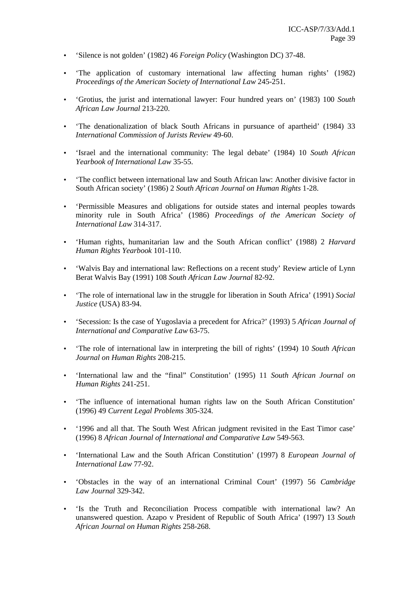- 'Silence is not golden' (1982) 46 *Foreign Policy* (Washington DC) 37-48.
- 'The application of customary international law affecting human rights' (1982) *Proceedings of the American Society of International Law* 245-251.
- 'Grotius, the jurist and international lawyer: Four hundred years on' (1983) 100 *South African Law Journal* 213-220.
- 'The denationalization of black South Africans in pursuance of apartheid' (1984) 33 *International Commission of Jurists Review* 49-60.
- 'Israel and the international community: The legal debate' (1984) 10 *South African Yearbook of International Law* 35-55.
- The conflict between international law and South African law: Another divisive factor in South African society' (1986) 2 *South African Journal on Human Rights* 1-28.
- 'Permissible Measures and obligations for outside states and internal peoples towards minority rule in South Africa' (1986) *Proceedings of the American Society of International Law* 314-317.
- 'Human rights, humanitarian law and the South African conflict' (1988) 2 *Harvard Human Rights Yearbook* 101-110.
- 'Walvis Bay and international law: Reflections on a recent study' Review article of Lynn Berat Walvis Bay (1991) 108 *South African Law Journal* 82-92.
- 'The role of international law in the struggle for liberation in South Africa' (1991) *Social Justice* (USA) 83-94.
- 'Secession: Is the case of Yugoslavia a precedent for Africa?' (1993) 5 *African Journal of International and Comparative Law* 63-75.
- 'The role of international law in interpreting the bill of rights' (1994) 10 *South African Journal on Human Rights* 208-215.
- 'International law and the "final" Constitution' (1995) 11 *South African Journal on Human Rights* 241-251.
- 'The influence of international human rights law on the South African Constitution' (1996) 49 *Current Legal Problems* 305-324.
- '1996 and all that. The South West African judgment revisited in the East Timor case' (1996) 8 *African Journal of International and Comparative Law* 549-563.
- 'International Law and the South African Constitution' (1997) 8 *European Journal of International Law* 77-92.
- 'Obstacles in the way of an international Criminal Court' (1997) 56 *Cambridge Law Journal* 329-342.
- 'Is the Truth and Reconciliation Process compatible with international law? An unanswered question. Azapo v President of Republic of South Africa' (1997) 13 *South African Journal on Human Rights* 258-268.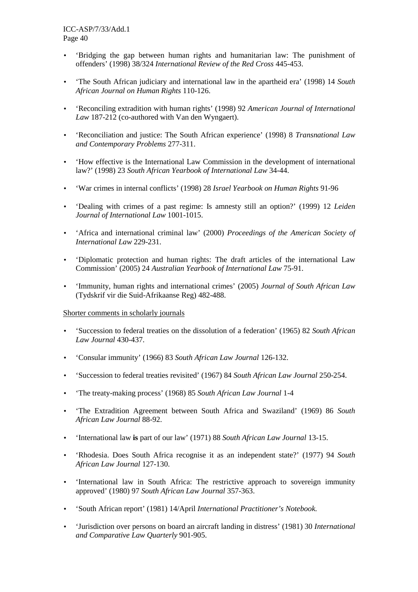- 'Bridging the gap between human rights and humanitarian law: The punishment of offenders' (1998) 38/324 *International Review of the Red Cross* 445-453.
- 'The South African judiciary and international law in the apartheid era' (1998) 14 *South African Journal on Human Rights* 110-126.
- 'Reconciling extradition with human rights' (1998) 92 *American Journal of International Law* 187-212 (co-authored with Van den Wyngaert).
- 'Reconciliation and justice: The South African experience' (1998) 8 *Transnational Law and Contemporary Problems* 277-311.
- 'How effective is the International Law Commission in the development of international law?' (1998) 23 *South African Yearbook of International Law* 34-44.
- 'War crimes in internal conflicts' (1998) 28 *Israel Yearbook on Human Rights* 91-96
- 'Dealing with crimes of a past regime: Is amnesty still an option?' (1999) 12 *Leiden Journal of International Law* 1001-1015.
- 'Africa and international criminal law' (2000) *Proceedings of the American Society of International Law* 229-231.
- Diplomatic protection and human rights: The draft articles of the international Law Commission' (2005) 24 *Australian Yearbook of International Law* 75-91.
- 'Immunity, human rights and international crimes' (2005) *Journal of South African Law* (Tydskrif vir die Suid-Afrikaanse Reg) 482-488.

## Shorter comments in scholarly journals

- 'Succession to federal treaties on the dissolution of a federation' (1965) 82 *South African Law Journal* 430-437.
- 'Consular immunity' (1966) 83 *South African Law Journal* 126-132.
- 'Succession to federal treaties revisited' (1967) 84 *South African Law Journal* 250-254.
- 'The treaty-making process' (1968) 85 *South African Law Journal* 1-4
- 'The Extradition Agreement between South Africa and Swaziland' (1969) 86 *South African Law Journal* 88-92.
- 'International law **is** part of our law' (1971) 88 *South African Law Journal* 13-15.
- 'Rhodesia. Does South Africa recognise it as an independent state?' (1977) 94 *South African Law Journal* 127-130.
- 'International law in South Africa: The restrictive approach to sovereign immunity approved' (1980) 97 *South African Law Journal* 357-363.
- 'South African report' (1981) 14/April *International Practitioner's Notebook.*
- 'Jurisdiction over persons on board an aircraft landing in distress' (1981) 30 *International and Comparative Law Quarterly* 901-905.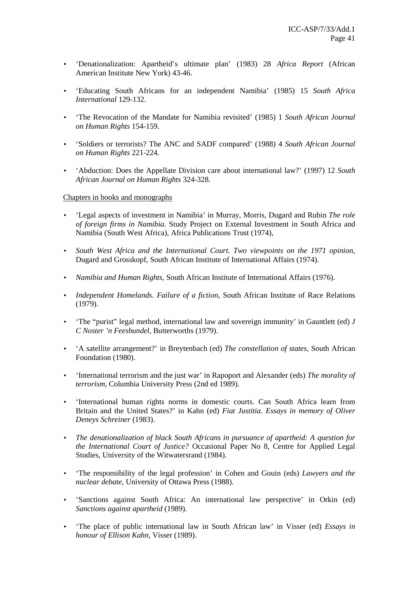- 'Denationalization: Apartheid's ultimate plan' (1983) 28 *Africa Report* (African American Institute New York) 43-46.
- 'Educating South Africans for an independent Namibia' (1985) 15 *South Africa International* 129-132.
- 'The Revocation of the Mandate for Namibia revisited' (1985) 1 *South African Journal on Human Rights* 154-159.
- 'Soldiers or terrorists? The ANC and SADF compared' (1988) 4 *South African Journal on Human Rights* 221-224.
- 'Abduction: Does the Appellate Division care about international law?' (1997) 12 *South African Journal on Human Rights* 324-328.

#### Chapters in books and monographs

- 'Legal aspects of investment in Namibia' in Murray, Morris, Dugard and Rubin *The role of foreign firms in Namibia*. Study Project on External Investment in South Africa and Namibia (South West Africa), Africa Publications Trust (1974),
- *South West Africa and the International Court. Two viewpoints on the 1971 opinion*, Dugard and Grosskopf, South African Institute of International Affairs (1974).
- *Namibia and Human Rights*, South African Institute of International Affairs (1976).
- *Independent Homelands. Failure of a fiction*, South African Institute of Race Relations (1979).
- 'The "purist" legal method, international law and sovereign immunity' in Gauntlett (ed) *J C Noster 'n Feesbundel*, Butterworths (1979).
- 'A satellite arrangement?' in Breytenbach (ed) *The constellation of states*, South African Foundation (1980).
- 'International terrorism and the just war' in Rapoport and Alexander (eds) *The morality of terrorism*, Columbia University Press (2nd ed 1989).
- 'International human rights norms in domestic courts. Can South Africa learn from Britain and the United States?' in Kahn (ed) *Fiat Justitia. Essays in memory of Oliver Deneys Schreiner* (1983).
- *The denationalization of black South Africans in pursuance of apartheid: A question for the International Court of Justice?* Occasional Paper No 8, Centre for Applied Legal Studies, University of the Witwatersrand (1984).
- 'The responsibility of the legal profession' in Cohen and Gouin (eds) *Lawyers and the nuclear debate*, University of Ottawa Press (1988).
- 'Sanctions against South Africa: An international law perspective' in Orkin (ed) *Sanctions against apartheid* (1989).
- 'The place of public international law in South African law' in Visser (ed) *Essays in honour of Ellison Kahn*, Visser (1989).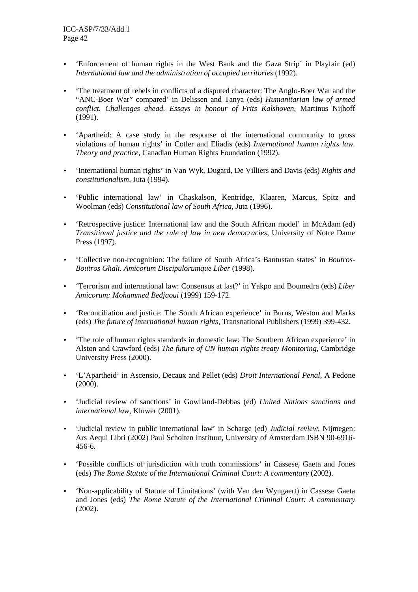- 'Enforcement of human rights in the West Bank and the Gaza Strip' in Playfair (ed) *International law and the administration of occupied territories* (1992).
- The treatment of rebels in conflicts of a disputed character: The Anglo-Boer War and the "ANC-Boer War" compared' in Delissen and Tanya (eds) *Humanitarian law of armed conflict. Challenges ahead. Essays in honour of Frits Kalshoven*, Martinus Nijhoff (1991).
- 'Apartheid: A case study in the response of the international community to gross violations of human rights' in Cotler and Eliadis (eds) *International human rights law. Theory and practice*, Canadian Human Rights Foundation (1992).
- 'International human rights' in Van Wyk, Dugard, De Villiers and Davis (eds) *Rights and constitutionalism*, Juta (1994).
- 'Public international law' in Chaskalson, Kentridge, Klaaren, Marcus, Spitz and Woolman (eds) *Constitutional law of South Africa*, Juta (1996).
- 'Retrospective justice: International law and the South African model' in McAdam (ed) *Transitional justice and the rule of law in new democracies*, University of Notre Dame Press (1997).
- 'Collective non-recognition: The failure of South Africa's Bantustan states' in *Boutros-Boutros Ghali. Amicorum Discipulorumque Liber* (1998).
- 'Terrorism and international law: Consensus at last?' in Yakpo and Boumedra (eds) *Liber Amicorum: Mohammed Bedjaoui* (1999) 159-172.
- 'Reconciliation and justice: The South African experience' in Burns, Weston and Marks (eds) *The future of international human rights*, Transnational Publishers (1999) 399-432.
- 'The role of human rights standards in domestic law: The Southern African experience' in Alston and Crawford (eds) *The future of UN human rights treaty Monitoring*, Cambridge University Press (2000).
- 'L'Apartheid' in Ascensio, Decaux and Pellet (eds) *Droit International Penal*, A Pedone (2000).
- 'Judicial review of sanctions' in Gowlland-Debbas (ed) *United Nations sanctions and international law*, Kluwer (2001).
- 'Judicial review in public international law' in Scharge (ed) *Judicial review,* Nijmegen: Ars Aequi Libri (2002) Paul Scholten Instituut, University of Amsterdam ISBN 90-6916- 456-6.
- 'Possible conflicts of jurisdiction with truth commissions' in Cassese, Gaeta and Jones (eds) *The Rome Statute of the International Criminal Court: A commentary* (2002).
- 'Non-applicability of Statute of Limitations' (with Van den Wyngaert) in Cassese Gaeta and Jones (eds) *The Rome Statute of the International Criminal Court: A commentary*  (2002).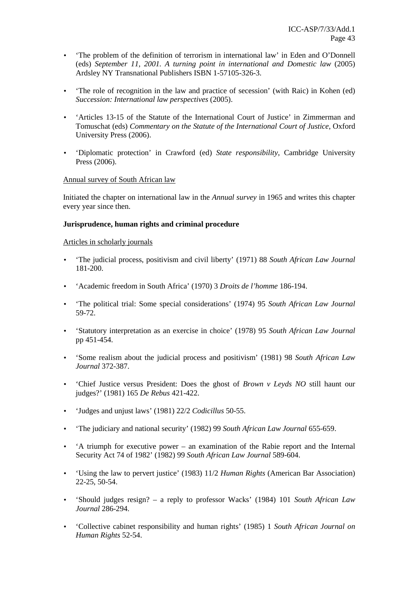- The problem of the definition of terrorism in international law' in Eden and O'Donnell (eds) *September 11, 2001. A turning point in international and Domestic law* (2005) Ardsley NY Transnational Publishers ISBN 1-57105-326-3.
- The role of recognition in the law and practice of secession' (with Raic) in Kohen (ed) *Succession: International law perspectives* (2005).
- 'Articles 13-15 of the Statute of the International Court of Justice' in Zimmerman and Tomuschat (eds) *Commentary on the Statute of the International Court of Justice*, Oxford University Press (2006).
- 'Diplomatic protection' in Crawford (ed) *State responsibility*, Cambridge University Press (2006).

## Annual survey of South African law

Initiated the chapter on international law in the *Annual survey* in 1965 and writes this chapter every year since then.

## **Jurisprudence, human rights and criminal procedure**

## Articles in scholarly journals

- 'The judicial process, positivism and civil liberty' (1971) 88 *South African Law Journal*  181-200.
- 'Academic freedom in South Africa' (1970) 3 *Droits de l'homme* 186-194.
- 'The political trial: Some special considerations' (1974) 95 *South African Law Journal*  59-72.
- 'Statutory interpretation as an exercise in choice' (1978) 95 *South African Law Journal*  pp 451-454.
- 'Some realism about the judicial process and positivism' (1981) 98 *South African Law Journal* 372-387.
- 'Chief Justice versus President: Does the ghost of *Brown v Leyds NO* still haunt our judges?' (1981) 165 *De Rebus* 421-422.
- 'Judges and unjust laws' (1981) 22/2 *Codicillus* 50-55.
- 'The judiciary and national security' (1982) 99 *South African Law Journal* 655-659.
- 'A triumph for executive power an examination of the Rabie report and the Internal Security Act 74 of 1982' (1982) 99 *South African Law Journal* 589-604.
- 'Using the law to pervert justice' (1983) 11/2 *Human Rights* (American Bar Association) 22-25, 50-54.
- 'Should judges resign? a reply to professor Wacks' (1984) 101 *South African Law Journal* 286-294.
- 'Collective cabinet responsibility and human rights' (1985) 1 *South African Journal on Human Rights* 52-54.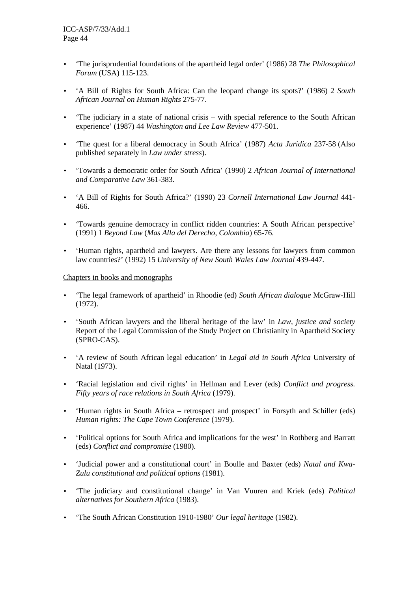- 'The jurisprudential foundations of the apartheid legal order' (1986) 28 *The Philosophical Forum* (USA) 115-123.
- 'A Bill of Rights for South Africa: Can the leopard change its spots?' (1986) 2 *South African Journal on Human Rights* 275-77.
- 'The judiciary in a state of national crisis with special reference to the South African experience' (1987) 44 *Washington and Lee Law Review* 477-501.
- 'The quest for a liberal democracy in South Africa' (1987) *Acta Juridica* 237-58 (Also published separately in *Law under stress*).
- 'Towards a democratic order for South Africa' (1990) 2 *African Journal of International and Comparative Law* 361-383.
- 'A Bill of Rights for South Africa?' (1990) 23 *Cornell International Law Journal* 441- 466.
- 'Towards genuine democracy in conflict ridden countries: A South African perspective' (1991) 1 *Beyond Law* (*Mas Alla del Derecho*, *Colombia*) 65-76.
- 'Human rights, apartheid and lawyers. Are there any lessons for lawyers from common law countries?' (1992) 15 *University of New South Wales Law Journal* 439-447.

## Chapters in books and monographs

- 'The legal framework of apartheid' in Rhoodie (ed) *South African dialogue* McGraw-Hill (1972).
- 'South African lawyers and the liberal heritage of the law' in *Law, justice and society*  Report of the Legal Commission of the Study Project on Christianity in Apartheid Society (SPRO-CAS).
- 'A review of South African legal education' in *Legal aid in South Africa* University of Natal (1973).
- 'Racial legislation and civil rights' in Hellman and Lever (eds) *Conflict and progress. Fifty years of race relations in South Africa* (1979).
- 'Human rights in South Africa retrospect and prospect' in Forsyth and Schiller (eds) *Human rights: The Cape Town Conference* (1979).
- 'Political options for South Africa and implications for the west' in Rothberg and Barratt (eds) *Conflict and compromise* (1980).
- 'Judicial power and a constitutional court' in Boulle and Baxter (eds) *Natal and Kwa-Zulu constitutional and political options* (1981).
- 'The judiciary and constitutional change' in Van Vuuren and Kriek (eds) *Political alternatives for Southern Africa* (1983).
- 'The South African Constitution 1910-1980' *Our legal heritage* (1982).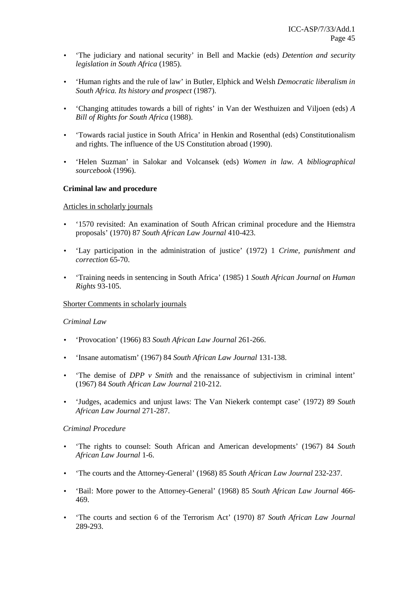- 'The judiciary and national security' in Bell and Mackie (eds) *Detention and security legislation in South Africa* (1985).
- 'Human rights and the rule of law' in Butler, Elphick and Welsh *Democratic liberalism in South Africa. Its history and prospect* (1987).
- 'Changing attitudes towards a bill of rights' in Van der Westhuizen and Viljoen (eds) *A Bill of Rights for South Africa* (1988).
- 'Towards racial justice in South Africa' in Henkin and Rosenthal (eds) Constitutionalism and rights. The influence of the US Constitution abroad (1990).
- 'Helen Suzman' in Salokar and Volcansek (eds) *Women in law. A bibliographical sourcebook* (1996).

#### **Criminal law and procedure**

#### Articles in scholarly journals

- '1570 revisited: An examination of South African criminal procedure and the Hiemstra proposals' (1970) 87 *South African Law Journal* 410-423.
- 'Lay participation in the administration of justice' (1972) 1 *Crime, punishment and correction* 65-70.
- 'Training needs in sentencing in South Africa' (1985) 1 *South African Journal on Human Rights* 93-105.

#### Shorter Comments in scholarly journals

#### *Criminal Law*

- 'Provocation' (1966) 83 *South African Law Journal* 261-266.
- 'Insane automatism' (1967) 84 *South African Law Journal* 131-138.
- The demise of *DPP v Smith* and the renaissance of subjectivism in criminal intent' (1967) 84 *South African Law Journal* 210-212.
- 'Judges, academics and unjust laws: The Van Niekerk contempt case' (1972) 89 *South African Law Journal* 271-287.

#### *Criminal Procedure*

- 'The rights to counsel: South African and American developments' (1967) 84 *South African Law Journal* 1-6.
- 'The courts and the Attorney-General' (1968) 85 *South African Law Journal* 232-237.
- 'Bail: More power to the Attorney-General' (1968) 85 *South African Law Journal* 466- 469.
- 'The courts and section 6 of the Terrorism Act' (1970) 87 *South African Law Journal*  289-293.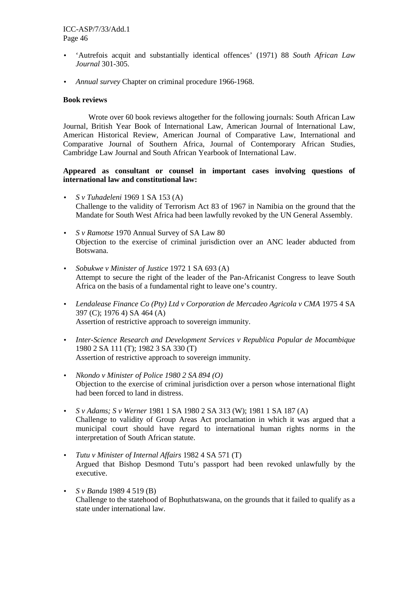- 'Autrefois acquit and substantially identical offences' (1971) 88 *South African Law Journal* 301-305.
- *Annual survey* Chapter on criminal procedure 1966-1968.

## **Book reviews**

Wrote over 60 book reviews altogether for the following journals: South African Law Journal, British Year Book of International Law, American Journal of International Law, American Historical Review, American Journal of Comparative Law, International and Comparative Journal of Southern Africa, Journal of Contemporary African Studies, Cambridge Law Journal and South African Yearbook of International Law.

# **Appeared as consultant or counsel in important cases involving questions of international law and constitutional law:**

- *S v Tuhadeleni* 1969 1 SA 153 (A) Challenge to the validity of Terrorism Act 83 of 1967 in Namibia on the ground that the Mandate for South West Africa had been lawfully revoked by the UN General Assembly.
- *S v Ramotse* 1970 Annual Survey of SA Law 80 Objection to the exercise of criminal jurisdiction over an ANC leader abducted from Botswana.
- *Sobukwe v Minister of Justice* 1972 1 SA 693 (A) Attempt to secure the right of the leader of the Pan-Africanist Congress to leave South Africa on the basis of a fundamental right to leave one's country.
- Lendalease Finance Co (Pty) Ltd v Corporation de Mercadeo Agricola v CMA 1975 4 SA 397 (C); 1976 4) SA 464 (A) Assertion of restrictive approach to sovereign immunity.
- *Inter-Science Research and Development Services v Republica Popular de Mocambique*  1980 2 SA 111 (T); 1982 3 SA 330 (T) Assertion of restrictive approach to sovereign immunity.
- *Nkondo v Minister of Police 1980 2 SA 894 (O)*  Objection to the exercise of criminal jurisdiction over a person whose international flight had been forced to land in distress.
- *S v Adams; S v Werner* 1981 1 SA 1980 2 SA 313 (W); 1981 1 SA 187 (A) Challenge to validity of Group Areas Act proclamation in which it was argued that a municipal court should have regard to international human rights norms in the interpretation of South African statute.
- *Tutu v Minister of Internal Affairs* 1982 4 SA 571 (T) Argued that Bishop Desmond Tutu's passport had been revoked unlawfully by the executive.
- *S v Banda* 1989 4 519 (B) Challenge to the statehood of Bophuthatswana, on the grounds that it failed to qualify as a state under international law.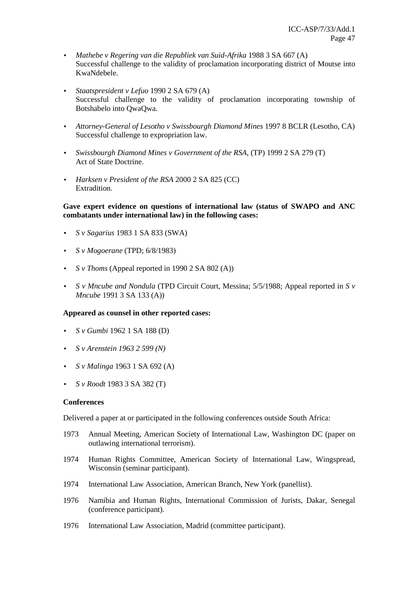- *Mathebe v Regering van die Republiek van Suid-Afrika* 1988 3 SA 667 (A) Successful challenge to the validity of proclamation incorporating district of Moutse into KwaNdebele.
- *Staatspresident v Lefuo* 1990 2 SA 679 (A) Successful challenge to the validity of proclamation incorporating township of Botshabelo into QwaQwa.
- *Attorney-General of Lesotho v Swissbourgh Diamond Mines* 1997 8 BCLR (Lesotho, CA) Successful challenge to expropriation law.
- *Swissbourgh Diamond Mines v Government of the RSA*, (TP) 1999 2 SA 279 (T) Act of State Doctrine.
- *Harksen v President of the RSA* 2000 2 SA 825 (CC) Extradition.

## **Gave expert evidence on questions of international law (status of SWAPO and ANC combatants under international law) in the following cases:**

- *S v Sagarius* 1983 1 SA 833 (SWA)
- *S v Mogoerane* (TPD; 6/8/1983)
- *S v Thoms* (Appeal reported in 1990 2 SA 802 (A))
- *S v Mncube and Nondula* (TPD Circuit Court, Messina; 5/5/1988; Appeal reported in *S v Mncube* 1991 3 SA 133 (A))

## **Appeared as counsel in other reported cases:**

- *S v Gumbi* 1962 1 SA 188 (D)
- *S v Arenstein 1963 2 599 (N)*
- *S v Malinga* 1963 1 SA 692 (A)
- *S v Roodt* 1983 3 SA 382 (T)

#### **Conferences**

Delivered a paper at or participated in the following conferences outside South Africa:

- 1973 Annual Meeting, American Society of International Law, Washington DC (paper on outlawing international terrorism).
- 1974 Human Rights Committee, American Society of International Law, Wingspread, Wisconsin (seminar participant).
- 1974 International Law Association, American Branch, New York (panellist).
- 1976 Namibia and Human Rights, International Commission of Jurists, Dakar, Senegal (conference participant).
- 1976 International Law Association, Madrid (committee participant).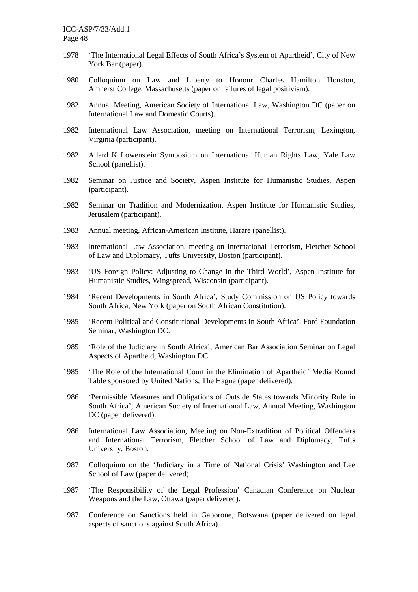- 1978 'The International Legal Effects of South Africa's System of Apartheid', City of New York Bar (paper).
- 1980 Colloquium on Law and Liberty to Honour Charles Hamilton Houston, Amherst College, Massachusetts (paper on failures of legal positivism).
- 1982 Annual Meeting, American Society of International Law, Washington DC (paper on International Law and Domestic Courts).
- 1982 International Law Association, meeting on International Terrorism, Lexington, Virginia (participant).
- 1982 Allard K Lowenstein Symposium on International Human Rights Law, Yale Law School (panellist).
- 1982 Seminar on Justice and Society, Aspen Institute for Humanistic Studies, Aspen (participant).
- 1982 Seminar on Tradition and Modernization, Aspen Institute for Humanistic Studies, Jerusalem (participant).
- 1983 Annual meeting, African-American Institute, Harare (panellist).
- 1983 International Law Association, meeting on International Terrorism, Fletcher School of Law and Diplomacy, Tufts University, Boston (participant).
- 1983 'US Foreign Policy: Adjusting to Change in the Third World', Aspen Institute for Humanistic Studies, Wingspread, Wisconsin (participant).
- 1984 'Recent Developments in South Africa', Study Commission on US Policy towards South Africa, New York (paper on South African Constitution).
- 1985 'Recent Political and Constitutional Developments in South Africa', Ford Foundation Seminar, Washington DC.
- 1985 'Role of the Judiciary in South Africa', American Bar Association Seminar on Legal Aspects of Apartheid, Washington DC.
- 1985 'The Role of the International Court in the Elimination of Apartheid' Media Round Table sponsored by United Nations, The Hague (paper delivered).
- 1986 'Permissible Measures and Obligations of Outside States towards Minority Rule in South Africa', American Society of International Law, Annual Meeting, Washington DC (paper delivered).
- 1986 International Law Association, Meeting on Non-Extradition of Political Offenders and International Terrorism, Fletcher School of Law and Diplomacy, Tufts University, Boston.
- 1987 Colloquium on the 'Judiciary in a Time of National Crisis' Washington and Lee School of Law (paper delivered).
- 1987 'The Responsibility of the Legal Profession' Canadian Conference on Nuclear Weapons and the Law, Ottawa (paper delivered).
- 1987 Conference on Sanctions held in Gaborone, Botswana (paper delivered on legal aspects of sanctions against South Africa).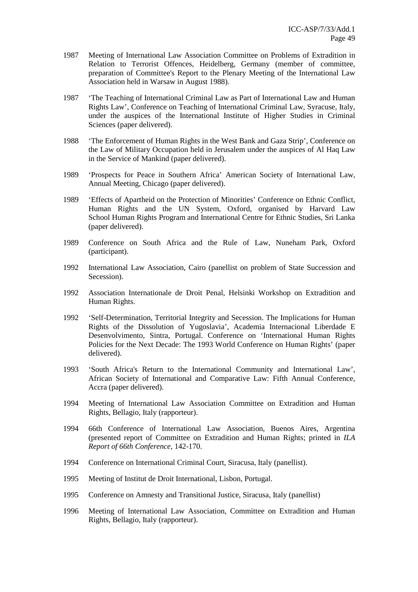- 1987 Meeting of International Law Association Committee on Problems of Extradition in Relation to Terrorist Offences, Heidelberg, Germany (member of committee, preparation of Committee's Report to the Plenary Meeting of the International Law Association held in Warsaw in August 1988).
- 1987 'The Teaching of International Criminal Law as Part of International Law and Human Rights Law', Conference on Teaching of International Criminal Law, Syracuse, Italy, under the auspices of the International Institute of Higher Studies in Criminal Sciences (paper delivered).
- 1988 'The Enforcement of Human Rights in the West Bank and Gaza Strip', Conference on the Law of Military Occupation held in Jerusalem under the auspices of Al Haq Law in the Service of Mankind (paper delivered).
- 1989 'Prospects for Peace in Southern Africa' American Society of International Law, Annual Meeting, Chicago (paper delivered).
- 1989 'Effects of Apartheid on the Protection of Minorities' Conference on Ethnic Conflict, Human Rights and the UN System, Oxford, organised by Harvard Law School Human Rights Program and International Centre for Ethnic Studies, Sri Lanka (paper delivered).
- 1989 Conference on South Africa and the Rule of Law, Nuneham Park, Oxford (participant).
- 1992 International Law Association, Cairo (panellist on problem of State Succession and Secession).
- 1992 Association Internationale de Droit Penal, Helsinki Workshop on Extradition and Human Rights.
- 1992 'Self-Determination, Territorial Integrity and Secession. The Implications for Human Rights of the Dissolution of Yugoslavia', Academia Internacional Liberdade E Desenvolvimento, Sintra, Portugal. Conference on 'International Human Rights Policies for the Next Decade: The 1993 World Conference on Human Rights' (paper delivered).
- 1993 'South Africa's Return to the International Community and International Law', African Society of International and Comparative Law: Fifth Annual Conference, Accra (paper delivered).
- 1994 Meeting of International Law Association Committee on Extradition and Human Rights, Bellagio, Italy (rapporteur).
- 1994 66th Conference of International Law Association, Buenos Aires, Argentina (presented report of Committee on Extradition and Human Rights; printed in *ILA Report of 66th Conference,* 142-170.
- 1994 Conference on International Criminal Court, Siracusa, Italy (panellist).
- 1995 Meeting of Institut de Droit International, Lisbon, Portugal.
- 1995 Conference on Amnesty and Transitional Justice, Siracusa, Italy (panellist)
- 1996 Meeting of International Law Association, Committee on Extradition and Human Rights, Bellagio, Italy (rapporteur).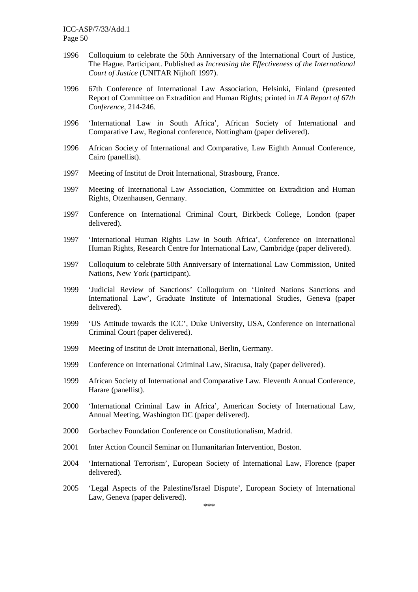- 1996 Colloquium to celebrate the 50th Anniversary of the International Court of Justice, The Hague. Participant. Published as *Increasing the Effectiveness of the International Court of Justice* (UNITAR Nijhoff 1997).
- 1996 67th Conference of International Law Association, Helsinki, Finland (presented Report of Committee on Extradition and Human Rights; printed in *ILA Report of 67th Conference,* 214-246.
- 1996 'International Law in South Africa', African Society of International and Comparative Law, Regional conference, Nottingham (paper delivered).
- 1996 African Society of International and Comparative, Law Eighth Annual Conference, Cairo (panellist).
- 1997 Meeting of Institut de Droit International, Strasbourg, France.
- 1997 Meeting of International Law Association, Committee on Extradition and Human Rights, Otzenhausen, Germany.
- 1997 Conference on International Criminal Court, Birkbeck College, London (paper delivered).
- 1997 'International Human Rights Law in South Africa', Conference on International Human Rights, Research Centre for International Law, Cambridge (paper delivered).
- 1997 Colloquium to celebrate 50th Anniversary of International Law Commission, United Nations, New York (participant).
- 1999 'Judicial Review of Sanctions' Colloquium on 'United Nations Sanctions and International Law', Graduate Institute of International Studies, Geneva (paper delivered).
- 1999 'US Attitude towards the ICC', Duke University, USA, Conference on International Criminal Court (paper delivered).
- 1999 Meeting of Institut de Droit International, Berlin, Germany.
- 1999 Conference on International Criminal Law, Siracusa, Italy (paper delivered).
- 1999 African Society of International and Comparative Law. Eleventh Annual Conference, Harare (panellist).
- 2000 'International Criminal Law in Africa', American Society of International Law, Annual Meeting, Washington DC (paper delivered).
- 2000 Gorbachev Foundation Conference on Constitutionalism, Madrid.
- 2001 Inter Action Council Seminar on Humanitarian Intervention, Boston.
- 2004 'International Terrorism', European Society of International Law, Florence (paper delivered).
- 2005 'Legal Aspects of the Palestine/Israel Dispute', European Society of International Law, Geneva (paper delivered).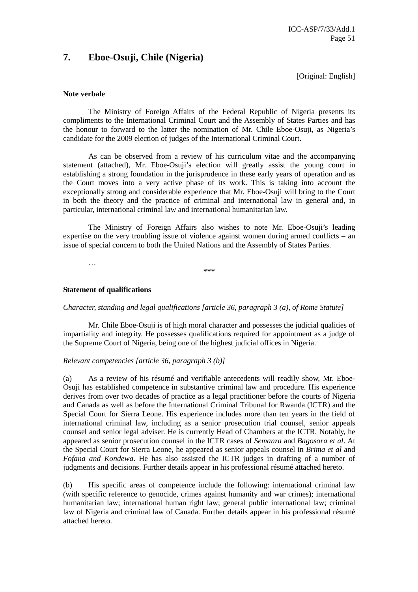# **7. Eboe-Osuji, Chile (Nigeria)**

[Original: English]

#### **Note verbale**

The Ministry of Foreign Affairs of the Federal Republic of Nigeria presents its compliments to the International Criminal Court and the Assembly of States Parties and has the honour to forward to the latter the nomination of Mr. Chile Eboe-Osuji, as Nigeria's candidate for the 2009 election of judges of the International Criminal Court.

As can be observed from a review of his curriculum vitae and the accompanying statement (attached), Mr. Eboe-Osuji's election will greatly assist the young court in establishing a strong foundation in the jurisprudence in these early years of operation and as the Court moves into a very active phase of its work. This is taking into account the exceptionally strong and considerable experience that Mr. Eboe-Osuji will bring to the Court in both the theory and the practice of criminal and international law in general and, in particular, international criminal law and international humanitarian law.

The Ministry of Foreign Affairs also wishes to note Mr. Eboe-Osuji's leading expertise on the very troubling issue of violence against women during armed conflicts – an issue of special concern to both the United Nations and the Assembly of States Parties.

…

\*\*\*

#### **Statement of qualifications**

## *Character, standing and legal qualifications [article 36, paragraph 3 (a), of Rome Statute]*

 Mr. Chile Eboe-Osuji is of high moral character and possesses the judicial qualities of impartiality and integrity. He possesses qualifications required for appointment as a judge of the Supreme Court of Nigeria, being one of the highest judicial offices in Nigeria.

## *Relevant competencies [article 36, paragraph 3 (b)]*

(a) As a review of his résumé and verifiable antecedents will readily show, Mr. Eboe-Osuji has established competence in substantive criminal law and procedure. His experience derives from over two decades of practice as a legal practitioner before the courts of Nigeria and Canada as well as before the International Criminal Tribunal for Rwanda (ICTR) and the Special Court for Sierra Leone. His experience includes more than ten years in the field of international criminal law, including as a senior prosecution trial counsel, senior appeals counsel and senior legal adviser. He is currently Head of Chambers at the ICTR. Notably, he appeared as senior prosecution counsel in the ICTR cases of *Semanza* and *Bagosora et al*. At the Special Court for Sierra Leone, he appeared as senior appeals counsel in *Brima et al* and *Fofana and Kondewa*. He has also assisted the ICTR judges in drafting of a number of judgments and decisions. Further details appear in his professional résumé attached hereto.

(b) His specific areas of competence include the following: international criminal law (with specific reference to genocide, crimes against humanity and war crimes); international humanitarian law; international human right law; general public international law; criminal law of Nigeria and criminal law of Canada. Further details appear in his professional résumé attached hereto.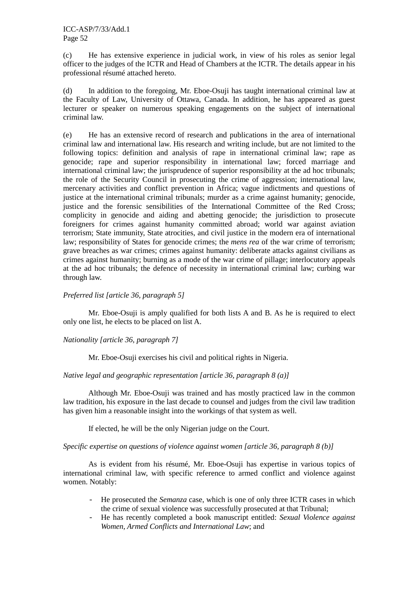(c) He has extensive experience in judicial work, in view of his roles as senior legal officer to the judges of the ICTR and Head of Chambers at the ICTR. The details appear in his professional résumé attached hereto.

(d) In addition to the foregoing, Mr. Eboe-Osuji has taught international criminal law at the Faculty of Law, University of Ottawa, Canada. In addition, he has appeared as guest lecturer or speaker on numerous speaking engagements on the subject of international criminal law.

(e) He has an extensive record of research and publications in the area of international criminal law and international law. His research and writing include, but are not limited to the following topics: definition and analysis of rape in international criminal law; rape as genocide; rape and superior responsibility in international law; forced marriage and international criminal law; the jurisprudence of superior responsibility at the ad hoc tribunals; the role of the Security Council in prosecuting the crime of aggression; international law, mercenary activities and conflict prevention in Africa; vague indictments and questions of justice at the international criminal tribunals; murder as a crime against humanity; genocide, justice and the forensic sensibilities of the International Committee of the Red Cross; complicity in genocide and aiding and abetting genocide; the jurisdiction to prosecute foreigners for crimes against humanity committed abroad; world war against aviation terrorism; State immunity, State atrocities, and civil justice in the modern era of international law; responsibility of States for genocide crimes; the *mens rea* of the war crime of terrorism; grave breaches as war crimes; crimes against humanity: deliberate attacks against civilians as crimes against humanity; burning as a mode of the war crime of pillage; interlocutory appeals at the ad hoc tribunals; the defence of necessity in international criminal law; curbing war through law.

# *Preferred list [article 36, paragraph 5]*

 Mr. Eboe-Osuji is amply qualified for both lists A and B. As he is required to elect only one list, he elects to be placed on list A.

## *Nationality [article 36, paragraph 7]*

Mr. Eboe-Osuji exercises his civil and political rights in Nigeria.

## *Native legal and geographic representation [article 36, paragraph 8 (a)]*

Although Mr. Eboe-Osuji was trained and has mostly practiced law in the common law tradition, his exposure in the last decade to counsel and judges from the civil law tradition has given him a reasonable insight into the workings of that system as well.

If elected, he will be the only Nigerian judge on the Court.

*Specific expertise on questions of violence against women [article 36, paragraph 8 (b)]* 

 As is evident from his résumé, Mr. Eboe-Osuji has expertise in various topics of international criminal law, with specific reference to armed conflict and violence against women. Notably:

- He prosecuted the *Semanza* case, which is one of only three ICTR cases in which the crime of sexual violence was successfully prosecuted at that Tribunal;
- He has recently completed a book manuscript entitled: *Sexual Violence against Women, Armed Conflicts and International Law*; and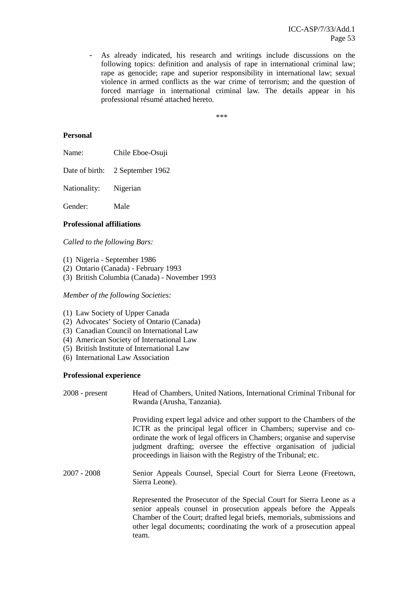As already indicated, his research and writings include discussions on the following topics: definition and analysis of rape in international criminal law; rape as genocide; rape and superior responsibility in international law; sexual violence in armed conflicts as the war crime of terrorism; and the question of forced marriage in international criminal law. The details appear in his professional résumé attached hereto.

\*\*\*

#### **Personal**

Name: Chile Eboe-Osuji

Date of birth: 2 September 1962

Nationality: Nigerian

Gender: Male

#### **Professional affiliations**

*Called to the following Bars:* 

- (1) Nigeria September 1986
- (2) Ontario (Canada) February 1993
- (3) British Columbia (Canada) November 1993

#### *Member of the following Societies:*

- (1) Law Society of Upper Canada
- (2) Advocates' Society of Ontario (Canada)
- (3) Canadian Council on International Law
- (4) American Society of International Law
- (5) British Institute of International Law
- (6) International Law Association

#### **Professional experience**

| $2008$ - present | Head of Chambers, United Nations, International Criminal Tribunal for<br>Rwanda (Arusha, Tanzania).                                                                                                                                                                                                                                                            |
|------------------|----------------------------------------------------------------------------------------------------------------------------------------------------------------------------------------------------------------------------------------------------------------------------------------------------------------------------------------------------------------|
|                  | Providing expert legal advice and other support to the Chambers of the<br>ICTR as the principal legal officer in Chambers; supervise and co-<br>ordinate the work of legal officers in Chambers; organise and supervise<br>judgment drafting; oversee the effective organisation of judicial<br>proceedings in liaison with the Registry of the Tribunal; etc. |
| $2007 - 2008$    | Senior Appeals Counsel, Special Court for Sierra Leone (Freetown,<br>Sierra Leone).                                                                                                                                                                                                                                                                            |
|                  | Represented the Prosecutor of the Special Court for Sierra Leone as a<br>senior appeals counsel in prosecution appeals before the Appeals<br>Chamber of the Court; drafted legal briefs, memorials, submissions and<br>other legal documents; coordinating the work of a prosecution appeal<br>team.                                                           |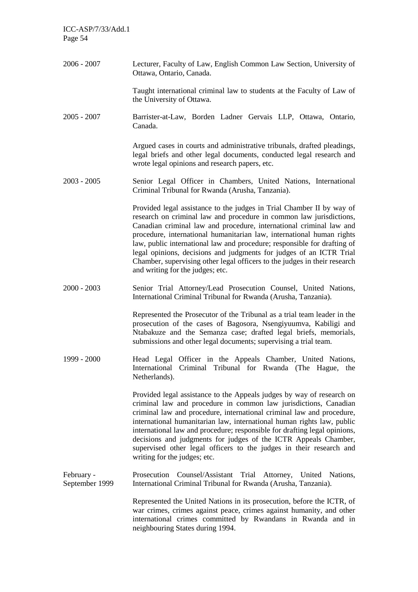2006 - 2007 Lecturer, Faculty of Law, English Common Law Section, University of Ottawa, Ontario, Canada. Taught international criminal law to students at the Faculty of Law of the University of Ottawa. 2005 - 2007 Barrister-at-Law, Borden Ladner Gervais LLP, Ottawa, Ontario, Canada. Argued cases in courts and administrative tribunals, drafted pleadings, legal briefs and other legal documents, conducted legal research and wrote legal opinions and research papers, etc. 2003 - 2005 Senior Legal Officer in Chambers, United Nations, International Criminal Tribunal for Rwanda (Arusha, Tanzania). Provided legal assistance to the judges in Trial Chamber II by way of research on criminal law and procedure in common law jurisdictions, Canadian criminal law and procedure, international criminal law and procedure, international humanitarian law, international human rights law, public international law and procedure; responsible for drafting of legal opinions, decisions and judgments for judges of an ICTR Trial Chamber, supervising other legal officers to the judges in their research and writing for the judges; etc. 2000 - 2003 Senior Trial Attorney/Lead Prosecution Counsel, United Nations, International Criminal Tribunal for Rwanda (Arusha, Tanzania). Represented the Prosecutor of the Tribunal as a trial team leader in the prosecution of the cases of Bagosora, Nsengiyuumva, Kabiligi and Ntabakuze and the Semanza case; drafted legal briefs, memorials, submissions and other legal documents; supervising a trial team. 1999 - 2000 Head Legal Officer in the Appeals Chamber, United Nations, International Criminal Tribunal for Rwanda (The Hague, the Netherlands). Provided legal assistance to the Appeals judges by way of research on criminal law and procedure in common law jurisdictions, Canadian criminal law and procedure, international criminal law and procedure, international humanitarian law, international human rights law, public international law and procedure; responsible for drafting legal opinions, decisions and judgments for judges of the ICTR Appeals Chamber, supervised other legal officers to the judges in their research and writing for the judges; etc. February - September 1999 Prosecution Counsel/Assistant Trial Attorney, United Nations, International Criminal Tribunal for Rwanda (Arusha, Tanzania). Represented the United Nations in its prosecution, before the ICTR, of war crimes, crimes against peace, crimes against humanity, and other international crimes committed by Rwandans in Rwanda and in neighbouring States during 1994.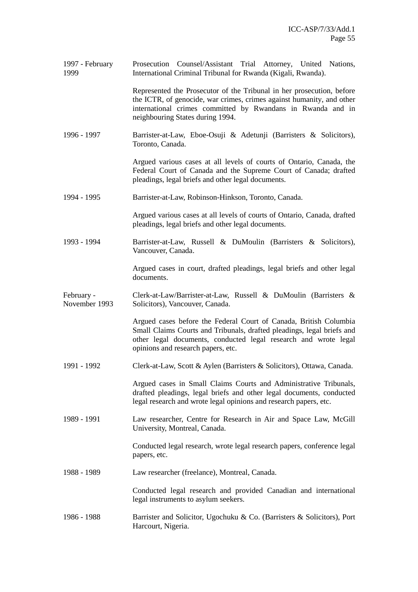1997 - February 1999 Prosecution Counsel/Assistant Trial Attorney, United Nations, International Criminal Tribunal for Rwanda (Kigali, Rwanda).

> Represented the Prosecutor of the Tribunal in her prosecution, before the ICTR, of genocide, war crimes, crimes against humanity, and other international crimes committed by Rwandans in Rwanda and in neighbouring States during 1994.

1996 - 1997 Barrister-at-Law, Eboe-Osuji & Adetunji (Barristers & Solicitors), Toronto, Canada.

> Argued various cases at all levels of courts of Ontario, Canada, the Federal Court of Canada and the Supreme Court of Canada; drafted pleadings, legal briefs and other legal documents.

1994 - 1995 Barrister-at-Law, Robinson-Hinkson, Toronto, Canada.

 Argued various cases at all levels of courts of Ontario, Canada, drafted pleadings, legal briefs and other legal documents.

1993 - 1994 Barrister-at-Law, Russell & DuMoulin (Barristers & Solicitors), Vancouver, Canada.

> Argued cases in court, drafted pleadings, legal briefs and other legal documents.

February - November 1993 Clerk-at-Law/Barrister-at-Law, Russell & DuMoulin (Barristers & Solicitors), Vancouver, Canada.

> Argued cases before the Federal Court of Canada, British Columbia Small Claims Courts and Tribunals, drafted pleadings, legal briefs and other legal documents, conducted legal research and wrote legal opinions and research papers, etc.

1991 - 1992 Clerk-at-Law, Scott & Aylen (Barristers & Solicitors), Ottawa, Canada.

Argued cases in Small Claims Courts and Administrative Tribunals, drafted pleadings, legal briefs and other legal documents, conducted legal research and wrote legal opinions and research papers, etc.

1989 - 1991 Law researcher, Centre for Research in Air and Space Law, McGill University, Montreal, Canada.

> Conducted legal research, wrote legal research papers, conference legal papers, etc.

1988 - 1989 Law researcher (freelance), Montreal, Canada.

Conducted legal research and provided Canadian and international legal instruments to asylum seekers.

1986 - 1988 Barrister and Solicitor, Ugochuku & Co. (Barristers & Solicitors), Port Harcourt, Nigeria.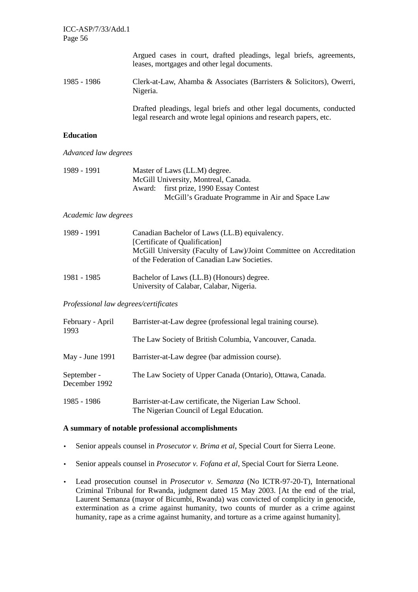|             | Argued cases in court, drafted pleadings, legal briefs, agreements,<br>leases, mortgages and other legal documents.                       |
|-------------|-------------------------------------------------------------------------------------------------------------------------------------------|
| 1985 - 1986 | Clerk-at-Law, Ahamba & Associates (Barristers & Solicitors), Owerri,<br>Nigeria.                                                          |
|             | Drafted pleadings, legal briefs and other legal documents, conducted<br>legal research and wrote legal opinions and research papers, etc. |

# **Education**

*Advanced law degrees* 

| 1989 - 1991 | Master of Laws (LL.M) degree.                    |
|-------------|--------------------------------------------------|
|             | McGill University, Montreal, Canada.             |
|             | Award: first prize, 1990 Essay Contest           |
|             | McGill's Graduate Programme in Air and Space Law |

*Academic law degrees*

| 1989 - 1991 | Canadian Bachelor of Laws (LL.B) equivalency.<br>[Certificate of Qualification]                                     |
|-------------|---------------------------------------------------------------------------------------------------------------------|
|             | McGill University (Faculty of Law)/Joint Committee on Accreditation<br>of the Federation of Canadian Law Societies. |
|             |                                                                                                                     |

| 1981 - 1985 | Bachelor of Laws (LL.B) (Honours) degree. |
|-------------|-------------------------------------------|
|             | University of Calabar, Calabar, Nigeria.  |

# *Professional law degrees/certificates*

| February - April<br>1993     | Barrister-at-Law degree (professional legal training course).                                      |
|------------------------------|----------------------------------------------------------------------------------------------------|
|                              | The Law Society of British Columbia, Vancouver, Canada.                                            |
| May - June 1991              | Barrister-at-Law degree (bar admission course).                                                    |
| September -<br>December 1992 | The Law Society of Upper Canada (Ontario), Ottawa, Canada.                                         |
| 1985 - 1986                  | Barrister-at-Law certificate, the Nigerian Law School.<br>The Nigerian Council of Legal Education. |

## **A summary of notable professional accomplishments**

- Senior appeals counsel in *Prosecutor v. Brima et al,* Special Court for Sierra Leone.
- Senior appeals counsel in *Prosecutor v. Fofana et al*, Special Court for Sierra Leone.
- Lead prosecution counsel in *Prosecutor v. Semanza* (No ICTR-97-20-T), International Criminal Tribunal for Rwanda, judgment dated 15 May 2003. [At the end of the trial, Laurent Semanza (mayor of Bicumbi, Rwanda) was convicted of complicity in genocide, extermination as a crime against humanity, two counts of murder as a crime against humanity, rape as a crime against humanity, and torture as a crime against humanity].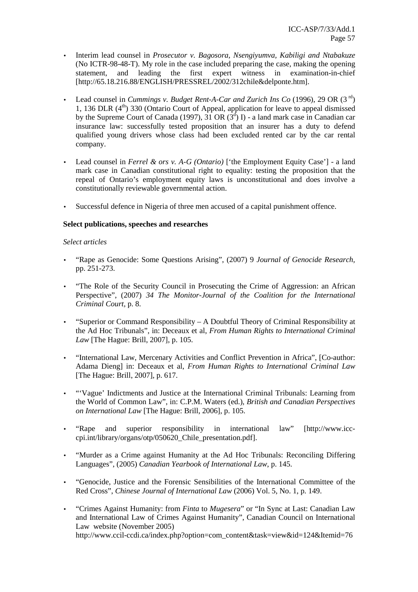- Interim lead counsel in *Prosecutor v. Bagosora, Nsengiyumva, Kabiligi and Ntabakuze* (No ICTR-98-48-T). My role in the case included preparing the case, making the opening statement, and leading the first expert witness in examination-in-chief [http://65.18.216.88/ENGLISH/PRESSREL/2002/312chile&delponte.htm].
- Lead counsel in *Cummings v. Budget Rent-A-Car and Zurich Ins Co* (1996), 29 OR (3<sup>rd</sup>) 1, 136 DLR  $(4<sup>th</sup>)$  330 (Ontario Court of Appeal, application for leave to appeal dismissed by the Supreme Court of Canada (1997),  $31 \text{ OR } (3^d)$  I) - a land mark case in Canadian car insurance law: successfully tested proposition that an insurer has a duty to defend qualified young drivers whose class had been excluded rented car by the car rental company.
- Lead counsel in *Ferrel & ors v. A-G (Ontario)* ['the Employment Equity Case'] a land mark case in Canadian constitutional right to equality: testing the proposition that the repeal of Ontario's employment equity laws is unconstitutional and does involve a constitutionally reviewable governmental action.
- Successful defence in Nigeria of three men accused of a capital punishment offence.

## **Select publications, speeches and researches**

## *Select articles*

- "Rape as Genocide: Some Questions Arising", (2007) 9 *Journal of Genocide Research,*  pp. 251-273.
- "The Role of the Security Council in Prosecuting the Crime of Aggression: an African Perspective", (2007) *34 The Monitor-Journal of the Coalition for the International Criminal Court,* p. 8.
- "Superior or Command Responsibility A Doubtful Theory of Criminal Responsibility at the Ad Hoc Tribunals", in: Deceaux et al, *From Human Rights to International Criminal Law* [The Hague: Brill, 2007], p. 105.
- "International Law, Mercenary Activities and Conflict Prevention in Africa", [Co-author: Adama Dieng] in: Deceaux et al, *From Human Rights to International Criminal Law*  [The Hague: Brill, 2007], p. 617.
- "'Vague' Indictments and Justice at the International Criminal Tribunals: Learning from the World of Common Law", in: C.P.M. Waters (ed.), *British and Canadian Perspectives on International Law* [The Hague: Brill, 2006], p. 105.
- "Rape and superior responsibility in international law" [http://www.icc-cpi.int/library/organs/otp/050620\_Chile\_presentation.pdf].
- "Murder as a Crime against Humanity at the Ad Hoc Tribunals: Reconciling Differing Languages", (2005) *Canadian Yearbook of International Law*, p. 145.
- "Genocide, Justice and the Forensic Sensibilities of the International Committee of the Red Cross", *Chinese Journal of International Law* (2006) Vol. 5, No. 1, p. 149.
- "Crimes Against Humanity: from *Finta* to *Mugesera*" or "In Sync at Last: Canadian Law and International Law of Crimes Against Humanity", Canadian Council on International Law website (November 2005) http://www.ccil-ccdi.ca/index.php?option=com\_content&task=view&id=124&Itemid=76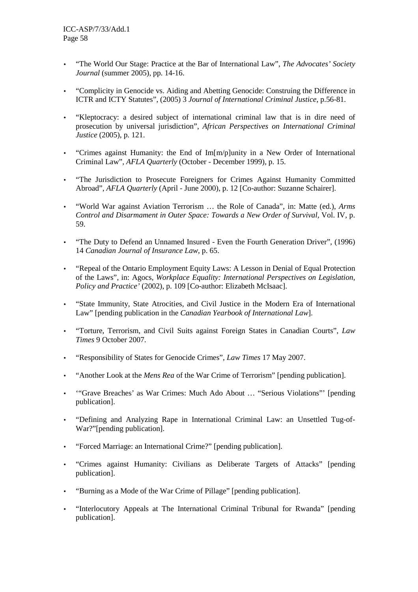- "The World Our Stage: Practice at the Bar of International Law", *The Advocates' Society Journal* (summer 2005), pp. 14-16.
- "Complicity in Genocide vs. Aiding and Abetting Genocide: Construing the Difference in ICTR and ICTY Statutes", (2005) 3 *Journal of International Criminal Justice*, p.56-81.
- "Kleptocracy: a desired subject of international criminal law that is in dire need of prosecution by universal jurisdiction", *African Perspectives on International Criminal Justice* (2005), p. 121.
- "Crimes against Humanity: the End of Im[m/p]unity in a New Order of International Criminal Law", *AFLA Quarterly* (October - December 1999), p. 15.
- "The Jurisdiction to Prosecute Foreigners for Crimes Against Humanity Committed Abroad", *AFLA Quarterly* (April - June 2000), p. 12 [Co-author: Suzanne Schairer].
- "World War against Aviation Terrorism … the Role of Canada", in: Matte (ed.), *Arms Control and Disarmament in Outer Space: Towards a New Order of Survival*, Vol. IV, p. 59.
- "The Duty to Defend an Unnamed Insured Even the Fourth Generation Driver", (1996) 14 *Canadian Journal of Insurance Law*, p. 65.
- "Repeal of the Ontario Employment Equity Laws: A Lesson in Denial of Equal Protection of the Laws", in: Agocs, *Workplace Equality: International Perspectives on Legislation, Policy and Practice'* (2002), p. 109 [Co-author: Elizabeth McIsaac].
- "State Immunity, State Atrocities, and Civil Justice in the Modern Era of International Law" [pending publication in the *Canadian Yearbook of International Law*].
- "Torture, Terrorism, and Civil Suits against Foreign States in Canadian Courts", *Law Times* 9 October 2007.
- "Responsibility of States for Genocide Crimes", *Law Times* 17 May 2007.
- "Another Look at the *Mens Rea* of the War Crime of Terrorism" [pending publication].
- '"Grave Breaches' as War Crimes: Much Ado About … "Serious Violations"' [pending publication].
- "Defining and Analyzing Rape in International Criminal Law: an Unsettled Tug-of-War?"[pending publication].
- "Forced Marriage: an International Crime?" [pending publication].
- "Crimes against Humanity: Civilians as Deliberate Targets of Attacks" [pending publication].
- "Burning as a Mode of the War Crime of Pillage" [pending publication].
- "Interlocutory Appeals at The International Criminal Tribunal for Rwanda" [pending publication].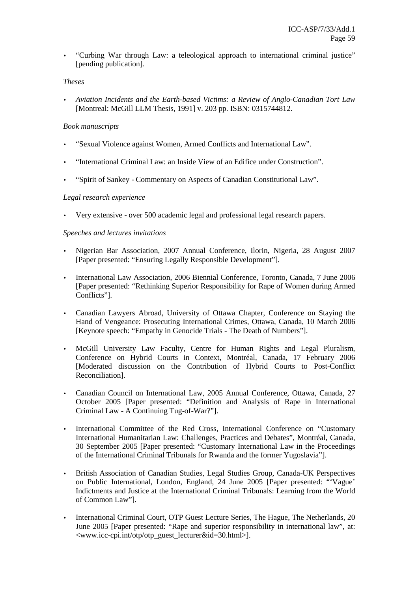• "Curbing War through Law: a teleological approach to international criminal justice" [pending publication].

## *Theses*

• *Aviation Incidents and the Earth-based Victims: a Review of Anglo-Canadian Tort Law*  [Montreal: McGill LLM Thesis, 1991] v. 203 pp. ISBN: 0315744812.

## *Book manuscripts*

- "Sexual Violence against Women, Armed Conflicts and International Law".
- "International Criminal Law: an Inside View of an Edifice under Construction".
- "Spirit of Sankey Commentary on Aspects of Canadian Constitutional Law".

#### *Legal research experience*

• Very extensive - over 500 academic legal and professional legal research papers.

#### *Speeches and lectures invitations*

- Nigerian Bar Association, 2007 Annual Conference, Ilorin, Nigeria, 28 August 2007 [Paper presented: "Ensuring Legally Responsible Development"].
- International Law Association, 2006 Biennial Conference, Toronto, Canada, 7 June 2006 [Paper presented: "Rethinking Superior Responsibility for Rape of Women during Armed Conflicts"].
- Canadian Lawyers Abroad, University of Ottawa Chapter, Conference on Staying the Hand of Vengeance: Prosecuting International Crimes, Ottawa, Canada, 10 March 2006 [Keynote speech: "Empathy in Genocide Trials - The Death of Numbers"].
- McGill University Law Faculty, Centre for Human Rights and Legal Pluralism, Conference on Hybrid Courts in Context, Montréal, Canada, 17 February 2006 [Moderated discussion on the Contribution of Hybrid Courts to Post-Conflict Reconciliation].
- Canadian Council on International Law, 2005 Annual Conference, Ottawa, Canada, 27 October 2005 [Paper presented: "Definition and Analysis of Rape in International Criminal Law - A Continuing Tug-of-War?"].
- International Committee of the Red Cross, International Conference on "Customary International Humanitarian Law: Challenges, Practices and Debates", Montréal, Canada, 30 September 2005 [Paper presented: "Customary International Law in the Proceedings of the International Criminal Tribunals for Rwanda and the former Yugoslavia"].
- British Association of Canadian Studies, Legal Studies Group, Canada-UK Perspectives on Public International, London, England, 24 June 2005 [Paper presented: "'Vague' Indictments and Justice at the International Criminal Tribunals: Learning from the World of Common Law"].
- International Criminal Court, OTP Guest Lecture Series, The Hague, The Netherlands, 20 June 2005 [Paper presented: "Rape and superior responsibility in international law", at: <www.icc-cpi.int/otp/otp\_guest\_lecturer&id=30.html>].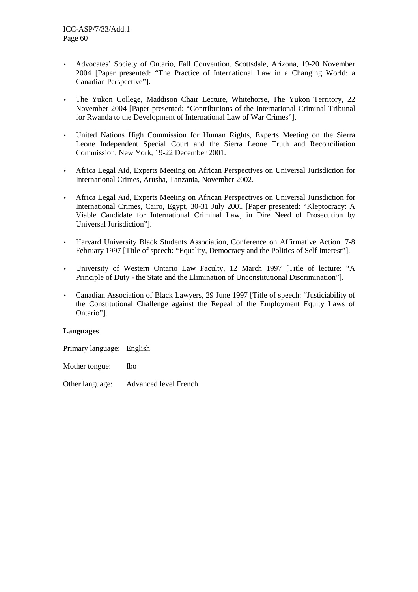- Advocates' Society of Ontario, Fall Convention, Scottsdale, Arizona, 19-20 November 2004 [Paper presented: "The Practice of International Law in a Changing World: a Canadian Perspective"].
- The Yukon College, Maddison Chair Lecture, Whitehorse, The Yukon Territory, 22 November 2004 [Paper presented: "Contributions of the International Criminal Tribunal for Rwanda to the Development of International Law of War Crimes"].
- United Nations High Commission for Human Rights, Experts Meeting on the Sierra Leone Independent Special Court and the Sierra Leone Truth and Reconciliation Commission, New York, 19-22 December 2001.
- Africa Legal Aid, Experts Meeting on African Perspectives on Universal Jurisdiction for International Crimes, Arusha, Tanzania, November 2002.
- Africa Legal Aid, Experts Meeting on African Perspectives on Universal Jurisdiction for International Crimes, Cairo, Egypt, 30-31 July 2001 [Paper presented: "Kleptocracy: A Viable Candidate for International Criminal Law, in Dire Need of Prosecution by Universal Jurisdiction"].
- Harvard University Black Students Association, Conference on Affirmative Action, 7-8 February 1997 [Title of speech: "Equality, Democracy and the Politics of Self Interest"].
- University of Western Ontario Law Faculty, 12 March 1997 [Title of lecture: "A Principle of Duty - the State and the Elimination of Unconstitutional Discrimination"].
- Canadian Association of Black Lawyers, 29 June 1997 [Title of speech: "Justiciability of the Constitutional Challenge against the Repeal of the Employment Equity Laws of Ontario"].

## **Languages**

Primary language: English

Mother tongue: Ibo

Other language: Advanced level French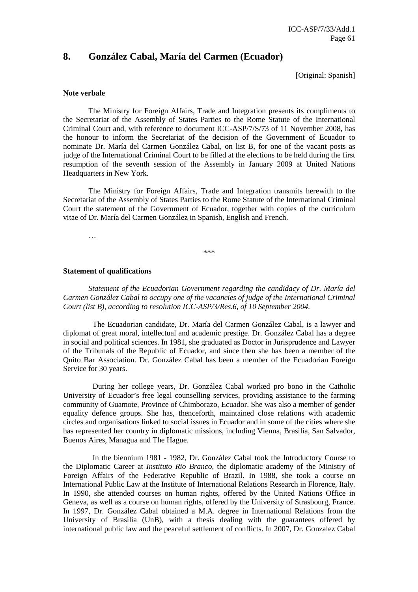# **8. González Cabal, María del Carmen (Ecuador)**

[Original: Spanish]

#### **Note verbale**

 The Ministry for Foreign Affairs, Trade and Integration presents its compliments to the Secretariat of the Assembly of States Parties to the Rome Statute of the International Criminal Court and, with reference to document ICC-ASP/7/S/73 of 11 November 2008, has the honour to inform the Secretariat of the decision of the Government of Ecuador to nominate Dr. María del Carmen González Cabal, on list B, for one of the vacant posts as judge of the International Criminal Court to be filled at the elections to be held during the first resumption of the seventh session of the Assembly in January 2009 at United Nations Headquarters in New York.

 The Ministry for Foreign Affairs, Trade and Integration transmits herewith to the Secretariat of the Assembly of States Parties to the Rome Statute of the International Criminal Court the statement of the Government of Ecuador, together with copies of the curriculum vitae of Dr. María del Carmen González in Spanish, English and French.

…

\*\*\*

#### **Statement of qualifications**

*Statement of the Ecuadorian Government regarding the candidacy of Dr. María del Carmen González Cabal to occupy one of the vacancies of judge of the International Criminal Court (list B), according to resolution ICC-ASP/3/Res.6, of 10 September 2004.* 

The Ecuadorian candidate, Dr. María del Carmen González Cabal, is a lawyer and diplomat of great moral, intellectual and academic prestige. Dr. González Cabal has a degree in social and political sciences. In 1981, she graduated as Doctor in Jurisprudence and Lawyer of the Tribunals of the Republic of Ecuador, and since then she has been a member of the Quito Bar Association. Dr. González Cabal has been a member of the Ecuadorian Foreign Service for 30 years.

During her college years, Dr. González Cabal worked pro bono in the Catholic University of Ecuador's free legal counselling services, providing assistance to the farming community of Guamote, Province of Chimborazo, Ecuador. She was also a member of gender equality defence groups. She has, thenceforth, maintained close relations with academic circles and organisations linked to social issues in Ecuador and in some of the cities where she has represented her country in diplomatic missions, including Vienna, Brasilia, San Salvador, Buenos Aires, Managua and The Hague.

In the biennium 1981 - 1982, Dr. González Cabal took the Introductory Course to the Diplomatic Career at *Instituto Rio Branco*, the diplomatic academy of the Ministry of Foreign Affairs of the Federative Republic of Brazil. In 1988, she took a course on International Public Law at the Institute of International Relations Research in Florence, Italy. In 1990, she attended courses on human rights, offered by the United Nations Office in Geneva, as well as a course on human rights, offered by the University of Strasbourg, France. In 1997, Dr. González Cabal obtained a M.A. degree in International Relations from the University of Brasilia (UnB), with a thesis dealing with the guarantees offered by international public law and the peaceful settlement of conflicts. In 2007, Dr. Gonzalez Cabal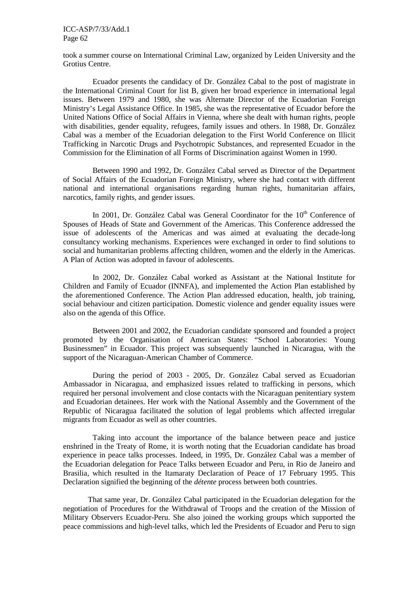ICC-ASP/7/33/Add.1 Page 62

took a summer course on International Criminal Law, organized by Leiden University and the Grotius Centre.

Ecuador presents the candidacy of Dr. González Cabal to the post of magistrate in the International Criminal Court for list B, given her broad experience in international legal issues. Between 1979 and 1980, she was Alternate Director of the Ecuadorian Foreign Ministry's Legal Assistance Office. In 1985, she was the representative of Ecuador before the United Nations Office of Social Affairs in Vienna, where she dealt with human rights, people with disabilities, gender equality, refugees, family issues and others. In 1988, Dr. González Cabal was a member of the Ecuadorian delegation to the First World Conference on Illicit Trafficking in Narcotic Drugs and Psychotropic Substances, and represented Ecuador in the Commission for the Elimination of all Forms of Discrimination against Women in 1990.

Between 1990 and 1992, Dr. González Cabal served as Director of the Department of Social Affairs of the Ecuadorian Foreign Ministry, where she had contact with different national and international organisations regarding human rights, humanitarian affairs, narcotics, family rights, and gender issues.

In 2001, Dr. González Cabal was General Coordinator for the 10<sup>th</sup> Conference of Spouses of Heads of State and Government of the Americas. This Conference addressed the issue of adolescents of the Americas and was aimed at evaluating the decade-long consultancy working mechanisms. Experiences were exchanged in order to find solutions to social and humanitarian problems affecting children, women and the elderly in the Americas. A Plan of Action was adopted in favour of adolescents.

In 2002, Dr. González Cabal worked as Assistant at the National Institute for Children and Family of Ecuador (INNFA), and implemented the Action Plan established by the aforementioned Conference. The Action Plan addressed education, health, job training, social behaviour and citizen participation. Domestic violence and gender equality issues were also on the agenda of this Office.

Between 2001 and 2002, the Ecuadorian candidate sponsored and founded a project promoted by the Organisation of American States: "School Laboratories: Young Businessmen" in Ecuador. This project was subsequently launched in Nicaragua, with the support of the Nicaraguan-American Chamber of Commerce.

During the period of 2003 - 2005, Dr. González Cabal served as Ecuadorian Ambassador in Nicaragua, and emphasized issues related to trafficking in persons, which required her personal involvement and close contacts with the Nicaraguan penitentiary system and Ecuadorian detainees. Her work with the National Assembly and the Government of the Republic of Nicaragua facilitated the solution of legal problems which affected irregular migrants from Ecuador as well as other countries.

Taking into account the importance of the balance between peace and justice enshrined in the Treaty of Rome, it is worth noting that the Ecuadorian candidate has broad experience in peace talks processes. Indeed, in 1995, Dr. González Cabal was a member of the Ecuadorian delegation for Peace Talks between Ecuador and Peru, in Rio de Janeiro and Brasilia, which resulted in the Itamaraty Declaration of Peace of 17 February 1995. This Declaration signified the beginning of the *détente* process between both countries.

That same year, Dr. González Cabal participated in the Ecuadorian delegation for the negotiation of Procedures for the Withdrawal of Troops and the creation of the Mission of Military Observers Ecuador-Peru. She also joined the working groups which supported the peace commissions and high-level talks, which led the Presidents of Ecuador and Peru to sign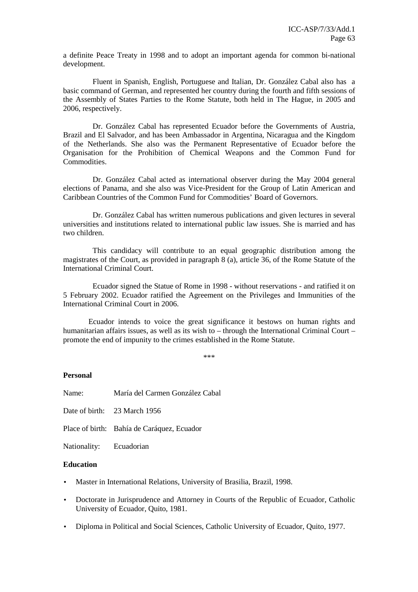a definite Peace Treaty in 1998 and to adopt an important agenda for common bi-national development.

Fluent in Spanish, English, Portuguese and Italian, Dr. González Cabal also has a basic command of German, and represented her country during the fourth and fifth sessions of the Assembly of States Parties to the Rome Statute, both held in The Hague, in 2005 and 2006, respectively.

Dr. González Cabal has represented Ecuador before the Governments of Austria, Brazil and El Salvador, and has been Ambassador in Argentina, Nicaragua and the Kingdom of the Netherlands. She also was the Permanent Representative of Ecuador before the Organisation for the Prohibition of Chemical Weapons and the Common Fund for Commodities.

Dr. González Cabal acted as international observer during the May 2004 general elections of Panama, and she also was Vice-President for the Group of Latin American and Caribbean Countries of the Common Fund for Commodities' Board of Governors.

Dr. González Cabal has written numerous publications and given lectures in several universities and institutions related to international public law issues. She is married and has two children.

This candidacy will contribute to an equal geographic distribution among the magistrates of the Court, as provided in paragraph 8 (a), article 36, of the Rome Statute of the International Criminal Court.

Ecuador signed the Statue of Rome in 1998 - without reservations - and ratified it on 5 February 2002. Ecuador ratified the Agreement on the Privileges and Immunities of the International Criminal Court in 2006.

 Ecuador intends to voice the great significance it bestows on human rights and humanitarian affairs issues, as well as its wish to – through the International Criminal Court – promote the end of impunity to the crimes established in the Rome Statute.

\*\*\*

#### **Personal**

| Name:                   | María del Carmen González Cabal            |
|-------------------------|--------------------------------------------|
|                         | Date of birth: 23 March 1956               |
|                         | Place of birth: Bahía de Caráquez, Ecuador |
| Nationality: Ecuadorian |                                            |

#### **Education**

- Master in International Relations, University of Brasilia, Brazil, 1998.
- Doctorate in Jurisprudence and Attorney in Courts of the Republic of Ecuador, Catholic University of Ecuador, Quito, 1981.
- Diploma in Political and Social Sciences, Catholic University of Ecuador, Quito, 1977.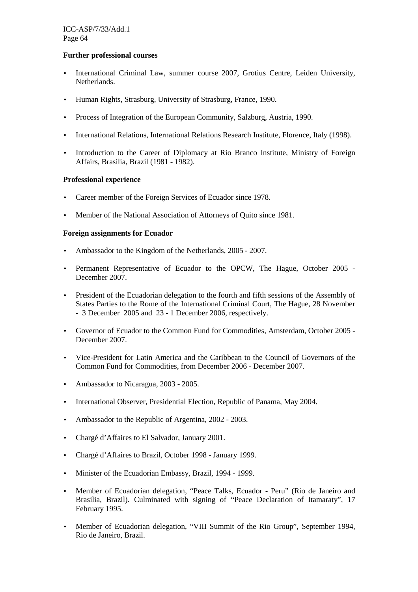## **Further professional courses**

- International Criminal Law, summer course 2007, Grotius Centre, Leiden University, Netherlands.
- Human Rights, Strasburg, University of Strasburg, France, 1990.
- Process of Integration of the European Community, Salzburg, Austria, 1990.
- International Relations, International Relations Research Institute, Florence, Italy (1998).
- Introduction to the Career of Diplomacy at Rio Branco Institute, Ministry of Foreign Affairs, Brasilia, Brazil (1981 - 1982).

# **Professional experience**

- Career member of the Foreign Services of Ecuador since 1978.
- Member of the National Association of Attorneys of Quito since 1981.

# **Foreign assignments for Ecuador**

- Ambassador to the Kingdom of the Netherlands. 2005 2007.
- Permanent Representative of Ecuador to the OPCW, The Hague, October 2005 -December 2007.
- President of the Ecuadorian delegation to the fourth and fifth sessions of the Assembly of States Parties to the Rome of the International Criminal Court, The Hague, 28 November - 3 December 2005 and 23 - 1 December 2006, respectively.
- Governor of Ecuador to the Common Fund for Commodities, Amsterdam, October 2005 December 2007.
- Vice-President for Latin America and the Caribbean to the Council of Governors of the Common Fund for Commodities, from December 2006 - December 2007.
- Ambassador to Nicaragua, 2003 2005.
- International Observer, Presidential Election, Republic of Panama, May 2004.
- Ambassador to the Republic of Argentina, 2002 2003.
- Chargé d'Affaires to El Salvador, January 2001.
- Chargé d'Affaires to Brazil, October 1998 January 1999.
- Minister of the Ecuadorian Embassy, Brazil, 1994 1999.
- Member of Ecuadorian delegation, "Peace Talks, Ecuador Peru" (Rio de Janeiro and Brasilia, Brazil). Culminated with signing of "Peace Declaration of Itamaraty", 17 February 1995.
- Member of Ecuadorian delegation, "VIII Summit of the Rio Group", September 1994, Rio de Janeiro, Brazil.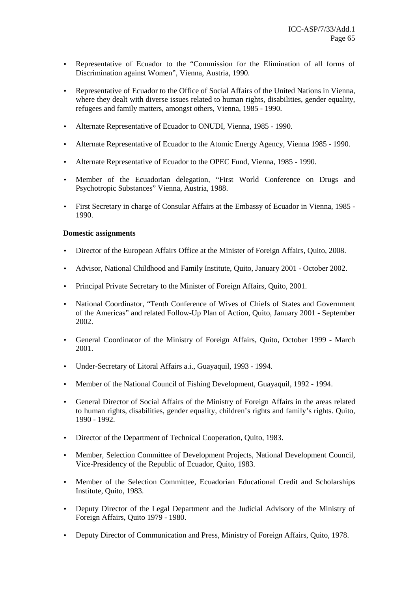- Representative of Ecuador to the "Commission for the Elimination of all forms of Discrimination against Women", Vienna, Austria, 1990.
- Representative of Ecuador to the Office of Social Affairs of the United Nations in Vienna, where they dealt with diverse issues related to human rights, disabilities, gender equality, refugees and family matters, amongst others, Vienna, 1985 - 1990.
- Alternate Representative of Ecuador to ONUDI, Vienna, 1985 1990.
- Alternate Representative of Ecuador to the Atomic Energy Agency, Vienna 1985 1990.
- Alternate Representative of Ecuador to the OPEC Fund, Vienna, 1985 1990.
- Member of the Ecuadorian delegation, "First World Conference on Drugs and Psychotropic Substances" Vienna, Austria, 1988.
- First Secretary in charge of Consular Affairs at the Embassy of Ecuador in Vienna, 1985 1990.

## **Domestic assignments**

- Director of the European Affairs Office at the Minister of Foreign Affairs, Quito, 2008.
- Advisor, National Childhood and Family Institute, Quito, January 2001 October 2002.
- Principal Private Secretary to the Minister of Foreign Affairs, Quito, 2001.
- National Coordinator, "Tenth Conference of Wives of Chiefs of States and Government of the Americas" and related Follow-Up Plan of Action, Quito, January 2001 - September 2002.
- General Coordinator of the Ministry of Foreign Affairs, Quito, October 1999 March 2001.
- Under-Secretary of Litoral Affairs a.i., Guayaquil, 1993 1994.
- Member of the National Council of Fishing Development, Guayaquil, 1992 1994.
- General Director of Social Affairs of the Ministry of Foreign Affairs in the areas related to human rights, disabilities, gender equality, children's rights and family's rights. Quito, 1990 - 1992.
- Director of the Department of Technical Cooperation, Ouito, 1983.
- Member, Selection Committee of Development Projects, National Development Council, Vice-Presidency of the Republic of Ecuador, Quito, 1983.
- Member of the Selection Committee, Ecuadorian Educational Credit and Scholarships Institute, Quito, 1983.
- Deputy Director of the Legal Department and the Judicial Advisory of the Ministry of Foreign Affairs, Quito 1979 - 1980.
- Deputy Director of Communication and Press, Ministry of Foreign Affairs, Ouito, 1978.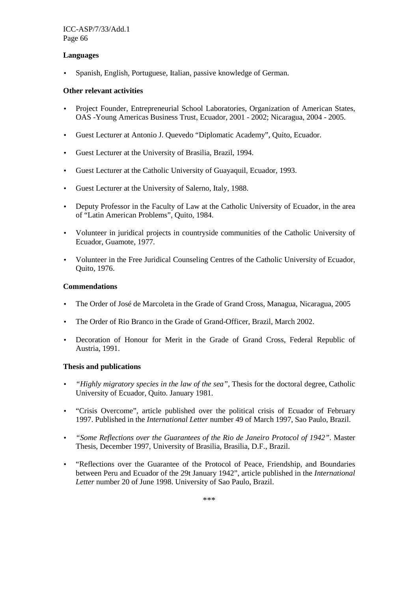# **Languages**

• Spanish, English, Portuguese, Italian, passive knowledge of German.

# **Other relevant activities**

- Project Founder, Entrepreneurial School Laboratories, Organization of American States, OAS -Young Americas Business Trust, Ecuador, 2001 - 2002; Nicaragua, 2004 - 2005.
- Guest Lecturer at Antonio J. Quevedo "Diplomatic Academy", Quito, Ecuador.
- Guest Lecturer at the University of Brasilia, Brazil, 1994.
- Guest Lecturer at the Catholic University of Guayaquil, Ecuador, 1993.
- Guest Lecturer at the University of Salerno, Italy, 1988.
- Deputy Professor in the Faculty of Law at the Catholic University of Ecuador, in the area of "Latin American Problems", Quito, 1984.
- Volunteer in juridical projects in countryside communities of the Catholic University of Ecuador, Guamote, 1977.
- Volunteer in the Free Juridical Counseling Centres of the Catholic University of Ecuador, Quito, 1976.

## **Commendations**

- The Order of José de Marcoleta in the Grade of Grand Cross, Managua, Nicaragua, 2005
- The Order of Rio Branco in the Grade of Grand-Officer, Brazil, March 2002.
- Decoration of Honour for Merit in the Grade of Grand Cross, Federal Republic of Austria, 1991.

## **Thesis and publications**

- *"Highly migratory species in the law of the sea"*, Thesis for the doctoral degree, Catholic University of Ecuador, Quito. January 1981.
- "Crisis Overcome", article published over the political crisis of Ecuador of February 1997. Published in the *International Letter* number 49 of March 1997, Sao Paulo, Brazil.
- *"Some Reflections over the Guarantees of the Rio de Janeiro Protocol of 1942"*. Master Thesis, December 1997, University of Brasilia, Brasilia, D.F., Brazil.
- "Reflections over the Guarantee of the Protocol of Peace, Friendship, and Boundaries between Peru and Ecuador of the 29t January 1942", article published in the *International Letter* number 20 of June 1998. University of Sao Paulo, Brazil.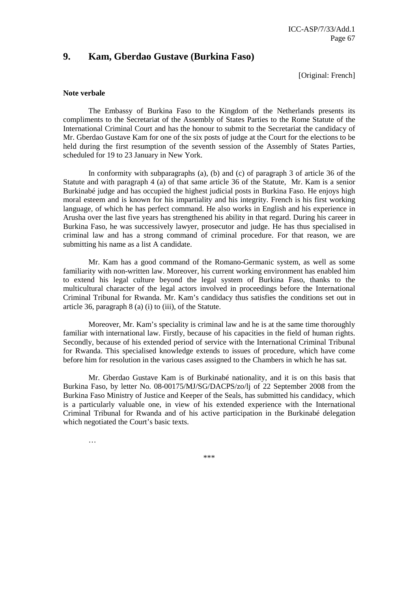# **9. Kam, Gberdao Gustave (Burkina Faso)**

[Original: French]

#### **Note verbale**

 The Embassy of Burkina Faso to the Kingdom of the Netherlands presents its compliments to the Secretariat of the Assembly of States Parties to the Rome Statute of the International Criminal Court and has the honour to submit to the Secretariat the candidacy of Mr. Gberdao Gustave Kam for one of the six posts of judge at the Court for the elections to be held during the first resumption of the seventh session of the Assembly of States Parties, scheduled for 19 to 23 January in New York.

 In conformity with subparagraphs (a), (b) and (c) of paragraph 3 of article 36 of the Statute and with paragraph 4 (a) of that same article 36 of the Statute, Mr. Kam is a senior Burkinabé judge and has occupied the highest judicial posts in Burkina Faso. He enjoys high moral esteem and is known for his impartiality and his integrity. French is his first working language, of which he has perfect command. He also works in English and his experience in Arusha over the last five years has strengthened his ability in that regard. During his career in Burkina Faso, he was successively lawyer, prosecutor and judge. He has thus specialised in criminal law and has a strong command of criminal procedure. For that reason, we are submitting his name as a list A candidate.

 Mr. Kam has a good command of the Romano-Germanic system, as well as some familiarity with non-written law. Moreover, his current working environment has enabled him to extend his legal culture beyond the legal system of Burkina Faso, thanks to the multicultural character of the legal actors involved in proceedings before the International Criminal Tribunal for Rwanda. Mr. Kam's candidacy thus satisfies the conditions set out in article 36, paragraph 8 (a) (i) to (iii), of the Statute.

 Moreover, Mr. Kam's speciality is criminal law and he is at the same time thoroughly familiar with international law. Firstly, because of his capacities in the field of human rights. Secondly, because of his extended period of service with the International Criminal Tribunal for Rwanda. This specialised knowledge extends to issues of procedure, which have come before him for resolution in the various cases assigned to the Chambers in which he has sat.

 Mr. Gberdao Gustave Kam is of Burkinabé nationality, and it is on this basis that Burkina Faso, by letter No. 08-00175/MJ/SG/DACPS/zo/lj of 22 September 2008 from the Burkina Faso Ministry of Justice and Keeper of the Seals, has submitted his candidacy, which is a particularly valuable one, in view of his extended experience with the International Criminal Tribunal for Rwanda and of his active participation in the Burkinabé delegation which negotiated the Court's basic texts.

…

\*\*\*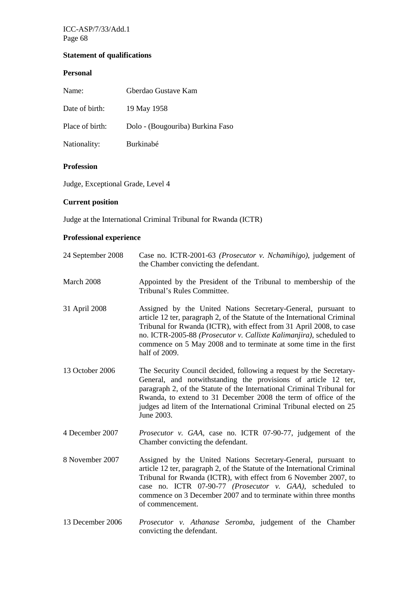ICC-ASP/7/33/Add.1 Page 68

# **Statement of qualifications**

# **Personal**

| Name:           | Gberdao Gustave Kam              |
|-----------------|----------------------------------|
| Date of birth:  | 19 May 1958                      |
| Place of birth: | Dolo - (Bougouriba) Burkina Faso |
| Nationality:    | Burkinabé                        |

# **Profession**

Judge, Exceptional Grade, Level 4

# **Current position**

Judge at the International Criminal Tribunal for Rwanda (ICTR)

# **Professional experience**

| 24 September 2008 | Case no. ICTR-2001-63 (Prosecutor v. Nchamihigo), judgement of<br>the Chamber convicting the defendant.                                                                                                                                                                                                                                                                        |
|-------------------|--------------------------------------------------------------------------------------------------------------------------------------------------------------------------------------------------------------------------------------------------------------------------------------------------------------------------------------------------------------------------------|
| March 2008        | Appointed by the President of the Tribunal to membership of the<br>Tribunal's Rules Committee.                                                                                                                                                                                                                                                                                 |
| 31 April 2008     | Assigned by the United Nations Secretary-General, pursuant to<br>article 12 ter, paragraph 2, of the Statute of the International Criminal<br>Tribunal for Rwanda (ICTR), with effect from 31 April 2008, to case<br>no. ICTR-2005-88 (Prosecutor v. Callixte Kalimanjira), scheduled to<br>commence on 5 May 2008 and to terminate at some time in the first<br>half of 2009. |
| 13 October 2006   | The Security Council decided, following a request by the Secretary-<br>General, and notwithstanding the provisions of article 12 ter,<br>paragraph 2, of the Statute of the International Criminal Tribunal for<br>Rwanda, to extend to 31 December 2008 the term of office of the<br>judges ad litem of the International Criminal Tribunal elected on 25<br>June 2003.       |
| 4 December 2007   | Prosecutor v. GAA, case no. ICTR 07-90-77, judgement of the<br>Chamber convicting the defendant.                                                                                                                                                                                                                                                                               |
| 8 November 2007   | Assigned by the United Nations Secretary-General, pursuant to<br>article 12 ter, paragraph 2, of the Statute of the International Criminal<br>Tribunal for Rwanda (ICTR), with effect from 6 November 2007, to<br>case no. ICTR 07-90-77 (Prosecutor v. GAA), scheduled to<br>commence on 3 December 2007 and to terminate within three months<br>of commencement.             |
| 13 December 2006  | Prosecutor v. Athanase Seromba, judgement of the Chamber                                                                                                                                                                                                                                                                                                                       |

convicting the defendant.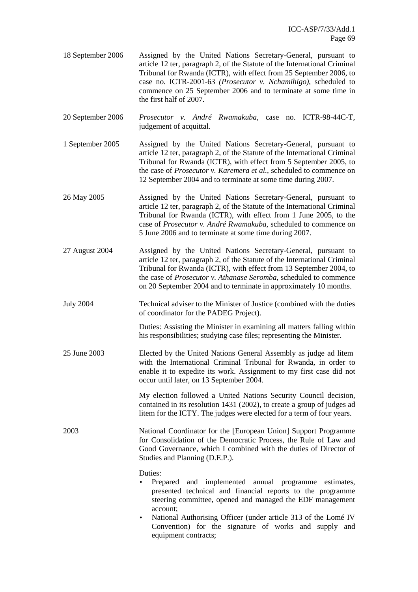- 18 September 2006 Assigned by the United Nations Secretary-General, pursuant to article 12 ter, paragraph 2, of the Statute of the International Criminal Tribunal for Rwanda (ICTR), with effect from 25 September 2006, to case no. ICTR-2001-63 *(Prosecutor v. Nchamihigo)*, scheduled to commence on 25 September 2006 and to terminate at some time in the first half of 2007.
- 20 September 2006 *Prosecutor v. André Rwamakuba*, case no. ICTR-98-44C-T, judgement of acquittal.
- 1 September 2005 Assigned by the United Nations Secretary-General, pursuant to article 12 ter, paragraph 2, of the Statute of the International Criminal Tribunal for Rwanda (ICTR), with effect from 5 September 2005, to the case of *Prosecutor v. Karemera et al.*, scheduled to commence on 12 September 2004 and to terminate at some time during 2007.
- 26 May 2005 Assigned by the United Nations Secretary-General, pursuant to article 12 ter, paragraph 2, of the Statute of the International Criminal Tribunal for Rwanda (ICTR), with effect from 1 June 2005, to the case of *Prosecutor v. André Rwamakuba*, scheduled to commence on 5 June 2006 and to terminate at some time during 2007.
- 27 August 2004 Assigned by the United Nations Secretary-General, pursuant to article 12 ter, paragraph 2, of the Statute of the International Criminal Tribunal for Rwanda (ICTR), with effect from 13 September 2004, to the case of *Prosecutor v. Athanase Seromba*, scheduled to commence on 20 September 2004 and to terminate in approximately 10 months.
- July 2004 Technical adviser to the Minister of Justice (combined with the duties of coordinator for the PADEG Project).

Duties: Assisting the Minister in examining all matters falling within his responsibilities; studying case files; representing the Minister.

25 June 2003 Elected by the United Nations General Assembly as judge ad litem with the International Criminal Tribunal for Rwanda, in order to enable it to expedite its work. Assignment to my first case did not occur until later, on 13 September 2004.

> My election followed a United Nations Security Council decision, contained in its resolution 1431 (2002), to create a group of judges ad litem for the ICTY. The judges were elected for a term of four years.

2003 National Coordinator for the [European Union] Support Programme for Consolidation of the Democratic Process, the Rule of Law and Good Governance, which I combined with the duties of Director of Studies and Planning (D.E.P.).

Duties:

- Prepared and implemented annual programme estimates, presented technical and financial reports to the programme steering committee, opened and managed the EDF management account;
- National Authorising Officer (under article 313 of the Lomé IV Convention) for the signature of works and supply and equipment contracts;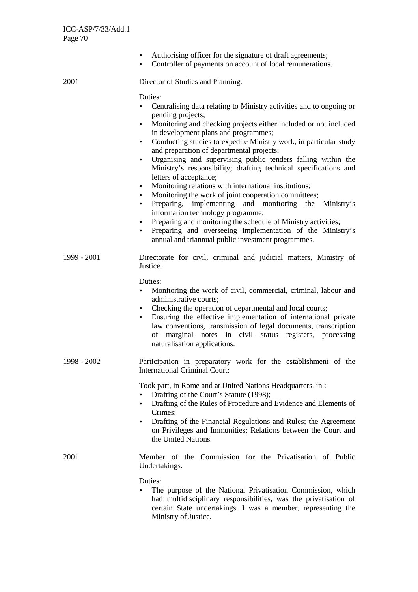|             | Authorising officer for the signature of draft agreements;<br>$\bullet$<br>Controller of payments on account of local remunerations.<br>$\bullet$                                                                                                                                                                                                                                                                                                                                                                                                                                                                                                                                                                                                                                                                                                                                                                                                                                                   |
|-------------|-----------------------------------------------------------------------------------------------------------------------------------------------------------------------------------------------------------------------------------------------------------------------------------------------------------------------------------------------------------------------------------------------------------------------------------------------------------------------------------------------------------------------------------------------------------------------------------------------------------------------------------------------------------------------------------------------------------------------------------------------------------------------------------------------------------------------------------------------------------------------------------------------------------------------------------------------------------------------------------------------------|
| 2001        | Director of Studies and Planning.                                                                                                                                                                                                                                                                                                                                                                                                                                                                                                                                                                                                                                                                                                                                                                                                                                                                                                                                                                   |
|             | Duties:<br>Centralising data relating to Ministry activities and to ongoing or<br>pending projects;<br>Monitoring and checking projects either included or not included<br>$\bullet$<br>in development plans and programmes;<br>Conducting studies to expedite Ministry work, in particular study<br>$\bullet$<br>and preparation of departmental projects;<br>Organising and supervising public tenders falling within the<br>$\bullet$<br>Ministry's responsibility; drafting technical specifications and<br>letters of acceptance;<br>Monitoring relations with international institutions;<br>$\bullet$<br>Monitoring the work of joint cooperation committees;<br>Preparing, implementing and monitoring<br>the<br>Ministry's<br>$\bullet$<br>information technology programme;<br>Preparing and monitoring the schedule of Ministry activities;<br>$\bullet$<br>Preparing and overseeing implementation of the Ministry's<br>$\bullet$<br>annual and triannual public investment programmes. |
| 1999 - 2001 | Directorate for civil, criminal and judicial matters, Ministry of<br>Justice.                                                                                                                                                                                                                                                                                                                                                                                                                                                                                                                                                                                                                                                                                                                                                                                                                                                                                                                       |
|             | Duties:<br>Monitoring the work of civil, commercial, criminal, labour and<br>$\bullet$<br>administrative courts;<br>Checking the operation of departmental and local courts;<br>$\bullet$<br>Ensuring the effective implementation of international private<br>law conventions, transmission of legal documents, transcription<br>of marginal notes in civil status registers, processing<br>naturalisation applications.                                                                                                                                                                                                                                                                                                                                                                                                                                                                                                                                                                           |
| 1998 - 2002 | Participation in preparatory work for the establishment of the<br><b>International Criminal Court:</b>                                                                                                                                                                                                                                                                                                                                                                                                                                                                                                                                                                                                                                                                                                                                                                                                                                                                                              |
|             | Took part, in Rome and at United Nations Headquarters, in:<br>Drafting of the Court's Statute (1998);<br>Drafting of the Rules of Procedure and Evidence and Elements of<br>$\bullet$<br>Crimes;<br>Drafting of the Financial Regulations and Rules; the Agreement<br>on Privileges and Immunities; Relations between the Court and<br>the United Nations.                                                                                                                                                                                                                                                                                                                                                                                                                                                                                                                                                                                                                                          |
| 2001        | Member of the Commission for the Privatisation of Public<br>Undertakings.                                                                                                                                                                                                                                                                                                                                                                                                                                                                                                                                                                                                                                                                                                                                                                                                                                                                                                                           |
|             | Duties:<br>The purpose of the National Privatisation Commission, which<br>had multidisciplinary responsibilities, was the privatisation of<br>certain State undertakings. I was a member, representing the<br>Ministry of Justice.                                                                                                                                                                                                                                                                                                                                                                                                                                                                                                                                                                                                                                                                                                                                                                  |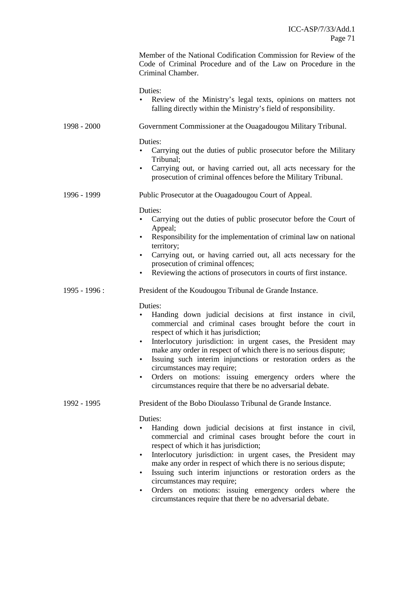|               | Member of the National Codification Commission for Review of the<br>Code of Criminal Procedure and of the Law on Procedure in the<br>Criminal Chamber.                                                                                                                                                                                                                                                                                                                                                                                                            |
|---------------|-------------------------------------------------------------------------------------------------------------------------------------------------------------------------------------------------------------------------------------------------------------------------------------------------------------------------------------------------------------------------------------------------------------------------------------------------------------------------------------------------------------------------------------------------------------------|
|               | Duties:<br>Review of the Ministry's legal texts, opinions on matters not<br>falling directly within the Ministry's field of responsibility.                                                                                                                                                                                                                                                                                                                                                                                                                       |
| 1998 - 2000   | Government Commissioner at the Ouagadougou Military Tribunal.                                                                                                                                                                                                                                                                                                                                                                                                                                                                                                     |
|               | Duties:<br>Carrying out the duties of public prosecutor before the Military<br>Tribunal;<br>Carrying out, or having carried out, all acts necessary for the<br>$\bullet$<br>prosecution of criminal offences before the Military Tribunal.                                                                                                                                                                                                                                                                                                                        |
| 1996 - 1999   | Public Prosecutor at the Ouagadougou Court of Appeal.                                                                                                                                                                                                                                                                                                                                                                                                                                                                                                             |
|               | Duties:<br>Carrying out the duties of public prosecutor before the Court of<br>Appeal;<br>Responsibility for the implementation of criminal law on national<br>territory;<br>Carrying out, or having carried out, all acts necessary for the<br>$\bullet$<br>prosecution of criminal offences;<br>Reviewing the actions of prosecutors in courts of first instance.<br>$\bullet$                                                                                                                                                                                  |
| 1995 - 1996 : | President of the Koudougou Tribunal de Grande Instance.                                                                                                                                                                                                                                                                                                                                                                                                                                                                                                           |
|               | Duties:<br>Handing down judicial decisions at first instance in civil,<br>commercial and criminal cases brought before the court in<br>respect of which it has jurisdiction;<br>Interlocutory jurisdiction: in urgent cases, the President may<br>$\bullet$<br>make any order in respect of which there is no serious dispute;<br>Issuing such interim injunctions or restoration orders as the<br>circumstances may require;<br>Orders on motions: issuing emergency orders where the<br>$\bullet$<br>circumstances require that there be no adversarial debate. |
| 1992 - 1995   | President of the Bobo Dioulasso Tribunal de Grande Instance.                                                                                                                                                                                                                                                                                                                                                                                                                                                                                                      |
|               | Duties:<br>Handing down judicial decisions at first instance in civil,<br>commercial and criminal cases brought before the court in<br>respect of which it has jurisdiction;<br>Interlocutory jurisdiction: in urgent cases, the President may<br>$\bullet$<br>make any order in respect of which there is no serious dispute;<br>Issuing such interim injunctions or restoration orders as the<br>$\bullet$<br>circumstances may require;<br>Orders on motions: issuing emergency orders where the                                                               |

circumstances require that there be no adversarial debate.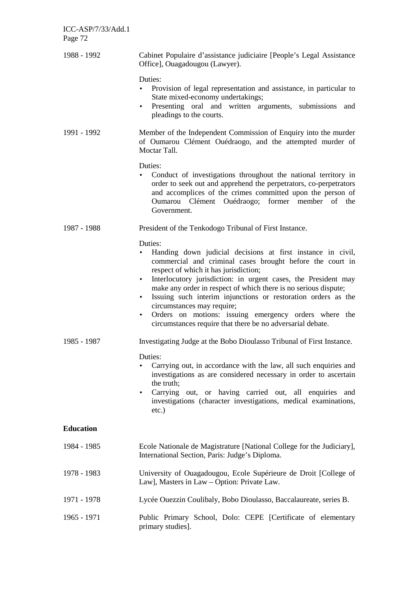| ICC-ASP/7/33/Add.1<br>Page 72 |                                                                                                                                                                                                                                                                                                                                                                                                                                                                                                                                                                                |
|-------------------------------|--------------------------------------------------------------------------------------------------------------------------------------------------------------------------------------------------------------------------------------------------------------------------------------------------------------------------------------------------------------------------------------------------------------------------------------------------------------------------------------------------------------------------------------------------------------------------------|
| 1988 - 1992                   | Cabinet Populaire d'assistance judiciaire [People's Legal Assistance<br>Office], Ouagadougou (Lawyer).                                                                                                                                                                                                                                                                                                                                                                                                                                                                         |
|                               | Duties:<br>Provision of legal representation and assistance, in particular to<br>State mixed-economy undertakings;<br>Presenting oral and written arguments, submissions and<br>$\bullet$<br>pleadings to the courts.                                                                                                                                                                                                                                                                                                                                                          |
| 1991 - 1992                   | Member of the Independent Commission of Enquiry into the murder<br>of Oumarou Clément Ouédraogo, and the attempted murder of<br>Moctar Tall.                                                                                                                                                                                                                                                                                                                                                                                                                                   |
|                               | Duties:<br>Conduct of investigations throughout the national territory in<br>$\bullet$<br>order to seek out and apprehend the perpetrators, co-perpetrators<br>and accomplices of the crimes committed upon the person of<br>Oumarou Clément Ouédraogo; former member of the<br>Government.                                                                                                                                                                                                                                                                                    |
| 1987 - 1988                   | President of the Tenkodogo Tribunal of First Instance.                                                                                                                                                                                                                                                                                                                                                                                                                                                                                                                         |
|                               | Duties:<br>Handing down judicial decisions at first instance in civil,<br>commercial and criminal cases brought before the court in<br>respect of which it has jurisdiction;<br>Interlocutory jurisdiction: in urgent cases, the President may<br>$\bullet$<br>make any order in respect of which there is no serious dispute;<br>Issuing such interim injunctions or restoration orders as the<br>$\bullet$<br>circumstances may require;<br>Orders on motions: issuing emergency orders where the<br>$\bullet$<br>circumstances require that there be no adversarial debate. |
| 1985 - 1987                   | Investigating Judge at the Bobo Dioulasso Tribunal of First Instance.                                                                                                                                                                                                                                                                                                                                                                                                                                                                                                          |
|                               | Duties:<br>Carrying out, in accordance with the law, all such enquiries and<br>$\bullet$<br>investigations as are considered necessary in order to ascertain<br>the truth;<br>Carrying out, or having carried out, all enquiries and<br>$\bullet$<br>investigations (character investigations, medical examinations,<br>$etc.$ )                                                                                                                                                                                                                                               |
| <b>Education</b>              |                                                                                                                                                                                                                                                                                                                                                                                                                                                                                                                                                                                |
| 1984 - 1985                   | Ecole Nationale de Magistrature [National College for the Judiciary],<br>International Section, Paris: Judge's Diploma.                                                                                                                                                                                                                                                                                                                                                                                                                                                        |
| 1978 - 1983                   | University of Ouagadougou, Ecole Supérieure de Droit [College of<br>Law], Masters in Law - Option: Private Law.                                                                                                                                                                                                                                                                                                                                                                                                                                                                |
| 1971 - 1978                   | Lycée Ouezzin Coulibaly, Bobo Dioulasso, Baccalaureate, series B.                                                                                                                                                                                                                                                                                                                                                                                                                                                                                                              |
| 1965 - 1971                   | Public Primary School, Dolo: CEPE [Certificate of elementary<br>primary studies].                                                                                                                                                                                                                                                                                                                                                                                                                                                                                              |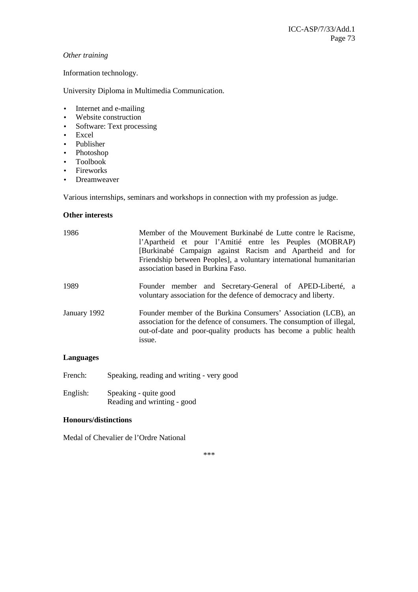## *Other training*

Information technology.

University Diploma in Multimedia Communication.

- Internet and e-mailing
- Website construction
- Software: Text processing
- Excel
- Publisher
- Photoshop
- Toolbook
- Fireworks
- Dreamweaver

Various internships, seminars and workshops in connection with my profession as judge.

## **Other interests**

| 1986         | Member of the Mouvement Burkinabé de Lutte contre le Racisme,<br>l'Apartheid et pour l'Amitié entre les Peuples (MOBRAP)<br>[Burkinabé Campaign against Racism and Apartheid and for<br>Friendship between Peoples, a voluntary international humanitarian<br>association based in Burkina Faso. |
|--------------|--------------------------------------------------------------------------------------------------------------------------------------------------------------------------------------------------------------------------------------------------------------------------------------------------|
| 1989         | Founder member and Secretary-General of APED-Liberté, a<br>voluntary association for the defence of democracy and liberty.                                                                                                                                                                       |
| January 1992 | Founder member of the Burkina Consumers' Association (LCB), an<br>association for the defence of consumers. The consumption of illegal,<br>out-of-date and poor-quality products has become a public health<br>issue.                                                                            |

#### **Languages**

- French: Speaking, reading and writing very good
- English: Speaking quite good Reading and wrinting - good

## **Honours/distinctions**

Medal of Chevalier de l'Ordre National

\*\*\*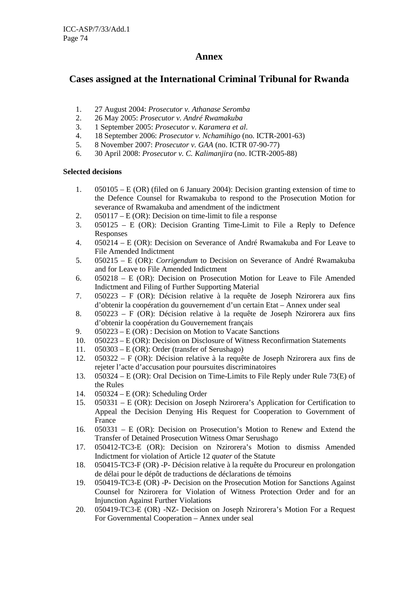## **Annex**

# **Cases assigned at the International Criminal Tribunal for Rwanda**

- 1. 27 August 2004: *Prosecutor v. Athanase Seromba*
- 2. 26 May 2005: *Prosecutor v. André Rwamakuba*
- 3. 1 September 2005: *Prosecutor v. Karamera et al.*
- 4. 18 September 2006: *Prosecutor v. Nchamihigo* (no. ICTR-2001-63)
- 5. 8 November 2007: *Prosecutor v. GAA* (no. ICTR 07-90-77)
- 6. 30 April 2008: *Prosecutor v. C. Kalimanjira* (no. ICTR-2005-88)

## **Selected decisions**

- 1. 050105 E (OR) (filed on 6 January 2004): Decision granting extension of time to the Defence Counsel for Rwamakuba to respond to the Prosecution Motion for severance of Rwamakuba and amendment of the indictment
- 2. 050117 E (OR): Decision on time-limit to file a response
- 3. 050125 E (OR): Decision Granting Time-Limit to File a Reply to Defence Responses
- 4. 050214 E (OR): Decision on Severance of André Rwamakuba and For Leave to File Amended Indictment
- 5. 050215 E (OR): *Corrigendum* to Decision on Severance of André Rwamakuba and for Leave to File Amended Indictment
- 6. 050218 E (OR): Decision on Prosecution Motion for Leave to File Amended Indictment and Filing of Further Supporting Material
- 7. 050223 F (OR): Décision relative à la requête de Joseph Nzirorera aux fins d'obtenir la coopération du gouvernement d'un certain Etat – Annex under seal
- 8. 050223 F (OR): Décision relative à la requête de Joseph Nzirorera aux fins d'obtenir la coopération du Gouvernement français
- 9. 050223 E (OR) : Decision on Motion to Vacate Sanctions
- 10. 050223 E (OR): Decision on Disclosure of Witness Reconfirmation Statements
- 11. 050303 E (OR): Order (transfer of Serushago)
- 12. 050322 F (OR): Décision relative à la requête de Joseph Nzirorera aux fins de rejeter l'acte d'accusation pour poursuites discriminatoires
- 13. 050324 E (OR): Oral Decision on Time-Limits to File Reply under Rule 73(E) of the Rules
- 14. 050324 E (OR): Scheduling Order
- 15. 050331 E (OR): Decision on Joseph Nzirorera's Application for Certification to Appeal the Decision Denying His Request for Cooperation to Government of France
- 16. 050331 E (OR): Decision on Prosecution's Motion to Renew and Extend the Transfer of Detained Prosecution Witness Omar Serushago
- 17. 050412-TC3-E (OR): Decision on Nzirorera's Motion to dismiss Amended Indictment for violation of Article 12 *quater* of the Statute
- 18. 050415-TC3-F (OR) -P- Décision relative à la requête du Procureur en prolongation de délai pour le dépôt de traductions de déclarations de témoins
- 19. 050419-TC3-E (OR) -P- Decision on the Prosecution Motion for Sanctions Against Counsel for Nzirorera for Violation of Witness Protection Order and for an Injunction Against Further Violations
- 20. 050419-TC3-E (OR) -NZ- Decision on Joseph Nzirorera's Motion For a Request For Governmental Cooperation – Annex under seal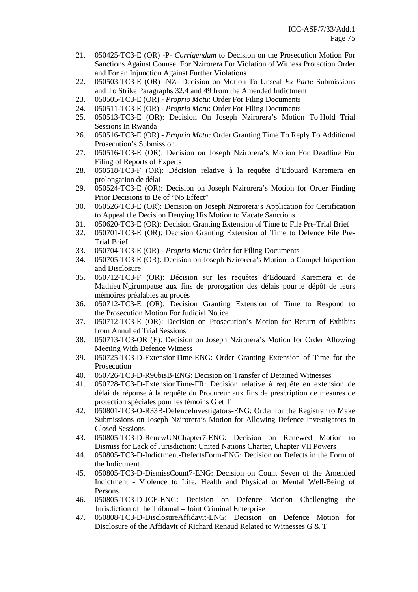- 21. 050425-TC3-E (OR) -P- *Corrigendum* to Decision on the Prosecution Motion For Sanctions Against Counsel For Nzirorera For Violation of Witness Protection Order and For an Injunction Against Further Violations
- 22. 050503-TC3-E (OR) -NZ- Decision on Motion To Unseal *Ex Parte* Submissions and To Strike Paragraphs 32.4 and 49 from the Amended Indictment
- 23. 050505-TC3-E (OR) *Proprio Motu*: Order For Filing Documents
- 24. 050511-TC3-E (OR) - *Proprio Motu*: Order For Filing Documents
- 25. 050513-TC3-E (OR): Decision On Joseph Nzirorera's Motion To Hold Trial Sessions In Rwanda
- 26. 050516-TC3-E (OR) *Proprio Motu:* Order Granting Time To Reply To Additional Prosecution's Submission
- 27. 050516-TC3-E (OR): Decision on Joseph Nzirorera's Motion For Deadline For Filing of Reports of Experts
- 28. 050518-TC3-F (OR): Décision relative à la requête d'Edouard Karemera en prolongation de délai
- 29. 050524-TC3-E (OR): Decision on Joseph Nzirorera's Motion for Order Finding Prior Decisions to Be of "No Effect"
- 30. 050526-TC3-E (OR): Decision on Joseph Nzirorera's Application for Certification to Appeal the Decision Denying His Motion to Vacate Sanctions
- 31. 050620-TC3-E (OR): Decision Granting Extension of Time to File Pre-Trial Brief
- 32. 050701-TC3-E (OR): Decision Granting Extension of Time to Defence File Pre-Trial Brief
- 33. 050704-TC3-E (OR) *Proprio Motu:* Order for Filing Documents
- 34. 050705-TC3-E (OR): Decision on Joseph Nzirorera's Motion to Compel Inspection and Disclosure
- 35. 050712-TC3-F (OR): Décision sur les requêtes d'Edouard Karemera et de Mathieu Ngirumpatse aux fins de prorogation des délais pour le dépôt de leurs mémoires préalables au procès
- 36. 050712-TC3-E (OR): Decision Granting Extension of Time to Respond to the Prosecution Motion For Judicial Notice
- 37. 050712-TC3-E (OR): Decision on Prosecution's Motion for Return of Exhibits from Annulled Trial Sessions
- 38. 050713-TC3-OR (E): Decision on Joseph Nzirorera's Motion for Order Allowing Meeting With Defence Witness
- 39. 050725-TC3-D-ExtensionTime-ENG: Order Granting Extension of Time for the Prosecution
- 40. 050726-TC3-D-R90bisB-ENG: Decision on Transfer of Detained Witnesses
- 41. 050728-TC3-D-ExtensionTime-FR: Décision relative à requête en extension de délai de réponse à la requête du Procureur aux fins de prescription de mesures de protection spéciales pour les témoins G et T
- 42. 050801-TC3-O-R33B-DefenceInvestigators-ENG: Order for the Registrar to Make Submissions on Joseph Nzirorera's Motion for Allowing Defence Investigators in Closed Sessions
- 43. 050805-TC3-D-RenewUNChapter7-ENG: Decision on Renewed Motion to Dismiss for Lack of Jurisdiction: United Nations Charter, Chapter VII Powers
- 44. 050805-TC3-D-Indictment-DefectsForm-ENG: Decision on Defects in the Form of the Indictment
- 45. 050805-TC3-D-DismissCount7-ENG: Decision on Count Seven of the Amended Indictment - Violence to Life, Health and Physical or Mental Well-Being of Persons
- 46. 050805-TC3-D-JCE-ENG: Decision on Defence Motion Challenging the Jurisdiction of the Tribunal – Joint Criminal Enterprise
- 47. 050808-TC3-D-DisclosureAffidavit-ENG: Decision on Defence Motion for Disclosure of the Affidavit of Richard Renaud Related to Witnesses G & T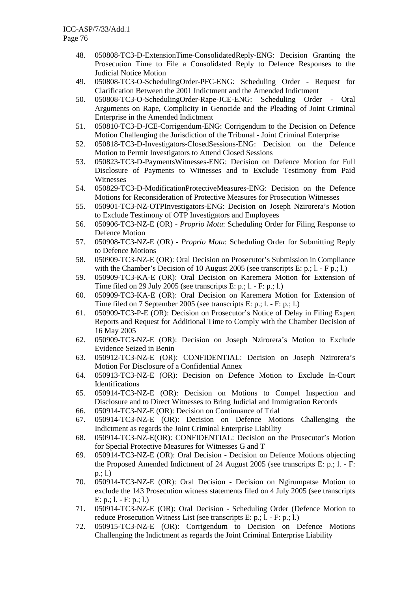- 48. 050808-TC3-D-ExtensionTime-ConsolidatedReply-ENG: Decision Granting the Prosecution Time to File a Consolidated Reply to Defence Responses to the Judicial Notice Motion
- 49. 050808-TC3-O-SchedulingOrder-PFC-ENG: Scheduling Order Request for Clarification Between the 2001 Indictment and the Amended Indictment
- 50. 050808-TC3-O-SchedulingOrder-Rape-JCE-ENG: Scheduling Order Oral Arguments on Rape, Complicity in Genocide and the Pleading of Joint Criminal Enterprise in the Amended Indictment
- 51. 050810-TC3-D-JCE-Corrigendum-ENG: Corrigendum to the Decision on Defence Motion Challenging the Jurisdiction of the Tribunal - Joint Criminal Enterprise
- 52. 050818-TC3-D-Investigators-ClosedSessions-ENG: Decision on the Defence Motion to Permit Investigators to Attend Closed Sessions
- 53. 050823-TC3-D-PaymentsWitnesses-ENG: Decision on Defence Motion for Full Disclosure of Payments to Witnesses and to Exclude Testimony from Paid Witnesses
- 54. 050829-TC3-D-ModificationProtectiveMeasures-ENG: Decision on the Defence Motions for Reconsideration of Protective Measures for Prosecution Witnesses
- 55. 050901-TC3-NZ-OTPInvestigators-ENG: Decision on Joseph Nzirorera's Motion to Exclude Testimony of OTP Investigators and Employees
- 56. 050906-TC3-NZ-E (OR) *Proprio Motu*: Scheduling Order for Filing Response to Defence Motion
- 57. 050908-TC3-NZ-E (OR) - *Proprio Motu*: Scheduling Order for Submitting Reply to Defence Motions
- 58. 050909-TC3-NZ-E (OR): Oral Decision on Prosecutor's Submission in Compliance with the Chamber's Decision of 10 August 2005 (see transcripts E: p.; l. - F p.; l.)
- 59. 050909-TC3-KA-E (OR): Oral Decision on Karemera Motion for Extension of Time filed on 29 July 2005 (see transcripts E: p.; l. - F: p.; l.)
- 60. 050909-TC3-KA-E (OR): Oral Decision on Karemera Motion for Extension of Time filed on 7 September 2005 (see transcripts E: p.; l. - F: p.; l.)
- 61. 050909-TC3-P-E (OR): Decision on Prosecutor's Notice of Delay in Filing Expert Reports and Request for Additional Time to Comply with the Chamber Decision of 16 May 2005
- 62. 050909-TC3-NZ-E (OR): Decision on Joseph Nzirorera's Motion to Exclude Evidence Seized in Benin
- 63. 050912-TC3-NZ-E (OR): CONFIDENTIAL: Decision on Joseph Nzirorera's Motion For Disclosure of a Confidential Annex
- 64. 050913-TC3-NZ-E (OR): Decision on Defence Motion to Exclude In-Court Identifications
- 65. 050914-TC3-NZ-E (OR): Decision on Motions to Compel Inspection and Disclosure and to Direct Witnesses to Bring Judicial and Immigration Records
- 66. 050914-TC3-NZ-E (OR): Decision on Continuance of Trial
- 67. 050914-TC3-NZ-E (OR): Decision on Defence Motions Challenging the Indictment as regards the Joint Criminal Enterprise Liability
- 68. 050914-TC3-NZ-E(OR): CONFIDENTIAL: Decision on the Prosecutor's Motion for Special Protective Measures for Witnesses G and T
- 69. 050914-TC3-NZ-E (OR): Oral Decision Decision on Defence Motions objecting the Proposed Amended Indictment of 24 August 2005 (see transcripts E: p.; l. - F: p.; l.)
- 70. 050914-TC3-NZ-E (OR): Oral Decision Decision on Ngirumpatse Motion to exclude the 143 Prosecution witness statements filed on 4 July 2005 (see transcripts E: p.; l. - F: p.; l.)
- 71. 050914-TC3-NZ-E (OR): Oral Decision Scheduling Order (Defence Motion to reduce Prosecution Witness List (see transcripts E: p.; l. - F: p.; l.)
- 72. 050915-TC3-NZ-E (OR): Corrigendum to Decision on Defence Motions Challenging the Indictment as regards the Joint Criminal Enterprise Liability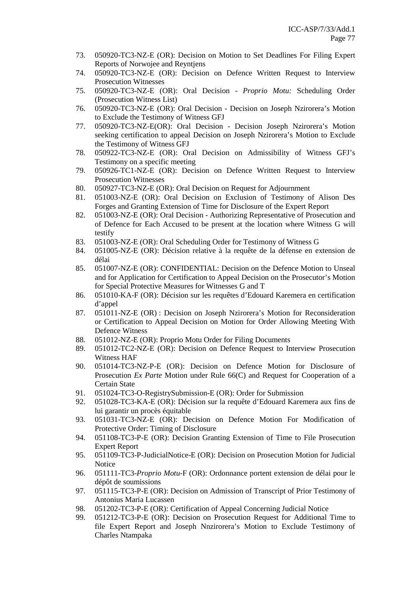- 73. 050920-TC3-NZ-E (OR): Decision on Motion to Set Deadlines For Filing Expert Reports of Norwojee and Reyntjens
- 74. 050920-TC3-NZ-E (OR): Decision on Defence Written Request to Interview Prosecution Witnesses
- 75. 050920-TC3-NZ-E (OR): Oral Decision *Proprio Motu:* Scheduling Order (Prosecution Witness List)
- 76. 050920-TC3-NZ-E (OR): Oral Decision Decision on Joseph Nzirorera's Motion to Exclude the Testimony of Witness GFJ
- 77. 050920-TC3-NZ-E(OR): Oral Decision Decision Joseph Nzirorera's Motion seeking certification to appeal Decision on Joseph Nzirorera's Motion to Exclude the Testimony of Witness GFJ
- 78. 050922-TC3-NZ-E (OR): Oral Decision on Admissibility of Witness GFJ's Testimony on a specific meeting
- 79. 050926-TC1-NZ-E (OR): Decision on Defence Written Request to Interview Prosecution Witnesses
- 80. 050927-TC3-NZ-E (OR): Oral Decision on Request for Adjournment
- 81. 051003-NZ-E (OR): Oral Decision on Exclusion of Testimony of Alison Des Forges and Granting Extension of Time for Disclosure of the Expert Report
- 82. 051003-NZ-E (OR): Oral Decision Authorizing Representative of Prosecution and of Defence for Each Accused to be present at the location where Witness G will testify
- 83. 051003-NZ-E (OR): Oral Scheduling Order for Testimony of Witness G
- 84. 051005-NZ-E (OR): Décision relative à la requête de la défense en extension de délai
- 85. 051007-NZ-E (OR): CONFIDENTIAL: Decision on the Defence Motion to Unseal and for Application for Certification to Appeal Decision on the Prosecutor's Motion for Special Protective Measures for Witnesses G and T
- 86. 051010-KA-F (OR): Décision sur les requêtes d'Edouard Karemera en certification d'appel
- 87. 051011-NZ-E (OR) : Decision on Joseph Nzirorera's Motion for Reconsideration or Certification to Appeal Decision on Motion for Order Allowing Meeting With Defence Witness
- 88. 051012-NZ-E (OR): Proprio Motu Order for Filing Documents
- 89. 051012-TC2-NZ-E (OR): Decision on Defence Request to Interview Prosecution Witness HAF
- 90. 051014-TC3-NZ-P-E (OR): Decision on Defence Motion for Disclosure of Prosecution *Ex Parte* Motion under Rule 66(C) and Request for Cooperation of a Certain State
- 91. 051024-TC3-O-RegistrySubmission-E (OR): Order for Submission
- 92. 051028-TC3-KA-E (OR): Décision sur la requête d'Edouard Karemera aux fins de lui garantir un procès équitable
- 93. 051031-TC3-NZ-E (OR): Decision on Defence Motion For Modification of Protective Order: Timing of Disclosure
- 94. 051108-TC3-P-E (OR): Decision Granting Extension of Time to File Prosecution Expert Report
- 95. 051109-TC3-P-JudicialNotice-E (OR): Decision on Prosecution Motion for Judicial Notice
- 96. 051111-TC3-*Proprio Motu*-F (OR): Ordonnance portent extension de délai pour le dépôt de soumissions
- 97. 051115-TC3-P-E (OR): Decision on Admission of Transcript of Prior Testimony of Antonius Maria Lucassen
- 98. 051202-TC3-P-E (OR): Certification of Appeal Concerning Judicial Notice
- 99. 051212-TC3-P-E (OR): Decision on Prosecution Request for Additional Time to file Expert Report and Joseph Nnzirorera's Motion to Exclude Testimony of Charles Ntampaka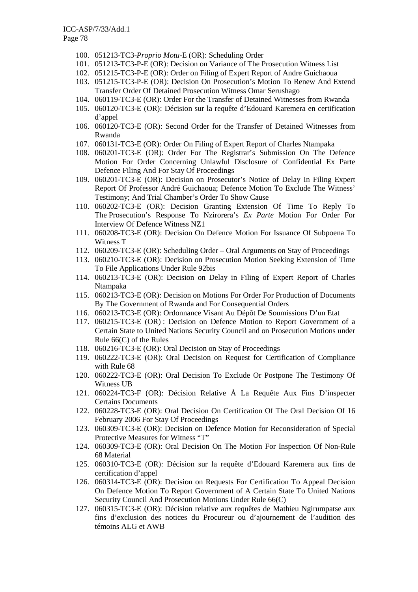- 100. 051213-TC3-*Proprio Motu*-E (OR): Scheduling Order
- 101. 051213-TC3-P-E (OR): Decision on Variance of The Prosecution Witness List
- 102. 051215-TC3-P-E (OR): Order on Filing of Expert Report of Andre Guichaoua
- 103. 051215-TC3-P-E (OR): Decision On Prosecution's Motion To Renew And Extend Transfer Order Of Detained Prosecution Witness Omar Serushago
- 104. 060119-TC3-E (OR): Order For the Transfer of Detained Witnesses from Rwanda
- 105. 060120-TC3-E (OR): Décision sur la requête d'Edouard Karemera en certification d'appel
- 106. 060120-TC3-E (OR): Second Order for the Transfer of Detained Witnesses from Rwanda
- 107. 060131-TC3-E (OR): Order On Filing of Expert Report of Charles Ntampaka
- 108. 060201-TC3-E (OR): Order For The Registrar's Submission On The Defence Motion For Order Concerning Unlawful Disclosure of Confidential Ex Parte Defence Filing And For Stay Of Proceedings
- 109. 060201-TC3-E (OR): Decision on Prosecutor's Notice of Delay In Filing Expert Report Of Professor André Guichaoua; Defence Motion To Exclude The Witness' Testimony; And Trial Chamber's Order To Show Cause
- 110. 060202-TC3-E (OR): Decision Granting Extension Of Time To Reply To The Prosecution's Response To Nzirorera's *Ex Parte* Motion For Order For Interview Of Defence Witness NZ1
- 111. 060208-TC3-E (OR): Decision On Defence Motion For Issuance Of Subpoena To Witness T
- 112. 060209-TC3-E (OR): Scheduling Order Oral Arguments on Stay of Proceedings
- 113. 060210-TC3-E (OR): Decision on Prosecution Motion Seeking Extension of Time To File Applications Under Rule 92bis
- 114. 060213-TC3-E (OR): Decision on Delay in Filing of Expert Report of Charles Ntampaka
- 115. 060213-TC3-E (OR): Decision on Motions For Order For Production of Documents By The Government of Rwanda and For Consequential Orders
- 116. 060213-TC3-E (OR): Ordonnance Visant Au Dépôt De Soumissions D'un Etat
- 117. 060215-TC3-E (OR) : Decision on Defence Motion to Report Government of a Certain State to United Nations Security Council and on Prosecution Motions under Rule 66(C) of the Rules
- 118. 060216-TC3-E (OR): Oral Decision on Stay of Proceedings
- 119. 060222-TC3-E (OR): Oral Decision on Request for Certification of Compliance with Rule 68
- 120. 060222-TC3-E (OR): Oral Decision To Exclude Or Postpone The Testimony Of Witness UB
- 121. 060224-TC3-F (OR): Décision Relative À La Requête Aux Fins D'inspecter Certains Documents
- 122. 060228-TC3-E (OR): Oral Decision On Certification Of The Oral Decision Of 16 February 2006 For Stay Of Proceedings
- 123. 060309-TC3-E (OR): Decision on Defence Motion for Reconsideration of Special Protective Measures for Witness "T"
- 124. 060309-TC3-E (OR): Oral Decision On The Motion For Inspection Of Non-Rule 68 Material
- 125. 060310-TC3-E (OR): Décision sur la requête d'Edouard Karemera aux fins de certification d'appel
- 126. 060314-TC3-E (OR): Decision on Requests For Certification To Appeal Decision On Defence Motion To Report Government of A Certain State To United Nations Security Council And Prosecution Motions Under Rule 66(C)
- 127. 060315-TC3-E (OR): Décision relative aux requêtes de Mathieu Ngirumpatse aux fins d'exclusion des notices du Procureur ou d'ajournement de l'audition des témoins ALG et AWB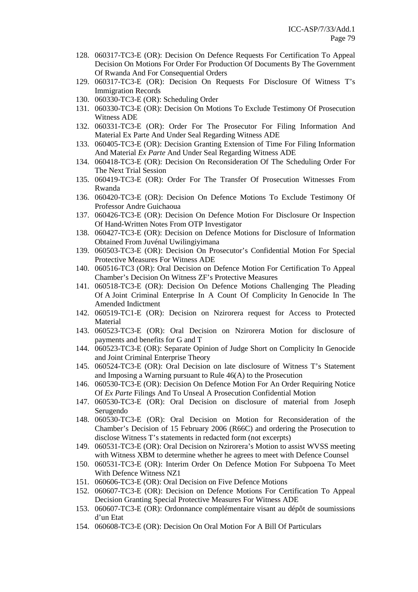- 128. 060317-TC3-E (OR): Decision On Defence Requests For Certification To Appeal Decision On Motions For Order For Production Of Documents By The Government Of Rwanda And For Consequential Orders
- 129. 060317-TC3-E (OR): Decision On Requests For Disclosure Of Witness T's Immigration Records
- 130. 060330-TC3-E (OR): Scheduling Order
- 131. 060330-TC3-E (OR): Decision On Motions To Exclude Testimony Of Prosecution Witness ADE
- 132. 060331-TC3-E (OR): Order For The Prosecutor For Filing Information And Material Ex Parte And Under Seal Regarding Witness ADE
- 133. 060405-TC3-E (OR): Decision Granting Extension of Time For Filing Information And Material *Ex Parte* And Under Seal Regarding Witness ADE
- 134. 060418-TC3-E (OR): Decision On Reconsideration Of The Scheduling Order For The Next Trial Session
- 135. 060419-TC3-E (OR): Order For The Transfer Of Prosecution Witnesses From Rwanda
- 136. 060420-TC3-E (OR): Decision On Defence Motions To Exclude Testimony Of Professor Andre Guichaoua
- 137. 060426-TC3-E (OR): Decision On Defence Motion For Disclosure Or Inspection Of Hand-Written Notes From OTP Investigator
- 138. 060427-TC3-E (OR): Decision on Defence Motions for Disclosure of Information Obtained From Juvénal Uwilingiyimana
- 139. 060503-TC3-E (OR): Decision On Prosecutor's Confidential Motion For Special Protective Measures For Witness ADE
- 140. 060516-TC3 (OR): Oral Decision on Defence Motion For Certification To Appeal Chamber's Decision On Witness ZF's Protective Measures
- 141. 060518-TC3-E (OR): Decision On Defence Motions Challenging The Pleading Of A Joint Criminal Enterprise In A Count Of Complicity In Genocide In The Amended Indictment
- 142. 060519-TC1-E (OR): Decision on Nzirorera request for Access to Protected **Material**
- 143. 060523-TC3-E (OR): Oral Decision on Nzirorera Motion for disclosure of payments and benefits for G and T
- 144. 060523-TC3-E (OR): Separate Opinion of Judge Short on Complicity In Genocide and Joint Criminal Enterprise Theory
- 145. 060524-TC3-E (OR): Oral Decision on late disclosure of Witness T's Statement and Imposing a Warning pursuant to Rule 46(A) to the Prosecution
- 146. 060530-TC3-E (OR): Decision On Defence Motion For An Order Requiring Notice Of *Ex Parte* Filings And To Unseal A Prosecution Confidential Motion
- 147. 060530-TC3-E (OR): Oral Decision on disclosure of material from Joseph Serugendo
- 148. 060530-TC3-E (OR): Oral Decision on Motion for Reconsideration of the Chamber's Decision of 15 February 2006 (R66C) and ordering the Prosecution to disclose Witness T's statements in redacted form (not excerpts)
- 149. 060531-TC3-E (OR): Oral Decision on Nzirorera's Motion to assist WVSS meeting with Witness XBM to determine whether he agrees to meet with Defence Counsel
- 150. 060531-TC3-E (OR): Interim Order On Defence Motion For Subpoena To Meet With Defence Witness NZ1
- 151. 060606-TC3-E (OR): Oral Decision on Five Defence Motions
- 152. 060607-TC3-E (OR): Decision on Defence Motions For Certification To Appeal Decision Granting Special Protective Measures For Witness ADE
- 153. 060607-TC3-E (OR): Ordonnance complémentaire visant au dépôt de soumissions d'un Etat
- 154. 060608-TC3-E (OR): Decision On Oral Motion For A Bill Of Particulars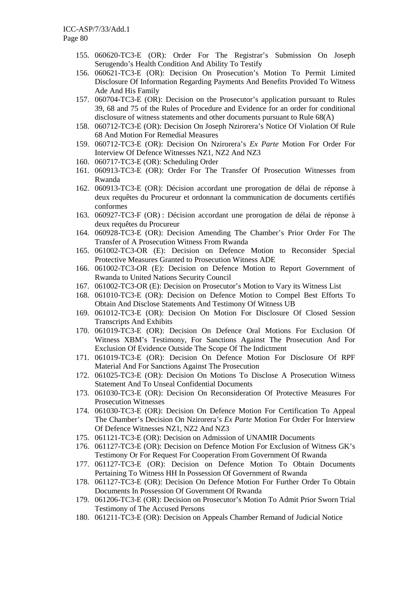- 155. 060620-TC3-E (OR): Order For The Registrar's Submission On Joseph Serugendo's Health Condition And Ability To Testify
- 156. 060621-TC3-E (OR): Decision On Prosecution's Motion To Permit Limited Disclosure Of Information Regarding Payments And Benefits Provided To Witness Ade And His Family
- 157. 060704-TC3-E (OR): Decision on the Prosecutor's application pursuant to Rules 39, 68 and 75 of the Rules of Procedure and Evidence for an order for conditional disclosure of witness statements and other documents pursuant to Rule 68(A)
- 158. 060712-TC3-E (OR): Decision On Joseph Nzirorera's Notice Of Violation Of Rule 68 And Motion For Remedial Measures
- 159. 060712-TC3-E (OR): Decision On Nzirorera's *Ex Parte* Motion For Order For Interview Of Defence Witnesses NZ1, NZ2 And NZ3
- 160. 060717-TC3-E (OR): Scheduling Order
- 161. 060913-TC3-E (OR): Order For The Transfer Of Prosecution Witnesses from Rwanda
- 162. 060913-TC3-E (OR): Décision accordant une prorogation de délai de réponse à deux requêtes du Procureur et ordonnant la communication de documents certifiés conformes
- 163. 060927-TC3-F (OR) : Décision accordant une prorogation de délai de réponse à deux requêtes du Procureur
- 164. 060928-TC3-E (OR): Decision Amending The Chamber's Prior Order For The Transfer of A Prosecution Witness From Rwanda
- 165. 061002-TC3-OR (E): Decision on Defence Motion to Reconsider Special Protective Measures Granted to Prosecution Witness ADE
- 166. 061002-TC3-OR (E): Decision on Defence Motion to Report Government of Rwanda to United Nations Security Council
- 167. 061002-TC3-OR (E): Decision on Prosecutor's Motion to Vary its Witness List
- 168. 061010-TC3-E (OR): Decision on Defence Motion to Compel Best Efforts To Obtain And Disclose Statements And Testimony Of Witness UB
- 169. 061012-TC3-E (OR): Decision On Motion For Disclosure Of Closed Session Transcripts And Exhibits
- 170. 061019-TC3-E (OR): Decision On Defence Oral Motions For Exclusion Of Witness XBM's Testimony, For Sanctions Against The Prosecution And For Exclusion Of Evidence Outside The Scope Of The Indictment
- 171. 061019-TC3-E (OR): Decision On Defence Motion For Disclosure Of RPF Material And For Sanctions Against The Prosecution
- 172. 061025-TC3-E (OR): Decision On Motions To Disclose A Prosecution Witness Statement And To Unseal Confidential Documents
- 173. 061030-TC3-E (OR): Decision On Reconsideration Of Protective Measures For Prosecution Witnesses
- 174. 061030-TC3-E (OR): Decision On Defence Motion For Certification To Appeal The Chamber's Decision On Nzirorera's *Ex Parte* Motion For Order For Interview Of Defence Witnesses NZ1, NZ2 And NZ3
- 175. 061121-TC3-E (OR): Decision on Admission of UNAMIR Documents
- 176. 061127-TC3-E (OR): Decision on Defence Motion For Exclusion of Witness GK's Testimony Or For Request For Cooperation From Government Of Rwanda
- 177. 061127-TC3-E (OR): Decision on Defence Motion To Obtain Documents Pertaining To Witness HH In Possession Of Government of Rwanda
- 178. 061127-TC3-E (OR): Decision On Defence Motion For Further Order To Obtain Documents In Possession Of Government Of Rwanda
- 179. 061206-TC3-E (OR): Decision on Prosecutor's Motion To Admit Prior Sworn Trial Testimony of The Accused Persons
- 180. 061211-TC3-E (OR): Decision on Appeals Chamber Remand of Judicial Notice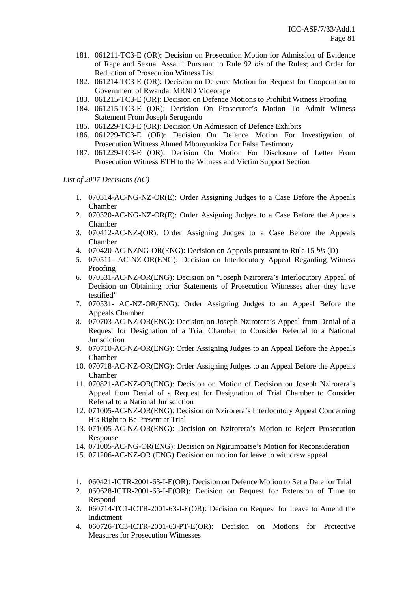- 181. 061211-TC3-E (OR): Decision on Prosecution Motion for Admission of Evidence of Rape and Sexual Assault Pursuant to Rule 92 *bis* of the Rules; and Order for Reduction of Prosecution Witness List
- 182. 061214-TC3-E (OR): Decision on Defence Motion for Request for Cooperation to Government of Rwanda: MRND Videotape
- 183. 061215-TC3-E (OR): Decision on Defence Motions to Prohibit Witness Proofing
- 184. 061215-TC3-E (OR): Decision On Prosecutor's Motion To Admit Witness Statement From Joseph Serugendo
- 185. 061229-TC3-E (OR): Decision On Admission of Defence Exhibits
- 186. 061229-TC3-E (OR): Decision On Defence Motion For Investigation of Prosecution Witness Ahmed Mbonyunkiza For False Testimony
- 187. 061229-TC3-E (OR): Decision On Motion For Disclosure of Letter From Prosecution Witness BTH to the Witness and Victim Support Section

*List of 2007 Decisions (AC)* 

- 1. 070314-AC-NG-NZ-OR(E): Order Assigning Judges to a Case Before the Appeals Chamber
- 2. 070320-AC-NG-NZ-OR(E): Order Assigning Judges to a Case Before the Appeals Chamber
- 3. 070412-AC-NZ-(OR): Order Assigning Judges to a Case Before the Appeals Chamber
- 4. 070420-AC-NZNG-OR(ENG): Decision on Appeals pursuant to Rule 15 *bis* (D)
- 5. 070511- AC-NZ-OR(ENG): Decision on Interlocutory Appeal Regarding Witness Proofing
- 6. 070531-AC-NZ-OR(ENG): Decision on "Joseph Nzirorera's Interlocutory Appeal of Decision on Obtaining prior Statements of Prosecution Witnesses after they have testified"
- 7. 070531- AC-NZ-OR(ENG): Order Assigning Judges to an Appeal Before the Appeals Chamber
- 8. 070703-AC-NZ-OR(ENG): Decision on Joseph Nzirorera's Appeal from Denial of a Request for Designation of a Trial Chamber to Consider Referral to a National Jurisdiction
- 9. 070710-AC-NZ-OR(ENG): Order Assigning Judges to an Appeal Before the Appeals Chamber
- 10. 070718-AC-NZ-OR(ENG): Order Assigning Judges to an Appeal Before the Appeals Chamber
- 11. 070821-AC-NZ-OR(ENG): Decision on Motion of Decision on Joseph Nzirorera's Appeal from Denial of a Request for Designation of Trial Chamber to Consider Referral to a National Jurisdiction
- 12. 071005-AC-NZ-OR(ENG): Decision on Nzirorera's Interlocutory Appeal Concerning His Right to Be Present at Trial
- 13. 071005-AC-NZ-OR(ENG): Decision on Nzirorera's Motion to Reject Prosecution Response
- 14. 071005-AC-NG-OR(ENG): Decision on Ngirumpatse's Motion for Reconsideration
- 15. 071206-AC-NZ-OR (ENG):Decision on motion for leave to withdraw appeal
- 1. 060421-ICTR-2001-63-I-E(OR): Decision on Defence Motion to Set a Date for Trial
- 2. 060628-ICTR-2001-63-I-E(OR): Decision on Request for Extension of Time to Respond
- 3. 060714-TC1-ICTR-2001-63-I-E(OR): Decision on Request for Leave to Amend the Indictment
- 4. 060726-TC3-ICTR-2001-63-PT-E(OR): Decision on Motions for Protective Measures for Prosecution Witnesses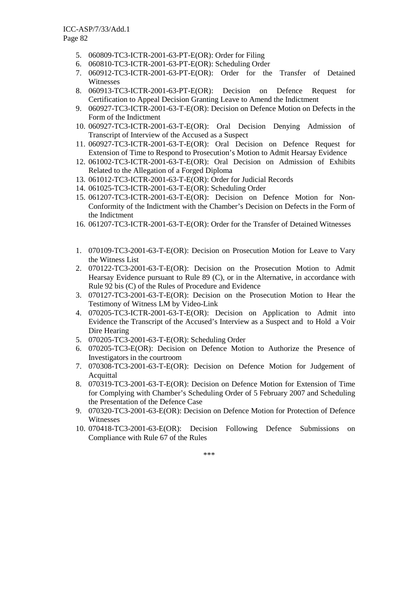- 5. 060809-TC3-ICTR-2001-63-PT-E(OR): Order for Filing
- 6. 060810-TC3-ICTR-2001-63-PT-E(OR): Scheduling Order
- 7. 060912-TC3-ICTR-2001-63-PT-E(OR): Order for the Transfer of Detained Witnesses
- 8. 060913-TC3-ICTR-2001-63-PT-E(OR): Decision on Defence Request for Certification to Appeal Decision Granting Leave to Amend the Indictment
- 9. 060927-TC3-ICTR-2001-63-T-E(OR): Decision on Defence Motion on Defects in the Form of the Indictment
- 10. 060927-TC3-ICTR-2001-63-T-E(OR): Oral Decision Denying Admission of Transcript of Interview of the Accused as a Suspect
- 11. 060927-TC3-ICTR-2001-63-T-E(OR): Oral Decision on Defence Request for Extension of Time to Respond to Prosecution's Motion to Admit Hearsay Evidence
- 12. 061002-TC3-ICTR-2001-63-T-E(OR): Oral Decision on Admission of Exhibits Related to the Allegation of a Forged Diploma
- 13. 061012-TC3-ICTR-2001-63-T-E(OR): Order for Judicial Records
- 14. 061025-TC3-ICTR-2001-63-T-E(OR): Scheduling Order
- 15. 061207-TC3-ICTR-2001-63-T-E(OR): Decision on Defence Motion for Non-Conformity of the Indictment with the Chamber's Decision on Defects in the Form of the Indictment
- 16. 061207-TC3-ICTR-2001-63-T-E(OR): Order for the Transfer of Detained Witnesses
- 1. 070109-TC3-2001-63-T-E(OR): Decision on Prosecution Motion for Leave to Vary the Witness List
- 2. 070122-TC3-2001-63-T-E(OR): Decision on the Prosecution Motion to Admit Hearsay Evidence pursuant to Rule 89 (C), or in the Alternative, in accordance with Rule 92 bis (C) of the Rules of Procedure and Evidence
- 3. 070127-TC3-2001-63-T-E(OR): Decision on the Prosecution Motion to Hear the Testimony of Witness LM by Video-Link
- 4. 070205-TC3-ICTR-2001-63-T-E(OR): Decision on Application to Admit into Evidence the Transcript of the Accused's Interview as a Suspect and to Hold a Voir Dire Hearing
- 5. 070205-TC3-2001-63-T-E(OR): Scheduling Order
- 6. 070205-TC3-E(OR): Decision on Defence Motion to Authorize the Presence of Investigators in the courtroom
- 7. 070308-TC3-2001-63-T-E(OR): Decision on Defence Motion for Judgement of Acquittal
- 8. 070319-TC3-2001-63-T-E(OR): Decision on Defence Motion for Extension of Time for Complying with Chamber's Scheduling Order of 5 February 2007 and Scheduling the Presentation of the Defence Case
- 9. 070320-TC3-2001-63-E(OR): Decision on Defence Motion for Protection of Defence Witnesses
- 10. 070418-TC3-2001-63-E(OR): Decision Following Defence Submissions on Compliance with Rule 67 of the Rules

\*\*\*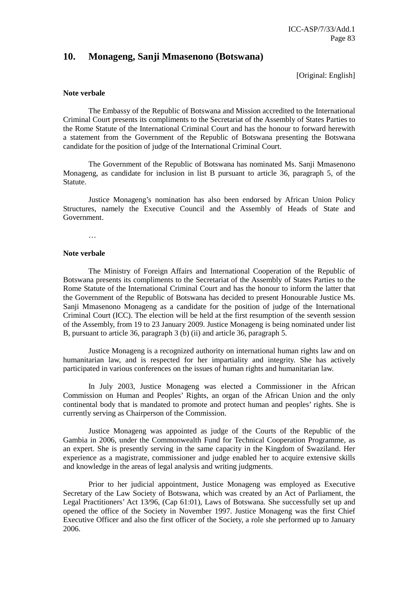## **10. Monageng, Sanji Mmasenono (Botswana)**

[Original: English]

#### **Note verbale**

 The Embassy of the Republic of Botswana and Mission accredited to the International Criminal Court presents its compliments to the Secretariat of the Assembly of States Parties to the Rome Statute of the International Criminal Court and has the honour to forward herewith a statement from the Government of the Republic of Botswana presenting the Botswana candidate for the position of judge of the International Criminal Court.

 The Government of the Republic of Botswana has nominated Ms. Sanji Mmasenono Monageng, as candidate for inclusion in list B pursuant to article 36, paragraph 5, of the Statute.

 Justice Monageng's nomination has also been endorsed by African Union Policy Structures, namely the Executive Council and the Assembly of Heads of State and Government.

…

## **Note verbale**

 The Ministry of Foreign Affairs and International Cooperation of the Republic of Botswana presents its compliments to the Secretariat of the Assembly of States Parties to the Rome Statute of the International Criminal Court and has the honour to inform the latter that the Government of the Republic of Botswana has decided to present Honourable Justice Ms. Sanji Mmasenono Monageng as a candidate for the position of judge of the International Criminal Court (ICC). The election will be held at the first resumption of the seventh session of the Assembly, from 19 to 23 January 2009. Justice Monageng is being nominated under list B, pursuant to article 36, paragraph 3 (b) (ii) and article 36, paragraph 5.

 Justice Monageng is a recognized authority on international human rights law and on humanitarian law, and is respected for her impartiality and integrity. She has actively participated in various conferences on the issues of human rights and humanitarian law.

 In July 2003, Justice Monageng was elected a Commissioner in the African Commission on Human and Peoples' Rights, an organ of the African Union and the only continental body that is mandated to promote and protect human and peoples' rights. She is currently serving as Chairperson of the Commission.

 Justice Monageng was appointed as judge of the Courts of the Republic of the Gambia in 2006, under the Commonwealth Fund for Technical Cooperation Programme, as an expert. She is presently serving in the same capacity in the Kingdom of Swaziland. Her experience as a magistrate, commissioner and judge enabled her to acquire extensive skills and knowledge in the areas of legal analysis and writing judgments.

 Prior to her judicial appointment, Justice Monageng was employed as Executive Secretary of the Law Society of Botswana, which was created by an Act of Parliament, the Legal Practitioners' Act 13/96, (Cap 61:01), Laws of Botswana. She successfully set up and opened the office of the Society in November 1997. Justice Monageng was the first Chief Executive Officer and also the first officer of the Society, a role she performed up to January 2006.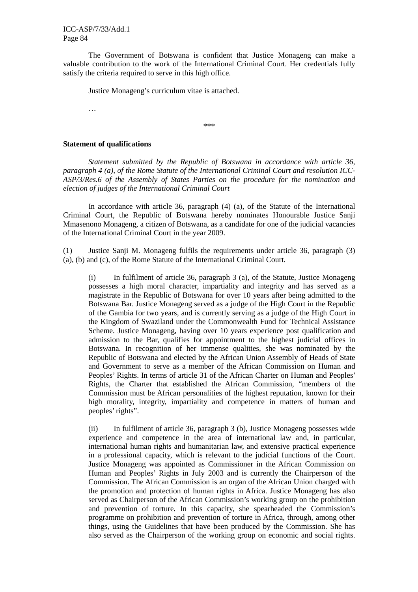The Government of Botswana is confident that Justice Monageng can make a valuable contribution to the work of the International Criminal Court. Her credentials fully satisfy the criteria required to serve in this high office.

Justice Monageng's curriculum vitae is attached.

…

\*\*\*

#### **Statement of qualifications**

 *Statement submitted by the Republic of Botswana in accordance with article 36, paragraph 4 (a), of the Rome Statute of the International Criminal Court and resolution ICC-ASP/3/Res.6 of the Assembly of States Parties on the procedure for the nomination and election of judges of the International Criminal Court* 

 In accordance with article 36, paragraph (4) (a), of the Statute of the International Criminal Court, the Republic of Botswana hereby nominates Honourable Justice Sanji Mmasenono Monageng, a citizen of Botswana, as a candidate for one of the judicial vacancies of the International Criminal Court in the year 2009.

(1) Justice Sanji M. Monageng fulfils the requirements under article 36, paragraph (3) (a), (b) and (c), of the Rome Statute of the International Criminal Court.

 (i) In fulfilment of article 36, paragraph 3 (a), of the Statute, Justice Monageng possesses a high moral character, impartiality and integrity and has served as a magistrate in the Republic of Botswana for over 10 years after being admitted to the Botswana Bar. Justice Monageng served as a judge of the High Court in the Republic of the Gambia for two years, and is currently serving as a judge of the High Court in the Kingdom of Swaziland under the Commonwealth Fund for Technical Assistance Scheme. Justice Monageng, having over 10 years experience post qualification and admission to the Bar, qualifies for appointment to the highest judicial offices in Botswana. In recognition of her immense qualities, she was nominated by the Republic of Botswana and elected by the African Union Assembly of Heads of State and Government to serve as a member of the African Commission on Human and Peoples' Rights. In terms of article 31 of the African Charter on Human and Peoples' Rights, the Charter that established the African Commission, "members of the Commission must be African personalities of the highest reputation, known for their high morality, integrity, impartiality and competence in matters of human and peoples' rights".

 (ii) In fulfilment of article 36, paragraph 3 (b), Justice Monageng possesses wide experience and competence in the area of international law and, in particular, international human rights and humanitarian law, and extensive practical experience in a professional capacity, which is relevant to the judicial functions of the Court. Justice Monageng was appointed as Commissioner in the African Commission on Human and Peoples' Rights in July 2003 and is currently the Chairperson of the Commission. The African Commission is an organ of the African Union charged with the promotion and protection of human rights in Africa. Justice Monageng has also served as Chairperson of the African Commission's working group on the prohibition and prevention of torture. In this capacity, she spearheaded the Commission's programme on prohibition and prevention of torture in Africa, through, among other things, using the Guidelines that have been produced by the Commission. She has also served as the Chairperson of the working group on economic and social rights.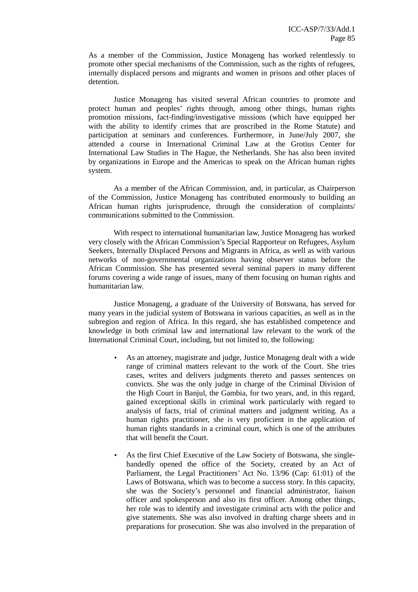As a member of the Commission, Justice Monageng has worked relentlessly to promote other special mechanisms of the Commission, such as the rights of refugees, internally displaced persons and migrants and women in prisons and other places of detention.

 Justice Monageng has visited several African countries to promote and protect human and peoples' rights through, among other things, human rights promotion missions, fact-finding/investigative missions (which have equipped her with the ability to identify crimes that are proscribed in the Rome Statute) and participation at seminars and conferences. Furthermore, in June/July 2007, she attended a course in International Criminal Law at the Grotius Center for International Law Studies in The Hague, the Netherlands. She has also been invited by organizations in Europe and the Americas to speak on the African human rights system.

 As a member of the African Commission, and, in particular, as Chairperson of the Commission, Justice Monageng has contributed enormously to building an African human rights jurisprudence, through the consideration of complaints/ communications submitted to the Commission.

 With respect to international humanitarian law, Justice Monageng has worked very closely with the African Commission's Special Rapporteur on Refugees, Asylum Seekers, Internally Displaced Persons and Migrants in Africa, as well as with various networks of non-governmental organizations having observer status before the African Commission. She has presented several seminal papers in many different forums covering a wide range of issues, many of them focusing on human rights and humanitarian law.

 Justice Monageng, a graduate of the University of Botswana, has served for many years in the judicial system of Botswana in various capacities, as well as in the subregion and region of Africa. In this regard, she has established competence and knowledge in both criminal law and international law relevant to the work of the International Criminal Court, including, but not limited to, the following:

- As an attorney, magistrate and judge, Justice Monageng dealt with a wide range of criminal matters relevant to the work of the Court. She tries cases, writes and delivers judgments thereto and passes sentences on convicts. She was the only judge in charge of the Criminal Division of the High Court in Banjul, the Gambia, for two years, and, in this regard, gained exceptional skills in criminal work particularly with regard to analysis of facts, trial of criminal matters and judgment writing. As a human rights practitioner, she is very proficient in the application of human rights standards in a criminal court, which is one of the attributes that will benefit the Court.
- As the first Chief Executive of the Law Society of Botswana, she singlehandedly opened the office of the Society, created by an Act of Parliament, the Legal Practitioners' Act No. 13/96 (Cap: 61:01) of the Laws of Botswana, which was to become a success story. In this capacity, she was the Society's personnel and financial administrator, liaison officer and spokesperson and also its first officer. Among other things, her role was to identify and investigate criminal acts with the police and give statements. She was also involved in drafting charge sheets and in preparations for prosecution. She was also involved in the preparation of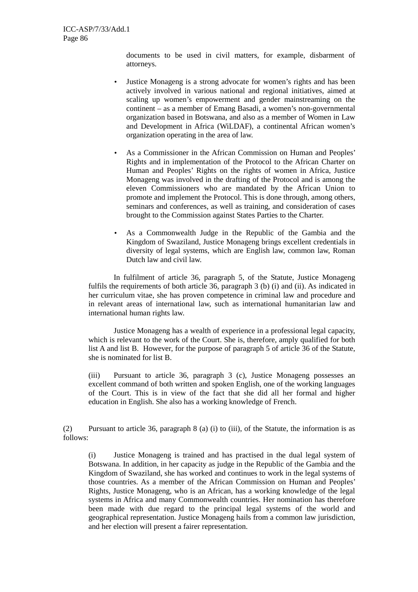documents to be used in civil matters, for example, disbarment of attorneys.

- Justice Monageng is a strong advocate for women's rights and has been actively involved in various national and regional initiatives, aimed at scaling up women's empowerment and gender mainstreaming on the continent – as a member of Emang Basadi, a women's non-governmental organization based in Botswana, and also as a member of Women in Law and Development in Africa (WiLDAF), a continental African women's organization operating in the area of law.
- As a Commissioner in the African Commission on Human and Peoples' Rights and in implementation of the Protocol to the African Charter on Human and Peoples' Rights on the rights of women in Africa, Justice Monageng was involved in the drafting of the Protocol and is among the eleven Commissioners who are mandated by the African Union to promote and implement the Protocol. This is done through, among others, seminars and conferences, as well as training, and consideration of cases brought to the Commission against States Parties to the Charter.
- As a Commonwealth Judge in the Republic of the Gambia and the Kingdom of Swaziland, Justice Monageng brings excellent credentials in diversity of legal systems, which are English law, common law, Roman Dutch law and civil law.

 In fulfilment of article 36, paragraph 5, of the Statute, Justice Monageng fulfils the requirements of both article 36, paragraph 3 (b) (i) and (ii). As indicated in her curriculum vitae, she has proven competence in criminal law and procedure and in relevant areas of international law, such as international humanitarian law and international human rights law.

 Justice Monageng has a wealth of experience in a professional legal capacity, which is relevant to the work of the Court. She is, therefore, amply qualified for both list A and list B. However, for the purpose of paragraph 5 of article 36 of the Statute, she is nominated for list B.

 (iii) Pursuant to article 36, paragraph 3 (c), Justice Monageng possesses an excellent command of both written and spoken English, one of the working languages of the Court. This is in view of the fact that she did all her formal and higher education in English. She also has a working knowledge of French.

(2) Pursuant to article 36, paragraph 8 (a) (i) to (iii), of the Statute, the information is as follows:

 (i) Justice Monageng is trained and has practised in the dual legal system of Botswana. In addition, in her capacity as judge in the Republic of the Gambia and the Kingdom of Swaziland, she has worked and continues to work in the legal systems of those countries. As a member of the African Commission on Human and Peoples' Rights, Justice Monageng, who is an African, has a working knowledge of the legal systems in Africa and many Commonwealth countries. Her nomination has therefore been made with due regard to the principal legal systems of the world and geographical representation. Justice Monageng hails from a common law jurisdiction, and her election will present a fairer representation.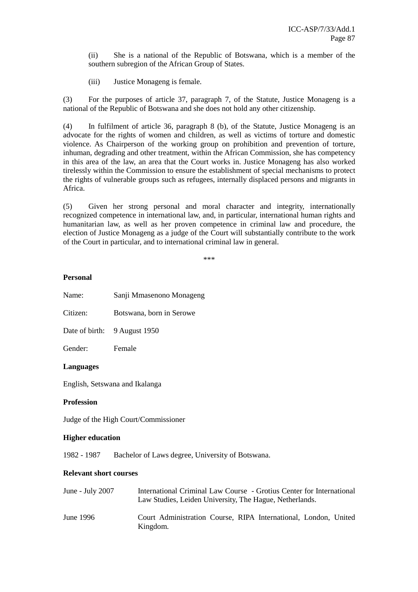(ii) She is a national of the Republic of Botswana, which is a member of the southern subregion of the African Group of States.

(iii) Justice Monageng is female.

 (3) For the purposes of article 37, paragraph 7, of the Statute, Justice Monageng is a national of the Republic of Botswana and she does not hold any other citizenship.

(4) In fulfilment of article 36, paragraph 8 (b), of the Statute, Justice Monageng is an advocate for the rights of women and children, as well as victims of torture and domestic violence. As Chairperson of the working group on prohibition and prevention of torture, inhuman, degrading and other treatment, within the African Commission, she has competency in this area of the law, an area that the Court works in. Justice Monageng has also worked tirelessly within the Commission to ensure the establishment of special mechanisms to protect the rights of vulnerable groups such as refugees, internally displaced persons and migrants in Africa.

(5) Given her strong personal and moral character and integrity, internationally recognized competence in international law, and, in particular, international human rights and humanitarian law, as well as her proven competence in criminal law and procedure, the election of Justice Monageng as a judge of the Court will substantially contribute to the work of the Court in particular, and to international criminal law in general.

\*\*\*

#### **Personal**

| Name:<br>Sanji Mmasenono Monageng |  |
|-----------------------------------|--|
|-----------------------------------|--|

Citizen: Botswana, born in Serowe

Date of birth: 9 August 1950

Gender: Female

#### **Languages**

English, Setswana and Ikalanga

#### **Profession**

Judge of the High Court/Commissioner

#### **Higher education**

1982 - 1987 Bachelor of Laws degree, University of Botswana.

#### **Relevant short courses**

| June - July $2007$ | International Criminal Law Course - Grotius Center for International<br>Law Studies, Leiden University, The Hague, Netherlands. |
|--------------------|---------------------------------------------------------------------------------------------------------------------------------|
| June 1996          | Court Administration Course, RIPA International, London, United<br>Kingdom.                                                     |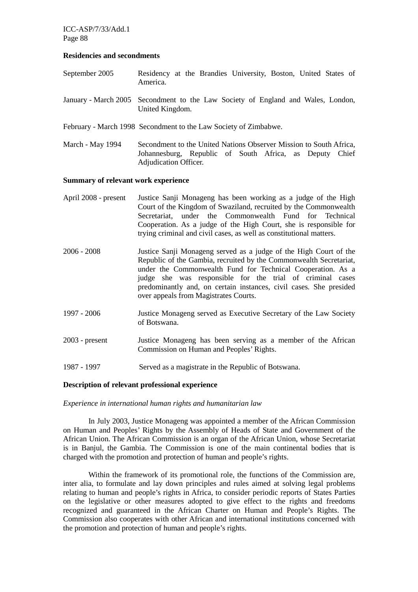ICC-ASP/7/33/Add.1 Page 88

#### **Residencies and secondments**

- September 2005 Residency at the Brandies University, Boston, United States of America.
- January March 2005 Secondment to the Law Society of England and Wales, London, United Kingdom.
- February March 1998 Secondment to the Law Society of Zimbabwe.
- March May 1994 Secondment to the United Nations Observer Mission to South Africa, Johannesburg, Republic of South Africa, as Deputy Chief Adjudication Officer.

#### **Summary of relevant work experience**

- April 2008 present Justice Sanji Monageng has been working as a judge of the High Court of the Kingdom of Swaziland, recruited by the Commonwealth Secretariat, under the Commonwealth Fund for Technical Cooperation. As a judge of the High Court, she is responsible for trying criminal and civil cases, as well as constitutional matters.
- 2006 2008 Justice Sanji Monageng served as a judge of the High Court of the Republic of the Gambia, recruited by the Commonwealth Secretariat, under the Commonwealth Fund for Technical Cooperation. As a judge she was responsible for the trial of criminal cases predominantly and, on certain instances, civil cases. She presided over appeals from Magistrates Courts.
- 1997 2006 Justice Monageng served as Executive Secretary of the Law Society of Botswana.
- 2003 present Justice Monageng has been serving as a member of the African Commission on Human and Peoples' Rights.
- 1987 1997 Served as a magistrate in the Republic of Botswana.

### **Description of relevant professional experience**

#### *Experience in international human rights and humanitarian law*

 In July 2003, Justice Monageng was appointed a member of the African Commission on Human and Peoples' Rights by the Assembly of Heads of State and Government of the African Union. The African Commission is an organ of the African Union, whose Secretariat is in Banjul, the Gambia. The Commission is one of the main continental bodies that is charged with the promotion and protection of human and people's rights.

 Within the framework of its promotional role, the functions of the Commission are, inter alia, to formulate and lay down principles and rules aimed at solving legal problems relating to human and people's rights in Africa, to consider periodic reports of States Parties on the legislative or other measures adopted to give effect to the rights and freedoms recognized and guaranteed in the African Charter on Human and People's Rights. The Commission also cooperates with other African and international institutions concerned with the promotion and protection of human and people's rights.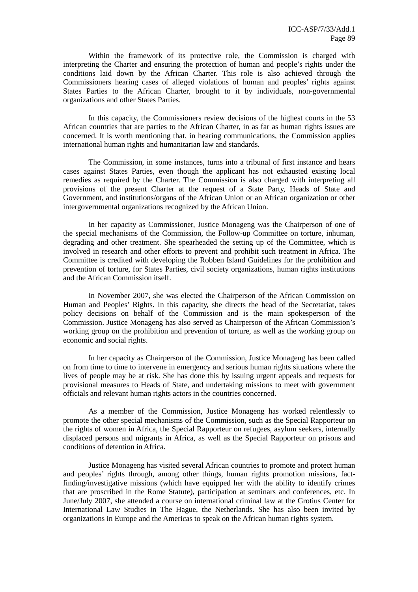Within the framework of its protective role, the Commission is charged with interpreting the Charter and ensuring the protection of human and people's rights under the conditions laid down by the African Charter. This role is also achieved through the Commissioners hearing cases of alleged violations of human and peoples' rights against States Parties to the African Charter, brought to it by individuals, non-governmental organizations and other States Parties.

 In this capacity, the Commissioners review decisions of the highest courts in the 53 African countries that are parties to the African Charter, in as far as human rights issues are concerned. It is worth mentioning that, in hearing communications, the Commission applies international human rights and humanitarian law and standards.

 The Commission, in some instances, turns into a tribunal of first instance and hears cases against States Parties, even though the applicant has not exhausted existing local remedies as required by the Charter. The Commission is also charged with interpreting all provisions of the present Charter at the request of a State Party, Heads of State and Government, and institutions/organs of the African Union or an African organization or other intergovernmental organizations recognized by the African Union.

 In her capacity as Commissioner, Justice Monageng was the Chairperson of one of the special mechanisms of the Commission, the Follow-up Committee on torture, inhuman, degrading and other treatment. She spearheaded the setting up of the Committee, which is involved in research and other efforts to prevent and prohibit such treatment in Africa. The Committee is credited with developing the Robben Island Guidelines for the prohibition and prevention of torture, for States Parties, civil society organizations, human rights institutions and the African Commission itself.

 In November 2007, she was elected the Chairperson of the African Commission on Human and Peoples' Rights. In this capacity, she directs the head of the Secretariat, takes policy decisions on behalf of the Commission and is the main spokesperson of the Commission. Justice Monageng has also served as Chairperson of the African Commission's working group on the prohibition and prevention of torture, as well as the working group on economic and social rights.

 In her capacity as Chairperson of the Commission, Justice Monageng has been called on from time to time to intervene in emergency and serious human rights situations where the lives of people may be at risk. She has done this by issuing urgent appeals and requests for provisional measures to Heads of State, and undertaking missions to meet with government officials and relevant human rights actors in the countries concerned.

 As a member of the Commission, Justice Monageng has worked relentlessly to promote the other special mechanisms of the Commission, such as the Special Rapporteur on the rights of women in Africa, the Special Rapporteur on refugees, asylum seekers, internally displaced persons and migrants in Africa, as well as the Special Rapporteur on prisons and conditions of detention in Africa.

 Justice Monageng has visited several African countries to promote and protect human and peoples' rights through, among other things, human rights promotion missions, factfinding/investigative missions (which have equipped her with the ability to identify crimes that are proscribed in the Rome Statute), participation at seminars and conferences, etc. In June/July 2007, she attended a course on international criminal law at the Grotius Center for International Law Studies in The Hague, the Netherlands. She has also been invited by organizations in Europe and the Americas to speak on the African human rights system.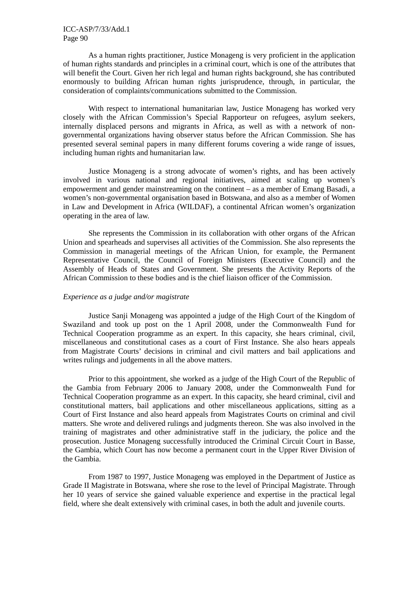As a human rights practitioner, Justice Monageng is very proficient in the application of human rights standards and principles in a criminal court, which is one of the attributes that will benefit the Court. Given her rich legal and human rights background, she has contributed enormously to building African human rights jurisprudence, through, in particular, the consideration of complaints/communications submitted to the Commission.

 With respect to international humanitarian law, Justice Monageng has worked very closely with the African Commission's Special Rapporteur on refugees, asylum seekers, internally displaced persons and migrants in Africa, as well as with a network of nongovernmental organizations having observer status before the African Commission. She has presented several seminal papers in many different forums covering a wide range of issues, including human rights and humanitarian law.

 Justice Monageng is a strong advocate of women's rights, and has been actively involved in various national and regional initiatives, aimed at scaling up women's empowerment and gender mainstreaming on the continent – as a member of Emang Basadi, a women's non-governmental organisation based in Botswana, and also as a member of Women in Law and Development in Africa (WILDAF), a continental African women's organization operating in the area of law.

 She represents the Commission in its collaboration with other organs of the African Union and spearheads and supervises all activities of the Commission. She also represents the Commission in managerial meetings of the African Union, for example, the Permanent Representative Council, the Council of Foreign Ministers (Executive Council) and the Assembly of Heads of States and Government. She presents the Activity Reports of the African Commission to these bodies and is the chief liaison officer of the Commission.

## *Experience as a judge and/or magistrate*

 Justice Sanji Monageng was appointed a judge of the High Court of the Kingdom of Swaziland and took up post on the 1 April 2008, under the Commonwealth Fund for Technical Cooperation programme as an expert. In this capacity, she hears criminal, civil, miscellaneous and constitutional cases as a court of First Instance. She also hears appeals from Magistrate Courts' decisions in criminal and civil matters and bail applications and writes rulings and judgements in all the above matters.

 Prior to this appointment, she worked as a judge of the High Court of the Republic of the Gambia from February 2006 to January 2008, under the Commonwealth Fund for Technical Cooperation programme as an expert. In this capacity, she heard criminal, civil and constitutional matters, bail applications and other miscellaneous applications, sitting as a Court of First Instance and also heard appeals from Magistrates Courts on criminal and civil matters. She wrote and delivered rulings and judgments thereon. She was also involved in the training of magistrates and other administrative staff in the judiciary, the police and the prosecution. Justice Monageng successfully introduced the Criminal Circuit Court in Basse, the Gambia, which Court has now become a permanent court in the Upper River Division of the Gambia.

 From 1987 to 1997, Justice Monageng was employed in the Department of Justice as Grade II Magistrate in Botswana, where she rose to the level of Principal Magistrate. Through her 10 years of service she gained valuable experience and expertise in the practical legal field, where she dealt extensively with criminal cases, in both the adult and juvenile courts.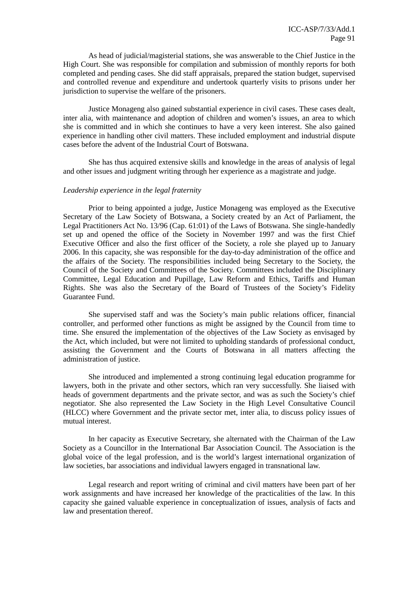As head of judicial/magisterial stations, she was answerable to the Chief Justice in the High Court. She was responsible for compilation and submission of monthly reports for both completed and pending cases. She did staff appraisals, prepared the station budget, supervised and controlled revenue and expenditure and undertook quarterly visits to prisons under her jurisdiction to supervise the welfare of the prisoners.

 Justice Monageng also gained substantial experience in civil cases. These cases dealt, inter alia, with maintenance and adoption of children and women's issues, an area to which she is committed and in which she continues to have a very keen interest. She also gained experience in handling other civil matters. These included employment and industrial dispute cases before the advent of the Industrial Court of Botswana.

 She has thus acquired extensive skills and knowledge in the areas of analysis of legal and other issues and judgment writing through her experience as a magistrate and judge.

### *Leadership experience in the legal fraternity*

 Prior to being appointed a judge, Justice Monageng was employed as the Executive Secretary of the Law Society of Botswana, a Society created by an Act of Parliament, the Legal Practitioners Act No. 13/96 (Cap. 61:01) of the Laws of Botswana. She single-handedly set up and opened the office of the Society in November 1997 and was the first Chief Executive Officer and also the first officer of the Society, a role she played up to January 2006. In this capacity, she was responsible for the day-to-day administration of the office and the affairs of the Society. The responsibilities included being Secretary to the Society, the Council of the Society and Committees of the Society. Committees included the Disciplinary Committee, Legal Education and Pupillage, Law Reform and Ethics, Tariffs and Human Rights. She was also the Secretary of the Board of Trustees of the Society's Fidelity Guarantee Fund.

 She supervised staff and was the Society's main public relations officer, financial controller, and performed other functions as might be assigned by the Council from time to time. She ensured the implementation of the objectives of the Law Society as envisaged by the Act, which included, but were not limited to upholding standards of professional conduct, assisting the Government and the Courts of Botswana in all matters affecting the administration of justice.

 She introduced and implemented a strong continuing legal education programme for lawyers, both in the private and other sectors, which ran very successfully. She liaised with heads of government departments and the private sector, and was as such the Society's chief negotiator. She also represented the Law Society in the High Level Consultative Council (HLCC) where Government and the private sector met, inter alia, to discuss policy issues of mutual interest.

 In her capacity as Executive Secretary, she alternated with the Chairman of the Law Society as a Councillor in the International Bar Association Council. The Association is the global voice of the legal profession, and is the world's largest international organization of law societies, bar associations and individual lawyers engaged in transnational law.

 Legal research and report writing of criminal and civil matters have been part of her work assignments and have increased her knowledge of the practicalities of the law. In this capacity she gained valuable experience in conceptualization of issues, analysis of facts and law and presentation thereof.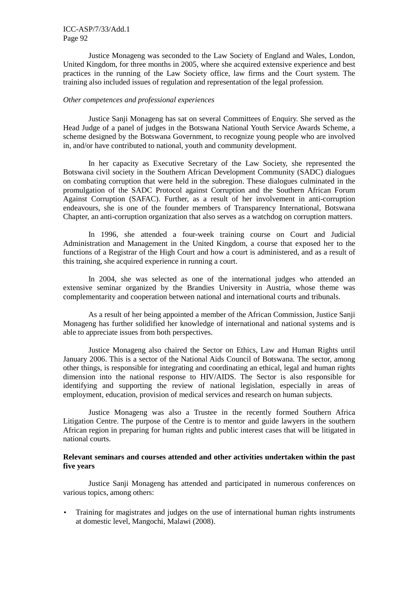## ICC-ASP/7/33/Add.1 Page 92

 Justice Monageng was seconded to the Law Society of England and Wales, London, United Kingdom, for three months in 2005, where she acquired extensive experience and best practices in the running of the Law Society office, law firms and the Court system. The training also included issues of regulation and representation of the legal profession.

#### *Other competences and professional experiences*

 Justice Sanji Monageng has sat on several Committees of Enquiry. She served as the Head Judge of a panel of judges in the Botswana National Youth Service Awards Scheme, a scheme designed by the Botswana Government, to recognize young people who are involved in, and/or have contributed to national, youth and community development.

 In her capacity as Executive Secretary of the Law Society, she represented the Botswana civil society in the Southern African Development Community (SADC) dialogues on combating corruption that were held in the subregion. These dialogues culminated in the promulgation of the SADC Protocol against Corruption and the Southern African Forum Against Corruption (SAFAC). Further, as a result of her involvement in anti-corruption endeavours, she is one of the founder members of Transparency International, Botswana Chapter, an anti-corruption organization that also serves as a watchdog on corruption matters.

 In 1996, she attended a four-week training course on Court and Judicial Administration and Management in the United Kingdom, a course that exposed her to the functions of a Registrar of the High Court and how a court is administered, and as a result of this training, she acquired experience in running a court.

 In 2004, she was selected as one of the international judges who attended an extensive seminar organized by the Brandies University in Austria, whose theme was complementarity and cooperation between national and international courts and tribunals.

 As a result of her being appointed a member of the African Commission, Justice Sanji Monageng has further solidified her knowledge of international and national systems and is able to appreciate issues from both perspectives.

 Justice Monageng also chaired the Sector on Ethics, Law and Human Rights until January 2006. This is a sector of the National Aids Council of Botswana. The sector, among other things, is responsible for integrating and coordinating an ethical, legal and human rights dimension into the national response to HIV/AIDS. The Sector is also responsible for identifying and supporting the review of national legislation, especially in areas of employment, education, provision of medical services and research on human subjects.

 Justice Monageng was also a Trustee in the recently formed Southern Africa Litigation Centre. The purpose of the Centre is to mentor and guide lawyers in the southern African region in preparing for human rights and public interest cases that will be litigated in national courts.

## **Relevant seminars and courses attended and other activities undertaken within the past five years**

 Justice Sanji Monageng has attended and participated in numerous conferences on various topics, among others:

• Training for magistrates and judges on the use of international human rights instruments at domestic level, Mangochi, Malawi (2008).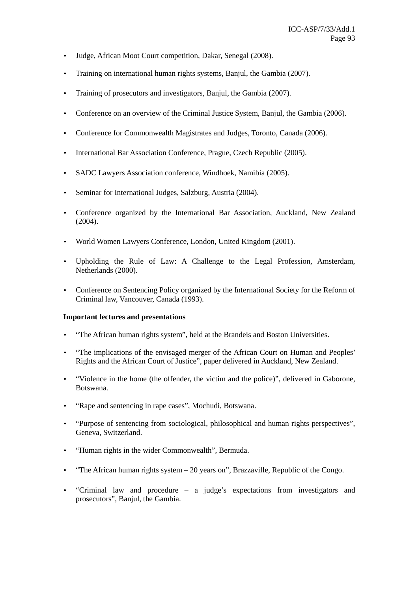- Judge, African Moot Court competition, Dakar, Senegal (2008).
- Training on international human rights systems, Banjul, the Gambia (2007).
- Training of prosecutors and investigators, Banjul, the Gambia (2007).
- Conference on an overview of the Criminal Justice System, Banjul, the Gambia (2006).
- Conference for Commonwealth Magistrates and Judges, Toronto, Canada (2006).
- International Bar Association Conference, Prague, Czech Republic (2005).
- SADC Lawyers Association conference, Windhoek, Namibia (2005).
- Seminar for International Judges, Salzburg, Austria (2004).
- Conference organized by the International Bar Association, Auckland, New Zealand (2004).
- World Women Lawyers Conference, London, United Kingdom (2001).
- Upholding the Rule of Law: A Challenge to the Legal Profession, Amsterdam, Netherlands (2000).
- Conference on Sentencing Policy organized by the International Society for the Reform of Criminal law, Vancouver, Canada (1993).

## **Important lectures and presentations**

- "The African human rights system", held at the Brandeis and Boston Universities.
- "The implications of the envisaged merger of the African Court on Human and Peoples' Rights and the African Court of Justice", paper delivered in Auckland, New Zealand.
- "Violence in the home (the offender, the victim and the police)", delivered in Gaborone, Botswana.
- "Rape and sentencing in rape cases", Mochudi, Botswana.
- "Purpose of sentencing from sociological, philosophical and human rights perspectives", Geneva, Switzerland.
- "Human rights in the wider Commonwealth", Bermuda.
- "The African human rights system 20 years on", Brazzaville, Republic of the Congo.
- "Criminal law and procedure a judge's expectations from investigators and prosecutors", Banjul, the Gambia.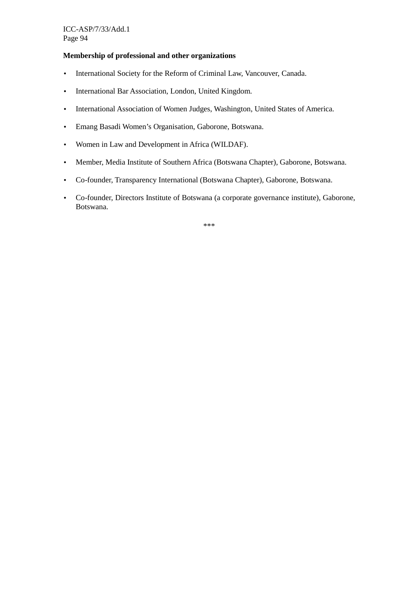## **Membership of professional and other organizations**

- International Society for the Reform of Criminal Law, Vancouver, Canada.
- International Bar Association, London, United Kingdom.
- International Association of Women Judges, Washington, United States of America.
- Emang Basadi Women's Organisation, Gaborone, Botswana.
- Women in Law and Development in Africa (WILDAF).
- Member, Media Institute of Southern Africa (Botswana Chapter), Gaborone, Botswana.
- Co-founder, Transparency International (Botswana Chapter), Gaborone, Botswana.
- Co-founder, Directors Institute of Botswana (a corporate governance institute), Gaborone, Botswana.

\*\*\*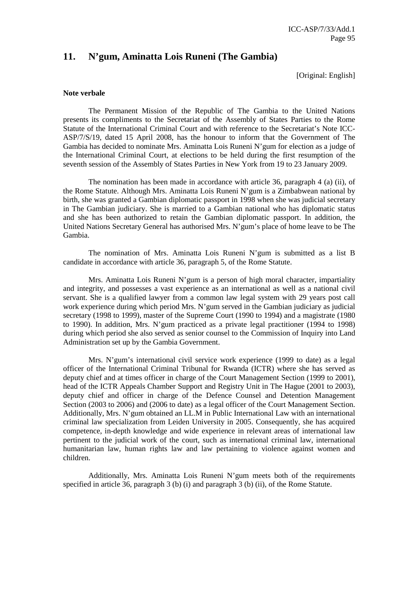## **11. N'gum, Aminatta Lois Runeni (The Gambia)**

[Original: English]

#### **Note verbale**

 The Permanent Mission of the Republic of The Gambia to the United Nations presents its compliments to the Secretariat of the Assembly of States Parties to the Rome Statute of the International Criminal Court and with reference to the Secretariat's Note ICC-ASP/7/S/19, dated 15 April 2008, has the honour to inform that the Government of The Gambia has decided to nominate Mrs. Aminatta Lois Runeni N'gum for election as a judge of the International Criminal Court, at elections to be held during the first resumption of the seventh session of the Assembly of States Parties in New York from 19 to 23 January 2009.

 The nomination has been made in accordance with article 36, paragraph 4 (a) (ii), of the Rome Statute. Although Mrs. Aminatta Lois Runeni N'gum is a Zimbabwean national by birth, she was granted a Gambian diplomatic passport in 1998 when she was judicial secretary in The Gambian judiciary. She is married to a Gambian national who has diplomatic status and she has been authorized to retain the Gambian diplomatic passport. In addition, the United Nations Secretary General has authorised Mrs. N'gum's place of home leave to be The Gambia.

 The nomination of Mrs. Aminatta Lois Runeni N'gum is submitted as a list B candidate in accordance with article 36, paragraph 5, of the Rome Statute.

 Mrs. Aminatta Lois Runeni N'gum is a person of high moral character, impartiality and integrity, and possesses a vast experience as an international as well as a national civil servant. She is a qualified lawyer from a common law legal system with 29 years post call work experience during which period Mrs. N'gum served in the Gambian judiciary as judicial secretary (1998 to 1999), master of the Supreme Court (1990 to 1994) and a magistrate (1980 to 1990). In addition, Mrs. N'gum practiced as a private legal practitioner (1994 to 1998) during which period she also served as senior counsel to the Commission of Inquiry into Land Administration set up by the Gambia Government.

 Mrs. N'gum's international civil service work experience (1999 to date) as a legal officer of the International Criminal Tribunal for Rwanda (ICTR) where she has served as deputy chief and at times officer in charge of the Court Management Section (1999 to 2001), head of the ICTR Appeals Chamber Support and Registry Unit in The Hague (2001 to 2003), deputy chief and officer in charge of the Defence Counsel and Detention Management Section (2003 to 2006) and (2006 to date) as a legal officer of the Court Management Section. Additionally, Mrs. N'gum obtained an LL.M in Public International Law with an international criminal law specialization from Leiden University in 2005. Consequently, she has acquired competence, in-depth knowledge and wide experience in relevant areas of international law pertinent to the judicial work of the court, such as international criminal law, international humanitarian law, human rights law and law pertaining to violence against women and children.

 Additionally, Mrs. Aminatta Lois Runeni N'gum meets both of the requirements specified in article 36, paragraph 3 (b) (i) and paragraph 3 (b) (ii), of the Rome Statute.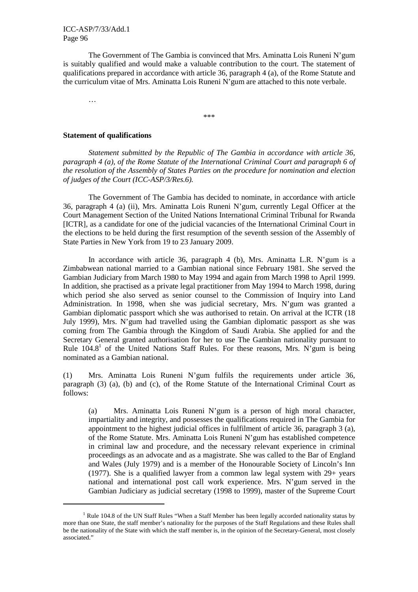The Government of The Gambia is convinced that Mrs. Aminatta Lois Runeni N'gum is suitably qualified and would make a valuable contribution to the court. The statement of qualifications prepared in accordance with article 36, paragraph 4 (a), of the Rome Statute and the curriculum vitae of Mrs. Aminatta Lois Runeni N'gum are attached to this note verbale.

\*\*\*

…

 $\overline{a}$ 

#### **Statement of qualifications**

*Statement submitted by the Republic of The Gambia in accordance with article 36, paragraph 4 (a), of the Rome Statute of the International Criminal Court and paragraph 6 of the resolution of the Assembly of States Parties on the procedure for nomination and election of judges of the Court (ICC-ASP/3/Res.6).* 

 The Government of The Gambia has decided to nominate, in accordance with article 36, paragraph 4 (a) (ii), Mrs. Aminatta Lois Runeni N'gum, currently Legal Officer at the Court Management Section of the United Nations International Criminal Tribunal for Rwanda [ICTR], as a candidate for one of the judicial vacancies of the International Criminal Court in the elections to be held during the first resumption of the seventh session of the Assembly of State Parties in New York from 19 to 23 January 2009.

 In accordance with article 36, paragraph 4 (b), Mrs. Aminatta L.R. N'gum is a Zimbabwean national married to a Gambian national since February 1981. She served the Gambian Judiciary from March 1980 to May 1994 and again from March 1998 to April 1999. In addition, she practised as a private legal practitioner from May 1994 to March 1998, during which period she also served as senior counsel to the Commission of Inquiry into Land Administration. In 1998, when she was judicial secretary, Mrs. N'gum was granted a Gambian diplomatic passport which she was authorised to retain. On arrival at the ICTR (18 July 1999), Mrs. N'gum had travelled using the Gambian diplomatic passport as she was coming from The Gambia through the Kingdom of Saudi Arabia. She applied for and the Secretary General granted authorisation for her to use The Gambian nationality pursuant to Rule  $104.8<sup>1</sup>$  of the United Nations Staff Rules. For these reasons, Mrs. N'gum is being nominated as a Gambian national.

(1) Mrs. Aminatta Lois Runeni N'gum fulfils the requirements under article 36, paragraph (3) (a), (b) and (c), of the Rome Statute of the International Criminal Court as follows:

(a) Mrs. Aminatta Lois Runeni N'gum is a person of high moral character, impartiality and integrity, and possesses the qualifications required in The Gambia for appointment to the highest judicial offices in fulfilment of article 36, paragraph 3 (a), of the Rome Statute. Mrs. Aminatta Lois Runeni N'gum has established competence in criminal law and procedure, and the necessary relevant experience in criminal proceedings as an advocate and as a magistrate. She was called to the Bar of England and Wales (July 1979) and is a member of the Honourable Society of Lincoln's Inn (1977). She is a qualified lawyer from a common law legal system with 29+ years national and international post call work experience. Mrs. N'gum served in the Gambian Judiciary as judicial secretary (1998 to 1999), master of the Supreme Court

<sup>&</sup>lt;sup>1</sup> Rule 104.8 of the UN Staff Rules "When a Staff Member has been legally accorded nationality status by more than one State, the staff member's nationality for the purposes of the Staff Regulations and these Rules shall be the nationality of the State with which the staff member is, in the opinion of the Secretary-General, most closely associated."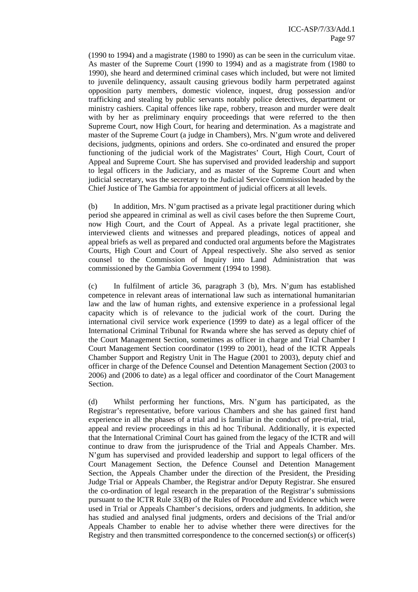(1990 to 1994) and a magistrate (1980 to 1990) as can be seen in the curriculum vitae. As master of the Supreme Court (1990 to 1994) and as a magistrate from (1980 to 1990), she heard and determined criminal cases which included, but were not limited to juvenile delinquency, assault causing grievous bodily harm perpetrated against opposition party members, domestic violence, inquest, drug possession and/or trafficking and stealing by public servants notably police detectives, department or ministry cashiers. Capital offences like rape, robbery, treason and murder were dealt with by her as preliminary enquiry proceedings that were referred to the then Supreme Court, now High Court, for hearing and determination. As a magistrate and master of the Supreme Court (a judge in Chambers), Mrs. N'gum wrote and delivered decisions, judgments, opinions and orders. She co-ordinated and ensured the proper functioning of the judicial work of the Magistrates' Court, High Court, Court of Appeal and Supreme Court. She has supervised and provided leadership and support to legal officers in the Judiciary, and as master of the Supreme Court and when judicial secretary, was the secretary to the Judicial Service Commission headed by the Chief Justice of The Gambia for appointment of judicial officers at all levels.

(b) In addition, Mrs. N'gum practised as a private legal practitioner during which period she appeared in criminal as well as civil cases before the then Supreme Court, now High Court, and the Court of Appeal. As a private legal practitioner, she interviewed clients and witnesses and prepared pleadings, notices of appeal and appeal briefs as well as prepared and conducted oral arguments before the Magistrates Courts, High Court and Court of Appeal respectively. She also served as senior counsel to the Commission of Inquiry into Land Administration that was commissioned by the Gambia Government (1994 to 1998).

(c) In fulfilment of article 36, paragraph 3 (b), Mrs. N'gum has established competence in relevant areas of international law such as international humanitarian law and the law of human rights, and extensive experience in a professional legal capacity which is of relevance to the judicial work of the court. During the international civil service work experience (1999 to date) as a legal officer of the International Criminal Tribunal for Rwanda where she has served as deputy chief of the Court Management Section, sometimes as officer in charge and Trial Chamber I Court Management Section coordinator (1999 to 2001), head of the ICTR Appeals Chamber Support and Registry Unit in The Hague (2001 to 2003), deputy chief and officer in charge of the Defence Counsel and Detention Management Section (2003 to 2006) and (2006 to date) as a legal officer and coordinator of the Court Management Section.

(d) Whilst performing her functions, Mrs. N'gum has participated, as the Registrar's representative, before various Chambers and she has gained first hand experience in all the phases of a trial and is familiar in the conduct of pre-trial, trial, appeal and review proceedings in this ad hoc Tribunal. Additionally, it is expected that the International Criminal Court has gained from the legacy of the ICTR and will continue to draw from the jurisprudence of the Trial and Appeals Chamber. Mrs. N'gum has supervised and provided leadership and support to legal officers of the Court Management Section, the Defence Counsel and Detention Management Section, the Appeals Chamber under the direction of the President, the Presiding Judge Trial or Appeals Chamber, the Registrar and/or Deputy Registrar. She ensured the co-ordination of legal research in the preparation of the Registrar's submissions pursuant to the ICTR Rule 33(B) of the Rules of Procedure and Evidence which were used in Trial or Appeals Chamber's decisions, orders and judgments. In addition, she has studied and analysed final judgments, orders and decisions of the Trial and/or Appeals Chamber to enable her to advise whether there were directives for the Registry and then transmitted correspondence to the concerned section(s) or officer(s)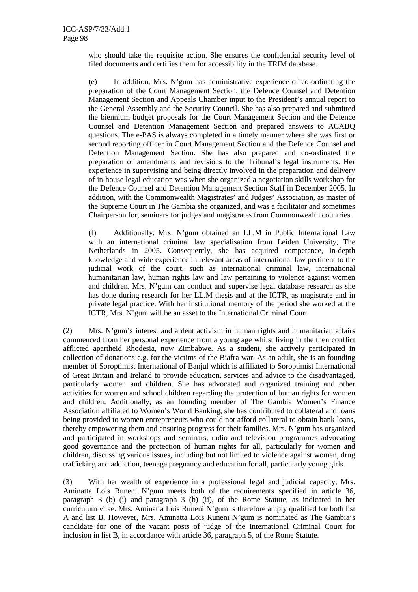who should take the requisite action. She ensures the confidential security level of filed documents and certifies them for accessibility in the TRIM database.

(e) In addition, Mrs. N'gum has administrative experience of co-ordinating the preparation of the Court Management Section, the Defence Counsel and Detention Management Section and Appeals Chamber input to the President's annual report to the General Assembly and the Security Council. She has also prepared and submitted the biennium budget proposals for the Court Management Section and the Defence Counsel and Detention Management Section and prepared answers to ACABQ questions. The e-PAS is always completed in a timely manner where she was first or second reporting officer in Court Management Section and the Defence Counsel and Detention Management Section. She has also prepared and co-ordinated the preparation of amendments and revisions to the Tribunal's legal instruments. Her experience in supervising and being directly involved in the preparation and delivery of in-house legal education was when she organized a negotiation skills workshop for the Defence Counsel and Detention Management Section Staff in December 2005. In addition, with the Commonwealth Magistrates' and Judges' Association, as master of the Supreme Court in The Gambia she organized, and was a facilitator and sometimes Chairperson for, seminars for judges and magistrates from Commonwealth countries.

(f) Additionally, Mrs. N'gum obtained an LL.M in Public International Law with an international criminal law specialisation from Leiden University, The Netherlands in 2005. Consequently, she has acquired competence, in-depth knowledge and wide experience in relevant areas of international law pertinent to the judicial work of the court, such as international criminal law, international humanitarian law, human rights law and law pertaining to violence against women and children. Mrs. N'gum can conduct and supervise legal database research as she has done during research for her LL.M thesis and at the ICTR, as magistrate and in private legal practice. With her institutional memory of the period she worked at the ICTR, Mrs. N'gum will be an asset to the International Criminal Court.

(2) Mrs. N'gum's interest and ardent activism in human rights and humanitarian affairs commenced from her personal experience from a young age whilst living in the then conflict afflicted apartheid Rhodesia, now Zimbabwe. As a student, she actively participated in collection of donations e.g. for the victims of the Biafra war. As an adult, she is an founding member of Soroptimist International of Banjul which is affiliated to Soroptimist International of Great Britain and Ireland to provide education, services and advice to the disadvantaged, particularly women and children. She has advocated and organized training and other activities for women and school children regarding the protection of human rights for women and children. Additionally, as an founding member of The Gambia Women's Finance Association affiliated to Women's World Banking, she has contributed to collateral and loans being provided to women entrepreneurs who could not afford collateral to obtain bank loans, thereby empowering them and ensuring progress for their families. Mrs. N'gum has organized and participated in workshops and seminars, radio and television programmes advocating good governance and the protection of human rights for all, particularly for women and children, discussing various issues, including but not limited to violence against women, drug trafficking and addiction, teenage pregnancy and education for all, particularly young girls.

(3) With her wealth of experience in a professional legal and judicial capacity, Mrs. Aminatta Lois Runeni N'gum meets both of the requirements specified in article 36, paragraph 3 (b) (i) and paragraph 3 (b) (ii), of the Rome Statute, as indicated in her curriculum vitae. Mrs. Aminatta Lois Runeni N'gum is therefore amply qualified for both list A and list B. However, Mrs. Aminatta Lois Runeni N'gum is nominated as The Gambia's candidate for one of the vacant posts of judge of the International Criminal Court for inclusion in list B, in accordance with article 36, paragraph 5, of the Rome Statute.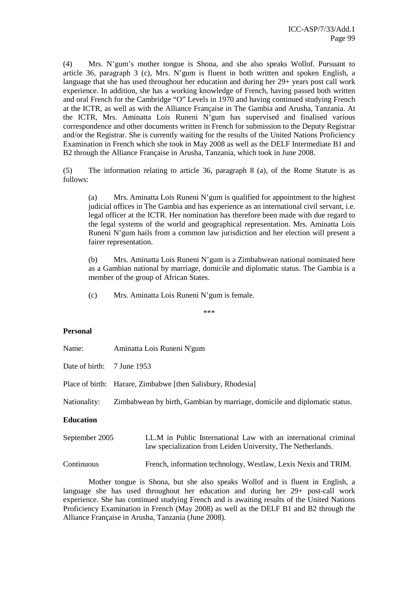(4) Mrs. N'gum's mother tongue is Shona, and she also speaks Wollof. Pursuant to article 36, paragraph 3 (c), Mrs. N'gum is fluent in both written and spoken English, a language that she has used throughout her education and during her 29+ years post call work experience. In addition, she has a working knowledge of French, having passed both written and oral French for the Cambridge "O" Levels in 1970 and having continued studying French at the ICTR, as well as with the Alliance Française in The Gambia and Arusha, Tanzania. At the ICTR, Mrs. Aminatta Lois Runeni N'gum has supervised and finalised various correspondence and other documents written in French for submission to the Deputy Registrar and/or the Registrar. She is currently waiting for the results of the United Nations Proficiency Examination in French which she took in May 2008 as well as the DELF Intermediate B1 and B2 through the Alliance Française in Arusha, Tanzania, which took in June 2008.

(5) The information relating to article 36, paragraph 8 (a), of the Rome Statute is as follows:

(a) Mrs. Aminatta Lois Runeni N'gum is qualified for appointment to the highest judicial offices in The Gambia and has experience as an international civil servant, i.e. legal officer at the ICTR. Her nomination has therefore been made with due regard to the legal systems of the world and geographical representation. Mrs. Aminatta Lois Runeni N'gum hails from a common law jurisdiction and her election will present a fairer representation.

(b) Mrs. Aminatta Lois Runeni N'gum is a Zimbabwean national nominated here as a Gambian national by marriage, domicile and diplomatic status. The Gambia is a member of the group of African States.

(c) Mrs. Aminatta Lois Runeni N'gum is female.

\*\*\*

#### **Personal**

| Name:                      | Aminatta Lois Runeni N'gum                                                                                                     |  |
|----------------------------|--------------------------------------------------------------------------------------------------------------------------------|--|
| Date of birth: 7 June 1953 |                                                                                                                                |  |
|                            | Place of birth: Harare, Zimbabwe [then Salisbury, Rhodesia]                                                                    |  |
| Nationality:               | Zimbabwean by birth, Gambian by marriage, domicile and diplomatic status.                                                      |  |
| <b>Education</b>           |                                                                                                                                |  |
| September 2005             | LL.M in Public International Law with an international criminal<br>law specialization from Leiden University, The Netherlands. |  |

Continuous French, information technology, Westlaw, Lexis Nexis and TRIM.

Mother tongue is Shona, but she also speaks Wollof and is fluent in English, a language she has used throughout her education and during her 29+ post-call work experience. She has continued studying French and is awaiting results of the United Nations Proficiency Examination in French (May 2008) as well as the DELF B1 and B2 through the Alliance Française in Arusha, Tanzania (June 2008).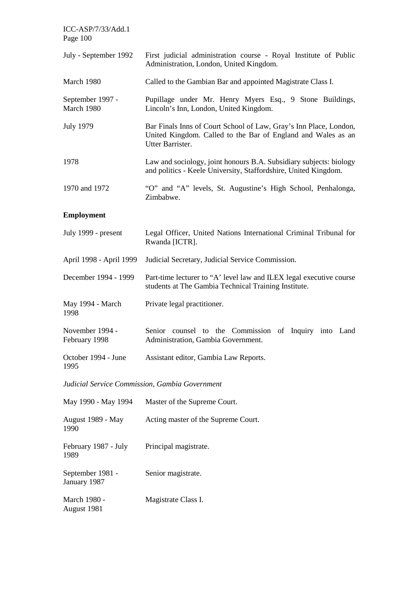| ICC-ASP/7/33/Add.1<br>Page 100                 |                                                                                                                                                       |  |
|------------------------------------------------|-------------------------------------------------------------------------------------------------------------------------------------------------------|--|
| July - September 1992                          | First judicial administration course - Royal Institute of Public<br>Administration, London, United Kingdom.                                           |  |
| March 1980                                     | Called to the Gambian Bar and appointed Magistrate Class I.                                                                                           |  |
| September 1997 -<br>March 1980                 | Pupillage under Mr. Henry Myers Esq., 9 Stone Buildings,<br>Lincoln's Inn, London, United Kingdom.                                                    |  |
| <b>July 1979</b>                               | Bar Finals Inns of Court School of Law, Gray's Inn Place, London,<br>United Kingdom. Called to the Bar of England and Wales as an<br>Utter Barrister. |  |
| 1978                                           | Law and sociology, joint honours B.A. Subsidiary subjects: biology<br>and politics - Keele University, Staffordshire, United Kingdom.                 |  |
| 1970 and 1972                                  | "O" and "A" levels, St. Augustine's High School, Penhalonga,<br>Zimbabwe.                                                                             |  |
| <b>Employment</b>                              |                                                                                                                                                       |  |
| July 1999 - present                            | Legal Officer, United Nations International Criminal Tribunal for<br>Rwanda [ICTR].                                                                   |  |
| April 1998 - April 1999                        | Judicial Secretary, Judicial Service Commission.                                                                                                      |  |
| December 1994 - 1999                           | Part-time lecturer to "A' level law and ILEX legal executive course<br>students at The Gambia Technical Training Institute.                           |  |
| May 1994 - March<br>1998                       | Private legal practitioner.                                                                                                                           |  |
| November 1994 -<br>February 1998               | Senior counsel to the Commission of Inquiry into Land<br>Administration, Gambia Government.                                                           |  |
| October 1994 - June<br>1995                    | Assistant editor, Gambia Law Reports.                                                                                                                 |  |
| Judicial Service Commission, Gambia Government |                                                                                                                                                       |  |
| May 1990 - May 1994                            | Master of the Supreme Court.                                                                                                                          |  |
| August 1989 - May<br>1990                      | Acting master of the Supreme Court.                                                                                                                   |  |
| February 1987 - July<br>1989                   | Principal magistrate.                                                                                                                                 |  |
| September 1981 -<br>January 1987               | Senior magistrate.                                                                                                                                    |  |

March 1980 - August 1981 Magistrate Class I.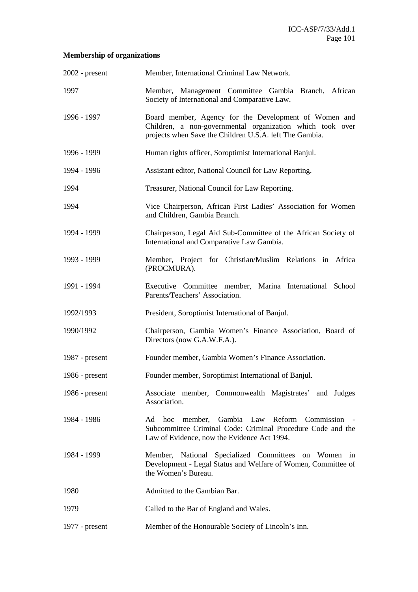# **Membership of organizations**

| $2002$ - present | Member, International Criminal Law Network.                                                                                                                                   |
|------------------|-------------------------------------------------------------------------------------------------------------------------------------------------------------------------------|
| 1997             | Member, Management Committee Gambia Branch, African<br>Society of International and Comparative Law.                                                                          |
| 1996 - 1997      | Board member, Agency for the Development of Women and<br>Children, a non-governmental organization which took over<br>projects when Save the Children U.S.A. left The Gambia. |
| 1996 - 1999      | Human rights officer, Soroptimist International Banjul.                                                                                                                       |
| 1994 - 1996      | Assistant editor, National Council for Law Reporting.                                                                                                                         |
| 1994             | Treasurer, National Council for Law Reporting.                                                                                                                                |
| 1994             | Vice Chairperson, African First Ladies' Association for Women<br>and Children, Gambia Branch.                                                                                 |
| 1994 - 1999      | Chairperson, Legal Aid Sub-Committee of the African Society of<br>International and Comparative Law Gambia.                                                                   |
| 1993 - 1999      | Member, Project for Christian/Muslim Relations in Africa<br>(PROCMURA).                                                                                                       |
| 1991 - 1994      | Executive Committee member, Marina International School<br>Parents/Teachers' Association.                                                                                     |
| 1992/1993        | President, Soroptimist International of Banjul.                                                                                                                               |
| 1990/1992        | Chairperson, Gambia Women's Finance Association, Board of<br>Directors (now G.A.W.F.A.).                                                                                      |
| 1987 - $present$ | Founder member, Gambia Women's Finance Association.                                                                                                                           |
| 1986 - $present$ | Founder member, Soroptimist International of Banjul.                                                                                                                          |
| 1986 - $present$ | Associate member, Commonwealth Magistrates' and Judges<br>Association.                                                                                                        |
| 1984 - 1986      | member, Gambia Law Reform<br>Ad<br>hoc<br>Commission -<br>Subcommittee Criminal Code: Criminal Procedure Code and the<br>Law of Evidence, now the Evidence Act 1994.          |
| 1984 - 1999      | Member, National Specialized Committees on Women in<br>Development - Legal Status and Welfare of Women, Committee of<br>the Women's Bureau.                                   |
| 1980             | Admitted to the Gambian Bar.                                                                                                                                                  |
| 1979             | Called to the Bar of England and Wales.                                                                                                                                       |
| $1977$ - present | Member of the Honourable Society of Lincoln's Inn.                                                                                                                            |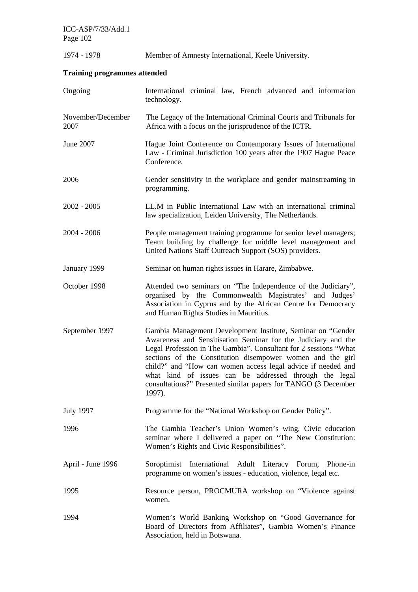ICC-ASP/7/33/Add.1 Page 102

1974 - 1978 Member of Amnesty International, Keele University. **Training programmes attended** Ongoing International criminal law, French advanced and information technology. November/December 2007 The Legacy of the International Criminal Courts and Tribunals for Africa with a focus on the jurisprudence of the ICTR. June 2007 Hague Joint Conference on Contemporary Issues of International Law - Criminal Jurisdiction 100 years after the 1907 Hague Peace Conference. 2006 Gender sensitivity in the workplace and gender mainstreaming in programming. 2002 - 2005 LL.M in Public International Law with an international criminal law specialization, Leiden University, The Netherlands. 2004 - 2006 People management training programme for senior level managers; Team building by challenge for middle level management and United Nations Staff Outreach Support (SOS) providers. January 1999 Seminar on human rights issues in Harare, Zimbabwe. October 1998 Attended two seminars on "The Independence of the Judiciary", organised by the Commonwealth Magistrates' and Judges' Association in Cyprus and by the African Centre for Democracy and Human Rights Studies in Mauritius. September 1997 Gambia Management Development Institute, Seminar on "Gender Awareness and Sensitisation Seminar for the Judiciary and the Legal Profession in The Gambia". Consultant for 2 sessions "What sections of the Constitution disempower women and the girl child?" and "How can women access legal advice if needed and what kind of issues can be addressed through the legal consultations?" Presented similar papers for TANGO (3 December 1997). July 1997 Programme for the "National Workshop on Gender Policy". 1996 The Gambia Teacher's Union Women's wing, Civic education seminar where I delivered a paper on "The New Constitution: Women's Rights and Civic Responsibilities". April - June 1996 Soroptimist International Adult Literacy Forum, Phone-in programme on women's issues - education, violence, legal etc. 1995 Resource person, PROCMURA workshop on "Violence against women. 1994 Women's World Banking Workshop on "Good Governance for Board of Directors from Affiliates", Gambia Women's Finance Association, held in Botswana.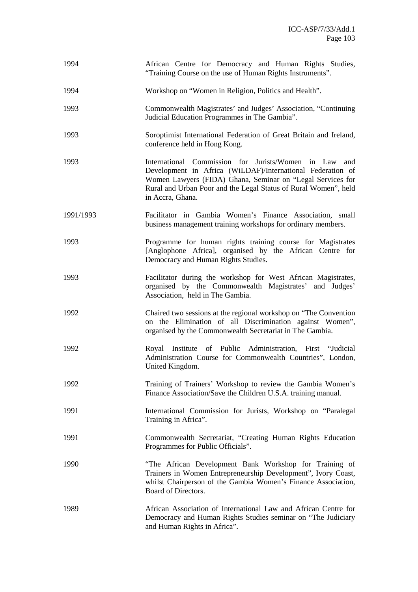| 1994      | African Centre for Democracy and Human Rights Studies,<br>"Training Course on the use of Human Rights Instruments".                                                                                                                                                         |
|-----------|-----------------------------------------------------------------------------------------------------------------------------------------------------------------------------------------------------------------------------------------------------------------------------|
| 1994      | Workshop on "Women in Religion, Politics and Health".                                                                                                                                                                                                                       |
| 1993      | Commonwealth Magistrates' and Judges' Association, "Continuing<br>Judicial Education Programmes in The Gambia".                                                                                                                                                             |
| 1993      | Soroptimist International Federation of Great Britain and Ireland,<br>conference held in Hong Kong.                                                                                                                                                                         |
| 1993      | International Commission for Jurists/Women in Law<br>and<br>Development in Africa (WiLDAF)/International Federation of<br>Women Lawyers (FIDA) Ghana, Seminar on "Legal Services for<br>Rural and Urban Poor and the Legal Status of Rural Women", held<br>in Accra, Ghana. |
| 1991/1993 | Facilitator in Gambia Women's Finance Association, small<br>business management training workshops for ordinary members.                                                                                                                                                    |
| 1993      | Programme for human rights training course for Magistrates<br>[Anglophone Africa], organised by the African Centre for<br>Democracy and Human Rights Studies.                                                                                                               |
| 1993      | Facilitator during the workshop for West African Magistrates,<br>organised by the Commonwealth Magistrates' and Judges'<br>Association, held in The Gambia.                                                                                                                 |
| 1992      | Chaired two sessions at the regional workshop on "The Convention"<br>on the Elimination of all Discrimination against Women",<br>organised by the Commonwealth Secretariat in The Gambia.                                                                                   |
| 1992      | Royal Institute of Public Administration, First "Judicial<br>Administration Course for Commonwealth Countries", London,<br>United Kingdom.                                                                                                                                  |
| 1992      | Training of Trainers' Workshop to review the Gambia Women's<br>Finance Association/Save the Children U.S.A. training manual.                                                                                                                                                |
| 1991      | International Commission for Jurists, Workshop on "Paralegal<br>Training in Africa".                                                                                                                                                                                        |
| 1991      | Commonwealth Secretariat, "Creating Human Rights Education<br>Programmes for Public Officials".                                                                                                                                                                             |
| 1990      | "The African Development Bank Workshop for Training of<br>Trainers in Women Entrepreneurship Development", Ivory Coast,<br>whilst Chairperson of the Gambia Women's Finance Association,<br>Board of Directors.                                                             |
| 1989      | African Association of International Law and African Centre for<br>Democracy and Human Rights Studies seminar on "The Judiciary<br>and Human Rights in Africa".                                                                                                             |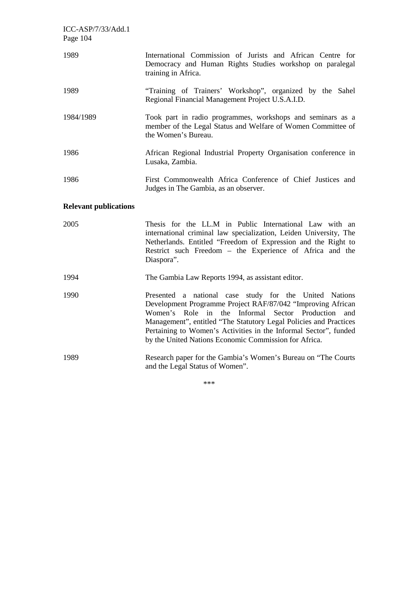| ICC-ASP/7/33/Add.1<br>Page 104 |                                                                                                                                                                                                                                                                                                                                                                                                 |
|--------------------------------|-------------------------------------------------------------------------------------------------------------------------------------------------------------------------------------------------------------------------------------------------------------------------------------------------------------------------------------------------------------------------------------------------|
| 1989                           | International Commission of Jurists and African Centre for<br>Democracy and Human Rights Studies workshop on paralegal<br>training in Africa.                                                                                                                                                                                                                                                   |
| 1989                           | "Training of Trainers' Workshop", organized by the Sahel<br>Regional Financial Management Project U.S.A.I.D.                                                                                                                                                                                                                                                                                    |
| 1984/1989                      | Took part in radio programmes, workshops and seminars as a<br>member of the Legal Status and Welfare of Women Committee of<br>the Women's Bureau.                                                                                                                                                                                                                                               |
| 1986                           | African Regional Industrial Property Organisation conference in<br>Lusaka, Zambia.                                                                                                                                                                                                                                                                                                              |
| 1986                           | First Commonwealth Africa Conference of Chief Justices and<br>Judges in The Gambia, as an observer.                                                                                                                                                                                                                                                                                             |
| <b>Relevant publications</b>   |                                                                                                                                                                                                                                                                                                                                                                                                 |
| 2005                           | Thesis for the LL.M in Public International Law with an<br>international criminal law specialization, Leiden University, The<br>Netherlands. Entitled "Freedom of Expression and the Right to<br>Restrict such Freedom - the Experience of Africa and the<br>Diaspora".                                                                                                                         |
| 1994                           | The Gambia Law Reports 1994, as assistant editor.                                                                                                                                                                                                                                                                                                                                               |
| 1990                           | Presented a national case study for the United Nations<br>Development Programme Project RAF/87/042 "Improving African<br>Women's<br>Informal<br>Role<br>the<br>Sector Production<br>in<br>and<br>Management", entitled "The Statutory Legal Policies and Practices<br>Pertaining to Women's Activities in the Informal Sector", funded<br>by the United Nations Economic Commission for Africa. |
| 1989                           | Research paper for the Gambia's Women's Bureau on "The Courts"<br>and the Legal Status of Women".                                                                                                                                                                                                                                                                                               |

\*\*\*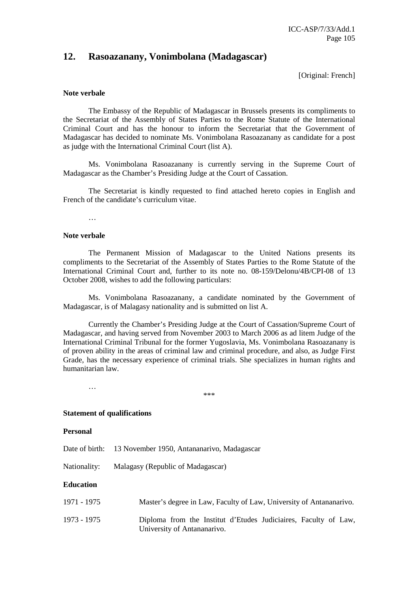## **12. Rasoazanany, Vonimbolana (Madagascar)**

[Original: French]

#### **Note verbale**

 The Embassy of the Republic of Madagascar in Brussels presents its compliments to the Secretariat of the Assembly of States Parties to the Rome Statute of the International Criminal Court and has the honour to inform the Secretariat that the Government of Madagascar has decided to nominate Ms. Vonimbolana Rasoazanany as candidate for a post as judge with the International Criminal Court (list A).

 Ms. Vonimbolana Rasoazanany is currently serving in the Supreme Court of Madagascar as the Chamber's Presiding Judge at the Court of Cassation.

 The Secretariat is kindly requested to find attached hereto copies in English and French of the candidate's curriculum vitae.

…

### **Note verbale**

 The Permanent Mission of Madagascar to the United Nations presents its compliments to the Secretariat of the Assembly of States Parties to the Rome Statute of the International Criminal Court and, further to its note no. 08-159/Delonu/4B/CPI-08 of 13 October 2008, wishes to add the following particulars:

 Ms. Vonimbolana Rasoazanany, a candidate nominated by the Government of Madagascar, is of Malagasy nationality and is submitted on list A.

 Currently the Chamber's Presiding Judge at the Court of Cassation/Supreme Court of Madagascar, and having served from November 2003 to March 2006 as ad litem Judge of the International Criminal Tribunal for the former Yugoslavia, Ms. Vonimbolana Rasoazanany is of proven ability in the areas of criminal law and criminal procedure, and also, as Judge First Grade, has the necessary experience of criminal trials. She specializes in human rights and humanitarian law.

 … \*\*\*

**Statement of qualifications** 

#### **Personal**

Date of birth: 13 November 1950, Antananarivo, Madagascar

Nationality: Malagasy (Republic of Madagascar)

## **Education**

| 1971 - 1975 | Master's degree in Law, Faculty of Law, University of Antananarivo.                            |
|-------------|------------------------------------------------------------------------------------------------|
| 1973 - 1975 | Diploma from the Institut d'Etudes Judiciaires, Faculty of Law,<br>University of Antananarivo. |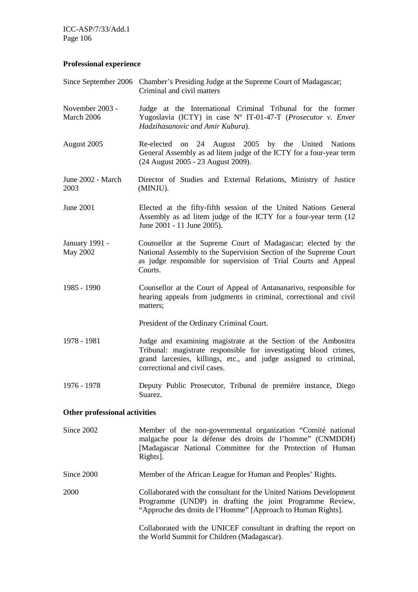ICC-ASP/7/33/Add.1 Page 106

## **Professional experience**

|                               | Since September 2006 Chamber's Presiding Judge at the Supreme Court of Madagascar;<br>Criminal and civil matters                                                                                                                        |  |
|-------------------------------|-----------------------------------------------------------------------------------------------------------------------------------------------------------------------------------------------------------------------------------------|--|
| November 2003 -<br>March 2006 | Judge at the International Criminal Tribunal for the former<br>Yugoslavia (ICTY) in case N° IT-01-47-T (Prosecutor v. Enver<br>Hadzihasanovic and Amir Kubura).                                                                         |  |
| August 2005                   | Re-elected on 24 August 2005 by the United Nations<br>General Assembly as ad litem judge of the ICTY for a four-year term<br>(24 August 2005 - 23 August 2009).                                                                         |  |
| June 2002 - March<br>2003     | Director of Studies and External Relations, Ministry of Justice<br>(MINJU).                                                                                                                                                             |  |
| June 2001                     | Elected at the fifty-fifth session of the United Nations General<br>Assembly as ad litem judge of the ICTY for a four-year term (12<br>June 2001 - 11 June 2005).                                                                       |  |
| January 1991 -<br>May 2002    | Counsellor at the Supreme Court of Madagascar; elected by the<br>National Assembly to the Supervision Section of the Supreme Court<br>as judge responsible for supervision of Trial Courts and Appeal<br>Courts.                        |  |
| 1985 - 1990                   | Counsellor at the Court of Appeal of Antananarivo, responsible for<br>hearing appeals from judgments in criminal, correctional and civil<br>matters;                                                                                    |  |
|                               | President of the Ordinary Criminal Court.                                                                                                                                                                                               |  |
| 1978 - 1981                   | Judge and examining magistrate at the Section of the Ambositra<br>Tribunal: magistrate responsible for investigating blood crimes,<br>grand larcenies, killings, etc., and judge assigned to criminal,<br>correctional and civil cases. |  |
| 1976 - 1978                   | Deputy Public Prosecutor, Tribunal de première instance, Diego<br>Suarez.                                                                                                                                                               |  |
| Other professional activities |                                                                                                                                                                                                                                         |  |
| Since 2002                    | Member of the non-governmental organization "Comité national<br>malgache pour la défense des droits de l'homme" (CNMDDH)<br>[Madagascar National Committee for the Protection of Human<br>Rights].                                      |  |
| Since 2000                    | Member of the African League for Human and Peoples' Rights.                                                                                                                                                                             |  |
| 2000                          | Collaborated with the consultant for the United Nations Development<br>Programme (UNDP) in drafting the joint Programme Review,<br>"Approche des droits de l'Homme" [Approach to Human Rights].                                         |  |
|                               | Collaborated with the UNICEF consultant in drafting the report on<br>the World Summit for Children (Madagascar).                                                                                                                        |  |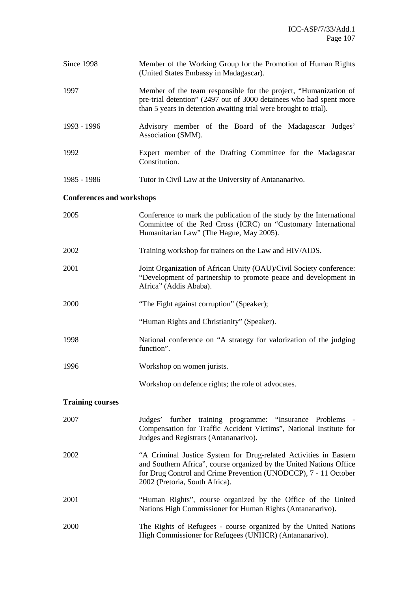| Since 1998                       | Member of the Working Group for the Promotion of Human Rights<br>(United States Embassy in Madagascar).                                                                                                                                       |
|----------------------------------|-----------------------------------------------------------------------------------------------------------------------------------------------------------------------------------------------------------------------------------------------|
| 1997                             | Member of the team responsible for the project, "Humanization of<br>pre-trial detention" (2497 out of 3000 detainees who had spent more<br>than 5 years in detention awaiting trial were brought to trial).                                   |
| 1993 - 1996                      | Advisory member of the Board of the Madagascar Judges'<br>Association (SMM).                                                                                                                                                                  |
| 1992                             | Expert member of the Drafting Committee for the Madagascar<br>Constitution.                                                                                                                                                                   |
| 1985 - 1986                      | Tutor in Civil Law at the University of Antananarivo.                                                                                                                                                                                         |
| <b>Conferences and workshops</b> |                                                                                                                                                                                                                                               |
| 2005                             | Conference to mark the publication of the study by the International<br>Committee of the Red Cross (ICRC) on "Customary International<br>Humanitarian Law" (The Hague, May 2005).                                                             |
| 2002                             | Training workshop for trainers on the Law and HIV/AIDS.                                                                                                                                                                                       |
| 2001                             | Joint Organization of African Unity (OAU)/Civil Society conference:<br>"Development of partnership to promote peace and development in<br>Africa" (Addis Ababa).                                                                              |
| 2000                             | "The Fight against corruption" (Speaker);                                                                                                                                                                                                     |
|                                  | "Human Rights and Christianity" (Speaker).                                                                                                                                                                                                    |
| 1998                             | National conference on "A strategy for valorization of the judging<br>function".                                                                                                                                                              |
| 1996                             | Workshop on women jurists.                                                                                                                                                                                                                    |
|                                  | Workshop on defence rights; the role of advocates.                                                                                                                                                                                            |
| <b>Training courses</b>          |                                                                                                                                                                                                                                               |
| 2007                             | Judges' further training programme: "Insurance Problems -<br>Compensation for Traffic Accident Victims", National Institute for<br>Judges and Registrars (Antananarivo).                                                                      |
| 2002                             | "A Criminal Justice System for Drug-related Activities in Eastern<br>and Southern Africa", course organized by the United Nations Office<br>for Drug Control and Crime Prevention (UNODCCP), 7 - 11 October<br>2002 (Pretoria, South Africa). |
| 2001                             | "Human Rights", course organized by the Office of the United<br>Nations High Commissioner for Human Rights (Antananarivo).                                                                                                                    |
| 2000                             | The Rights of Refugees - course organized by the United Nations<br>High Commissioner for Refugees (UNHCR) (Antananarivo).                                                                                                                     |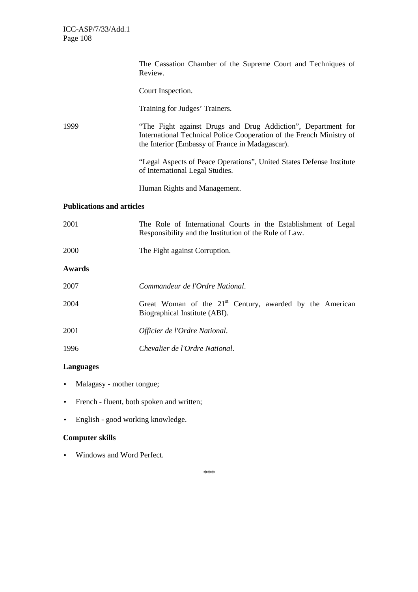|                                  | The Cassation Chamber of the Supreme Court and Techniques of<br>Review.                                                                                                                 |  |
|----------------------------------|-----------------------------------------------------------------------------------------------------------------------------------------------------------------------------------------|--|
|                                  | Court Inspection.                                                                                                                                                                       |  |
|                                  | Training for Judges' Trainers.                                                                                                                                                          |  |
| 1999                             | "The Fight against Drugs and Drug Addiction", Department for<br>International Technical Police Cooperation of the French Ministry of<br>the Interior (Embassy of France in Madagascar). |  |
|                                  | "Legal Aspects of Peace Operations", United States Defense Institute<br>of International Legal Studies.                                                                                 |  |
|                                  | Human Rights and Management.                                                                                                                                                            |  |
| <b>Publications and articles</b> |                                                                                                                                                                                         |  |
| 2001                             | The Role of International Courts in the Establishment of Legal<br>Responsibility and the Institution of the Rule of Law.                                                                |  |
| 2000                             | The Fight against Corruption.                                                                                                                                                           |  |
| <b>Awards</b>                    |                                                                                                                                                                                         |  |
| 2007                             | Commandeur de l'Ordre National.                                                                                                                                                         |  |
| 2004                             | Great Woman of the 21 <sup>st</sup> Century, awarded by the American<br>Biographical Institute (ABI).                                                                                   |  |
| 2001                             | Officier de l'Ordre National.                                                                                                                                                           |  |
| 1996                             | Chevalier de l'Ordre National.                                                                                                                                                          |  |

# **Languages**

- Malagasy mother tongue;
- French fluent, both spoken and written;
- English good working knowledge.

## **Computer skills**

• Windows and Word Perfect.

\*\*\*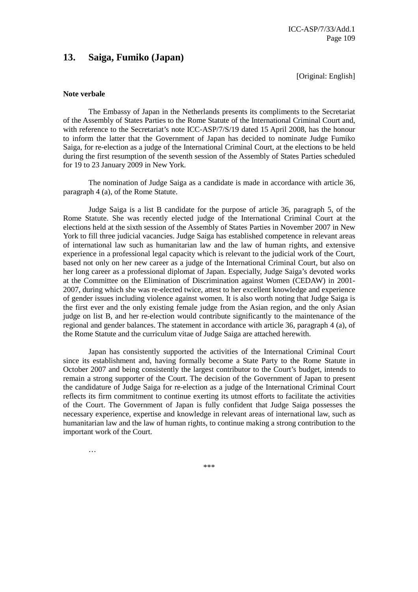# **13. Saiga, Fumiko (Japan)**

[Original: English]

### **Note verbale**

 The Embassy of Japan in the Netherlands presents its compliments to the Secretariat of the Assembly of States Parties to the Rome Statute of the International Criminal Court and, with reference to the Secretariat's note ICC-ASP/7/S/19 dated 15 April 2008, has the honour to inform the latter that the Government of Japan has decided to nominate Judge Fumiko Saiga, for re-election as a judge of the International Criminal Court, at the elections to be held during the first resumption of the seventh session of the Assembly of States Parties scheduled for 19 to 23 January 2009 in New York.

 The nomination of Judge Saiga as a candidate is made in accordance with article 36, paragraph 4 (a), of the Rome Statute.

 Judge Saiga is a list B candidate for the purpose of article 36, paragraph 5, of the Rome Statute. She was recently elected judge of the International Criminal Court at the elections held at the sixth session of the Assembly of States Parties in November 2007 in New York to fill three judicial vacancies. Judge Saiga has established competence in relevant areas of international law such as humanitarian law and the law of human rights, and extensive experience in a professional legal capacity which is relevant to the judicial work of the Court, based not only on her new career as a judge of the International Criminal Court, but also on her long career as a professional diplomat of Japan. Especially, Judge Saiga's devoted works at the Committee on the Elimination of Discrimination against Women (CEDAW) in 2001- 2007, during which she was re-elected twice, attest to her excellent knowledge and experience of gender issues including violence against women. It is also worth noting that Judge Saiga is the first ever and the only existing female judge from the Asian region, and the only Asian judge on list B, and her re-election would contribute significantly to the maintenance of the regional and gender balances. The statement in accordance with article 36, paragraph 4 (a), of the Rome Statute and the curriculum vitae of Judge Saiga are attached herewith.

 Japan has consistently supported the activities of the International Criminal Court since its establishment and, having formally become a State Party to the Rome Statute in October 2007 and being consistently the largest contributor to the Court's budget, intends to remain a strong supporter of the Court. The decision of the Government of Japan to present the candidature of Judge Saiga for re-election as a judge of the International Criminal Court reflects its firm commitment to continue exerting its utmost efforts to facilitate the activities of the Court. The Government of Japan is fully confident that Judge Saiga possesses the necessary experience, expertise and knowledge in relevant areas of international law, such as humanitarian law and the law of human rights, to continue making a strong contribution to the important work of the Court.

…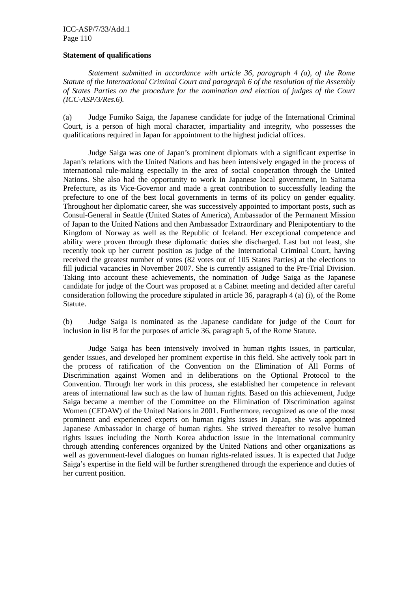ICC-ASP/7/33/Add.1 Page 110

### **Statement of qualifications**

*Statement submitted in accordance with article 36, paragraph 4 (a), of the Rome Statute of the International Criminal Court and paragraph 6 of the resolution of the Assembly of States Parties on the procedure for the nomination and election of judges of the Court (ICC-ASP/3/Res.6).* 

(a) Judge Fumiko Saiga, the Japanese candidate for judge of the International Criminal Court, is a person of high moral character, impartiality and integrity, who possesses the qualifications required in Japan for appointment to the highest judicial offices.

 Judge Saiga was one of Japan's prominent diplomats with a significant expertise in Japan's relations with the United Nations and has been intensively engaged in the process of international rule-making especially in the area of social cooperation through the United Nations. She also had the opportunity to work in Japanese local government, in Saitama Prefecture, as its Vice-Governor and made a great contribution to successfully leading the prefecture to one of the best local governments in terms of its policy on gender equality. Throughout her diplomatic career, she was successively appointed to important posts, such as Consul-General in Seattle (United States of America), Ambassador of the Permanent Mission of Japan to the United Nations and then Ambassador Extraordinary and Plenipotentiary to the Kingdom of Norway as well as the Republic of Iceland. Her exceptional competence and ability were proven through these diplomatic duties she discharged. Last but not least, she recently took up her current position as judge of the International Criminal Court, having received the greatest number of votes (82 votes out of 105 States Parties) at the elections to fill judicial vacancies in November 2007. She is currently assigned to the Pre-Trial Division. Taking into account these achievements, the nomination of Judge Saiga as the Japanese candidate for judge of the Court was proposed at a Cabinet meeting and decided after careful consideration following the procedure stipulated in article 36, paragraph 4 (a) (i), of the Rome Statute.

(b) Judge Saiga is nominated as the Japanese candidate for judge of the Court for inclusion in list B for the purposes of article 36, paragraph 5, of the Rome Statute.

 Judge Saiga has been intensively involved in human rights issues, in particular, gender issues, and developed her prominent expertise in this field. She actively took part in the process of ratification of the Convention on the Elimination of All Forms of Discrimination against Women and in deliberations on the Optional Protocol to the Convention. Through her work in this process, she established her competence in relevant areas of international law such as the law of human rights. Based on this achievement, Judge Saiga became a member of the Committee on the Elimination of Discrimination against Women (CEDAW) of the United Nations in 2001. Furthermore, recognized as one of the most prominent and experienced experts on human rights issues in Japan, she was appointed Japanese Ambassador in charge of human rights. She strived thereafter to resolve human rights issues including the North Korea abduction issue in the international community through attending conferences organized by the United Nations and other organizations as well as government-level dialogues on human rights-related issues. It is expected that Judge Saiga's expertise in the field will be further strengthened through the experience and duties of her current position.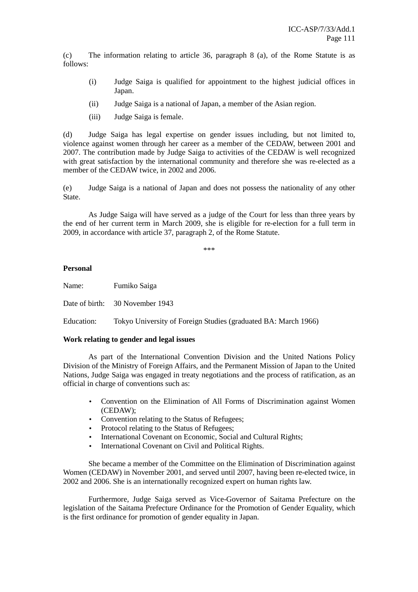(c) The information relating to article 36, paragraph 8 (a), of the Rome Statute is as follows:

- (i) Judge Saiga is qualified for appointment to the highest judicial offices in Japan.
- (ii) Judge Saiga is a national of Japan, a member of the Asian region.
- (iii) Judge Saiga is female.

(d) Judge Saiga has legal expertise on gender issues including, but not limited to, violence against women through her career as a member of the CEDAW, between 2001 and 2007. The contribution made by Judge Saiga to activities of the CEDAW is well recognized with great satisfaction by the international community and therefore she was re-elected as a member of the CEDAW twice, in 2002 and 2006.

(e) Judge Saiga is a national of Japan and does not possess the nationality of any other State.

 As Judge Saiga will have served as a judge of the Court for less than three years by the end of her current term in March 2009, she is eligible for re-election for a full term in 2009, in accordance with article 37, paragraph 2, of the Rome Statute.

\*\*\*

### **Personal**

Name: Fumiko Saiga

Date of birth: 30 November 1943

Education: Tokyo University of Foreign Studies (graduated BA: March 1966)

### **Work relating to gender and legal issues**

 As part of the International Convention Division and the United Nations Policy Division of the Ministry of Foreign Affairs, and the Permanent Mission of Japan to the United Nations, Judge Saiga was engaged in treaty negotiations and the process of ratification, as an official in charge of conventions such as:

- Convention on the Elimination of All Forms of Discrimination against Women (CEDAW);
- Convention relating to the Status of Refugees;
- Protocol relating to the Status of Refugees;
- International Covenant on Economic, Social and Cultural Rights;
- International Covenant on Civil and Political Rights.

 She became a member of the Committee on the Elimination of Discrimination against Women (CEDAW) in November 2001, and served until 2007, having been re-elected twice, in 2002 and 2006. She is an internationally recognized expert on human rights law.

 Furthermore, Judge Saiga served as Vice-Governor of Saitama Prefecture on the legislation of the Saitama Prefecture Ordinance for the Promotion of Gender Equality, which is the first ordinance for promotion of gender equality in Japan.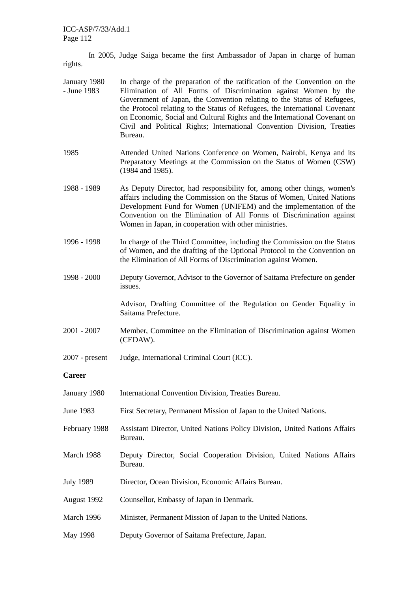In 2005, Judge Saiga became the first Ambassador of Japan in charge of human rights.

- January 1980 - June 1983 In charge of the preparation of the ratification of the Convention on the Elimination of All Forms of Discrimination against Women by the Government of Japan, the Convention relating to the Status of Refugees, the Protocol relating to the Status of Refugees, the International Covenant on Economic, Social and Cultural Rights and the International Covenant on Civil and Political Rights; International Convention Division, Treaties Bureau.
- 1985 Attended United Nations Conference on Women, Nairobi, Kenya and its Preparatory Meetings at the Commission on the Status of Women (CSW) (1984 and 1985).
- 1988 1989 As Deputy Director, had responsibility for, among other things, women's affairs including the Commission on the Status of Women, United Nations Development Fund for Women (UNIFEM) and the implementation of the Convention on the Elimination of All Forms of Discrimination against Women in Japan, in cooperation with other ministries.
- 1996 1998 In charge of the Third Committee, including the Commission on the Status of Women, and the drafting of the Optional Protocol to the Convention on the Elimination of All Forms of Discrimination against Women.
- 1998 2000 Deputy Governor, Advisor to the Governor of Saitama Prefecture on gender issues.

 Advisor, Drafting Committee of the Regulation on Gender Equality in Saitama Prefecture.

- 2001 2007 Member, Committee on the Elimination of Discrimination against Women (CEDAW).
- 2007 present Judge, International Criminal Court (ICC).

### **Career**

| January 1980     | International Convention Division, Treaties Bureau.                                   |
|------------------|---------------------------------------------------------------------------------------|
| June 1983        | First Secretary, Permanent Mission of Japan to the United Nations.                    |
| February 1988    | Assistant Director, United Nations Policy Division, United Nations Affairs<br>Bureau. |
| March 1988       | Deputy Director, Social Cooperation Division, United Nations Affairs<br>Bureau.       |
| <b>July 1989</b> | Director, Ocean Division, Economic Affairs Bureau.                                    |
| August 1992      | Counsellor, Embassy of Japan in Denmark.                                              |
| March 1996       | Minister, Permanent Mission of Japan to the United Nations.                           |
| May 1998         | Deputy Governor of Saitama Prefecture, Japan.                                         |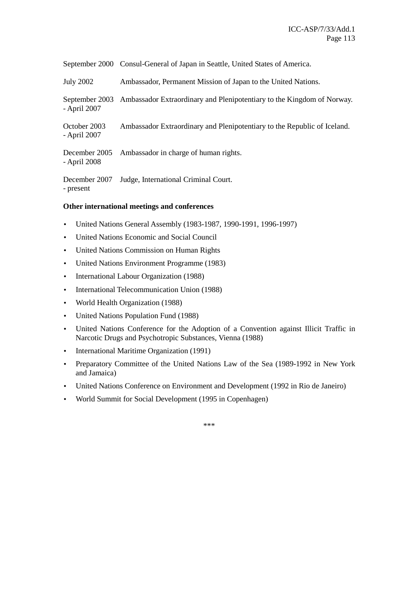September 2000 Consul-General of Japan in Seattle, United States of America.

July 2002 Ambassador, Permanent Mission of Japan to the United Nations.

September 2003 - April 2007 Ambassador Extraordinary and Plenipotentiary to the Kingdom of Norway.

October 2003 - April 2007 Ambassador Extraordinary and Plenipotentiary to the Republic of Iceland.

December 2005 - April 2008 Ambassador in charge of human rights.

December 2007 Judge, International Criminal Court. - present

### **Other international meetings and conferences**

- United Nations General Assembly (1983-1987, 1990-1991, 1996-1997)
- United Nations Economic and Social Council
- United Nations Commission on Human Rights
- United Nations Environment Programme (1983)
- International Labour Organization (1988)
- International Telecommunication Union (1988)
- World Health Organization (1988)
- United Nations Population Fund (1988)
- United Nations Conference for the Adoption of a Convention against Illicit Traffic in Narcotic Drugs and Psychotropic Substances, Vienna (1988)
- International Maritime Organization (1991)
- Preparatory Committee of the United Nations Law of the Sea (1989-1992 in New York and Jamaica)
- United Nations Conference on Environment and Development (1992 in Rio de Janeiro)
- World Summit for Social Development (1995 in Copenhagen)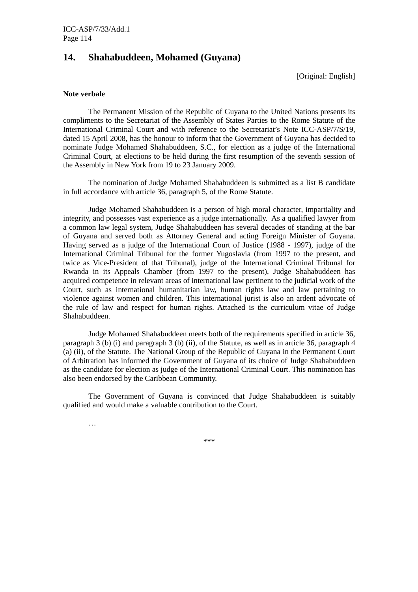# **14. Shahabuddeen, Mohamed (Guyana)**

[Original: English]

### **Note verbale**

 The Permanent Mission of the Republic of Guyana to the United Nations presents its compliments to the Secretariat of the Assembly of States Parties to the Rome Statute of the International Criminal Court and with reference to the Secretariat's Note ICC-ASP/7/S/19, dated 15 April 2008, has the honour to inform that the Government of Guyana has decided to nominate Judge Mohamed Shahabuddeen, S.C., for election as a judge of the International Criminal Court, at elections to be held during the first resumption of the seventh session of the Assembly in New York from 19 to 23 January 2009.

 The nomination of Judge Mohamed Shahabuddeen is submitted as a list B candidate in full accordance with article 36, paragraph 5, of the Rome Statute.

 Judge Mohamed Shahabuddeen is a person of high moral character, impartiality and integrity, and possesses vast experience as a judge internationally. As a qualified lawyer from a common law legal system, Judge Shahabuddeen has several decades of standing at the bar of Guyana and served both as Attorney General and acting Foreign Minister of Guyana. Having served as a judge of the International Court of Justice (1988 - 1997), judge of the International Criminal Tribunal for the former Yugoslavia (from 1997 to the present, and twice as Vice-President of that Tribunal), judge of the International Criminal Tribunal for Rwanda in its Appeals Chamber (from 1997 to the present), Judge Shahabuddeen has acquired competence in relevant areas of international law pertinent to the judicial work of the Court, such as international humanitarian law, human rights law and law pertaining to violence against women and children. This international jurist is also an ardent advocate of the rule of law and respect for human rights. Attached is the curriculum vitae of Judge Shahabuddeen.

 Judge Mohamed Shahabuddeen meets both of the requirements specified in article 36, paragraph  $3$  (b) (i) and paragraph  $3$  (b) (ii), of the Statute, as well as in article 36, paragraph 4 (a) (ii), of the Statute. The National Group of the Republic of Guyana in the Permanent Court of Arbitration has informed the Government of Guyana of its choice of Judge Shahabuddeen as the candidate for election as judge of the International Criminal Court. This nomination has also been endorsed by the Caribbean Community.

 The Government of Guyana is convinced that Judge Shahabuddeen is suitably qualified and would make a valuable contribution to the Court.

…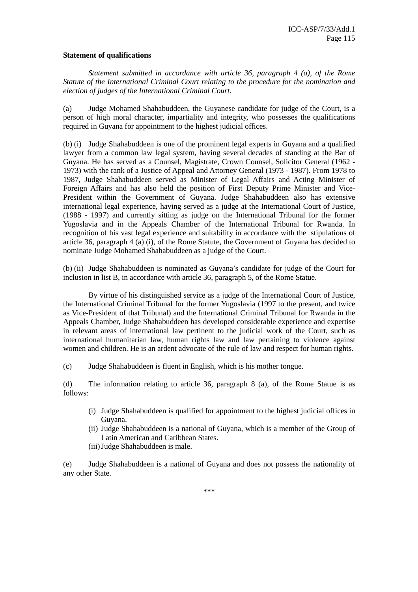### **Statement of qualifications**

 *Statement submitted in accordance with article 36, paragraph 4 (a), of the Rome Statute of the International Criminal Court relating to the procedure for the nomination and election of judges of the International Criminal Court.* 

(a) Judge Mohamed Shahabuddeen, the Guyanese candidate for judge of the Court, is a person of high moral character, impartiality and integrity, who possesses the qualifications required in Guyana for appointment to the highest judicial offices.

(b) (i) Judge Shahabuddeen is one of the prominent legal experts in Guyana and a qualified lawyer from a common law legal system, having several decades of standing at the Bar of Guyana. He has served as a Counsel, Magistrate, Crown Counsel, Solicitor General (1962 - 1973) with the rank of a Justice of Appeal and Attorney General (1973 - 1987). From 1978 to 1987, Judge Shahabuddeen served as Minister of Legal Affairs and Acting Minister of Foreign Affairs and has also held the position of First Deputy Prime Minister and Vice-President within the Government of Guyana. Judge Shahabuddeen also has extensive international legal experience, having served as a judge at the International Court of Justice, (1988 - 1997) and currently sitting as judge on the International Tribunal for the former Yugoslavia and in the Appeals Chamber of the International Tribunal for Rwanda. In recognition of his vast legal experience and suitability in accordance with the stipulations of article 36, paragraph 4 (a) (i), of the Rome Statute, the Government of Guyana has decided to nominate Judge Mohamed Shahabuddeen as a judge of the Court.

(b) (ii) Judge Shahabuddeen is nominated as Guyana's candidate for judge of the Court for inclusion in list B, in accordance with article 36, paragraph 5, of the Rome Statue.

 By virtue of his distinguished service as a judge of the International Court of Justice, the International Criminal Tribunal for the former Yugoslavia (1997 to the present, and twice as Vice-President of that Tribunal) and the International Criminal Tribunal for Rwanda in the Appeals Chamber, Judge Shahabuddeen has developed considerable experience and expertise in relevant areas of international law pertinent to the judicial work of the Court, such as international humanitarian law, human rights law and law pertaining to violence against women and children. He is an ardent advocate of the rule of law and respect for human rights.

(c) Judge Shahabuddeen is fluent in English, which is his mother tongue.

(d) The information relating to article 36, paragraph 8 (a), of the Rome Statue is as follows:

- (i) Judge Shahabuddeen is qualified for appointment to the highest judicial offices in Guyana.
- (ii) Judge Shahabuddeen is a national of Guyana, which is a member of the Group of Latin American and Caribbean States.
- (iii)Judge Shahabuddeen is male.

(e) Judge Shahabuddeen is a national of Guyana and does not possess the nationality of any other State.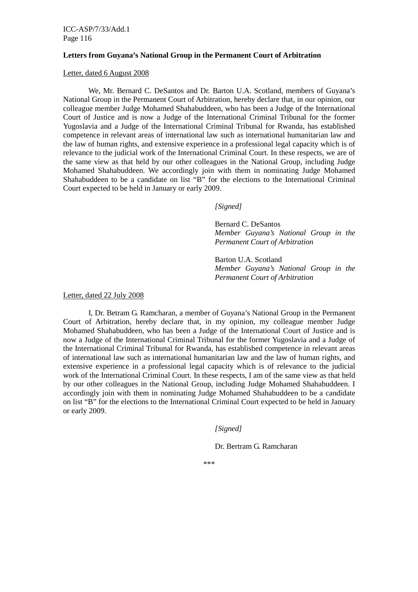ICC-ASP/7/33/Add.1 Page 116

#### **Letters from Guyana's National Group in the Permanent Court of Arbitration**

### Letter, dated 6 August 2008

 We, Mr. Bernard C. DeSantos and Dr. Barton U.A. Scotland, members of Guyana's National Group in the Permanent Court of Arbitration, hereby declare that, in our opinion, our colleague member Judge Mohamed Shahabuddeen, who has been a Judge of the International Court of Justice and is now a Judge of the International Criminal Tribunal for the former Yugoslavia and a Judge of the International Criminal Tribunal for Rwanda, has established competence in relevant areas of international law such as international humanitarian law and the law of human rights, and extensive experience in a professional legal capacity which is of relevance to the judicial work of the International Criminal Court. In these respects, we are of the same view as that held by our other colleagues in the National Group, including Judge Mohamed Shahabuddeen. We accordingly join with them in nominating Judge Mohamed Shahabuddeen to be a candidate on list "B" for the elections to the International Criminal Court expected to be held in January or early 2009.

 *[Signed]* 

 Bernard C. DeSantos *Member Guyana's National Group in the Permanent Court of Arbitration* 

 Barton U.A. Scotland *Member Guyana's National Group in the Permanent Court of Arbitration* 

Letter, dated 22 July 2008

 I, Dr. Betram G. Ramcharan, a member of Guyana's National Group in the Permanent Court of Arbitration, hereby declare that, in my opinion, my colleague member Judge Mohamed Shahabuddeen, who has been a Judge of the International Court of Justice and is now a Judge of the International Criminal Tribunal for the former Yugoslavia and a Judge of the International Criminal Tribunal for Rwanda, has established competence in relevant areas of international law such as international humanitarian law and the law of human rights, and extensive experience in a professional legal capacity which is of relevance to the judicial work of the International Criminal Court. In these respects, I am of the same view as that held by our other colleagues in the National Group, including Judge Mohamed Shahabuddeen. I accordingly join with them in nominating Judge Mohamed Shahabuddeen to be a candidate on list "B" for the elections to the International Criminal Court expected to be held in January or early 2009.

 *[Signed]* 

Dr. Bertram G. Ramcharan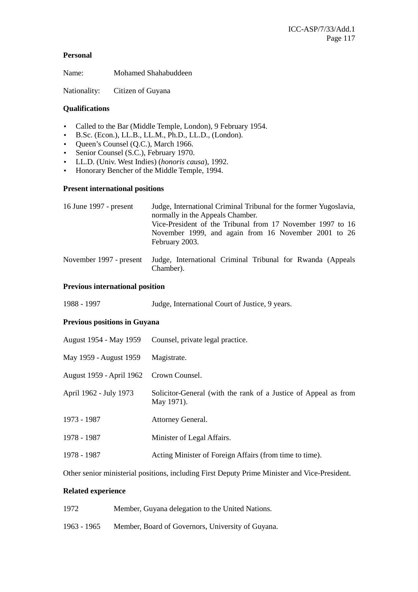# **Personal**

Name: Mohamed Shahabuddeen

Nationality: Citizen of Guyana

# **Qualifications**

- Called to the Bar (Middle Temple, London), 9 February 1954.
- B.Sc. (Econ.), LL.B., LL.M., Ph.D., LL.D., (London).
- Queen's Counsel (Q.C.), March 1966.
- Senior Counsel (S.C.), February 1970.
- LL.D. (Univ. West Indies) (*honoris causa*), 1992.
- Honorary Bencher of the Middle Temple, 1994.

# **Present international positions**

| 16 June 1997 - present  | Judge, International Criminal Tribunal for the former Yugoslavia,<br>normally in the Appeals Chamber. |
|-------------------------|-------------------------------------------------------------------------------------------------------|
|                         | Vice-President of the Tribunal from 17 November 1997 to 16                                            |
|                         | November 1999, and again from 16 November 2001 to 26<br>February 2003.                                |
| November 1997 - present | Judge, International Criminal Tribunal for Rwanda (Appeals<br>Chamber).                               |

# **Previous international position**

|  | 1988 - 1997 | Judge, International Court of Justice, 9 years. |
|--|-------------|-------------------------------------------------|
|--|-------------|-------------------------------------------------|

# **Previous positions in Guyana**

| August 1954 - May 1959                  | Counsel, private legal practice.                                              |
|-----------------------------------------|-------------------------------------------------------------------------------|
| May 1959 - August 1959                  | Magistrate.                                                                   |
| August 1959 - April 1962 Crown Counsel. |                                                                               |
| April 1962 - July 1973                  | Solicitor-General (with the rank of a Justice of Appeal as from<br>May 1971). |
| 1973 - 1987                             | Attorney General.                                                             |
| 1978 - 1987                             | Minister of Legal Affairs.                                                    |
| 1978 - 1987                             | Acting Minister of Foreign Affairs (from time to time).                       |

Other senior ministerial positions, including First Deputy Prime Minister and Vice-President.

# **Related experience**

- 1972 Member, Guyana delegation to the United Nations.
- 1963 1965 Member, Board of Governors, University of Guyana.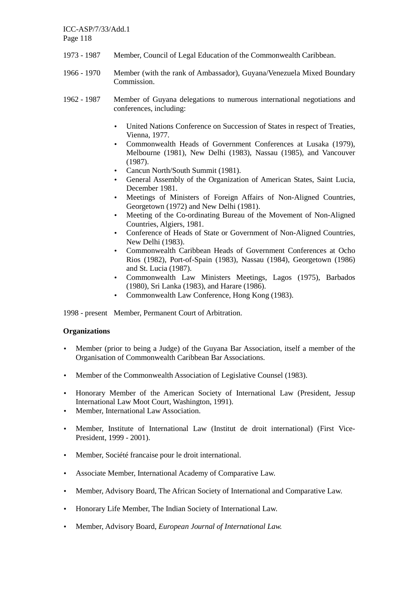ICC-ASP/7/33/Add.1 Page 118

- 1973 1987 Member, Council of Legal Education of the Commonwealth Caribbean.
- 1966 1970 Member (with the rank of Ambassador), Guyana/Venezuela Mixed Boundary Commission.
- 1962 1987 Member of Guyana delegations to numerous international negotiations and conferences, including:
	- United Nations Conference on Succession of States in respect of Treaties, Vienna, 1977.
	- Commonwealth Heads of Government Conferences at Lusaka (1979), Melbourne (1981), New Delhi (1983), Nassau (1985), and Vancouver (1987).
	- Cancun North/South Summit (1981).
	- General Assembly of the Organization of American States, Saint Lucia, December 1981.
	- Meetings of Ministers of Foreign Affairs of Non-Aligned Countries, Georgetown (1972) and New Delhi (1981).
	- Meeting of the Co-ordinating Bureau of the Movement of Non-Aligned Countries, Algiers, 1981.
	- Conference of Heads of State or Government of Non-Aligned Countries, New Delhi (1983).
	- Commonwealth Caribbean Heads of Government Conferences at Ocho Rios (1982), Port-of-Spain (1983), Nassau (1984), Georgetown (1986) and St. Lucia (1987).
	- Commonwealth Law Ministers Meetings, Lagos (1975), Barbados (1980), Sri Lanka (1983), and Harare (1986).
	- Commonwealth Law Conference, Hong Kong (1983).

1998 - present Member, Permanent Court of Arbitration.

# **Organizations**

- Member (prior to being a Judge) of the Guyana Bar Association, itself a member of the Organisation of Commonwealth Caribbean Bar Associations.
- Member of the Commonwealth Association of Legislative Counsel (1983).
- Honorary Member of the American Society of International Law (President, Jessup International Law Moot Court, Washington, 1991).
- Member, International Law Association.
- Member, Institute of International Law (Institut de droit international) (First Vice-President, 1999 - 2001).
- Member, Société francaise pour le droit international.
- Associate Member, International Academy of Comparative Law.
- Member, Advisory Board, The African Society of International and Comparative Law.
- Honorary Life Member, The Indian Society of International Law.
- Member, Advisory Board, *European Journal of International Law.*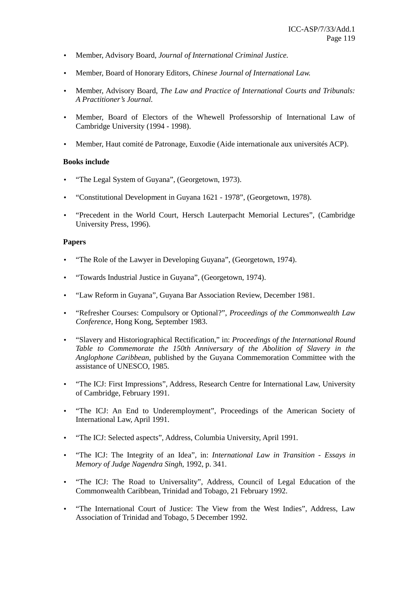- Member, Advisory Board*, Journal of International Criminal Justice.*
- Member, Board of Honorary Editors, *Chinese Journal of International Law.*
- Member, Advisory Board, *The Law and Practice of International Courts and Tribunals: A Practitioner's Journal.*
- Member, Board of Electors of the Whewell Professorship of International Law of Cambridge University (1994 - 1998).
- Member, Haut comité de Patronage, Euxodie (Aide internationale aux universités ACP).

# **Books include**

- "The Legal System of Guyana", (Georgetown, 1973).
- "Constitutional Development in Guyana 1621 1978", (Georgetown, 1978).
- "Precedent in the World Court, Hersch Lauterpacht Memorial Lectures", (Cambridge University Press, 1996).

# **Papers**

- "The Role of the Lawyer in Developing Guyana", (Georgetown, 1974).
- "Towards Industrial Justice in Guyana", (Georgetown, 1974).
- "Law Reform in Guyana", Guyana Bar Association Review, December 1981.
- "Refresher Courses: Compulsory or Optional?", *Proceedings of the Commonwealth Law Conference,* Hong Kong, September 1983.
- "Slavery and Historiographical Rectification," in: *Proceedings of the International Round Table to Commemorate the 150th Anniversary of the Abolition of Slavery in the Anglophone Caribbean*, published by the Guyana Commemoration Committee with the assistance of UNESCO, 1985.
- "The ICJ: First Impressions", Address, Research Centre for International Law, University of Cambridge, February 1991.
- "The ICJ: An End to Underemployment", Proceedings of the American Society of International Law, April 1991.
- "The ICJ: Selected aspects", Address, Columbia University, April 1991.
- "The ICJ: The Integrity of an Idea", in: *International Law in Transition Essays in Memory of Judge Nagendra Singh*, 1992, p. 341.
- "The ICJ: The Road to Universality", Address, Council of Legal Education of the Commonwealth Caribbean, Trinidad and Tobago, 21 February 1992.
- "The International Court of Justice: The View from the West Indies", Address, Law Association of Trinidad and Tobago, 5 December 1992.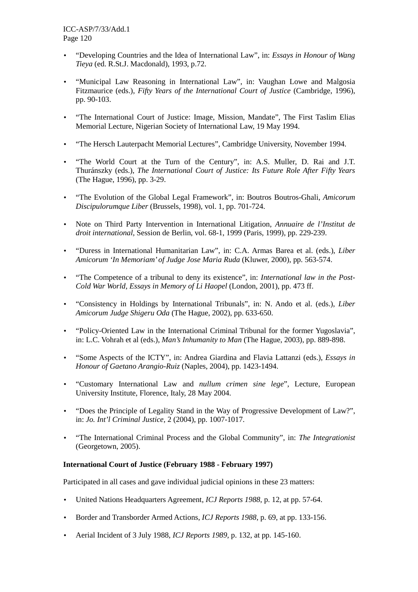- "Developing Countries and the Idea of International Law", in: *Essays in Honour of Wang Tieya* (ed. R.St.J. Macdonald), 1993, p.72.
- "Municipal Law Reasoning in International Law", in: Vaughan Lowe and Malgosia Fitzmaurice (eds.), *Fifty Years of the International Court of Justice* (Cambridge, 1996), pp. 90-103.
- "The International Court of Justice: Image, Mission, Mandate", The First Taslim Elias Memorial Lecture, Nigerian Society of International Law, 19 May 1994.
- "The Hersch Lauterpacht Memorial Lectures", Cambridge University, November 1994.
- "The World Court at the Turn of the Century", in: A.S. Muller, D. Rai and J.T. Thuránszky (eds.), *The International Court of Justice: Its Future Role After Fifty Years*  (The Hague, 1996), pp. 3-29.
- "The Evolution of the Global Legal Framework", in: Boutros Boutros-Ghali, *Amicorum Discipulorumque Liber* (Brussels, 1998), vol. 1, pp. 701-724.
- Note on Third Party Intervention in International Litigation, *Annuaire de l'Institut de droit international,* Session de Berlin, vol. 68-1, 1999 (Paris, 1999), pp. 229-239.
- "Duress in International Humanitarian Law", in: C.A. Armas Barea et al. (eds.), *Liber Amicorum 'In Memoriam' of Judge Jose Maria Ruda* (Kluwer, 2000), pp. 563-574.
- "The Competence of a tribunal to deny its existence", in: *International law in the Post-Cold War World, Essays in Memory of Li Haopel* (London, 2001), pp. 473 ff.
- "Consistency in Holdings by International Tribunals", in: N. Ando et al. (eds.), *Liber Amicorum Judge Shigeru Oda* (The Hague, 2002), pp. 633-650.
- "Policy-Oriented Law in the International Criminal Tribunal for the former Yugoslavia". in: L.C. Vohrah et al (eds.), *Man's Inhumanity to Man* (The Hague, 2003), pp. 889-898.
- "Some Aspects of the ICTY", in: Andrea Giardina and Flavia Lattanzi (eds.), *Essays in Honour of Gaetano Arangio-Ruiz* (Naples, 2004), pp. 1423-1494.
- "Customary International Law and *nullum crimen sine lege*", Lecture, European University Institute, Florence, Italy, 28 May 2004.
- "Does the Principle of Legality Stand in the Way of Progressive Development of Law?", in: *Jo. Int'l Criminal Justice,* 2 (2004), pp. 1007-1017.
- "The International Criminal Process and the Global Community", in: *The Integrationist* (Georgetown, 2005).

# **International Court of Justice (February 1988 - February 1997)**

Participated in all cases and gave individual judicial opinions in these 23 matters:

- United Nations Headquarters Agreement, *ICJ Reports 1988*, p. 12, at pp. 57-64.
- Border and Transborder Armed Actions, *ICJ Reports 1988*, p. 69, at pp. 133-156.
- Aerial Incident of 3 July 1988, *ICJ Reports 1989,* p. 132, at pp. 145-160.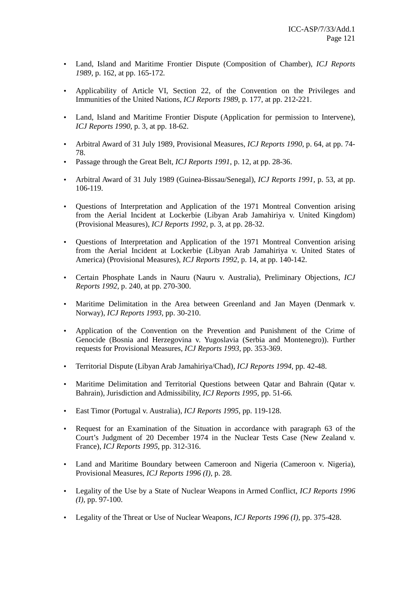- Land, Island and Maritime Frontier Dispute (Composition of Chamber), *ICJ Reports 1989,* p. 162, at pp. 165-172*.*
- Applicability of Article VI, Section 22, of the Convention on the Privileges and Immunities of the United Nations, *ICJ Reports 1989*, p. 177, at pp. 212-221.
- Land, Island and Maritime Frontier Dispute (Application for permission to Intervene), *ICJ Reports 1990,* p. 3, at pp. 18-62.
- Arbitral Award of 31 July 1989, Provisional Measures, *ICJ Reports 1990*, p. 64, at pp. 74- 78.
- Passage through the Great Belt, *ICJ Reports 1991*, p. 12, at pp. 28-36.
- Arbitral Award of 31 July 1989 (Guinea-Bissau/Senegal), *ICJ Reports 1991,* p. 53, at pp. 106-119.
- Questions of Interpretation and Application of the 1971 Montreal Convention arising from the Aerial Incident at Lockerbie (Libyan Arab Jamahiriya v. United Kingdom) (Provisional Measures), *ICJ Reports 1992,* p. 3, at pp. 28-32.
- Questions of Interpretation and Application of the 1971 Montreal Convention arising from the Aerial Incident at Lockerbie (Libyan Arab Jamahiriya v. United States of America) (Provisional Measures), *ICJ Reports 1992,* p. 14, at pp. 140-142.
- Certain Phosphate Lands in Nauru (Nauru v. Australia), Preliminary Objections, *ICJ Reports 1992,* p. 240, at pp. 270-300.
- Maritime Delimitation in the Area between Greenland and Jan Mayen (Denmark v. Norway), *ICJ Reports 1993,* pp. 30-210.
- Application of the Convention on the Prevention and Punishment of the Crime of Genocide (Bosnia and Herzegovina v. Yugoslavia (Serbia and Montenegro)). Further requests for Provisional Measures, *ICJ Reports 1993,* pp. 353-369.
- Territorial Dispute (Libyan Arab Jamahiriya/Chad), *ICJ Reports 1994,* pp. 42-48.
- Maritime Delimitation and Territorial Questions between Qatar and Bahrain (Qatar v. Bahrain), Jurisdiction and Admissibility, *ICJ Reports 1995,* pp. 51-66*.*
- East Timor (Portugal v. Australia), *ICJ Reports 1995,* pp. 119-128.
- Request for an Examination of the Situation in accordance with paragraph 63 of the Court's Judgment of 20 December 1974 in the Nuclear Tests Case (New Zealand v. France), *ICJ Reports 1995,* pp. 312-316.
- Land and Maritime Boundary between Cameroon and Nigeria (Cameroon v. Nigeria), Provisional Measures, *ICJ Reports 1996 (I),* p. 28.
- Legality of the Use by a State of Nuclear Weapons in Armed Conflict, *ICJ Reports 1996 (I),* pp. 97-100.
- Legality of the Threat or Use of Nuclear Weapons, *ICJ Reports 1996 (I),* pp. 375-428.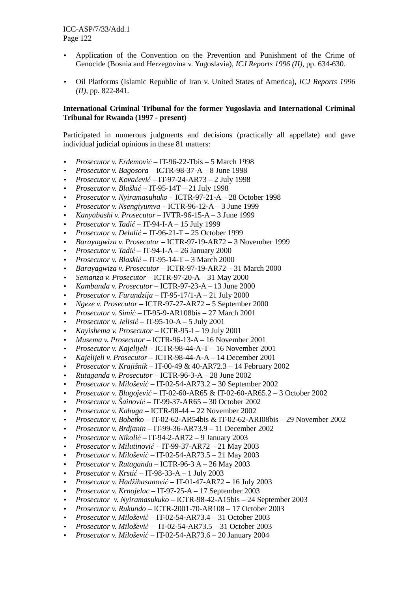- Application of the Convention on the Prevention and Punishment of the Crime of Genocide (Bosnia and Herzegovina v. Yugoslavia), *ICJ Reports 1996 (II),* pp. 634-630.
- Oil Platforms (Islamic Republic of Iran v. United States of America), *ICJ Reports 1996 (II),* pp. 822-841*.*

# **International Criminal Tribunal for the former Yugoslavia and International Criminal Tribunal for Rwanda (1997 - present)**

Participated in numerous judgments and decisions (practically all appellate) and gave individual judicial opinions in these 81 matters:

- *Prosecutor v. Erdemovi*ć IT-96-22-Tbis 5 March 1998
- *Prosecutor v. Bagosora* ICTR-98-37-A 8 June 1998
- *Prosecutor v. Kova*č*evi*ć IT-97-24-AR73 2 July 1998
- *Prosecutor v. Blaški*ć IT-95-14T 21 July 1998
- *Prosecutor v. Nyiramasuhuko* ICTR-97-21-A 28 October 1998
- *Prosecutor v. Nsengiyumva* ICTR-96-12-A 3 June 1999
- *Kanyabashi v. Prosecutor* IVTR-96-15-A 3 June 1999
- *Prosecutor v. Tadi*ć IT-94-I-A 15 July 1999
- *Prosecutor v. Delali*ć IT-96-21-T 25 October 1999
- *Barayagwiza v. Prosecutor* ICTR-97-19-AR72 3 November 1999
- *Prosecutor v. Tadi*ć IT-94-I-A 26 January 2000
- *Prosecutor v. Blaski*ć IT-95-14-T 3 March 2000
- *Barayagwiza v. Prosecutor* ICTR-97-19-AR72 31 March 2000
- *Semanza v. Prosecutor* ICTR-97-20-A 31 May 2000
- *Kambanda v. Prosecutor* ICTR-97-23-A 13 June 2000
- *Prosecutor v. Furundzija* IT-95-17/1-A 21 July 2000
- *Ngeze v. Prosecutor* ICTR-97-27-AR72 5 September 2000
- *Prosecutor v. Simi*ć IT-95-9-AR108bis 27 March 2001
- *Prosecutor v. Jelisi*ć IT-95-10-A 5 July 2001
- *Kayishema v. Prosecutor* ICTR-95-I 19 July 2001
- *Musema v. Prosecutor* ICTR-96-13-A 16 November 2001
- *Prosecutor v. Kajelijeli* ICTR-98-44-A-T 16 November 2001
- *Kajelijeli v. Prosecutor* ICTR-98-44-A-A 14 December 2001
- *Prosecutor v. Krajišnik* IT-00-49 & 40-AR72.3 14 February 2002
- *Rutaganda v. Prosecutor* ICTR-96-3-A 28 June 2002
- *Prosecutor v. Miloševi*ć IT-02-54-AR73.2 30 September 2002
- *Prosecutor v. Blagojevi*ć IT-02-60-AR65 & IT-02-60-AR65.2 3 October 2002
- *Prosecutor v. Šainovi*ć IT-99-37-AR65 30 October 2002
- *Prosecutor v. Kabuga* ICTR-98-44 22 November 2002
- *Prosecutor v. Bobetko* IT-02-62-AR54bis & IT-02-62-ARI08bis 29 November 2002
- *Prosecutor v. Brdjanin* IT-99-36-AR73.9 11 December 2002
- *Prosecutor v. Nikoli*ć IT-94-2-AR72 9 January 2003
- *Prosecutor v. Milutinovi*ć IT-99-37-AR72 21 May 2003
- *Prosecutor v. Miloševi*ć IT-02-54-AR73.5 21 May 2003
- *Prosecutor v. Rutaganda* ICTR-96-3 A 26 May 2003
- *Prosecutor v. Krsti*ć IT-98-33-A 1 July 2003
- *Prosecutor v. Hadžihasanovi*ć IT-01-47-AR72 16 July 2003
- *Prosecutor v. Krnojelac* IT-97-25-A 17 September 2003
- *Prosecutor v. Nyiramasukuko* ICTR-98-42-A15bis 24 September 2003
- *Prosecutor v. Rukundo* ICTR-2001-70-AR108 17 October 2003
- *Prosecutor v. Miloševi*ć IT-02-54-AR73.4 31 October 2003
- *Prosecutor v. Miloševi*ć IT-02-54-AR73.5 31 October 2003
- *Prosecutor v. Miloševi*ć IT-02-54-AR73.6 20 January 2004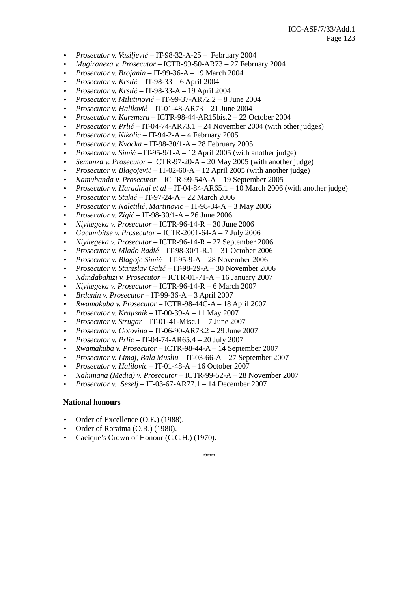- *Prosecutor v. Vasiljevi*ć IT-98-32-A-25 February 2004
- *Mugiraneza v. Prosecutor* ICTR-99-50-AR73 27 February 2004
- *Prosecutor v. Brojanin* IT-99-36-A 19 March 2004
- *Prosecutor v. Krsti*ć IT-98-33 6 April 2004
- *Prosecutor v. Krsti*ć IT-98-33-A 19 April 2004
- *Prosecutor v. Milutinovi*ć IT-99-37-AR72.2 8 June 2004
- *Prosecutor v. Halilovi*ć IT-01-48-AR73 21 June 2004
- *Prosecutor v. Karemera* ICTR-98-44-AR15bis.2 22 October 2004
- *Prosecutor v. Prli*ć IT-04-74-AR73.1 24 November 2004 (with other judges)
- *Prosecutor v. Nikoli*ć IT-94-2-A 4 February 2005
- *Prosecutor v. Kvo*č*ka* IT-98-30/1-A 28 February 2005
- *Prosecutor v. Simi*ć IT-95-9/1-A 12 April 2005 (with another judge)
- *Semanza v. Prosecutor* ICTR-97-20-A 20 May 2005 (with another judge)
- *Prosecutor v. Blagojevi*ć IT-02-60-A 12 April 2005 (with another judge)
- *Kamuhanda v. Prosecutor* ICTR-99-54A-A 19 September 2005
- *Prosecutor v. Haradinaj et al* IT-04-84-AR65.1 10 March 2006 (with another judge)
- *Prosecutor v. Staki*ć IT-97-24-A 22 March 2006
- *Prosecutor v. Naletili*ć*, Martinovic* IT-98-34-A 3 May 2006
- *Prosecutor v. Zigi*ć IT-98-30/1-A 26 June 2006
- *Niyitegeka v. Prosecutor* ICTR-96-14-R 30 June 2006
- *Gacumbitse v. Prosecutor* ICTR-2001-64-A 7 July 2006
- *Niyitegeka v. Prosecutor* ICTR-96-14-R 27 September 2006
- *Prosecutor v. Mlado Radi*ć IT-98-30/1-R.1 31 October 2006
- *Prosecutor v. Blagoje Simi*ć IT-95-9-A 28 November 2006
- *Prosecutor v. Stanislav Gali*ć IT-98-29-A 30 November 2006
- *Ndindabahizi v. Prosecutor* ICTR-01-71-A 16 January 2007
- *Niyitegeka v. Prosecutor* ICTR-96-14-R 6 March 2007
- *Brdanin v. Prosecutor* IT-99-36-A 3 April 2007
- *Rwamakuba v. Prosecutor* ICTR-98-44C-A 18 April 2007
- *Prosecutor v. Krajisnik* IT-00-39-A 11 May 2007
- *Prosecutor v. Strugar* IT-01-41-Misc.1 7 June 2007
- *Prosecutor v. Gotovina* IT-06-90-AR73.2 29 June 2007
- *Prosecutor v. Prlic* IT-04-74-AR65.4 20 July 2007
- *Rwamakuba v. Prosecutor* ICTR-98-44-A 14 September 2007
- *Prosecutor v. Limaj, Bala Musliu* IT-03-66-A 27 September 2007
- *Prosecutor v. Halilovic* IT-01-48-A 16 October 2007
- *Nahimana (Media) v. Prosecutor* ICTR-99-52-A 28 November 2007
- *Prosecutor v. Seselj* IT-03-67-AR77.1 14 December 2007

### **National honours**

- Order of Excellence (O.E.) (1988).
- Order of Roraima (O.R.) (1980).
- Cacique's Crown of Honour (C.C.H.) (1970).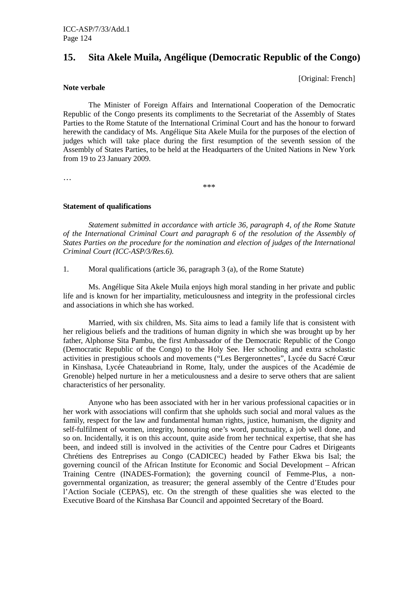# **15. Sita Akele Muila, Angélique (Democratic Republic of the Congo)**

[Original: French]

### **Note verbale**

 The Minister of Foreign Affairs and International Cooperation of the Democratic Republic of the Congo presents its compliments to the Secretariat of the Assembly of States Parties to the Rome Statute of the International Criminal Court and has the honour to forward herewith the candidacy of Ms. Angélique Sita Akele Muila for the purposes of the election of judges which will take place during the first resumption of the seventh session of the Assembly of States Parties, to be held at the Headquarters of the United Nations in New York from 19 to 23 January 2009.

…

\*\*\*

# **Statement of qualifications**

 *Statement submitted in accordance with article 36, paragraph 4, of the Rome Statute of the International Criminal Court and paragraph 6 of the resolution of the Assembly of States Parties on the procedure for the nomination and election of judges of the International Criminal Court (ICC-ASP/3/Res.6).* 

1. Moral qualifications (article 36, paragraph 3 (a), of the Rome Statute)

 Ms. Angélique Sita Akele Muila enjoys high moral standing in her private and public life and is known for her impartiality, meticulousness and integrity in the professional circles and associations in which she has worked.

 Married, with six children, Ms. Sita aims to lead a family life that is consistent with her religious beliefs and the traditions of human dignity in which she was brought up by her father, Alphonse Sita Pambu, the first Ambassador of the Democratic Republic of the Congo (Democratic Republic of the Congo) to the Holy See. Her schooling and extra scholastic activities in prestigious schools and movements ("Les Bergeronnettes", Lycée du Sacré Cœur in Kinshasa, Lycée Chateaubriand in Rome, Italy, under the auspices of the Académie de Grenoble) helped nurture in her a meticulousness and a desire to serve others that are salient characteristics of her personality.

 Anyone who has been associated with her in her various professional capacities or in her work with associations will confirm that she upholds such social and moral values as the family, respect for the law and fundamental human rights, justice, humanism, the dignity and self-fulfilment of women, integrity, honouring one's word, punctuality, a job well done, and so on. Incidentally, it is on this account, quite aside from her technical expertise, that she has been, and indeed still is involved in the activities of the Centre pour Cadres et Dirigeants Chrétiens des Entreprises au Congo (CADICEC) headed by Father Ekwa bis Isal; the governing council of the African Institute for Economic and Social Development – African Training Centre (INADES-Formation); the governing council of Femme-Plus, a nongovernmental organization, as treasurer; the general assembly of the Centre d'Etudes pour l'Action Sociale (CEPAS), etc. On the strength of these qualities she was elected to the Executive Board of the Kinshasa Bar Council and appointed Secretary of the Board.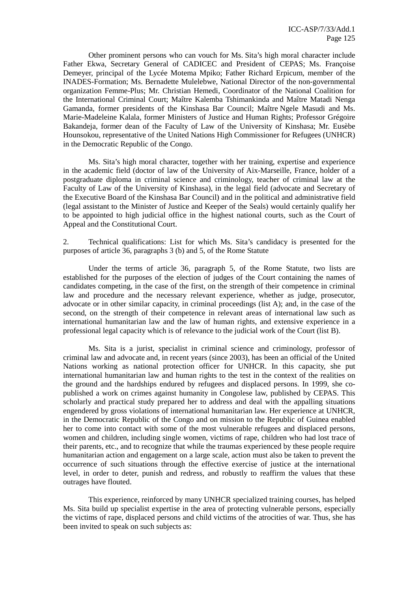Other prominent persons who can vouch for Ms. Sita's high moral character include Father Ekwa, Secretary General of CADICEC and President of CEPAS; Ms. Françoise Demeyer, principal of the Lycée Motema Mpiko; Father Richard Erpicum, member of the INADES-Formation; Ms. Bernadette Mulelebwe, National Director of the non-governmental organization Femme-Plus; Mr. Christian Hemedi, Coordinator of the National Coalition for the International Criminal Court; Maître Kalemba Tshimankinda and Maître Matadi Nenga Gamanda, former presidents of the Kinshasa Bar Council; Maître Ngele Masudi and Ms. Marie-Madeleine Kalala, former Ministers of Justice and Human Rights; Professor Grégoire Bakandeja, former dean of the Faculty of Law of the University of Kinshasa; Mr. Eusèbe Hounsokou, representative of the United Nations High Commissioner for Refugees (UNHCR) in the Democratic Republic of the Congo.

 Ms. Sita's high moral character, together with her training, expertise and experience in the academic field (doctor of law of the University of Aix-Marseille, France, holder of a postgraduate diploma in criminal science and criminology, teacher of criminal law at the Faculty of Law of the University of Kinshasa), in the legal field (advocate and Secretary of the Executive Board of the Kinshasa Bar Council) and in the political and administrative field (legal assistant to the Minister of Justice and Keeper of the Seals) would certainly qualify her to be appointed to high judicial office in the highest national courts, such as the Court of Appeal and the Constitutional Court.

2. Technical qualifications: List for which Ms. Sita's candidacy is presented for the purposes of article 36, paragraphs 3 (b) and 5, of the Rome Statute

 Under the terms of article 36, paragraph 5, of the Rome Statute, two lists are established for the purposes of the election of judges of the Court containing the names of candidates competing, in the case of the first, on the strength of their competence in criminal law and procedure and the necessary relevant experience, whether as judge, prosecutor, advocate or in other similar capacity, in criminal proceedings (list A); and, in the case of the second, on the strength of their competence in relevant areas of international law such as international humanitarian law and the law of human rights, and extensive experience in a professional legal capacity which is of relevance to the judicial work of the Court (list B).

 Ms. Sita is a jurist, specialist in criminal science and criminology, professor of criminal law and advocate and, in recent years (since 2003), has been an official of the United Nations working as national protection officer for UNHCR. In this capacity, she put international humanitarian law and human rights to the test in the context of the realities on the ground and the hardships endured by refugees and displaced persons. In 1999, she copublished a work on crimes against humanity in Congolese law, published by CEPAS. This scholarly and practical study prepared her to address and deal with the appalling situations engendered by gross violations of international humanitarian law. Her experience at UNHCR, in the Democratic Republic of the Congo and on mission to the Republic of Guinea enabled her to come into contact with some of the most vulnerable refugees and displaced persons, women and children, including single women, victims of rape, children who had lost trace of their parents, etc., and to recognize that while the traumas experienced by these people require humanitarian action and engagement on a large scale, action must also be taken to prevent the occurrence of such situations through the effective exercise of justice at the international level, in order to deter, punish and redress, and robustly to reaffirm the values that these outrages have flouted.

 This experience, reinforced by many UNHCR specialized training courses, has helped Ms. Sita build up specialist expertise in the area of protecting vulnerable persons, especially the victims of rape, displaced persons and child victims of the atrocities of war. Thus, she has been invited to speak on such subjects as: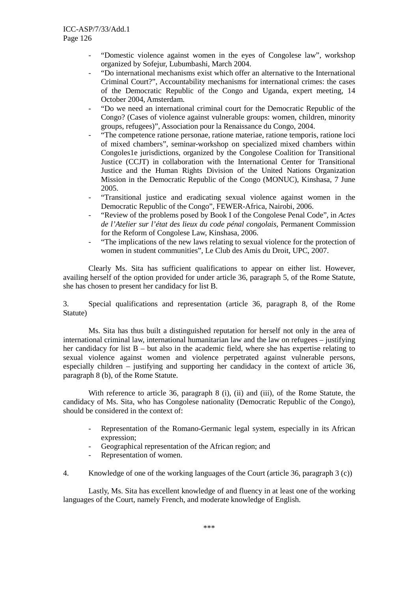- "Domestic violence against women in the eyes of Congolese law", workshop organized by Sofejur, Lubumbashi, March 2004.
- "Do international mechanisms exist which offer an alternative to the International Criminal Court?", Accountability mechanisms for international crimes: the cases of the Democratic Republic of the Congo and Uganda, expert meeting, 14 October 2004, Amsterdam.
- "Do we need an international criminal court for the Democratic Republic of the Congo? (Cases of violence against vulnerable groups: women, children, minority groups, refugees)", Association pour la Renaissance du Congo, 2004.
- "The competence ratione personae, ratione materiae, ratione temporis, ratione loci of mixed chambers", seminar-workshop on specialized mixed chambers within Congoles1e jurisdictions, organized by the Congolese Coalition for Transitional Justice (CCJT) in collaboration with the International Center for Transitional Justice and the Human Rights Division of the United Nations Organization Mission in the Democratic Republic of the Congo (MONUC), Kinshasa, 7 June 2005.
- "Transitional justice and eradicating sexual violence against women in the Democratic Republic of the Congo", FEWER-Africa, Nairobi, 2006.
- "Review of the problems posed by Book I of the Congolese Penal Code", in *Actes de l'Atelier sur l'état des lieux du code pénal congolais,* Permanent Commission for the Reform of Congolese Law, Kinshasa, 2006.
- "The implications of the new laws relating to sexual violence for the protection of women in student communities", Le Club des Amis du Droit, UPC, 2007.

 Clearly Ms. Sita has sufficient qualifications to appear on either list. However, availing herself of the option provided for under article 36, paragraph 5, of the Rome Statute, she has chosen to present her candidacy for list B.

3. Special qualifications and representation (article 36, paragraph 8, of the Rome Statute)

 Ms. Sita has thus built a distinguished reputation for herself not only in the area of international criminal law, international humanitarian law and the law on refugees – justifying her candidacy for list B – but also in the academic field, where she has expertise relating to sexual violence against women and violence perpetrated against vulnerable persons, especially children – justifying and supporting her candidacy in the context of article 36, paragraph 8 (b), of the Rome Statute.

With reference to article 36, paragraph 8 (i), (ii) and (iii), of the Rome Statute, the candidacy of Ms. Sita, who has Congolese nationality (Democratic Republic of the Congo), should be considered in the context of:

- Representation of the Romano-Germanic legal system, especially in its African expression;
- Geographical representation of the African region; and
- Representation of women.
- 4. Knowledge of one of the working languages of the Court (article 36, paragraph 3 (c))

 Lastly, Ms. Sita has excellent knowledge of and fluency in at least one of the working languages of the Court, namely French, and moderate knowledge of English.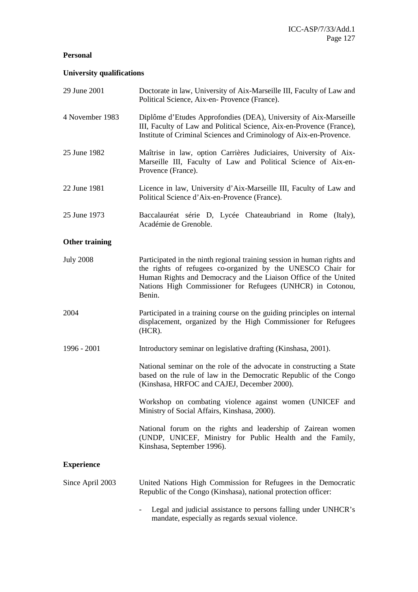# **Personal**

# **University qualifications**

| 29 June 2001          | Doctorate in law, University of Aix-Marseille III, Faculty of Law and<br>Political Science, Aix-en-Provence (France).                                                                                                                                                             |
|-----------------------|-----------------------------------------------------------------------------------------------------------------------------------------------------------------------------------------------------------------------------------------------------------------------------------|
| 4 November 1983       | Diplôme d'Etudes Approfondies (DEA), University of Aix-Marseille<br>III, Faculty of Law and Political Science, Aix-en-Provence (France),<br>Institute of Criminal Sciences and Criminology of Aix-en-Provence.                                                                    |
| 25 June 1982          | Maîtrise in law, option Carrières Judiciaires, University of Aix-<br>Marseille III, Faculty of Law and Political Science of Aix-en-<br>Provence (France).                                                                                                                         |
| 22 June 1981          | Licence in law, University d'Aix-Marseille III, Faculty of Law and<br>Political Science d'Aix-en-Provence (France).                                                                                                                                                               |
| 25 June 1973          | Baccalauréat série D, Lycée Chateaubriand in Rome (Italy),<br>Académie de Grenoble.                                                                                                                                                                                               |
| <b>Other training</b> |                                                                                                                                                                                                                                                                                   |
| <b>July 2008</b>      | Participated in the ninth regional training session in human rights and<br>the rights of refugees co-organized by the UNESCO Chair for<br>Human Rights and Democracy and the Liaison Office of the United<br>Nations High Commissioner for Refugees (UNHCR) in Cotonou,<br>Benin. |
| 2004                  | Participated in a training course on the guiding principles on internal<br>displacement, organized by the High Commissioner for Refugees<br>$(HCR)$ .                                                                                                                             |
| 1996 - 2001           | Introductory seminar on legislative drafting (Kinshasa, 2001).                                                                                                                                                                                                                    |
|                       | National seminar on the role of the advocate in constructing a State<br>based on the rule of law in the Democratic Republic of the Congo<br>(Kinshasa, HRFOC and CAJEJ, December 2000).                                                                                           |
|                       | Workshop on combating violence against women (UNICEF and<br>Ministry of Social Affairs, Kinshasa, 2000).                                                                                                                                                                          |
|                       | National forum on the rights and leadership of Zairean women<br>(UNDP, UNICEF, Ministry for Public Health and the Family,<br>Kinshasa, September 1996).                                                                                                                           |
| <b>Experience</b>     |                                                                                                                                                                                                                                                                                   |
| Since April 2003      | United Nations High Commission for Refugees in the Democratic<br>Republic of the Congo (Kinshasa), national protection officer:                                                                                                                                                   |
|                       | Legal and judicial assistance to persons falling under UNHCR's<br>mandate, especially as regards sexual violence.                                                                                                                                                                 |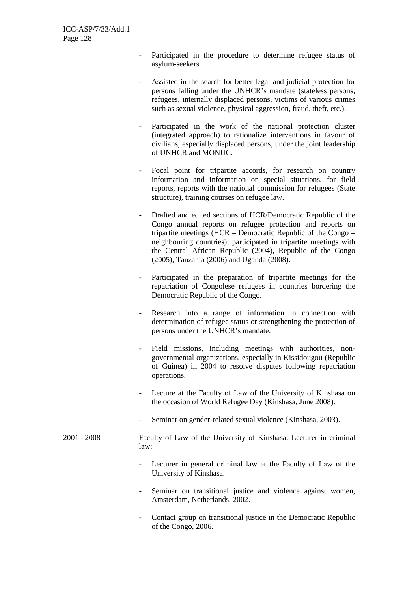- Participated in the procedure to determine refugee status of asylum-seekers.
- Assisted in the search for better legal and judicial protection for persons falling under the UNHCR's mandate (stateless persons, refugees, internally displaced persons, victims of various crimes such as sexual violence, physical aggression, fraud, theft, etc.).
- Participated in the work of the national protection cluster (integrated approach) to rationalize interventions in favour of civilians, especially displaced persons, under the joint leadership of UNHCR and MONUC.
- Focal point for tripartite accords, for research on country information and information on special situations, for field reports, reports with the national commission for refugees (State structure), training courses on refugee law.
- Drafted and edited sections of HCR/Democratic Republic of the Congo annual reports on refugee protection and reports on tripartite meetings (HCR – Democratic Republic of the Congo – neighbouring countries); participated in tripartite meetings with the Central African Republic (2004), Republic of the Congo (2005), Tanzania (2006) and Uganda (2008).
- Participated in the preparation of tripartite meetings for the repatriation of Congolese refugees in countries bordering the Democratic Republic of the Congo.
- Research into a range of information in connection with determination of refugee status or strengthening the protection of persons under the UNHCR's mandate.
- Field missions, including meetings with authorities, nongovernmental organizations, especially in Kissidougou (Republic of Guinea) in 2004 to resolve disputes following repatriation operations.
- Lecture at the Faculty of Law of the University of Kinshasa on the occasion of World Refugee Day (Kinshasa, June 2008).
- Seminar on gender-related sexual violence (Kinshasa, 2003).
- 2001 2008 Faculty of Law of the University of Kinshasa: Lecturer in criminal law:
	- Lecturer in general criminal law at the Faculty of Law of the University of Kinshasa.
	- Seminar on transitional justice and violence against women, Amsterdam, Netherlands, 2002.
	- Contact group on transitional justice in the Democratic Republic of the Congo, 2006.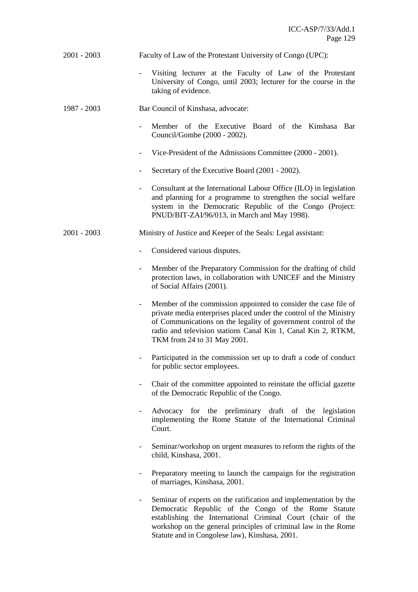| 2001 - 2003 | Faculty of Law of the Protestant University of Congo (UPC): |  |
|-------------|-------------------------------------------------------------|--|
|             |                                                             |  |

- Visiting lecturer at the Faculty of Law of the Protestant University of Congo, until 2003; lecturer for the course in the taking of evidence.
- 1987 2003 Bar Council of Kinshasa, advocate:
	- Member of the Executive Board of the Kinshasa Bar Council/Gombe (2000 - 2002).
	- Vice-President of the Admissions Committee (2000 2001).
	- Secretary of the Executive Board (2001 2002).
	- Consultant at the International Labour Office (ILO) in legislation and planning for a programme to strengthen the social welfare system in the Democratic Republic of the Congo (Project: PNUD/BIT-ZAI/96/013, in March and May 1998).
- 2001 2003 Ministry of Justice and Keeper of the Seals: Legal assistant:
	- Considered various disputes.
	- Member of the Preparatory Commission for the drafting of child protection laws, in collaboration with UNICEF and the Ministry of Social Affairs (2001).
	- Member of the commission appointed to consider the case file of private media enterprises placed under the control of the Ministry of Communications on the legality of government control of the radio and television stations Canal Kin 1, Canal Kin 2, RTKM, TKM from 24 to 31 May 2001.
	- Participated in the commission set up to draft a code of conduct for public sector employees.
	- Chair of the committee appointed to reinstate the official gazette of the Democratic Republic of the Congo.
	- Advocacy for the preliminary draft of the legislation implementing the Rome Statute of the International Criminal Court.
	- Seminar/workshop on urgent measures to reform the rights of the child, Kinshasa, 2001.
	- Preparatory meeting to launch the campaign for the registration of marriages, Kinshasa, 2001.
	- Seminar of experts on the ratification and implementation by the Democratic Republic of the Congo of the Rome Statute establishing the International Criminal Court (chair of the workshop on the general principles of criminal law in the Rome Statute and in Congolese law), Kinshasa, 2001.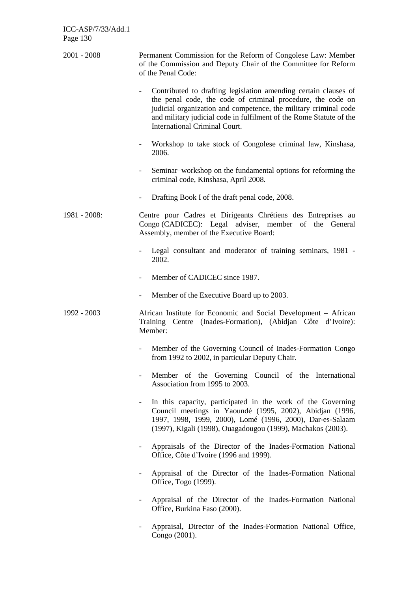- 2001 2008 Permanent Commission for the Reform of Congolese Law: Member of the Commission and Deputy Chair of the Committee for Reform of the Penal Code:
	- Contributed to drafting legislation amending certain clauses of the penal code, the code of criminal procedure, the code on judicial organization and competence, the military criminal code and military judicial code in fulfilment of the Rome Statute of the International Criminal Court.
	- Workshop to take stock of Congolese criminal law, Kinshasa, 2006.
	- Seminar–workshop on the fundamental options for reforming the criminal code, Kinshasa, April 2008.
	- Drafting Book I of the draft penal code, 2008.
- 1981 2008: Centre pour Cadres et Dirigeants Chrétiens des Entreprises au Congo (CADICEC): Legal adviser, member of the General Assembly, member of the Executive Board:
	- Legal consultant and moderator of training seminars, 1981 -2002.
	- Member of CADICEC since 1987.
	- Member of the Executive Board up to 2003.
- 1992 2003 African Institute for Economic and Social Development African Training Centre (Inades-Formation), (Abidjan Côte d'Ivoire): Member:
	- Member of the Governing Council of Inades-Formation Congo from 1992 to 2002, in particular Deputy Chair.
	- Member of the Governing Council of the International Association from 1995 to 2003.
	- In this capacity, participated in the work of the Governing Council meetings in Yaoundé (1995, 2002), Abidjan (1996, 1997, 1998, 1999, 2000), Lomé (1996, 2000), Dar-es-Salaam (1997), Kigali (1998), Ouagadougou (1999), Machakos (2003).
	- Appraisals of the Director of the Inades-Formation National Office, Côte d'Ivoire (1996 and 1999).
	- Appraisal of the Director of the Inades-Formation National Office, Togo (1999).
	- Appraisal of the Director of the Inades-Formation National Office, Burkina Faso (2000).
	- Appraisal, Director of the Inades-Formation National Office, Congo (2001).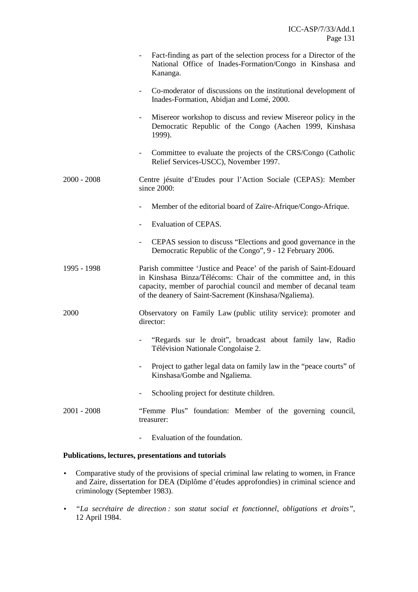|               | Fact-finding as part of the selection process for a Director of the<br>National Office of Inades-Formation/Congo in Kinshasa and<br>Kananga.                                                                                                                         |
|---------------|----------------------------------------------------------------------------------------------------------------------------------------------------------------------------------------------------------------------------------------------------------------------|
|               | Co-moderator of discussions on the institutional development of<br>Inades-Formation, Abidjan and Lomé, 2000.                                                                                                                                                         |
|               | Misereor workshop to discuss and review Misereor policy in the<br>Democratic Republic of the Congo (Aachen 1999, Kinshasa<br>1999).                                                                                                                                  |
|               | Committee to evaluate the projects of the CRS/Congo (Catholic<br>$-$<br>Relief Services-USCC), November 1997.                                                                                                                                                        |
| $2000 - 2008$ | Centre jésuite d'Etudes pour l'Action Sociale (CEPAS): Member<br>since 2000:                                                                                                                                                                                         |
|               | Member of the editorial board of Zaïre-Afrique/Congo-Afrique.                                                                                                                                                                                                        |
|               | Evaluation of CEPAS.                                                                                                                                                                                                                                                 |
|               | CEPAS session to discuss "Elections and good governance in the<br>$\overline{\phantom{0}}$<br>Democratic Republic of the Congo", 9 - 12 February 2006.                                                                                                               |
| 1995 - 1998   | Parish committee 'Justice and Peace' of the parish of Saint-Edouard<br>in Kinshasa Binza/Télécoms: Chair of the committee and, in this<br>capacity, member of parochial council and member of decanal team<br>of the deanery of Saint-Sacrement (Kinshasa/Ngaliema). |
| 2000          | Observatory on Family Law (public utility service): promoter and<br>director:                                                                                                                                                                                        |
|               | "Regards sur le droit", broadcast about family law, Radio<br>Télévision Nationale Congolaise 2.                                                                                                                                                                      |
|               | Project to gather legal data on family law in the "peace courts" of<br>Kinshasa/Gombe and Ngaliema.                                                                                                                                                                  |
|               | Schooling project for destitute children.                                                                                                                                                                                                                            |
| $2001 - 2008$ | "Femme Plus" foundation: Member of the governing council,<br>treasurer:                                                                                                                                                                                              |

- Evaluation of the foundation.

# **Publications, lectures, presentations and tutorials**

- Comparative study of the provisions of special criminal law relating to women, in France and Zaire, dissertation for DEA (Diplôme d'études approfondies) in criminal science and criminology (September 1983).
- *"La secrétaire de direction : son statut social et fonctionnel, obligations et droits"*, 12 April 1984.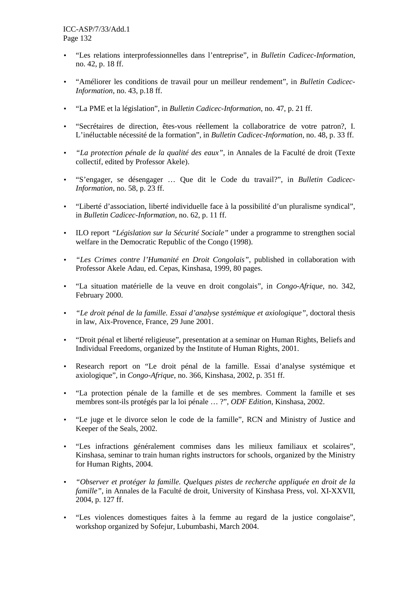- "Les relations interprofessionnelles dans l'entreprise", in *Bulletin Cadicec-Information*, no. 42, p. 18 ff.
- "Améliorer les conditions de travail pour un meilleur rendement", in *Bulletin Cadicec-Information*, no. 43, p.18 ff.
- "La PME et la législation", in *Bulletin Cadicec-Information*, no. 47, p. 21 ff.
- "Secrétaires de direction, êtes-vous réellement la collaboratrice de votre patron?, I. L'inéluctable nécessité de la formation", in *Bulletin Cadicec-Information*, no. 48, p. 33 ff.
- *"La protection pénale de la qualité des eaux"*, in Annales de la Faculté de droit (Texte collectif, edited by Professor Akele).
- "S'engager, se désengager … Que dit le Code du travail?", in *Bulletin Cadicec-Information*, no. 58, p. 23 ff.
- "Liberté d'association, liberté individuelle face à la possibilité d'un pluralisme syndical", in *Bulletin Cadicec-Information*, no. 62, p. 11 ff.
- ILO report *"Législation sur la Sécurité Sociale"* under a programme to strengthen social welfare in the Democratic Republic of the Congo (1998).
- *"Les Crimes contre l'Humanité en Droit Congolais"*, published in collaboration with Professor Akele Adau, ed. Cepas, Kinshasa, 1999, 80 pages.
- "La situation matérielle de la veuve en droit congolais", in *Congo-Afrique*, no. 342, February 2000.
- *"Le droit pénal de la famille. Essai d'analyse systémique et axiologique"*, doctoral thesis in law, Aix-Provence, France, 29 June 2001.
- "Droit pénal et liberté religieuse", presentation at a seminar on Human Rights, Beliefs and Individual Freedoms, organized by the Institute of Human Rights, 2001.
- Research report on "Le droit pénal de la famille. Essai d'analyse systémique et axiologique", in *Congo-Afrique*, no. 366, Kinshasa, 2002, p. 351 ff.
- "La protection pénale de la famille et de ses membres. Comment la famille et ses membres sont-ils protégés par la loi pénale … ?", *ODF Edition*, Kinshasa, 2002.
- "Le juge et le divorce selon le code de la famille", RCN and Ministry of Justice and Keeper of the Seals, 2002.
- "Les infractions généralement commises dans les milieux familiaux et scolaires", Kinshasa, seminar to train human rights instructors for schools, organized by the Ministry for Human Rights, 2004.
- *"Observer et protéger la famille. Quelques pistes de recherche appliquée en droit de la famille"*, in Annales de la Faculté de droit, University of Kinshasa Press, vol. XI-XXVII, 2004, p. 127 ff.
- "Les violences domestiques faites à la femme au regard de la justice congolaise", workshop organized by Sofejur, Lubumbashi, March 2004.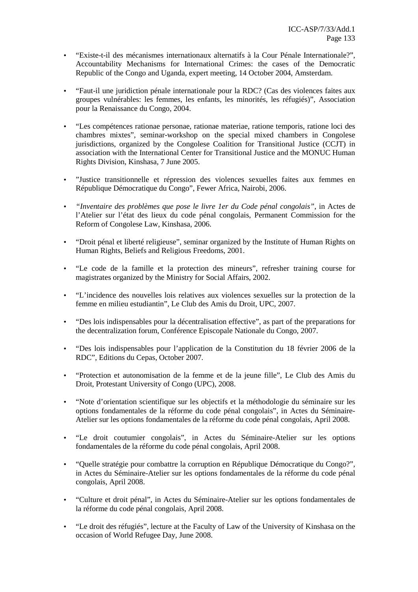- "Existe-t-il des mécanismes internationaux alternatifs à la Cour Pénale Internationale?", Accountability Mechanisms for International Crimes: the cases of the Democratic Republic of the Congo and Uganda, expert meeting, 14 October 2004, Amsterdam.
- "Faut-il une juridiction pénale internationale pour la RDC? (Cas des violences faites aux groupes vulnérables: les femmes, les enfants, les minorités, les réfugiés)", Association pour la Renaissance du Congo, 2004.
- "Les compétences rationae personae, rationae materiae, ratione temporis, ratione loci des chambres mixtes", seminar-workshop on the special mixed chambers in Congolese jurisdictions, organized by the Congolese Coalition for Transitional Justice (CCJT) in association with the International Center for Transitional Justice and the MONUC Human Rights Division, Kinshasa, 7 June 2005.
- "Justice transitionnelle et répression des violences sexuelles faites aux femmes en République Démocratique du Congo", Fewer Africa, Nairobi, 2006.
- *"Inventaire des problèmes que pose le livre 1er du Code pénal congolais"*, in Actes de l'Atelier sur l'état des lieux du code pénal congolais, Permanent Commission for the Reform of Congolese Law, Kinshasa, 2006.
- "Droit pénal et liberté religieuse", seminar organized by the Institute of Human Rights on Human Rights, Beliefs and Religious Freedoms, 2001.
- "Le code de la famille et la protection des mineurs", refresher training course for magistrates organized by the Ministry for Social Affairs, 2002.
- "L'incidence des nouvelles lois relatives aux violences sexuelles sur la protection de la femme en milieu estudiantin", Le Club des Amis du Droit, UPC, 2007.
- "Des lois indispensables pour la décentralisation effective", as part of the preparations for the decentralization forum, Conférence Episcopale Nationale du Congo, 2007.
- "Des lois indispensables pour l'application de la Constitution du 18 février 2006 de la RDC", Editions du Cepas, October 2007.
- "Protection et autonomisation de la femme et de la jeune fille", Le Club des Amis du Droit, Protestant University of Congo (UPC), 2008.
- "Note d'orientation scientifique sur les objectifs et la méthodologie du séminaire sur les options fondamentales de la réforme du code pénal congolais", in Actes du Séminaire-Atelier sur les options fondamentales de la réforme du code pénal congolais, April 2008.
- "Le droit coutumier congolais", in Actes du Séminaire-Atelier sur les options fondamentales de la réforme du code pénal congolais, April 2008.
- "Quelle stratégie pour combattre la corruption en République Démocratique du Congo?", in Actes du Séminaire-Atelier sur les options fondamentales de la réforme du code pénal congolais, April 2008.
- "Culture et droit pénal", in Actes du Séminaire-Atelier sur les options fondamentales de la réforme du code pénal congolais, April 2008.
- "Le droit des réfugiés", lecture at the Faculty of Law of the University of Kinshasa on the occasion of World Refugee Day, June 2008.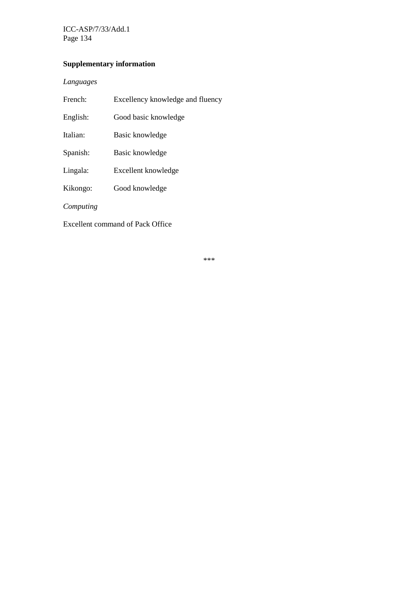ICC-ASP/7/33/Add.1 Page 134

# **Supplementary information**

# *Languages*

| French:   | Excellency knowledge and fluency |
|-----------|----------------------------------|
| English:  | Good basic knowledge             |
| Italian:  | Basic knowledge                  |
| Spanish:  | Basic knowledge                  |
| Lingala:  | Excellent knowledge              |
| Kikongo:  | Good knowledge                   |
| Computing |                                  |

Excellent command of Pack Office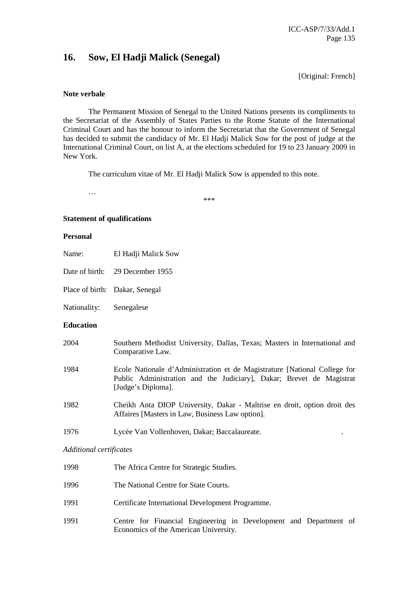# **16. Sow, El Hadji Malick (Senegal)**

[Original: French]

### **Note verbale**

 The Permanent Mission of Senegal to the United Nations presents its compliments to the Secretariat of the Assembly of States Parties to the Rome Statute of the International Criminal Court and has the honour to inform the Secretariat that the Government of Senegal has decided to submit the candidacy of Mr. El Hadji Malick Sow for the post of judge at the International Criminal Court, on list A, at the elections scheduled for 19 to 23 January 2009 in New York.

The curriculum vitae of Mr. El Hadji Malick Sow is appended to this note.

\*\*\*

### **Statement of qualifications**

…

### **Personal**

- Name: El Hadji Malick Sow
- Date of birth: 29 December 1955
- Place of birth: Dakar, Senegal
- Nationality: Senegalese

### **Education**

- 2004 Southern Methodist University, Dallas, Texas; Masters in International and Comparative Law.
- 1984 Ecole Nationale d'Administration et de Magistrature [National College for Public Administration and the Judiciary], Dakar; Brevet de Magistrat [Judge's Diploma].
- 1982 Cheikh Anta DIOP University, Dakar Maîtrise en droit, option droit des Affaires [Masters in Law, Business Law option].
- 1976 Lycée Van Vollenhoven, Dakar; Baccalaureate. .

### *Additional certificates*

| 1998 | The Africa Centre for Strategic Studies.                                                                   |
|------|------------------------------------------------------------------------------------------------------------|
| 1996 | The National Centre for State Courts.                                                                      |
| 1991 | Certificate International Development Programme.                                                           |
| 1991 | Centre for Financial Engineering in Development and Department of<br>Economics of the American University. |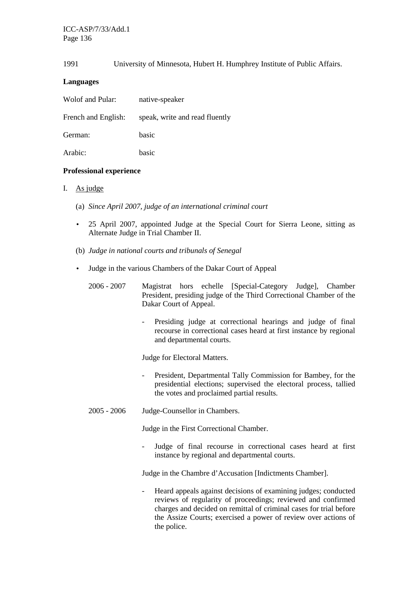# 1991 University of Minnesota, Hubert H. Humphrey Institute of Public Affairs.

# **Languages**

| Wolof and Pular:    | native-speaker                 |
|---------------------|--------------------------------|
| French and English: | speak, write and read fluently |
| German:             | basic                          |

Arabic: basic

# **Professional experience**

# I. As judge

- (a) *Since April 2007, judge of an international criminal court*
- 25 April 2007, appointed Judge at the Special Court for Sierra Leone, sitting as Alternate Judge in Trial Chamber II.
- (b) *Judge in national courts and tribunals of Senegal*
- Judge in the various Chambers of the Dakar Court of Appeal
	- 2006 2007 Magistrat hors echelle [Special-Category Judge], Chamber President, presiding judge of the Third Correctional Chamber of the Dakar Court of Appeal.
		- Presiding judge at correctional hearings and judge of final recourse in correctional cases heard at first instance by regional and departmental courts.

Judge for Electoral Matters.

- President, Departmental Tally Commission for Bambey, for the presidential elections; supervised the electoral process, tallied the votes and proclaimed partial results.
- 2005 2006 Judge-Counsellor in Chambers.

Judge in the First Correctional Chamber.

- Judge of final recourse in correctional cases heard at first instance by regional and departmental courts.

Judge in the Chambre d'Accusation [Indictments Chamber].

- Heard appeals against decisions of examining judges; conducted reviews of regularity of proceedings; reviewed and confirmed charges and decided on remittal of criminal cases for trial before the Assize Courts; exercised a power of review over actions of the police.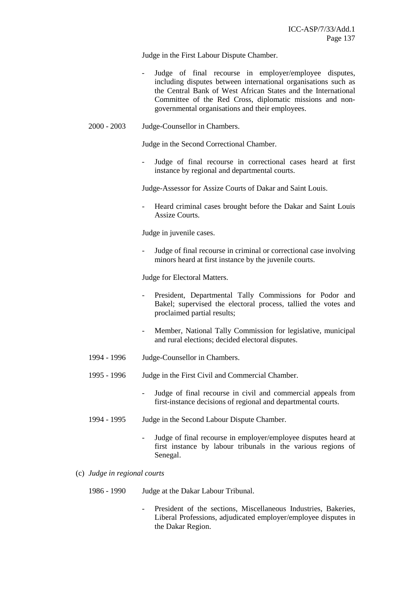Judge in the First Labour Dispute Chamber.

- Judge of final recourse in employer/employee disputes, including disputes between international organisations such as the Central Bank of West African States and the International Committee of the Red Cross, diplomatic missions and nongovernmental organisations and their employees.
- 2000 2003 Judge-Counsellor in Chambers.

Judge in the Second Correctional Chamber.

- Judge of final recourse in correctional cases heard at first instance by regional and departmental courts.

Judge-Assessor for Assize Courts of Dakar and Saint Louis.

Heard criminal cases brought before the Dakar and Saint Louis Assize Courts.

Judge in juvenile cases.

Judge of final recourse in criminal or correctional case involving minors heard at first instance by the juvenile courts.

Judge for Electoral Matters.

- President, Departmental Tally Commissions for Podor and Bakel; supervised the electoral process, tallied the votes and proclaimed partial results;
- Member, National Tally Commission for legislative, municipal and rural elections; decided electoral disputes.
- 1994 1996 Judge-Counsellor in Chambers.
- 1995 1996 Judge in the First Civil and Commercial Chamber.
	- Judge of final recourse in civil and commercial appeals from first-instance decisions of regional and departmental courts.
- 1994 1995 Judge in the Second Labour Dispute Chamber.
	- Judge of final recourse in employer/employee disputes heard at first instance by labour tribunals in the various regions of Senegal.
- (c) *Judge in regional courts* 
	- 1986 1990 Judge at the Dakar Labour Tribunal.
		- President of the sections, Miscellaneous Industries, Bakeries, Liberal Professions, adjudicated employer/employee disputes in the Dakar Region.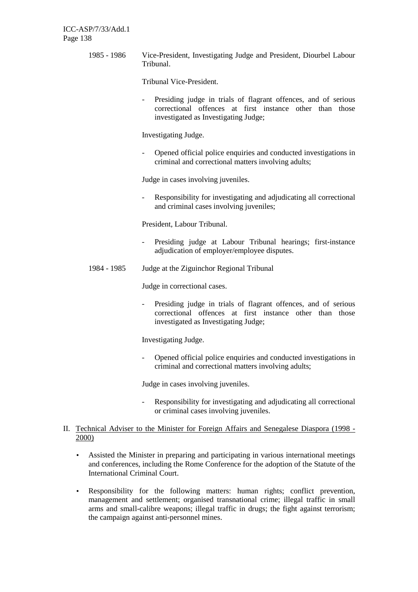1985 - 1986 Vice-President, Investigating Judge and President, Diourbel Labour Tribunal.

Tribunal Vice-President.

- Presiding judge in trials of flagrant offences, and of serious correctional offences at first instance other than those investigated as Investigating Judge;

Investigating Judge.

- Opened official police enquiries and conducted investigations in criminal and correctional matters involving adults;

Judge in cases involving juveniles.

Responsibility for investigating and adjudicating all correctional and criminal cases involving juveniles;

President, Labour Tribunal.

- Presiding judge at Labour Tribunal hearings; first-instance adjudication of employer/employee disputes.
- 1984 1985 Judge at the Ziguinchor Regional Tribunal

Judge in correctional cases.

- Presiding judge in trials of flagrant offences, and of serious correctional offences at first instance other than those investigated as Investigating Judge;

Investigating Judge.

- Opened official police enquiries and conducted investigations in criminal and correctional matters involving adults;

Judge in cases involving juveniles.

- Responsibility for investigating and adjudicating all correctional or criminal cases involving juveniles.
- II. Technical Adviser to the Minister for Foreign Affairs and Senegalese Diaspora (1998 2000)
	- Assisted the Minister in preparing and participating in various international meetings and conferences, including the Rome Conference for the adoption of the Statute of the International Criminal Court.
	- Responsibility for the following matters: human rights; conflict prevention, management and settlement; organised transnational crime; illegal traffic in small arms and small-calibre weapons; illegal traffic in drugs; the fight against terrorism; the campaign against anti-personnel mines.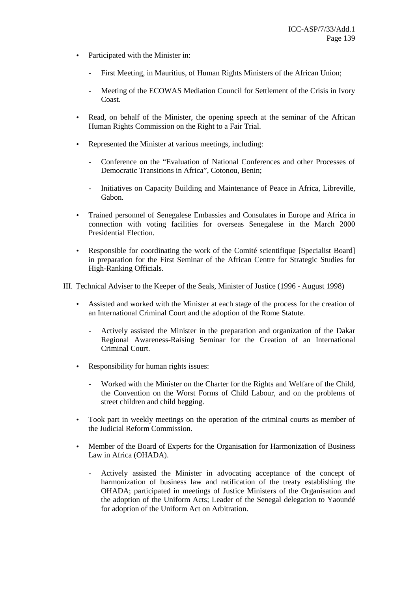- Participated with the Minister in:
	- First Meeting, in Mauritius, of Human Rights Ministers of the African Union;
	- Meeting of the ECOWAS Mediation Council for Settlement of the Crisis in Ivory Coast.
- Read, on behalf of the Minister, the opening speech at the seminar of the African Human Rights Commission on the Right to a Fair Trial.
- Represented the Minister at various meetings, including:
	- Conference on the "Evaluation of National Conferences and other Processes of Democratic Transitions in Africa", Cotonou, Benin;
	- Initiatives on Capacity Building and Maintenance of Peace in Africa, Libreville, Gabon.
- Trained personnel of Senegalese Embassies and Consulates in Europe and Africa in connection with voting facilities for overseas Senegalese in the March 2000 Presidential Election.
- Responsible for coordinating the work of the Comité scientifique [Specialist Board] in preparation for the First Seminar of the African Centre for Strategic Studies for High-Ranking Officials.

III. Technical Adviser to the Keeper of the Seals, Minister of Justice (1996 - August 1998)

- Assisted and worked with the Minister at each stage of the process for the creation of an International Criminal Court and the adoption of the Rome Statute.
	- Actively assisted the Minister in the preparation and organization of the Dakar Regional Awareness-Raising Seminar for the Creation of an International Criminal Court.
- Responsibility for human rights issues:
	- Worked with the Minister on the Charter for the Rights and Welfare of the Child, the Convention on the Worst Forms of Child Labour, and on the problems of street children and child begging.
- Took part in weekly meetings on the operation of the criminal courts as member of the Judicial Reform Commission.
- Member of the Board of Experts for the Organisation for Harmonization of Business Law in Africa (OHADA).
	- Actively assisted the Minister in advocating acceptance of the concept of harmonization of business law and ratification of the treaty establishing the OHADA; participated in meetings of Justice Ministers of the Organisation and the adoption of the Uniform Acts; Leader of the Senegal delegation to Yaoundé for adoption of the Uniform Act on Arbitration.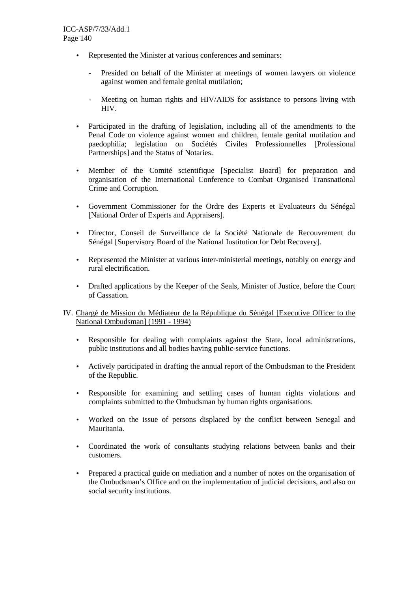- Represented the Minister at various conferences and seminars:
	- Presided on behalf of the Minister at meetings of women lawyers on violence against women and female genital mutilation;
	- Meeting on human rights and HIV/AIDS for assistance to persons living with HIV.
- Participated in the drafting of legislation, including all of the amendments to the Penal Code on violence against women and children, female genital mutilation and paedophilia; legislation on Sociétés Civiles Professionnelles [Professional Partnerships] and the Status of Notaries.
- Member of the Comité scientifique [Specialist Board] for preparation and organisation of the International Conference to Combat Organised Transnational Crime and Corruption.
- Government Commissioner for the Ordre des Experts et Evaluateurs du Sénégal [National Order of Experts and Appraisers].
- Director, Conseil de Surveillance de la Société Nationale de Recouvrement du Sénégal [Supervisory Board of the National Institution for Debt Recovery].
- Represented the Minister at various inter-ministerial meetings, notably on energy and rural electrification.
- Drafted applications by the Keeper of the Seals, Minister of Justice, before the Court of Cassation.
- IV. Chargé de Mission du Médiateur de la République du Sénégal [Executive Officer to the National Ombudsman] (1991 - 1994)
	- Responsible for dealing with complaints against the State, local administrations, public institutions and all bodies having public-service functions.
	- Actively participated in drafting the annual report of the Ombudsman to the President of the Republic.
	- Responsible for examining and settling cases of human rights violations and complaints submitted to the Ombudsman by human rights organisations.
	- Worked on the issue of persons displaced by the conflict between Senegal and Mauritania.
	- Coordinated the work of consultants studying relations between banks and their customers.
	- Prepared a practical guide on mediation and a number of notes on the organisation of the Ombudsman's Office and on the implementation of judicial decisions, and also on social security institutions.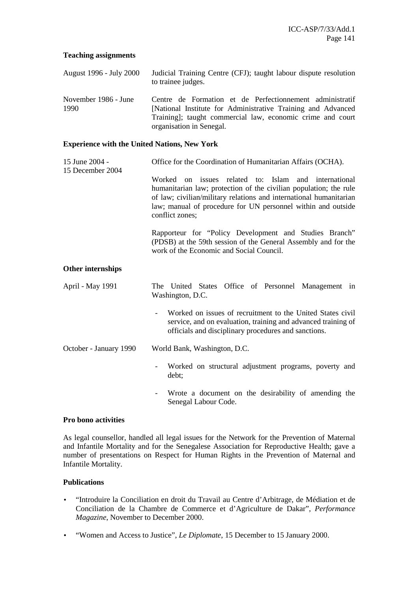# **Teaching assignments**

- August 1996 July 2000 Judicial Training Centre (CFJ); taught labour dispute resolution to trainee judges.
- November 1986 June 1990 Centre de Formation et de Perfectionnement administratif [National Institute for Administrative Training and Advanced Training]; taught commercial law, economic crime and court organisation in Senegal.

### **Experience with the United Nations, New York**

- 15 June 2004 Office for the Coordination of Humanitarian Affairs (OCHA).
- 15 December 2004

Worked on issues related to: Islam and international humanitarian law; protection of the civilian population; the rule of law; civilian/military relations and international humanitarian law; manual of procedure for UN personnel within and outside conflict zones;

Rapporteur for "Policy Development and Studies Branch" (PDSB) at the 59th session of the General Assembly and for the work of the Economic and Social Council.

# **Other internships**

- April May 1991 The United States Office of Personnel Management in Washington, D.C.
	- Worked on issues of recruitment to the United States civil service, and on evaluation, training and advanced training of officials and disciplinary procedures and sanctions.
- October January 1990 World Bank, Washington, D.C.
	- Worked on structural adjustment programs, poverty and debt;
	- Wrote a document on the desirability of amending the Senegal Labour Code.

# **Pro bono activities**

As legal counsellor, handled all legal issues for the Network for the Prevention of Maternal and Infantile Mortality and for the Senegalese Association for Reproductive Health; gave a number of presentations on Respect for Human Rights in the Prevention of Maternal and Infantile Mortality.

# **Publications**

- "Introduire la Conciliation en droit du Travail au Centre d'Arbitrage, de Médiation et de Conciliation de la Chambre de Commerce et d'Agriculture de Dakar", *Performance Magazine*, November to December 2000.
- "Women and Access to Justice", *Le Diplomate*, 15 December to 15 January 2000.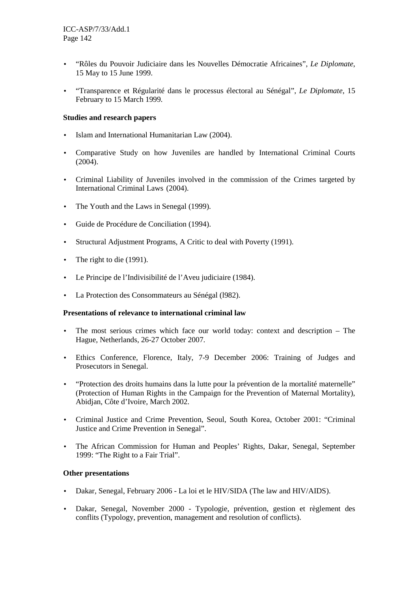- "Rôles du Pouvoir Judiciaire dans les Nouvelles Démocratie Africaines", *Le Diplomate*, 15 May to 15 June 1999.
- "Transparence et Régularité dans le processus électoral au Sénégal", *Le Diplomate*, 15 February to 15 March 1999.

# **Studies and research papers**

- Islam and International Humanitarian Law (2004).
- Comparative Study on how Juveniles are handled by International Criminal Courts (2004).
- Criminal Liability of Juveniles involved in the commission of the Crimes targeted by International Criminal Laws (2004).
- The Youth and the Laws in Senegal (1999).
- Guide de Procédure de Conciliation (1994).
- Structural Adjustment Programs, A Critic to deal with Poverty (1991).
- The right to die (1991).
- Le Principe de l'Indivisibilité de l'Aveu judiciaire (1984).
- La Protection des Consommateurs au Sénégal (l982).

# **Presentations of relevance to international criminal law**

- The most serious crimes which face our world today: context and description The Hague, Netherlands, 26-27 October 2007.
- Ethics Conference, Florence, Italy, 7-9 December 2006: Training of Judges and Prosecutors in Senegal.
- "Protection des droits humains dans la lutte pour la prévention de la mortalité maternelle" (Protection of Human Rights in the Campaign for the Prevention of Maternal Mortality), Abidjan, Côte d'Ivoire, March 2002.
- Criminal Justice and Crime Prevention, Seoul, South Korea, October 2001: "Criminal Justice and Crime Prevention in Senegal".
- The African Commission for Human and Peoples' Rights, Dakar, Senegal, September 1999: "The Right to a Fair Trial".

# **Other presentations**

- Dakar, Senegal, February 2006 La loi et le HIV/SIDA (The law and HIV/AIDS).
- Dakar, Senegal, November 2000 Typologie, prévention, gestion et règlement des conflits (Typology, prevention, management and resolution of conflicts).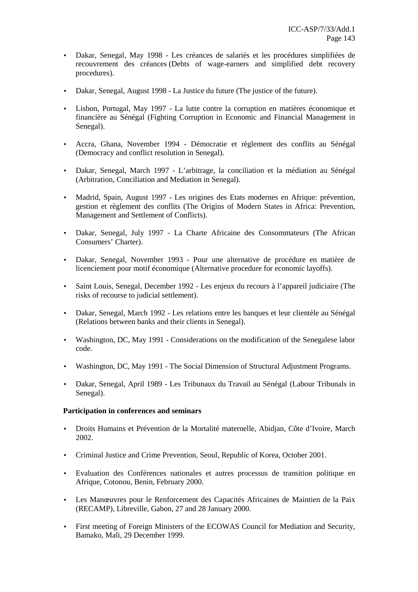- Dakar, Senegal, May 1998 Les créances de salariés et les procédures simplifiées de recouvrement des créances (Debts of wage-earners and simplified debt recovery procedures).
- Dakar, Senegal, August 1998 La Justice du future (The justice of the future).
- Lisbon, Portugal, May 1997 La lutte contre la corruption en matières économique et financière au Sénégal (Fighting Corruption in Economic and Financial Management in Senegal).
- Accra, Ghana, November 1994 Démocratie et règlement des conflits au Sénégal (Democracy and conflict resolution in Senegal).
- Dakar, Senegal, March 1997 L'arbitrage, la conciliation et la médiation au Sénégal (Arbitration, Conciliation and Mediation in Senegal).
- Madrid, Spain, August 1997 Les origines des Etats modernes en Afrique: prévention, gestion et règlement des conflits (The Origins of Modern States in Africa: Prevention, Management and Settlement of Conflicts).
- Dakar, Senegal, July 1997 La Charte Africaine des Consommateurs (The African Consumers' Charter).
- Dakar, Senegal, November 1993 Pour une alternative de procédure en matière de licenciement pour motif économique (Alternative procedure for economic layoffs).
- Saint Louis, Senegal, December 1992 Les enjeux du recours à l'appareil judiciaire (The risks of recourse to judicial settlement).
- Dakar, Senegal, March 1992 Les relations entre les banques et leur clientèle au Sénégal (Relations between banks and their clients in Senegal).
- Washington, DC, May 1991 Considerations on the modification of the Senegalese labor code.
- Washington, DC, May 1991 The Social Dimension of Structural Adjustment Programs.
- Dakar, Senegal, April 1989 Les Tribunaux du Travail au Sénégal (Labour Tribunals in Senegal).

# **Participation in conferences and seminars**

- Droits Humains et Prévention de la Mortalité maternelle, Abidjan, Côte d'Ivoire, March 2002.
- Criminal Justice and Crime Prevention, Seoul, Republic of Korea, October 2001.
- Evaluation des Conférences nationales et autres processus de transition politique en Afrique, Cotonou, Benin, February 2000.
- Les Manœuvres pour le Renforcement des Capacités Africaines de Maintien de la Paix (RECAMP), Libreville, Gabon, 27 and 28 January 2000.
- First meeting of Foreign Ministers of the ECOWAS Council for Mediation and Security, Bamako, Mali, 29 December 1999.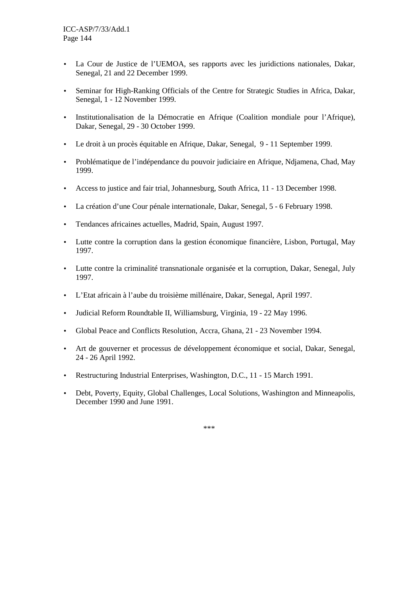- La Cour de Justice de l'UEMOA, ses rapports avec les juridictions nationales, Dakar, Senegal, 21 and 22 December 1999.
- Seminar for High-Ranking Officials of the Centre for Strategic Studies in Africa, Dakar, Senegal, 1 - 12 November 1999.
- Institutionalisation de la Démocratie en Afrique (Coalition mondiale pour l'Afrique), Dakar, Senegal, 29 - 30 October 1999.
- Le droit à un procès équitable en Afrique, Dakar, Senegal, 9 11 September 1999.
- Problématique de l'indépendance du pouvoir judiciaire en Afrique, Ndjamena, Chad, May 1999.
- Access to justice and fair trial, Johannesburg, South Africa, 11 13 December 1998.
- La création d'une Cour pénale internationale, Dakar, Senegal, 5 6 February 1998.
- Tendances africaines actuelles, Madrid, Spain, August 1997.
- Lutte contre la corruption dans la gestion économique financière, Lisbon, Portugal, May 1997.
- Lutte contre la criminalité transnationale organisée et la corruption, Dakar, Senegal, July 1997.
- L'Etat africain à l'aube du troisième millénaire, Dakar, Senegal, April 1997.
- Judicial Reform Roundtable II, Williamsburg, Virginia, 19 22 May 1996.
- Global Peace and Conflicts Resolution, Accra, Ghana, 21 23 November 1994.
- Art de gouverner et processus de développement économique et social, Dakar, Senegal, 24 - 26 April 1992.
- Restructuring Industrial Enterprises, Washington, D.C., 11 15 March 1991.
- Debt, Poverty, Equity, Global Challenges, Local Solutions, Washington and Minneapolis, December 1990 and June 1991.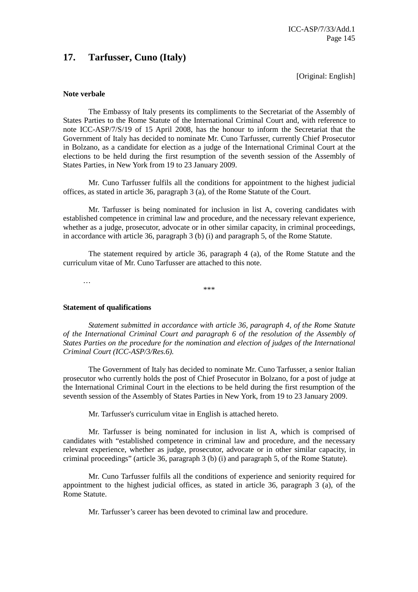## **17. Tarfusser, Cuno (Italy)**

[Original: English]

#### **Note verbale**

 The Embassy of Italy presents its compliments to the Secretariat of the Assembly of States Parties to the Rome Statute of the International Criminal Court and, with reference to note ICC-ASP/7/S/19 of 15 April 2008, has the honour to inform the Secretariat that the Government of Italy has decided to nominate Mr. Cuno Tarfusser, currently Chief Prosecutor in Bolzano, as a candidate for election as a judge of the International Criminal Court at the elections to be held during the first resumption of the seventh session of the Assembly of States Parties, in New York from 19 to 23 January 2009.

 Mr. Cuno Tarfusser fulfils all the conditions for appointment to the highest judicial offices, as stated in article 36, paragraph 3 (a), of the Rome Statute of the Court.

 Mr. Tarfusser is being nominated for inclusion in list A, covering candidates with established competence in criminal law and procedure, and the necessary relevant experience, whether as a judge, prosecutor, advocate or in other similar capacity, in criminal proceedings, in accordance with article 36, paragraph 3 (b) (i) and paragraph 5, of the Rome Statute.

 The statement required by article 36, paragraph 4 (a), of the Rome Statute and the curriculum vitae of Mr. Cuno Tarfusser are attached to this note.

\*\*\*

…

### **Statement of qualifications**

 *Statement submitted in accordance with article 36, paragraph 4, of the Rome Statute of the International Criminal Court and paragraph 6 of the resolution of the Assembly of States Parties on the procedure for the nomination and election of judges of the International Criminal Court (ICC-ASP/3/Res.6).* 

 The Government of Italy has decided to nominate Mr. Cuno Tarfusser, a senior Italian prosecutor who currently holds the post of Chief Prosecutor in Bolzano, for a post of judge at the International Criminal Court in the elections to be held during the first resumption of the seventh session of the Assembly of States Parties in New York, from 19 to 23 January 2009.

Mr. Tarfusser's curriculum vitae in English is attached hereto.

 Mr. Tarfusser is being nominated for inclusion in list A, which is comprised of candidates with "established competence in criminal law and procedure, and the necessary relevant experience, whether as judge, prosecutor, advocate or in other similar capacity, in criminal proceedings" (article 36, paragraph 3 (b) (i) and paragraph 5, of the Rome Statute).

 Mr. Cuno Tarfusser fulfils all the conditions of experience and seniority required for appointment to the highest judicial offices, as stated in article 36, paragraph 3 (a), of the Rome Statute.

Mr. Tarfusser's career has been devoted to criminal law and procedure.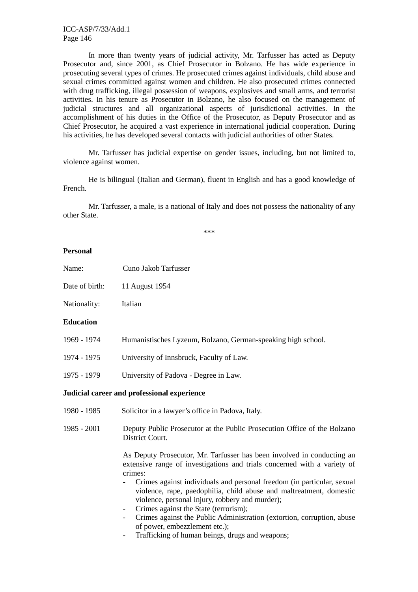In more than twenty years of judicial activity, Mr. Tarfusser has acted as Deputy Prosecutor and, since 2001, as Chief Prosecutor in Bolzano. He has wide experience in prosecuting several types of crimes. He prosecuted crimes against individuals, child abuse and sexual crimes committed against women and children. He also prosecuted crimes connected with drug trafficking, illegal possession of weapons, explosives and small arms, and terrorist activities. In his tenure as Prosecutor in Bolzano, he also focused on the management of judicial structures and all organizational aspects of jurisdictional activities. In the accomplishment of his duties in the Office of the Prosecutor, as Deputy Prosecutor and as Chief Prosecutor, he acquired a vast experience in international judicial cooperation. During his activities, he has developed several contacts with judicial authorities of other States.

 Mr. Tarfusser has judicial expertise on gender issues, including, but not limited to, violence against women.

 He is bilingual (Italian and German), fluent in English and has a good knowledge of French.

 Mr. Tarfusser, a male, is a national of Italy and does not possess the nationality of any other State.

\*\*\*

### **Personal**

- Name: Cuno Jakob Tarfusser
- Date of birth: 11 August 1954

Nationality: Italian

#### **Education**

- 1969 1974 Humanistisches Lyzeum, Bolzano, German-speaking high school.
- 1974 1975University of Innsbruck, Faculty of Law.
- 1975 1979University of Padova Degree in Law.

### **Judicial career and professional experience**

- 1980 1985 Solicitor in a lawyer's office in Padova, Italy.
- 1985 2001 Deputy Public Prosecutor at the Public Prosecution Office of the Bolzano District Court.

 As Deputy Prosecutor, Mr. Tarfusser has been involved in conducting an extensive range of investigations and trials concerned with a variety of crimes:

- Crimes against individuals and personal freedom (in particular, sexual violence, rape, paedophilia, child abuse and maltreatment, domestic violence, personal injury, robbery and murder);
- Crimes against the State (terrorism);
- Crimes against the Public Administration (extortion, corruption, abuse of power, embezzlement etc.);
- Trafficking of human beings, drugs and weapons: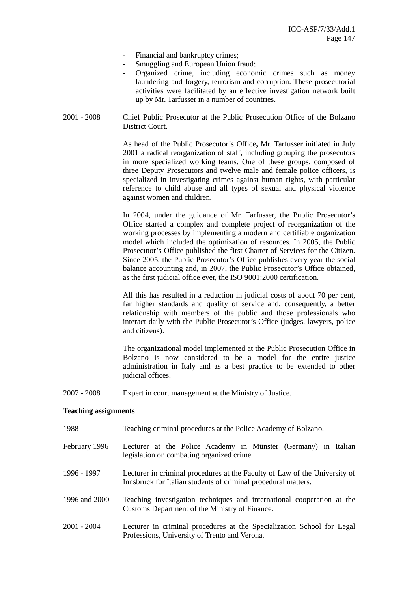- Financial and bankruptcy crimes;
- Smuggling and European Union fraud;
- Organized crime, including economic crimes such as money laundering and forgery, terrorism and corruption. These prosecutorial activities were facilitated by an effective investigation network built up by Mr. Tarfusser in a number of countries.
- 2001 2008 Chief Public Prosecutor at the Public Prosecution Office of the Bolzano District Court.

As head of the Public Prosecutor's Office**,** Mr. Tarfusser initiated in July 2001 a radical reorganization of staff, including grouping the prosecutors in more specialized working teams. One of these groups, composed of three Deputy Prosecutors and twelve male and female police officers, is specialized in investigating crimes against human rights, with particular reference to child abuse and all types of sexual and physical violence against women and children.

In 2004, under the guidance of Mr. Tarfusser, the Public Prosecutor's Office started a complex and complete project of reorganization of the working processes by implementing a modern and certifiable organization model which included the optimization of resources. In 2005, the Public Prosecutor's Office published the first Charter of Services for the Citizen. Since 2005, the Public Prosecutor's Office publishes every year the social balance accounting and, in 2007, the Public Prosecutor's Office obtained, as the first judicial office ever, the ISO 9001:2000 certification.

All this has resulted in a reduction in judicial costs of about 70 per cent, far higher standards and quality of service and, consequently, a better relationship with members of the public and those professionals who interact daily with the Public Prosecutor's Office (judges, lawyers, police and citizens).

The organizational model implemented at the Public Prosecution Office in Bolzano is now considered to be a model for the entire justice administration in Italy and as a best practice to be extended to other judicial offices.

2007 - 2008 Expert in court management at the Ministry of Justice.

#### **Teaching assignments**

| 1988          | Teaching criminal procedures at the Police Academy of Bolzano.                                                                               |
|---------------|----------------------------------------------------------------------------------------------------------------------------------------------|
| February 1996 | Lecturer at the Police Academy in Münster (Germany) in Italian<br>legislation on combating organized crime.                                  |
| 1996 - 1997   | Lecturer in criminal procedures at the Faculty of Law of the University of<br>Innsbruck for Italian students of criminal procedural matters. |
| 1996 and 2000 | Teaching investigation techniques and international cooperation at the<br>Customs Department of the Ministry of Finance.                     |
| $2001 - 2004$ | Lecturer in criminal procedures at the Specialization School for Legal<br>Professions, University of Trento and Verona.                      |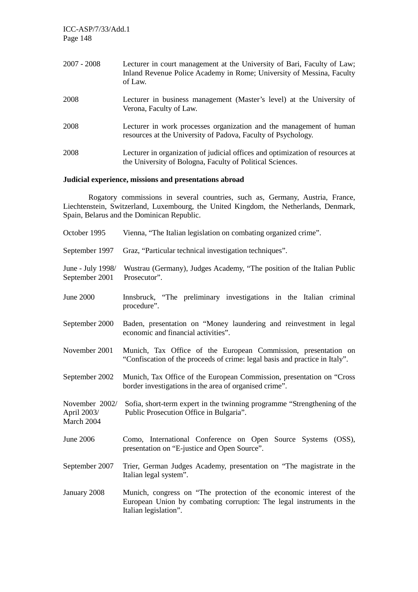| $2007 - 2008$ | Lecturer in court management at the University of Bari, Faculty of Law;<br>Inland Revenue Police Academy in Rome; University of Messina, Faculty<br>of Law. |
|---------------|-------------------------------------------------------------------------------------------------------------------------------------------------------------|
| 2008          | Lecturer in business management (Master's level) at the University of<br>Verona, Faculty of Law.                                                            |
| 2008          | Lecturer in work processes organization and the management of human<br>resources at the University of Padova, Faculty of Psychology.                        |
| 2008          | Lecturer in organization of judicial offices and optimization of resources at<br>the University of Bologna, Faculty of Political Sciences.                  |

## **Judicial experience, missions and presentations abroad**

 Rogatory commissions in several countries, such as, Germany, Austria, France, Liechtenstein, Switzerland, Luxembourg, the United Kingdom, the Netherlands, Denmark, Spain, Belarus and the Dominican Republic.

| October 1995                                | Vienna, "The Italian legislation on combating organized crime".                                                                                                      |
|---------------------------------------------|----------------------------------------------------------------------------------------------------------------------------------------------------------------------|
| September 1997                              | Graz, "Particular technical investigation techniques".                                                                                                               |
| June - July 1998/<br>September 2001         | Wustrau (Germany), Judges Academy, "The position of the Italian Public<br>Prosecutor".                                                                               |
| <b>June 2000</b>                            | Innsbruck, "The preliminary investigations in the Italian criminal<br>procedure".                                                                                    |
| September 2000                              | Baden, presentation on "Money laundering and reinvestment in legal<br>economic and financial activities".                                                            |
| November 2001                               | Munich, Tax Office of the European Commission, presentation on<br>"Confiscation of the proceeds of crime: legal basis and practice in Italy".                        |
| September 2002                              | Munich, Tax Office of the European Commission, presentation on "Cross<br>border investigations in the area of organised crime".                                      |
| November 2002/<br>April 2003/<br>March 2004 | Sofia, short-term expert in the twinning programme "Strengthening of the<br>Public Prosecution Office in Bulgaria".                                                  |
| June 2006                                   | Como, International Conference on Open Source Systems (OSS),<br>presentation on "E-justice and Open Source".                                                         |
| September 2007                              | Trier, German Judges Academy, presentation on "The magistrate in the<br>Italian legal system".                                                                       |
| January 2008                                | Munich, congress on "The protection of the economic interest of the<br>European Union by combating corruption: The legal instruments in the<br>Italian legislation". |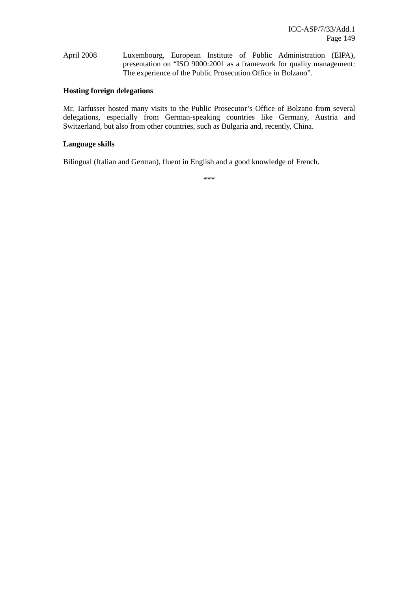April 2008 Luxembourg, European Institute of Public Administration (EIPA), presentation on "ISO 9000:2001 as a framework for quality management: The experience of the Public Prosecution Office in Bolzano".

### **Hosting foreign delegations**

Mr. Tarfusser hosted many visits to the Public Prosecutor's Office of Bolzano from several delegations, especially from German-speaking countries like Germany, Austria and Switzerland, but also from other countries, such as Bulgaria and, recently, China.

### **Language skills**

Bilingual (Italian and German), fluent in English and a good knowledge of French.

\*\*\*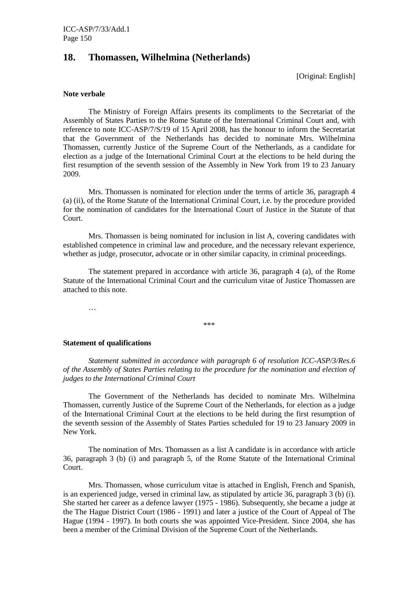## **18. Thomassen, Wilhelmina (Netherlands)**

[Original: English]

#### **Note verbale**

 The Ministry of Foreign Affairs presents its compliments to the Secretariat of the Assembly of States Parties to the Rome Statute of the International Criminal Court and, with reference to note ICC-ASP/7/S/19 of 15 April 2008, has the honour to inform the Secretariat that the Government of the Netherlands has decided to nominate Mrs. Wilhelmina Thomassen, currently Justice of the Supreme Court of the Netherlands, as a candidate for election as a judge of the International Criminal Court at the elections to be held during the first resumption of the seventh session of the Assembly in New York from 19 to 23 January 2009.

 Mrs. Thomassen is nominated for election under the terms of article 36, paragraph 4 (a) (ii), of the Rome Statute of the International Criminal Court, i.e. by the procedure provided for the nomination of candidates for the International Court of Justice in the Statute of that Court.

 Mrs. Thomassen is being nominated for inclusion in list A, covering candidates with established competence in criminal law and procedure, and the necessary relevant experience, whether as judge, prosecutor, advocate or in other similar capacity, in criminal proceedings.

 The statement prepared in accordance with article 36, paragraph 4 (a), of the Rome Statute of the International Criminal Court and the curriculum vitae of Justice Thomassen are attached to this note.

…

\*\*\*

#### **Statement of qualifications**

 *Statement submitted in accordance with paragraph 6 of resolution ICC-ASP/3/Res.6 of the Assembly of States Parties relating to the procedure for the nomination and election of judges to the International Criminal Court* 

 The Government of the Netherlands has decided to nominate Mrs. Wilhelmina Thomassen, currently Justice of the Supreme Court of the Netherlands, for election as a judge of the International Criminal Court at the elections to be held during the first resumption of the seventh session of the Assembly of States Parties scheduled for 19 to 23 January 2009 in New York.

 The nomination of Mrs. Thomassen as a list A candidate is in accordance with article 36, paragraph 3 (b) (i) and paragraph 5, of the Rome Statute of the International Criminal Court.

 Mrs. Thomassen, whose curriculum vitae is attached in English, French and Spanish, is an experienced judge, versed in criminal law, as stipulated by article 36, paragraph 3 (b) (i). She started her career as a defence lawyer (1975 - 1986). Subsequently, she became a judge at the The Hague District Court (1986 - 1991) and later a justice of the Court of Appeal of The Hague (1994 - 1997). In both courts she was appointed Vice-President. Since 2004, she has been a member of the Criminal Division of the Supreme Court of the Netherlands.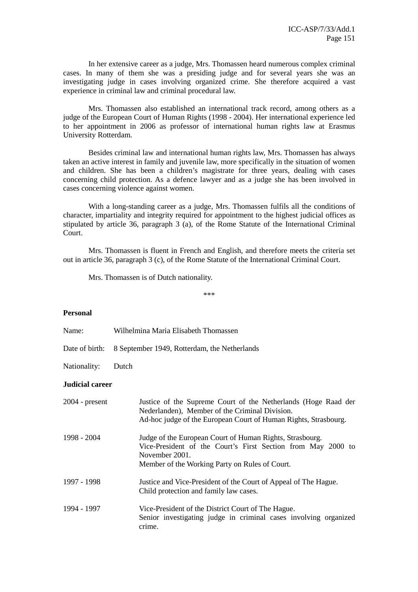In her extensive career as a judge, Mrs. Thomassen heard numerous complex criminal cases. In many of them she was a presiding judge and for several years she was an investigating judge in cases involving organized crime. She therefore acquired a vast experience in criminal law and criminal procedural law.

 Mrs. Thomassen also established an international track record, among others as a judge of the European Court of Human Rights (1998 - 2004). Her international experience led to her appointment in 2006 as professor of international human rights law at Erasmus University Rotterdam.

 Besides criminal law and international human rights law, Mrs. Thomassen has always taken an active interest in family and juvenile law, more specifically in the situation of women and children. She has been a children's magistrate for three years, dealing with cases concerning child protection. As a defence lawyer and as a judge she has been involved in cases concerning violence against women.

 With a long-standing career as a judge, Mrs. Thomassen fulfils all the conditions of character, impartiality and integrity required for appointment to the highest judicial offices as stipulated by article 36, paragraph 3 (a), of the Rome Statute of the International Criminal Court.

 Mrs. Thomassen is fluent in French and English, and therefore meets the criteria set out in article 36, paragraph 3 (c), of the Rome Statute of the International Criminal Court.

Mrs. Thomassen is of Dutch nationality.

\*\*\*

#### **Personal**

|  | Name: |  | Wilhelmina Maria Elisabeth Thomassen |  |
|--|-------|--|--------------------------------------|--|
|--|-------|--|--------------------------------------|--|

Date of birth: 8 September 1949, Rotterdam, the Netherlands

Nationality: Dutch

### **Judicial career**

| $2004$ - present | Justice of the Supreme Court of the Netherlands (Hoge Raad der<br>Nederlanden), Member of the Criminal Division.<br>Ad-hoc judge of the European Court of Human Rights, Strasbourg.          |
|------------------|----------------------------------------------------------------------------------------------------------------------------------------------------------------------------------------------|
| 1998 - 2004      | Judge of the European Court of Human Rights, Strasbourg.<br>Vice-President of the Court's First Section from May 2000 to<br>November 2001.<br>Member of the Working Party on Rules of Court. |
| 1997 - 1998      | Justice and Vice-President of the Court of Appeal of The Hague.<br>Child protection and family law cases.                                                                                    |
| 1994 - 1997      | Vice-President of the District Court of The Hague.<br>Senior investigating judge in criminal cases involving organized<br>crime.                                                             |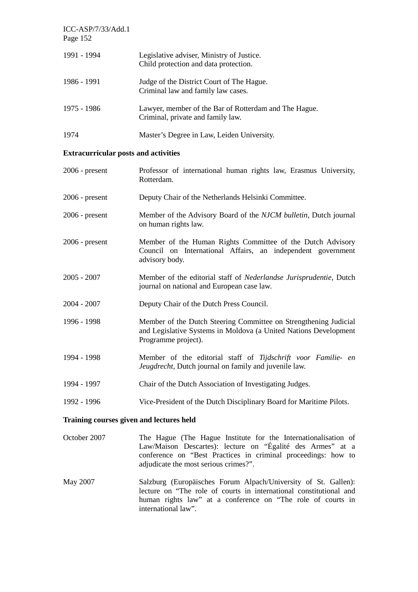| $ICC-ASP/7/33/Add.1$<br>Page 152 |                                                                                            |
|----------------------------------|--------------------------------------------------------------------------------------------|
| 1991 - 1994                      | Legislative adviser, Ministry of Justice.<br>Child protection and data protection.         |
| 1986 - 1991                      | Judge of the District Court of The Hague.<br>Criminal law and family law cases.            |
| 1975 - 1986                      | Lawyer, member of the Bar of Rotterdam and The Hague.<br>Criminal, private and family law. |
| 1974                             | Master's Degree in Law, Leiden University.                                                 |

## **Extracurricular posts and activities**

| $2006$ - present                         | Professor of international human rights law, Erasmus University,<br>Rotterdam.                                                                              |  |
|------------------------------------------|-------------------------------------------------------------------------------------------------------------------------------------------------------------|--|
| $2006$ - present                         | Deputy Chair of the Netherlands Helsinki Committee.                                                                                                         |  |
| $2006$ - present                         | Member of the Advisory Board of the NJCM bulletin, Dutch journal<br>on human rights law.                                                                    |  |
| $2006$ - present                         | Member of the Human Rights Committee of the Dutch Advisory<br>Council on International Affairs, an independent government<br>advisory body.                 |  |
| $2005 - 2007$                            | Member of the editorial staff of Nederlandse Jurisprudentie, Dutch<br>journal on national and European case law.                                            |  |
| $2004 - 2007$                            | Deputy Chair of the Dutch Press Council.                                                                                                                    |  |
| 1996 - 1998                              | Member of the Dutch Steering Committee on Strengthening Judicial<br>and Legislative Systems in Moldova (a United Nations Development<br>Programme project). |  |
| 1994 - 1998                              | Member of the editorial staff of Tijdschrift voor Familie- en<br>Jeugdrecht, Dutch journal on family and juvenile law.                                      |  |
| 1994 - 1997                              | Chair of the Dutch Association of Investigating Judges.                                                                                                     |  |
| 1992 - 1996                              | Vice-President of the Dutch Disciplinary Board for Maritime Pilots.                                                                                         |  |
| Training courses given and lectures held |                                                                                                                                                             |  |

- October 2007 The Hague (The Hague Institute for the Internationalisation of Law/Maison Descartes): lecture on "Égalité des Armes" at a conference on "Best Practices in criminal proceedings: how to adjudicate the most serious crimes?".
- May 2007 Salzburg (Europäisches Forum Alpach/University of St. Gallen): lecture on "The role of courts in international constitutional and human rights law" at a conference on "The role of courts in international law".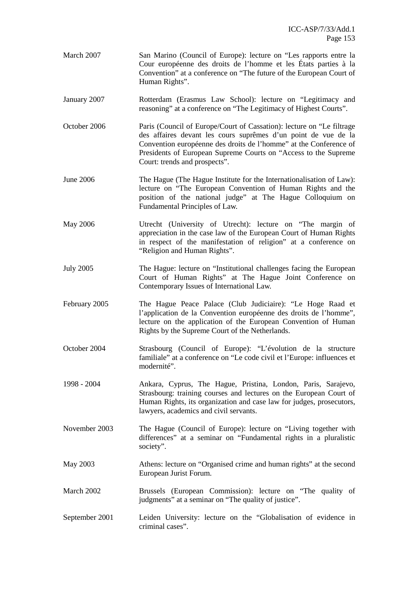- March 2007 San Marino (Council of Europe): lecture on "Les rapports entre la Cour européenne des droits de l'homme et les États parties à la Convention" at a conference on "The future of the European Court of Human Rights".
- January 2007 Rotterdam (Erasmus Law School): lecture on "Legitimacy and reasoning" at a conference on "The Legitimacy of Highest Courts".
- October 2006 Paris (Council of Europe/Court of Cassation): lecture on "Le filtrage des affaires devant les cours suprêmes d'un point de vue de la Convention européenne des droits de l'homme" at the Conference of Presidents of European Supreme Courts on "Access to the Supreme Court: trends and prospects".
- June 2006 The Hague (The Hague Institute for the Internationalisation of Law): lecture on "The European Convention of Human Rights and the position of the national judge" at The Hague Colloquium on Fundamental Principles of Law.
- May 2006 Utrecht (University of Utrecht): lecture on "The margin of appreciation in the case law of the European Court of Human Rights in respect of the manifestation of religion" at a conference on "Religion and Human Rights".
- July 2005 The Hague: lecture on "Institutional challenges facing the European Court of Human Rights" at The Hague Joint Conference on Contemporary Issues of International Law.
- February 2005 The Hague Peace Palace (Club Judiciaire): "Le Hoge Raad et l'application de la Convention européenne des droits de l'homme", lecture on the application of the European Convention of Human Rights by the Supreme Court of the Netherlands.
- October 2004 Strasbourg (Council of Europe): "L'évolution de la structure familiale" at a conference on "Le code civil et l'Europe: influences et modernité".
- 1998 2004 Ankara, Cyprus, The Hague, Pristina, London, Paris, Sarajevo, Strasbourg: training courses and lectures on the European Court of Human Rights, its organization and case law for judges, prosecutors, lawyers, academics and civil servants.
- November 2003 The Hague (Council of Europe): lecture on "Living together with differences" at a seminar on "Fundamental rights in a pluralistic society".
- May 2003 Athens: lecture on "Organised crime and human rights" at the second European Jurist Forum.
- March 2002 Brussels (European Commission): lecture on "The quality of judgments" at a seminar on "The quality of justice".
- September 2001 Leiden University: lecture on the "Globalisation of evidence in criminal cases".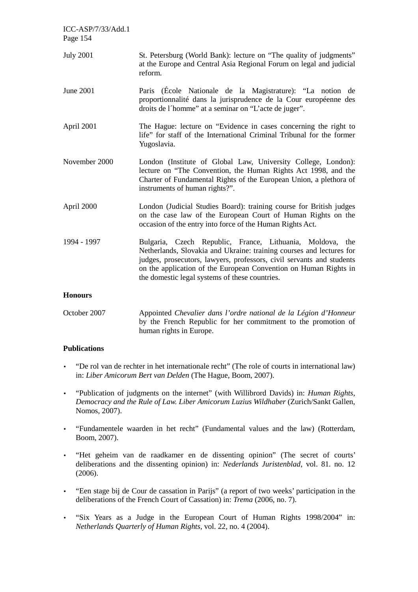| ICC-ASP/7/33/Add.1<br>Page 154 |                                                                                                                                                                                                                                                                                                                                     |
|--------------------------------|-------------------------------------------------------------------------------------------------------------------------------------------------------------------------------------------------------------------------------------------------------------------------------------------------------------------------------------|
| <b>July 2001</b>               | St. Petersburg (World Bank): lecture on "The quality of judgments"<br>at the Europe and Central Asia Regional Forum on legal and judicial<br>reform.                                                                                                                                                                                |
| <b>June 2001</b>               | Paris (École Nationale de la Magistrature): "La notion de<br>proportionnalité dans la jurisprudence de la Cour européenne des<br>droits de l'homme" at a seminar on "L'acte de juger".                                                                                                                                              |
| April 2001                     | The Hague: lecture on "Evidence in cases concerning the right to<br>life" for staff of the International Criminal Tribunal for the former<br>Yugoslavia.                                                                                                                                                                            |
| November 2000                  | London (Institute of Global Law, University College, London):<br>lecture on "The Convention, the Human Rights Act 1998, and the<br>Charter of Fundamental Rights of the European Union, a plethora of<br>instruments of human rights?".                                                                                             |
| April 2000                     | London (Judicial Studies Board): training course for British judges<br>on the case law of the European Court of Human Rights on the<br>occasion of the entry into force of the Human Rights Act.                                                                                                                                    |
| 1994 - 1997                    | Bulgaria, Czech Republic, France, Lithuania, Moldova,<br>the<br>Netherlands, Slovakia and Ukraine: training courses and lectures for<br>judges, prosecutors, lawyers, professors, civil servants and students<br>on the application of the European Convention on Human Rights in<br>the domestic legal systems of these countries. |
| <b>Honours</b>                 |                                                                                                                                                                                                                                                                                                                                     |
| October 2007                   | Appointed Chevalier dans l'ordre national de la Légion d'Honneur                                                                                                                                                                                                                                                                    |

# by the French Republic for her commitment to the promotion of human rights in Europe.

## **Publications**

- "De rol van de rechter in het internationale recht" (The role of courts in international law) in: *Liber Amicorum Bert van Delden* (The Hague, Boom, 2007).
- "Publication of judgments on the internet" (with Willibrord Davids) in: *Human Rights, Democracy and the Rule of Law. Liber Amicorum Luzius Wildhaber* (Zurich/Sankt Gallen, Nomos, 2007).
- "Fundamentele waarden in het recht" (Fundamental values and the law) (Rotterdam, Boom, 2007).
- "Het geheim van de raadkamer en de dissenting opinion" (The secret of courts' deliberations and the dissenting opinion) in: *Nederlands Juristenblad*, vol. 81. no. 12 (2006).
- "Een stage bij de Cour de cassation in Parijs" (a report of two weeks' participation in the deliberations of the French Court of Cassation) in: *Trema* (2006, no. 7).
- "Six Years as a Judge in the European Court of Human Rights 1998/2004" in: *Netherlands Quarterly of Human Rights*, vol. 22, no. 4 (2004).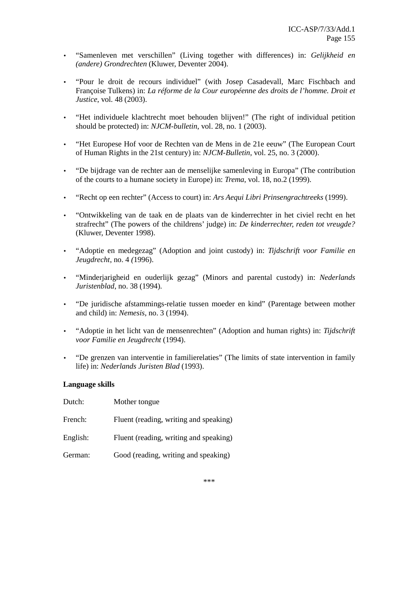- "Samenleven met verschillen" (Living together with differences) in: *Gelijkheid en (andere) Grondrechten* (Kluwer, Deventer 2004).
- "Pour le droit de recours individuel" (with Josep Casadevall, Marc Fischbach and Françoise Tulkens) in: *La réforme de la Cour européenne des droits de l'homme. Droit et Justice*, vol*.* 48 (2003).
- "Het individuele klachtrecht moet behouden blijven!" (The right of individual petition should be protected) in: *NJCM-bulletin*, vol. 28, no. 1 (2003).
- "Het Europese Hof voor de Rechten van de Mens in de 21e eeuw" (The European Court of Human Rights in the 21st century) in: *NJCM-Bulletin*, vol. 25, no. 3 (2000).
- "De bijdrage van de rechter aan de menselijke samenleving in Europa" (The contribution of the courts to a humane society in Europe) in: *Trema*, vol. 18, no.2 (1999).
- "Recht op een rechter" (Access to court) in: *Ars Aequi Libri Prinsengrachtreeks* (1999).
- "Ontwikkeling van de taak en de plaats van de kinderrechter in het civiel recht en het strafrecht" (The powers of the childrens' judge) in: *De kinderrechter, reden tot vreugde?* (Kluwer, Deventer 1998).
- "Adoptie en medegezag" (Adoption and joint custody) in: *Tijdschrift voor Familie en Jeugdrecht*, no. 4 *(*1996).
- "Minderjarigheid en ouderlijk gezag" (Minors and parental custody) in: *Nederlands Juristenblad*, no. 38 (1994).
- "De juridische afstammings-relatie tussen moeder en kind" (Parentage between mother and child) in: *Nemesis*, no. 3 (1994).
- "Adoptie in het licht van de mensenrechten" (Adoption and human rights) in: *Tijdschrift voor Familie en Jeugdrecht* (1994).
- "De grenzen van interventie in familierelaties" (The limits of state intervention in family life) in: *Nederlands Juristen Blad* (1993).

### **Language skills**

| Dutch:   | Mother tongue                          |
|----------|----------------------------------------|
| French:  | Fluent (reading, writing and speaking) |
| English: | Fluent (reading, writing and speaking) |
| German:  | Good (reading, writing and speaking)   |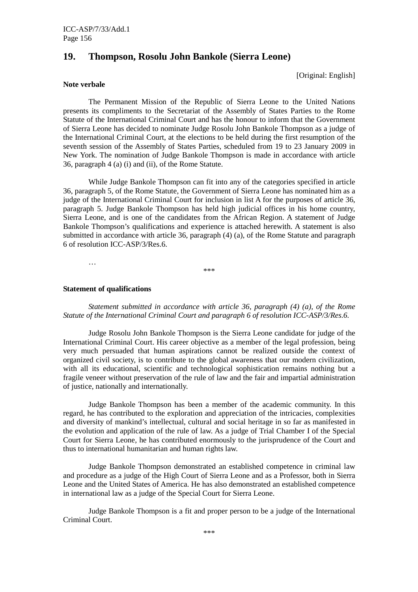## **19. Thompson, Rosolu John Bankole (Sierra Leone)**

[Original: English]

#### **Note verbale**

 The Permanent Mission of the Republic of Sierra Leone to the United Nations presents its compliments to the Secretariat of the Assembly of States Parties to the Rome Statute of the International Criminal Court and has the honour to inform that the Government of Sierra Leone has decided to nominate Judge Rosolu John Bankole Thompson as a judge of the International Criminal Court, at the elections to be held during the first resumption of the seventh session of the Assembly of States Parties, scheduled from 19 to 23 January 2009 in New York. The nomination of Judge Bankole Thompson is made in accordance with article 36, paragraph 4 (a) (i) and (ii), of the Rome Statute.

 While Judge Bankole Thompson can fit into any of the categories specified in article 36, paragraph 5, of the Rome Statute, the Government of Sierra Leone has nominated him as a judge of the International Criminal Court for inclusion in list A for the purposes of article 36, paragraph 5. Judge Bankole Thompson has held high judicial offices in his home country, Sierra Leone, and is one of the candidates from the African Region. A statement of Judge Bankole Thompson's qualifications and experience is attached herewith. A statement is also submitted in accordance with article 36, paragraph (4) (a), of the Rome Statute and paragraph 6 of resolution ICC-ASP/3/Res.6.

\*\*\*

#### **Statement of qualifications**

…

 *Statement submitted in accordance with article 36, paragraph (4) (a), of the Rome Statute of the International Criminal Court and paragraph 6 of resolution ICC-ASP/3/Res.6.* 

 Judge Rosolu John Bankole Thompson is the Sierra Leone candidate for judge of the International Criminal Court. His career objective as a member of the legal profession, being very much persuaded that human aspirations cannot be realized outside the context of organized civil society, is to contribute to the global awareness that our modern civilization, with all its educational, scientific and technological sophistication remains nothing but a fragile veneer without preservation of the rule of law and the fair and impartial administration of justice, nationally and internationally.

 Judge Bankole Thompson has been a member of the academic community. In this regard, he has contributed to the exploration and appreciation of the intricacies, complexities and diversity of mankind's intellectual, cultural and social heritage in so far as manifested in the evolution and application of the rule of law. As a judge of Trial Chamber I of the Special Court for Sierra Leone, he has contributed enormously to the jurisprudence of the Court and thus to international humanitarian and human rights law.

 Judge Bankole Thompson demonstrated an established competence in criminal law and procedure as a judge of the High Court of Sierra Leone and as a Professor, both in Sierra Leone and the United States of America. He has also demonstrated an established competence in international law as a judge of the Special Court for Sierra Leone.

 Judge Bankole Thompson is a fit and proper person to be a judge of the International Criminal Court.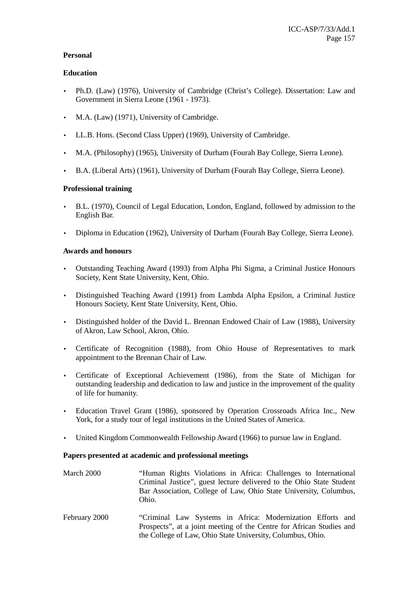## **Personal**

## **Education**

- Ph.D. (Law) (1976), University of Cambridge (Christ's College). Dissertation: Law and Government in Sierra Leone (1961 - 1973).
- M.A. (Law) (1971), University of Cambridge.
- LL.B. Hons. (Second Class Upper) (1969), University of Cambridge.
- M.A. (Philosophy) (1965), University of Durham (Fourah Bay College, Sierra Leone).
- B.A. (Liberal Arts) (1961), University of Durham (Fourah Bay College, Sierra Leone).

## **Professional training**

- B.L. (1970), Council of Legal Education, London, England, followed by admission to the English Bar.
- Diploma in Education (1962), University of Durham (Fourah Bay College, Sierra Leone).

## **Awards and honours**

- Outstanding Teaching Award (1993) from Alpha Phi Sigma, a Criminal Justice Honours Society, Kent State University, Kent, Ohio.
- Distinguished Teaching Award (1991) from Lambda Alpha Epsilon, a Criminal Justice Honours Society, Kent State University, Kent, Ohio.
- Distinguished holder of the David L. Brennan Endowed Chair of Law (1988), University of Akron, Law School, Akron, Ohio.
- Certificate of Recognition (1988), from Ohio House of Representatives to mark appointment to the Brennan Chair of Law.
- Certificate of Exceptional Achievement (1986), from the State of Michigan for outstanding leadership and dedication to law and justice in the improvement of the quality of life for humanity.
- Education Travel Grant (1986), sponsored by Operation Crossroads Africa Inc., New York, for a study tour of legal institutions in the United States of America.
- United Kingdom Commonwealth Fellowship Award (1966) to pursue law in England.

### **Papers presented at academic and professional meetings**

- March 2000 "Human Rights Violations in Africa: Challenges to International Criminal Justice", guest lecture delivered to the Ohio State Student Bar Association, College of Law, Ohio State University, Columbus, Ohio.
- February 2000 "Criminal Law Systems in Africa: Modernization Efforts and Prospects", at a joint meeting of the Centre for African Studies and the College of Law, Ohio State University, Columbus, Ohio.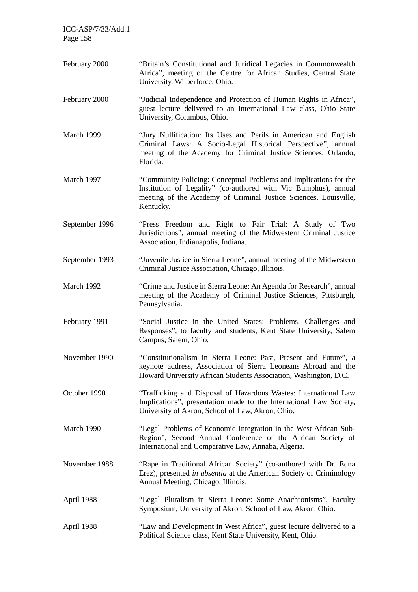| ICC-ASP/7/33/Add.1<br>Page 158 |                                                                                                                                                                                                                       |
|--------------------------------|-----------------------------------------------------------------------------------------------------------------------------------------------------------------------------------------------------------------------|
| February 2000                  | "Britain's Constitutional and Juridical Legacies in Commonwealth<br>Africa", meeting of the Centre for African Studies, Central State<br>University, Wilberforce, Ohio.                                               |
| February 2000                  | "Judicial Independence and Protection of Human Rights in Africa",<br>guest lecture delivered to an International Law class, Ohio State<br>University, Columbus, Ohio.                                                 |
| March 1999                     | "Jury Nullification: Its Uses and Perils in American and English<br>Criminal Laws: A Socio-Legal Historical Perspective", annual<br>meeting of the Academy for Criminal Justice Sciences, Orlando,<br>Florida.        |
| March 1997                     | "Community Policing: Conceptual Problems and Implications for the<br>Institution of Legality" (co-authored with Vic Bumphus), annual<br>meeting of the Academy of Criminal Justice Sciences, Louisville,<br>Kentucky. |
| September 1996                 | "Press Freedom and Right to Fair Trial: A Study of Two<br>Jurisdictions", annual meeting of the Midwestern Criminal Justice<br>Association, Indianapolis, Indiana.                                                    |
| September 1993                 | "Juvenile Justice in Sierra Leone", annual meeting of the Midwestern<br>Criminal Justice Association, Chicago, Illinois.                                                                                              |
| March 1992                     | "Crime and Justice in Sierra Leone: An Agenda for Research", annual<br>meeting of the Academy of Criminal Justice Sciences, Pittsburgh,<br>Pennsylvania.                                                              |
| February 1991                  | "Social Justice in the United States: Problems, Challenges and<br>Responses", to faculty and students, Kent State University, Salem<br>Campus, Salem, Ohio.                                                           |
| November 1990                  | "Constitutionalism in Sierra Leone: Past, Present and Future", a<br>keynote address, Association of Sierra Leoneans Abroad and the<br>Howard University African Students Association, Washington, D.C.                |
| October 1990                   | "Trafficking and Disposal of Hazardous Wastes: International Law<br>Implications", presentation made to the International Law Society,<br>University of Akron, School of Law, Akron, Ohio.                            |
| March 1990                     | "Legal Problems of Economic Integration in the West African Sub-<br>Region", Second Annual Conference of the African Society of<br>International and Comparative Law, Annaba, Algeria.                                |
| November 1988                  | "Rape in Traditional African Society" (co-authored with Dr. Edna<br>Erez), presented in absentia at the American Society of Criminology<br>Annual Meeting, Chicago, Illinois.                                         |
| April 1988                     | "Legal Pluralism in Sierra Leone: Some Anachronisms", Faculty<br>Symposium, University of Akron, School of Law, Akron, Ohio.                                                                                          |
| April 1988                     | "Law and Development in West Africa", guest lecture delivered to a<br>Political Science class, Kent State University, Kent, Ohio.                                                                                     |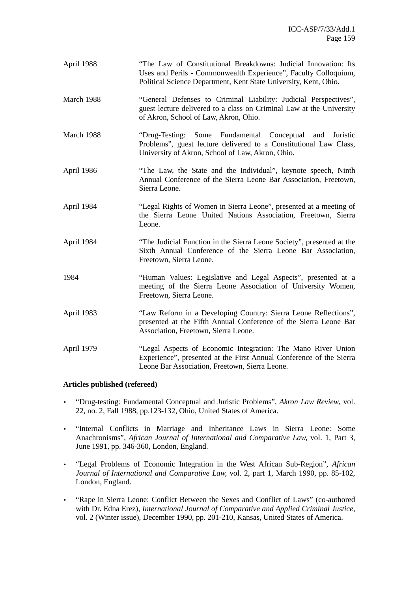| April 1988 | "The Law of Constitutional Breakdowns: Judicial Innovation: Its<br>Uses and Perils - Commonwealth Experience", Faculty Colloquium,<br>Political Science Department, Kent State University, Kent, Ohio. |
|------------|--------------------------------------------------------------------------------------------------------------------------------------------------------------------------------------------------------|
| March 1988 | "General Defenses to Criminal Liability: Judicial Perspectives",<br>guest lecture delivered to a class on Criminal Law at the University<br>of Akron, School of Law, Akron, Ohio.                      |
| March 1988 | "Drug-Testing: Some Fundamental Conceptual and Juristic<br>Problems", guest lecture delivered to a Constitutional Law Class,<br>University of Akron, School of Law, Akron, Ohio.                       |
| April 1986 | "The Law, the State and the Individual", keynote speech, Ninth<br>Annual Conference of the Sierra Leone Bar Association, Freetown,<br>Sierra Leone.                                                    |
| April 1984 | "Legal Rights of Women in Sierra Leone", presented at a meeting of<br>the Sierra Leone United Nations Association, Freetown, Sierra<br>Leone.                                                          |
| April 1984 | "The Judicial Function in the Sierra Leone Society", presented at the<br>Sixth Annual Conference of the Sierra Leone Bar Association,<br>Freetown, Sierra Leone.                                       |
| 1984       | "Human Values: Legislative and Legal Aspects", presented at a<br>meeting of the Sierra Leone Association of University Women,<br>Freetown, Sierra Leone.                                               |
| April 1983 | "Law Reform in a Developing Country: Sierra Leone Reflections",<br>presented at the Fifth Annual Conference of the Sierra Leone Bar<br>Association, Freetown, Sierra Leone.                            |
| April 1979 | "Legal Aspects of Economic Integration: The Mano River Union<br>Experience", presented at the First Annual Conference of the Sierra<br>Leone Bar Association, Freetown, Sierra Leone.                  |

### **Articles published (refereed)**

- "Drug-testing: Fundamental Conceptual and Juristic Problems", *Akron Law Review*, vol. 22, no. 2, Fall 1988, pp.123-132, Ohio, United States of America.
- "Internal Conflicts in Marriage and Inheritance Laws in Sierra Leone: Some Anachronisms", *African Journal of International and Comparative Law,* vol. 1, Part 3, June 1991, pp. 346-360, London, England.
- "Legal Problems of Economic Integration in the West African Sub-Region", *African Journal of International and Comparative Law,* vol. 2, part 1, March 1990, pp. 85-102, London, England.
- "Rape in Sierra Leone: Conflict Between the Sexes and Conflict of Laws" (co-authored with Dr. Edna Erez), *International Journal of Comparative and Applied Criminal Justice,* vol. 2 (Winter issue), December 1990, pp. 201-210, Kansas, United States of America.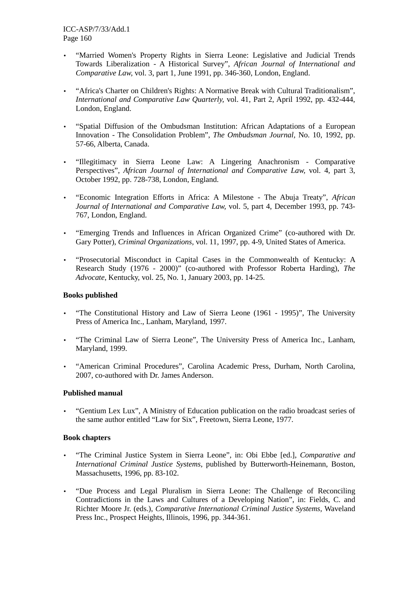- "Married Women's Property Rights in Sierra Leone: Legislative and Judicial Trends Towards Liberalization - A Historical Survey", *African Journal of International and Comparative Law,* vol. 3, part 1, June 1991, pp. 346-360, London, England.
- "Africa's Charter on Children's Rights: A Normative Break with Cultural Traditionalism", *International and Comparative Law Quarterly,* vol. 41, Part 2, April 1992, pp. 432-444, London, England.
- "Spatial Diffusion of the Ombudsman Institution: African Adaptations of a European Innovation - The Consolidation Problem", *The Ombudsman Journal,* No. 10, 1992, pp. 57-66, Alberta, Canada.
- "Illegitimacy in Sierra Leone Law: A Lingering Anachronism Comparative Perspectives", *African Journal of International and Comparative Law,* vol. 4, part 3, October 1992, pp. 728-738, London, England.
- "Economic Integration Efforts in Africa: A Milestone The Abuja Treaty", *African Journal of International and Comparative Law,* vol. 5, part 4, December 1993, pp. 743- 767, London, England.
- "Emerging Trends and Influences in African Organized Crime" (co-authored with Dr. Gary Potter), *Criminal Organizations,* vol. 11, 1997, pp. 4-9, United States of America.
- "Prosecutorial Misconduct in Capital Cases in the Commonwealth of Kentucky: A Research Study (1976 - 2000)" (co-authored with Professor Roberta Harding), *The Advocate*, Kentucky, vol. 25, No. 1, January 2003, pp. 14-25.

### **Books published**

- "The Constitutional History and Law of Sierra Leone (1961 1995)", The University Press of America Inc., Lanham, Maryland, 1997.
- "The Criminal Law of Sierra Leone", The University Press of America Inc., Lanham, Maryland, 1999.
- "American Criminal Procedures", Carolina Academic Press, Durham, North Carolina, 2007, co-authored with Dr. James Anderson.

### **Published manual**

• "Gentium Lex Lux", A Ministry of Education publication on the radio broadcast series of the same author entitled "Law for Six", Freetown, Sierra Leone, 1977.

### **Book chapters**

- "The Criminal Justice System in Sierra Leone", in: Obi Ebbe [ed.], *Comparative and International Criminal Justice Systems*, published by Butterworth-Heinemann, Boston, Massachusetts, 1996, pp. 83-102.
- "Due Process and Legal Pluralism in Sierra Leone: The Challenge of Reconciling Contradictions in the Laws and Cultures of a Developing Nation", in: Fields, C. and Richter Moore Jr. (eds.), *Comparative International Criminal Justice Systems,* Waveland Press Inc., Prospect Heights, Illinois, 1996, pp. 344-361.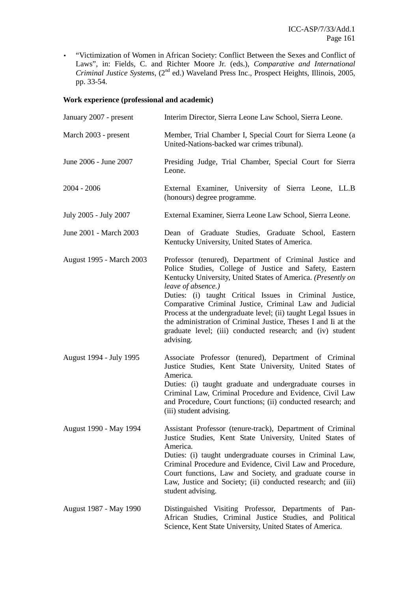• "Victimization of Women in African Society: Conflict Between the Sexes and Conflict of Laws", in: Fields, C. and Richter Moore Jr. (eds.), *Comparative and International Criminal Justice Systems*, (2nd ed.) Waveland Press Inc., Prospect Heights, Illinois, 2005, pp. 33-54.

## **Work experience (professional and academic)**

| January 2007 - present   | Interim Director, Sierra Leone Law School, Sierra Leone.                                                                                                                                                                                                                                                                                                                                                                                                                                                                                      |
|--------------------------|-----------------------------------------------------------------------------------------------------------------------------------------------------------------------------------------------------------------------------------------------------------------------------------------------------------------------------------------------------------------------------------------------------------------------------------------------------------------------------------------------------------------------------------------------|
| March 2003 - present     | Member, Trial Chamber I, Special Court for Sierra Leone (a<br>United-Nations-backed war crimes tribunal).                                                                                                                                                                                                                                                                                                                                                                                                                                     |
| June 2006 - June 2007    | Presiding Judge, Trial Chamber, Special Court for Sierra<br>Leone.                                                                                                                                                                                                                                                                                                                                                                                                                                                                            |
| $2004 - 2006$            | External Examiner, University of Sierra Leone, LL.B<br>(honours) degree programme.                                                                                                                                                                                                                                                                                                                                                                                                                                                            |
| July 2005 - July 2007    | External Examiner, Sierra Leone Law School, Sierra Leone.                                                                                                                                                                                                                                                                                                                                                                                                                                                                                     |
| June 2001 - March 2003   | Dean of Graduate Studies, Graduate School, Eastern<br>Kentucky University, United States of America.                                                                                                                                                                                                                                                                                                                                                                                                                                          |
| August 1995 - March 2003 | Professor (tenured), Department of Criminal Justice and<br>Police Studies, College of Justice and Safety, Eastern<br>Kentucky University, United States of America. (Presently on<br>leave of absence.)<br>Duties: (i) taught Critical Issues in Criminal Justice,<br>Comparative Criminal Justice, Criminal Law and Judicial<br>Process at the undergraduate level; (ii) taught Legal Issues in<br>the administration of Criminal Justice, Theses I and Ii at the<br>graduate level; (iii) conducted research; and (iv) student<br>advising. |
| August 1994 - July 1995  | Associate Professor (tenured), Department of Criminal<br>Justice Studies, Kent State University, United States of<br>America.<br>Duties: (i) taught graduate and undergraduate courses in<br>Criminal Law, Criminal Procedure and Evidence, Civil Law<br>and Procedure, Court functions; (ii) conducted research; and<br>(iii) student advising.                                                                                                                                                                                              |
| August 1990 - May 1994   | Assistant Professor (tenure-track), Department of Criminal<br>Justice Studies, Kent State University, United States of<br>America.<br>Duties: (i) taught undergraduate courses in Criminal Law,<br>Criminal Procedure and Evidence, Civil Law and Procedure,<br>Court functions, Law and Society, and graduate course in<br>Law, Justice and Society; (ii) conducted research; and (iii)<br>student advising.                                                                                                                                 |
| August 1987 - May 1990   | Distinguished Visiting Professor, Departments of Pan-<br>African Studies, Criminal Justice Studies, and Political<br>Science, Kent State University, United States of America.                                                                                                                                                                                                                                                                                                                                                                |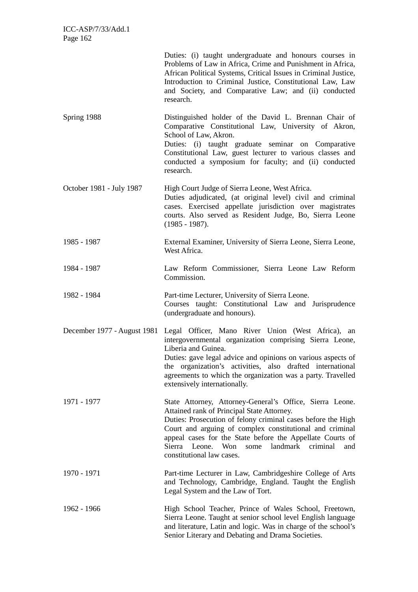|                             | Duties: (i) taught undergraduate and honours courses in<br>Problems of Law in Africa, Crime and Punishment in Africa,<br>African Political Systems, Critical Issues in Criminal Justice,<br>Introduction to Criminal Justice, Constitutional Law, Law<br>and Society, and Comparative Law; and (ii) conducted<br>research.                                                            |
|-----------------------------|---------------------------------------------------------------------------------------------------------------------------------------------------------------------------------------------------------------------------------------------------------------------------------------------------------------------------------------------------------------------------------------|
| Spring 1988                 | Distinguished holder of the David L. Brennan Chair of<br>Comparative Constitutional Law, University of Akron,<br>School of Law, Akron.<br>Duties: (i) taught graduate seminar on Comparative<br>Constitutional Law, guest lecturer to various classes and<br>conducted a symposium for faculty; and (ii) conducted<br>research.                                                       |
| October 1981 - July 1987    | High Court Judge of Sierra Leone, West Africa.<br>Duties adjudicated, (at original level) civil and criminal<br>cases. Exercised appellate jurisdiction over magistrates<br>courts. Also served as Resident Judge, Bo, Sierra Leone<br>$(1985 - 1987)$ .                                                                                                                              |
| 1985 - 1987                 | External Examiner, University of Sierra Leone, Sierra Leone,<br>West Africa.                                                                                                                                                                                                                                                                                                          |
| 1984 - 1987                 | Law Reform Commissioner, Sierra Leone Law Reform<br>Commission.                                                                                                                                                                                                                                                                                                                       |
| 1982 - 1984                 | Part-time Lecturer, University of Sierra Leone.<br>Courses taught: Constitutional Law and Jurisprudence<br>(undergraduate and honours).                                                                                                                                                                                                                                               |
| December 1977 - August 1981 | Legal Officer, Mano River Union (West Africa), an<br>intergovernmental organization comprising Sierra Leone,<br>Liberia and Guinea.<br>Duties: gave legal advice and opinions on various aspects of<br>the organization's activities, also drafted international<br>agreements to which the organization was a party. Travelled<br>extensively internationally.                       |
| 1971 - 1977                 | State Attorney, Attorney-General's Office, Sierra Leone.<br>Attained rank of Principal State Attorney.<br>Duties: Prosecution of felony criminal cases before the High<br>Court and arguing of complex constitutional and criminal<br>appeal cases for the State before the Appellate Courts of<br>Sierra Leone. Won<br>landmark criminal<br>some<br>and<br>constitutional law cases. |
| 1970 - 1971                 | Part-time Lecturer in Law, Cambridgeshire College of Arts<br>and Technology, Cambridge, England. Taught the English<br>Legal System and the Law of Tort.                                                                                                                                                                                                                              |
| 1962 - 1966                 | High School Teacher, Prince of Wales School, Freetown,<br>Sierra Leone. Taught at senior school level English language<br>and literature, Latin and logic. Was in charge of the school's<br>Senior Literary and Debating and Drama Societies.                                                                                                                                         |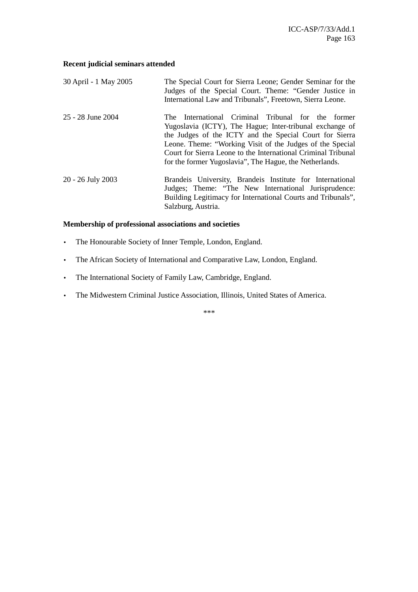## **Recent judicial seminars attended**

| 30 April - 1 May 2005 | The Special Court for Sierra Leone; Gender Seminar for the<br>Judges of the Special Court. Theme: "Gender Justice in<br>International Law and Tribunals", Freetown, Sierra Leone.                                                                                                                                                                                     |
|-----------------------|-----------------------------------------------------------------------------------------------------------------------------------------------------------------------------------------------------------------------------------------------------------------------------------------------------------------------------------------------------------------------|
| 25 - 28 June 2004     | International Criminal Tribunal for the former<br>The<br>Yugoslavia (ICTY), The Hague; Inter-tribunal exchange of<br>the Judges of the ICTY and the Special Court for Sierra<br>Leone. Theme: "Working Visit of the Judges of the Special<br>Court for Sierra Leone to the International Criminal Tribunal<br>for the former Yugoslavia", The Hague, the Netherlands. |
| 20 - 26 July 2003     | Brandeis University, Brandeis Institute for International<br>Judges; Theme: "The New International Jurisprudence:<br>Building Legitimacy for International Courts and Tribunals",<br>Salzburg, Austria.                                                                                                                                                               |

## **Membership of professional associations and societies**

- The Honourable Society of Inner Temple, London, England.
- The African Society of International and Comparative Law, London, England.
- The International Society of Family Law, Cambridge, England.
- The Midwestern Criminal Justice Association, Illinois, United States of America.

\*\*\*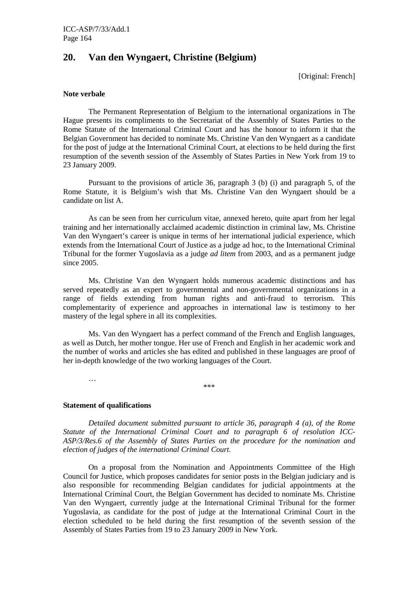## **20. Van den Wyngaert, Christine (Belgium)**

[Original: French]

#### **Note verbale**

 The Permanent Representation of Belgium to the international organizations in The Hague presents its compliments to the Secretariat of the Assembly of States Parties to the Rome Statute of the International Criminal Court and has the honour to inform it that the Belgian Government has decided to nominate Ms. Christine Van den Wyngaert as a candidate for the post of judge at the International Criminal Court, at elections to be held during the first resumption of the seventh session of the Assembly of States Parties in New York from 19 to 23 January 2009.

 Pursuant to the provisions of article 36, paragraph 3 (b) (i) and paragraph 5, of the Rome Statute, it is Belgium's wish that Ms. Christine Van den Wyngaert should be a candidate on list A.

 As can be seen from her curriculum vitae, annexed hereto, quite apart from her legal training and her internationally acclaimed academic distinction in criminal law, Ms. Christine Van den Wyngaert's career is unique in terms of her international judicial experience, which extends from the International Court of Justice as a judge ad hoc, to the International Criminal Tribunal for the former Yugoslavia as a judge *ad litem* from 2003, and as a permanent judge since 2005.

 Ms. Christine Van den Wyngaert holds numerous academic distinctions and has served repeatedly as an expert to governmental and non-governmental organizations in a range of fields extending from human rights and anti-fraud to terrorism. This complementarity of experience and approaches in international law is testimony to her mastery of the legal sphere in all its complexities.

 Ms. Van den Wyngaert has a perfect command of the French and English languages, as well as Dutch, her mother tongue. Her use of French and English in her academic work and the number of works and articles she has edited and published in these languages are proof of her in-depth knowledge of the two working languages of the Court.

\*\*\*

#### **Statement of qualifications**

…

*Detailed document submitted pursuant to article 36, paragraph 4 (a), of the Rome Statute of the International Criminal Court and to paragraph 6 of resolution ICC-ASP/3/Res.6 of the Assembly of States Parties on the procedure for the nomination and election of judges of the international Criminal Court.* 

 On a proposal from the Nomination and Appointments Committee of the High Council for Justice, which proposes candidates for senior posts in the Belgian judiciary and is also responsible for recommending Belgian candidates for judicial appointments at the International Criminal Court, the Belgian Government has decided to nominate Ms. Christine Van den Wyngaert, currently judge at the International Criminal Tribunal for the former Yugoslavia, as candidate for the post of judge at the International Criminal Court in the election scheduled to be held during the first resumption of the seventh session of the Assembly of States Parties from 19 to 23 January 2009 in New York.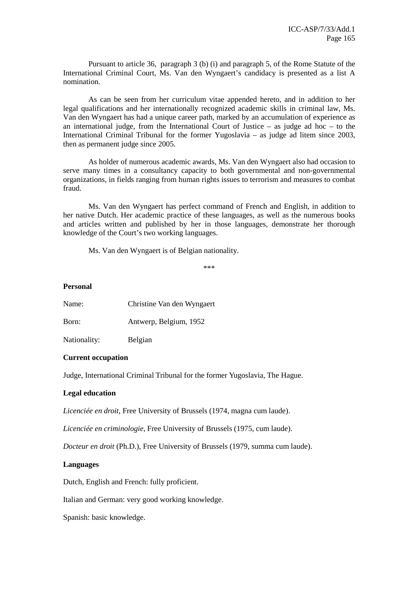Pursuant to article 36, paragraph 3 (b) (i) and paragraph 5, of the Rome Statute of the International Criminal Court, Ms. Van den Wyngaert's candidacy is presented as a list A nomination.

 As can be seen from her curriculum vitae appended hereto, and in addition to her legal qualifications and her internationally recognized academic skills in criminal law, Ms. Van den Wyngaert has had a unique career path, marked by an accumulation of experience as an international judge, from the International Court of Justice – as judge ad hoc – to the International Criminal Tribunal for the former Yugoslavia – as judge ad litem since 2003, then as permanent judge since 2005.

 As holder of numerous academic awards, Ms. Van den Wyngaert also had occasion to serve many times in a consultancy capacity to both governmental and non-governmental organizations, in fields ranging from human rights issues to terrorism and measures to combat fraud.

 Ms. Van den Wyngaert has perfect command of French and English, in addition to her native Dutch. Her academic practice of these languages, as well as the numerous books and articles written and published by her in those languages, demonstrate her thorough knowledge of the Court's two working languages.

Ms. Van den Wyngaert is of Belgian nationality.

\*\*\*

#### **Personal**

| Name:        | Christine Van den Wyngaert |
|--------------|----------------------------|
| Born:        | Antwerp, Belgium, 1952     |
| Nationality: | Belgian                    |

### **Current occupation**

Judge, International Criminal Tribunal for the former Yugoslavia, The Hague.

### **Legal education**

*Licenciée en droit*, Free University of Brussels (1974, magna cum laude).

*Licenciée en criminologie*, Free University of Brussels (1975, cum laude).

*Docteur en droit* (Ph.D.), Free University of Brussels (1979, summa cum laude).

#### **Languages**

Dutch, English and French: fully proficient.

Italian and German: very good working knowledge.

Spanish: basic knowledge.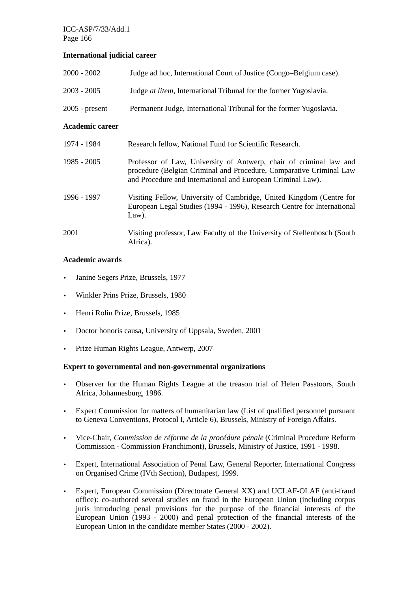## **International judicial career**

| $2000 - 2002$          | Judge ad hoc, International Court of Justice (Congo–Belgium case).                                                                                                                                       |
|------------------------|----------------------------------------------------------------------------------------------------------------------------------------------------------------------------------------------------------|
| $2003 - 2005$          | Judge at litem, International Tribunal for the former Yugoslavia.                                                                                                                                        |
| $2005$ - present       | Permanent Judge, International Tribunal for the former Yugoslavia.                                                                                                                                       |
| <b>Academic career</b> |                                                                                                                                                                                                          |
| 1974 - 1984            | Research fellow, National Fund for Scientific Research.                                                                                                                                                  |
| $1985 - 2005$          | Professor of Law, University of Antwerp, chair of criminal law and<br>procedure (Belgian Criminal and Procedure, Comparative Criminal Law<br>and Procedure and International and European Criminal Law). |
| 1996 - 1997            | Visiting Fellow, University of Cambridge, United Kingdom (Centre for<br>European Legal Studies (1994 - 1996), Research Centre for International<br>$Law$ ).                                              |
| 2001                   | Visiting professor, Law Faculty of the University of Stellenbosch (South)<br>Africa).                                                                                                                    |

## **Academic awards**

- Janine Segers Prize, Brussels, 1977
- Winkler Prins Prize, Brussels, 1980
- Henri Rolin Prize, Brussels, 1985
- Doctor honoris causa, University of Uppsala, Sweden, 2001
- Prize Human Rights League, Antwerp, 2007

### **Expert to governmental and non-governmental organizations**

- Observer for the Human Rights League at the treason trial of Helen Passtoors, South Africa, Johannesburg, 1986.
- Expert Commission for matters of humanitarian law (List of qualified personnel pursuant to Geneva Conventions, Protocol I, Article 6), Brussels, Ministry of Foreign Affairs.
- Vice-Chair, *Commission de réforme de la procédure pénale* (Criminal Procedure Reform Commission - Commission Franchimont), Brussels, Ministry of Justice, 1991 - 1998.
- Expert, International Association of Penal Law, General Reporter, International Congress on Organised Crime (IVth Section), Budapest, 1999.
- Expert, European Commission (Directorate General XX) and UCLAF-OLAF (anti-fraud office): co-authored several studies on fraud in the European Union (including corpus juris introducing penal provisions for the purpose of the financial interests of the European Union (1993 - 2000) and penal protection of the financial interests of the European Union in the candidate member States (2000 - 2002).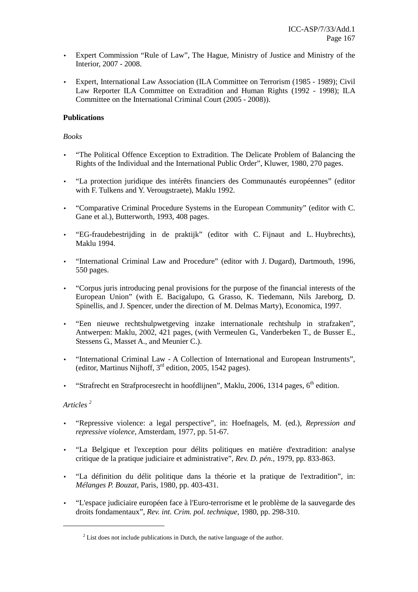- Expert Commission "Rule of Law", The Hague, Ministry of Justice and Ministry of the Interior, 2007 - 2008.
- Expert, International Law Association (ILA Committee on Terrorism (1985 1989); Civil Law Reporter ILA Committee on Extradition and Human Rights (1992 - 1998); ILA Committee on the International Criminal Court (2005 - 2008)).

## **Publications**

### *Books*

- "The Political Offence Exception to Extradition. The Delicate Problem of Balancing the Rights of the Individual and the International Public Order", Kluwer, 1980, 270 pages.
- "La protection juridique des intérêts financiers des Communautés européennes" (editor with F. Tulkens and Y. Verougstraete), Maklu 1992.
- "Comparative Criminal Procedure Systems in the European Community" (editor with C. Gane et al.), Butterworth, 1993, 408 pages.
- "EG-fraudebestrijding in de praktijk" (editor with C. Fijnaut and L. Huybrechts), Maklu 1994.
- "International Criminal Law and Procedure" (editor with J. Dugard), Dartmouth, 1996, 550 pages.
- "Corpus juris introducing penal provisions for the purpose of the financial interests of the European Union" (with E. Bacigalupo, G. Grasso, K. Tiedemann, Nils Jareborg, D. Spinellis, and J. Spencer, under the direction of M. Delmas Marty), Economica, 1997.
- "Een nieuwe rechtshulpwetgeving inzake internationale rechtshulp in strafzaken", Antwerpen: Maklu, 2002, 421 pages, (with Vermeulen G., Vanderbeken T., de Busser E., Stessens G., Masset A., and Meunier C.).
- "International Criminal Law A Collection of International and European Instruments", (editor, Martinus Nijhoff,  $3<sup>rd</sup>$  edition, 2005, 1542 pages).
- "Strafrecht en Strafprocesrecht in hoofdlijnen", Maklu, 2006, 1314 pages,  $6<sup>th</sup>$  edition.

## *Articles <sup>2</sup>*

 $\overline{a}$ 

- "Repressive violence: a legal perspective", in: Hoefnagels, M. (ed.), *Repression and repressive violence*, Amsterdam, 1977, pp. 51-67.
- "La Belgique et l'exception pour délits politiques en matière d'extradition: analyse critique de la pratique judiciaire et administrative", *Rev. D. pén.*, 1979, pp. 833-863.
- "La définition du délit politique dans la théorie et la pratique de l'extradition", in: *Mélanges P. Bouzat*, Paris, 1980, pp. 403-431.
- "L'espace judiciaire européen face à l'Euro-terrorisme et le problème de la sauvegarde des droits fondamentaux", *Rev. int. Crim. pol. technique*, 1980, pp. 298-310.

 $2^{2}$  List does not include publications in Dutch, the native language of the author.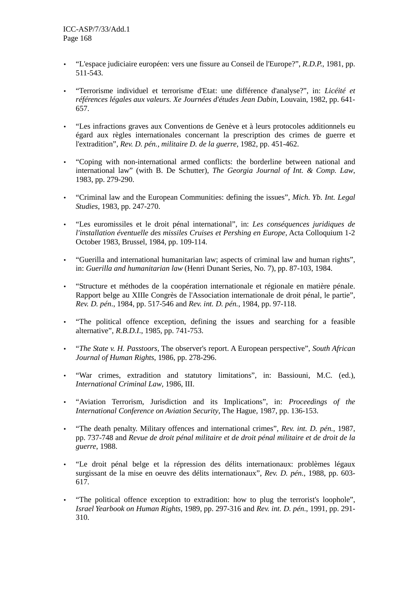- "L'espace judiciaire européen: vers une fissure au Conseil de l'Europe?", *R.D.P.*, 1981, pp. 511-543.
- "Terrorisme individuel et terrorisme d'Etat: une différence d'analyse?", in: *Licéité et références légales aux valeurs. Xe Journées d'études Jean Dabin*, Louvain, 1982, pp. 641- 657.
- "Les infractions graves aux Conventions de Genève et à leurs protocoles additionnels eu égard aux règles internationales concernant la prescription des crimes de guerre et l'extradition", *Rev. D. pén., militaire D. de la guerre*, 1982, pp. 451-462.
- "Coping with non-international armed conflicts: the borderline between national and international law" (with B. De Schutter), *The Georgia Journal of Int. & Comp. Law*, 1983, pp. 279-290.
- "Criminal law and the European Communities: defining the issues", *Mich. Yb. Int. Legal Studies*, 1983, pp. 247-270.
- "Les euromissiles et le droit pénal international", in: *Les conséquences juridiques de l'installation éventuelle des missiles Cruises et Pershing en Europe*, Acta Colloquium 1-2 October 1983, Brussel, 1984, pp. 109-114.
- "Guerilla and international humanitarian law; aspects of criminal law and human rights", in: *Guerilla and humanitarian law* (Henri Dunant Series, No. 7), pp. 87-103, 1984.
- "Structure et méthodes de la coopération internationale et régionale en matière pénale. Rapport belge au XIIIe Congrès de l'Association internationale de droit pénal, le partie", *Rev. D. pén*., 1984, pp. 517-546 and *Rev. int. D. pén.*, 1984, pp. 97-118.
- "The political offence exception, defining the issues and searching for a feasible alternative", *R.B.D.I*., 1985, pp. 741-753.
- "*The State v. H. Passtoors*, The observer's report. A European perspective", *South African Journal of Human Rights*, 1986, pp. 278-296.
- "War crimes, extradition and statutory limitations", in: Bassiouni, M.C. (ed.), *International Criminal Law*, 1986, III.
- "Aviation Terrorism, Jurisdiction and its Implications", in: *Proceedings of the International Conference on Aviation Security*, The Hague, 1987, pp. 136-153.
- "The death penalty. Military offences and international crimes", *Rev. int. D. pén.*, 1987, pp. 737-748 and *Revue de droit pénal militaire et de droit pénal militaire et de droit de la guerre*, 1988.
- "Le droit pénal belge et la répression des délits internationaux: problèmes légaux surgissant de la mise en oeuvre des délits internationaux", *Rev. D. pén.*, 1988, pp. 603- 617.
- "The political offence exception to extradition: how to plug the terrorist's loophole", *Israel Yearbook on Human Rights*, 1989, pp. 297-316 and *Rev. int. D. pén.*, 1991, pp. 291- 310.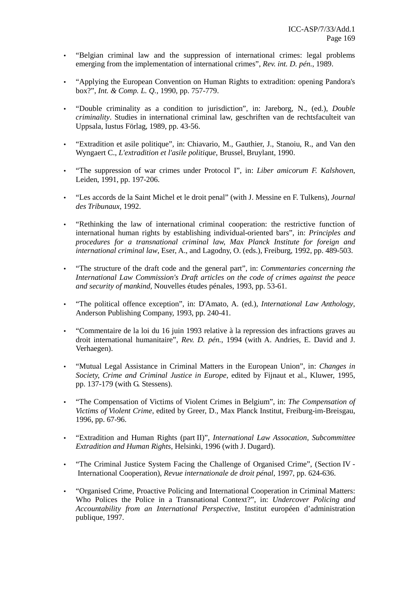- "Belgian criminal law and the suppression of international crimes: legal problems emerging from the implementation of international crimes", *Rev. int. D. pén.*, 1989.
- "Applying the European Convention on Human Rights to extradition: opening Pandora's box?", *Int. & Comp. L. Q.*, 1990, pp. 757-779.
- "Double criminality as a condition to jurisdiction", in: Jareborg, N., (ed.), *Double criminality*. Studies in international criminal law, geschriften van de rechtsfaculteit van Uppsala, Iustus Förlag, 1989, pp. 43-56.
- "Extradition et asile politique", in: Chiavario, M., Gauthier, J., Stanoiu, R., and Van den Wyngaert C., *L'extradition et l'asile politique*, Brussel, Bruylant, 1990.
- "The suppression of war crimes under Protocol I", in: *Liber amicorum F. Kalshoven*, Leiden, 1991, pp. 197-206.
- "Les accords de la Saint Michel et le droit penal" (with J. Messine en F. Tulkens), *Journal des Tribunaux*, 1992.
- "Rethinking the law of international criminal cooperation: the restrictive function of international human rights by establishing individual-oriented bars", in: *Principles and procedures for a transnational criminal law, Max Planck Institute for foreign and international criminal law*, Eser, A., and Lagodny, O. (eds.), Freiburg, 1992, pp. 489-503.
- "The structure of the draft code and the general part", in: *Commentaries concerning the International Law Commission's Draft articles on the code of crimes against the peace and security of mankind*, Nouvelles études pénales, 1993, pp. 53-61.
- "The political offence exception", in: D'Amato, A. (ed.), *International Law Anthology*, Anderson Publishing Company, 1993, pp. 240-41.
- "Commentaire de la loi du 16 juin 1993 relative à la repression des infractions graves au droit international humanitaire", *Rev. D. pén.*, 1994 (with A. Andries, E. David and J. Verhaegen).
- "Mutual Legal Assistance in Criminal Matters in the European Union", in: *Changes in Society, Crime and Criminal Justice in Europe*, edited by Fijnaut et al., Kluwer, 1995, pp. 137-179 (with G. Stessens).
- "The Compensation of Victims of Violent Crimes in Belgium", in: *The Compensation of Victims of Violent Crime*, edited by Greer, D., Max Planck Institut, Freiburg-im-Breisgau, 1996, pp. 67-96.
- "Extradition and Human Rights (part II)", *International Law Assocation, Subcommittee Extradition and Human Rights*, Helsinki, 1996 (with J. Dugard).
- "The Criminal Justice System Facing the Challenge of Organised Crime", (Section IV International Cooperation), *Revue internationale de droit pénal*, 1997, pp. 624-636.
- "Organised Crime, Proactive Policing and International Cooperation in Criminal Matters: Who Polices the Police in a Transnational Context?", in: *Undercover Policing and Accountability from an International Perspective*, Institut européen d'administration publique, 1997.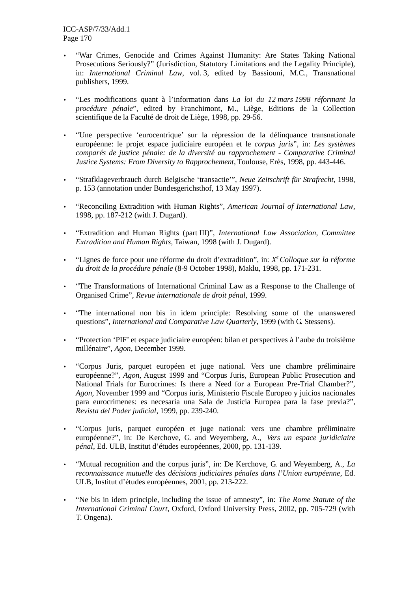- "War Crimes, Genocide and Crimes Against Humanity: Are States Taking National Prosecutions Seriously?" (Jurisdiction, Statutory Limitations and the Legality Principle), in: *International Criminal Law*, vol. 3, edited by Bassiouni, M.C., Transnational publishers, 1999.
- "Les modifications quant à l'information dans *La loi du 12 mars 1998 réformant la procédure pénale*", edited by Franchimont, M., Liège, Editions de la Collection scientifique de la Faculté de droit de Liège, 1998, pp. 29-56.
- "Une perspective 'eurocentrique' sur la répression de la délinquance transnationale européenne: le projet espace judiciaire européen et le *corpus juris*", in: *Les systèmes comparés de justice pénale: de la diversité au rapprochement* - *Comparative Criminal Justice Systems: From Diversity to Rapprochement*, Toulouse, Erès, 1998, pp. 443-446.
- "Strafklageverbrauch durch Belgische 'transactie'", *Neue Zeitschrift für Strafrecht*, 1998, p. 153 (annotation under Bundesgerichsthof, 13 May 1997).
- "Reconciling Extradition with Human Rights", *American Journal of International Law*, 1998, pp. 187-212 (with J. Dugard).
- "Extradition and Human Rights (part III)", *International Law Association, Committee Extradition and Human Rights*, Taiwan, 1998 (with J. Dugard).
- "Lignes de force pour une réforme du droit d'extradition", in: *X <sup>e</sup>Colloque sur la réforme du droit de la procédure pénale* (8-9 October 1998), Maklu, 1998, pp. 171-231.
- "The Transformations of International Criminal Law as a Response to the Challenge of Organised Crime", *Revue internationale de droit pénal,* 1999.
- "The international non bis in idem principle: Resolving some of the unanswered questions", *International and Comparative Law Quarterly*, 1999 (with G. Stessens).
- "Protection 'PIF' et espace judiciaire européen: bilan et perspectives à l'aube du troisième millénaire", *Agon*, December 1999.
- "Corpus Juris, parquet européen et juge national. Vers une chambre préliminaire européenne?", *Agon*, August 1999 and "Corpus Juris, European Public Prosecution and National Trials for Eurocrimes: Is there a Need for a European Pre-Trial Chamber?", *Agon,* November 1999 and "Corpus iuris, Ministerio Fiscale Europeo y juicios nacionales para eurocrimenes: es necesaria una Sala de Justicia Europea para la fase previa?"*, Revista del Poder judicial*, 1999, pp. 239-240.
- "Corpus juris, parquet européen et juge national: vers une chambre préliminaire européenne?", in: De Kerchove, G. and Weyemberg, A., *Vers un espace juridiciaire pénal*, Ed. ULB, Institut d'études européennes, 2000, pp. 131-139.
- "Mutual recognition and the corpus juris", in: De Kerchove, G. and Weyemberg, A., *La reconnaissance mutuelle des décisions judiciaires pénales dans l'Union européenne*, Ed. ULB, Institut d'études européennes, 2001, pp. 213-222.
- "Ne bis in idem principle, including the issue of amnesty", in: *The Rome Statute of the International Criminal Court*, Oxford, Oxford University Press, 2002, pp. 705-729 (with T. Ongena).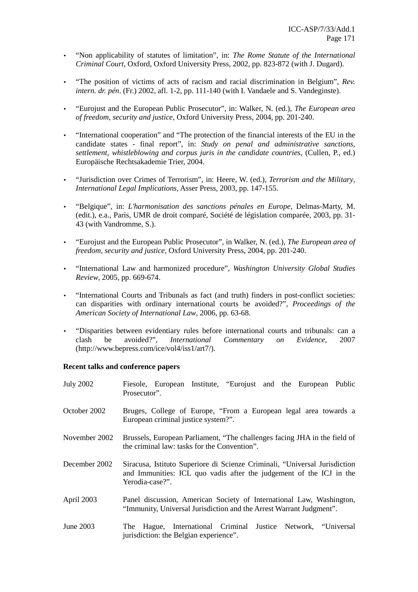- "Non applicability of statutes of limitation", in: *The Rome Statute of the International Criminal Court*, Oxford, Oxford University Press, 2002, pp. 823-872 (with J. Dugard).
- "The position of victims of acts of racism and racial discrimination in Belgium", *Rev. intern. dr. pén*. (Fr.) 2002, afl. 1-2, pp. 111-140 (with I. Vandaele and S. Vandeginste).
- "Eurojust and the European Public Prosecutor", in: Walker, N. (ed.), *The European area of freedom, security and justice*, Oxford University Press, 2004, pp. 201-240.
- "International cooperation" and "The protection of the financial interests of the EU in the candidate states - final report", in: *Study on penal and administrative sanctions, settlement, whistleblowing and corpus juris in the candidate countries*, (Cullen, P., ed.) Europäische Rechtsakademie Trier, 2004.
- "Jurisdiction over Crimes of Terrorism", in: Heere, W. (ed.), *Terrorism and the Military*, *International Legal Implications,* Asser Press, 2003, pp. 147-155.
- "Belgique", in: *L'harmonisation des sanctions pénales en Europe,* Delmas-Marty, M. (edit.), e.a., Paris, UMR de droit comparé, Société de législation comparée, 2003, pp. 31- 43 (with Vandromme, S.).
- "Eurojust and the European Public Prosecutor", in Walker, N. (ed.), *The European area of freedom, security and justice*, Oxford University Press, 2004, pp. 201-240.
- "International Law and harmonized procedure", *Washington University Global Studies Review*, 2005, pp. 669-674.
- "International Courts and Tribunals as fact (and truth) finders in post-conflict societies: can disparities with ordinary international courts be avoided?", *Proceedings of the American Society of International Law*, 2006, pp. 63-68.
- "Disparities between evidentiary rules before international courts and tribunals: can a clash be avoided?", *International Commentary on Evidence*, 2007 (http://www.bepress.com/ice/vol4/iss1/art7/).

### **Recent talks and conference papers**

| <b>July 2002</b> | Fiesole, European Institute, "Eurojust and the European Public<br>Prosecutor".                                                                                       |
|------------------|----------------------------------------------------------------------------------------------------------------------------------------------------------------------|
| October 2002     | Bruges, College of Europe, "From a European legal area towards a<br>European criminal justice system?".                                                              |
| November 2002    | Brussels, European Parliament, "The challenges facing JHA in the field of<br>the criminal law: tasks for the Convention".                                            |
| December 2002    | Siracusa, Istituto Superiore di Scienze Criminali, "Universal Jurisdiction<br>and Immunities: ICL quo vadis after the judgement of the ICJ in the<br>Yerodia-case?". |
| April 2003       | Panel discussion, American Society of International Law, Washington,<br>"Immunity, Universal Jurisdiction and the Arrest Warrant Judgment".                          |
| June 2003        | The Hague, International Criminal Justice Network, "Universal<br>jurisdiction: the Belgian experience".                                                              |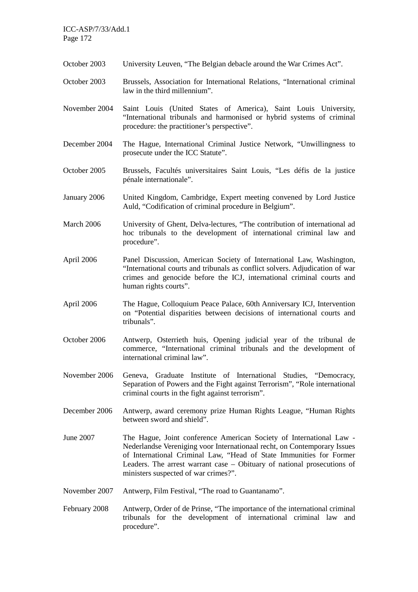ICC-ASP/7/33/Add.1 Page 172

- October 2003 University Leuven, "The Belgian debacle around the War Crimes Act".
- October 2003 Brussels, Association for International Relations, "International criminal law in the third millennium".
- November 2004 Saint Louis (United States of America), Saint Louis University, "International tribunals and harmonised or hybrid systems of criminal procedure: the practitioner's perspective".
- December 2004 The Hague, International Criminal Justice Network, "Unwillingness to prosecute under the ICC Statute".
- October 2005 Brussels, Facultés universitaires Saint Louis, "Les défis de la justice pénale internationale".
- January 2006 United Kingdom, Cambridge, Expert meeting convened by Lord Justice Auld, "Codification of criminal procedure in Belgium".
- March 2006 University of Ghent, Delva-lectures, "The contribution of international ad hoc tribunals to the development of international criminal law and procedure".
- April 2006 Panel Discussion, American Society of International Law, Washington, "International courts and tribunals as conflict solvers. Adjudication of war crimes and genocide before the ICJ, international criminal courts and human rights courts".
- April 2006 The Hague, Colloquium Peace Palace, 60th Anniversary ICJ, Intervention on "Potential disparities between decisions of international courts and tribunals".
- October 2006 Antwerp, Osterrieth huis, Opening judicial year of the tribunal de commerce, "International criminal tribunals and the development of international criminal law".
- November 2006 Geneva, Graduate Institute of International Studies, "Democracy, Separation of Powers and the Fight against Terrorism", "Role international criminal courts in the fight against terrorism".
- December 2006 Antwerp, award ceremony prize Human Rights League, "Human Rights between sword and shield".
- June 2007 The Hague, Joint conference American Society of International Law Nederlandse Vereniging voor Internationaal recht, on Contemporary Issues of International Criminal Law, "Head of State Immunities for Former Leaders. The arrest warrant case – Obituary of national prosecutions of ministers suspected of war crimes?".
- November 2007 Antwerp, Film Festival, "The road to Guantanamo".
- February 2008 Antwerp, Order of de Prinse, "The importance of the international criminal tribunals for the development of international criminal law and procedure".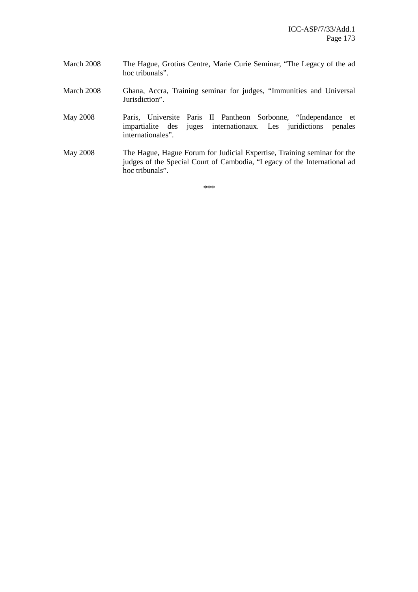- March 2008 The Hague, Grotius Centre, Marie Curie Seminar, "The Legacy of the ad hoc tribunals".
- March 2008 Ghana, Accra, Training seminar for judges, "Immunities and Universal Jurisdiction".

May 2008 Paris, Universite Paris II Pantheon Sorbonne, "Independance et impartialite des juges internationaux. Les juridictions penales internationales".

May 2008 The Hague, Hague Forum for Judicial Expertise, Training seminar for the judges of the Special Court of Cambodia, "Legacy of the International ad hoc tribunals".

\*\*\*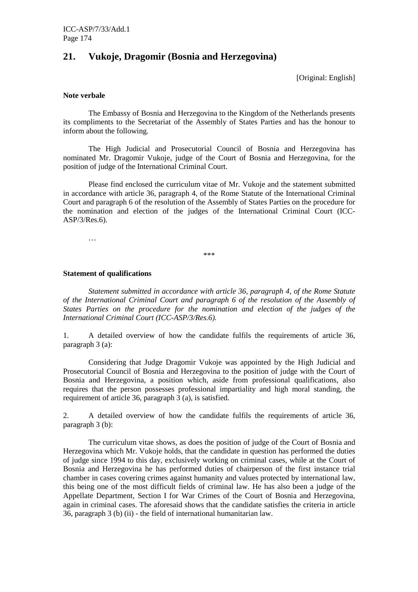## **21. Vukoje, Dragomir (Bosnia and Herzegovina)**

[Original: English]

#### **Note verbale**

 The Embassy of Bosnia and Herzegovina to the Kingdom of the Netherlands presents its compliments to the Secretariat of the Assembly of States Parties and has the honour to inform about the following.

 The High Judicial and Prosecutorial Council of Bosnia and Herzegovina has nominated Mr. Dragomir Vukoje, judge of the Court of Bosnia and Herzegovina, for the position of judge of the International Criminal Court.

 Please find enclosed the curriculum vitae of Mr. Vukoje and the statement submitted in accordance with article 36, paragraph 4, of the Rome Statute of the International Criminal Court and paragraph 6 of the resolution of the Assembly of States Parties on the procedure for the nomination and election of the judges of the International Criminal Court (ICC-ASP/3/Res.6).

…

\*\*\*

#### **Statement of qualifications**

*Statement submitted in accordance with article 36, paragraph 4, of the Rome Statute of the International Criminal Court and paragraph 6 of the resolution of the Assembly of*  States Parties on the procedure for the nomination and election of the judges of the *International Criminal Court (ICC-ASP/3/Res.6).* 

1. A detailed overview of how the candidate fulfils the requirements of article 36, paragraph 3 (a):

 Considering that Judge Dragomir Vukoje was appointed by the High Judicial and Prosecutorial Council of Bosnia and Herzegovina to the position of judge with the Court of Bosnia and Herzegovina, a position which, aside from professional qualifications, also requires that the person possesses professional impartiality and high moral standing, the requirement of article 36, paragraph 3 (a), is satisfied.

2. A detailed overview of how the candidate fulfils the requirements of article 36, paragraph 3 (b):

 The curriculum vitae shows, as does the position of judge of the Court of Bosnia and Herzegovina which Mr. Vukoje holds, that the candidate in question has performed the duties of judge since 1994 to this day, exclusively working on criminal cases, while at the Court of Bosnia and Herzegovina he has performed duties of chairperson of the first instance trial chamber in cases covering crimes against humanity and values protected by international law, this being one of the most difficult fields of criminal law. He has also been a judge of the Appellate Department, Section I for War Crimes of the Court of Bosnia and Herzegovina, again in criminal cases. The aforesaid shows that the candidate satisfies the criteria in article 36, paragraph 3 (b) (ii) - the field of international humanitarian law.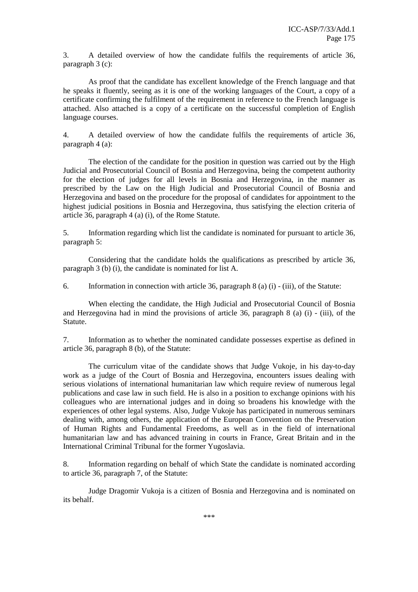3. A detailed overview of how the candidate fulfils the requirements of article 36, paragraph 3 (c):

 As proof that the candidate has excellent knowledge of the French language and that he speaks it fluently, seeing as it is one of the working languages of the Court, a copy of a certificate confirming the fulfilment of the requirement in reference to the French language is attached. Also attached is a copy of a certificate on the successful completion of English language courses.

4. A detailed overview of how the candidate fulfils the requirements of article 36, paragraph 4 (a):

 The election of the candidate for the position in question was carried out by the High Judicial and Prosecutorial Council of Bosnia and Herzegovina, being the competent authority for the election of judges for all levels in Bosnia and Herzegovina, in the manner as prescribed by the Law on the High Judicial and Prosecutorial Council of Bosnia and Herzegovina and based on the procedure for the proposal of candidates for appointment to the highest judicial positions in Bosnia and Herzegovina, thus satisfying the election criteria of article 36, paragraph 4 (a) (i), of the Rome Statute.

5. Information regarding which list the candidate is nominated for pursuant to article 36, paragraph 5:

 Considering that the candidate holds the qualifications as prescribed by article 36, paragraph 3 (b) (i), the candidate is nominated for list A.

6. Information in connection with article 36, paragraph 8 (a) (i) - (iii), of the Statute:

 When electing the candidate, the High Judicial and Prosecutorial Council of Bosnia and Herzegovina had in mind the provisions of article 36, paragraph 8 (a) (i) - (iii), of the Statute.

7. Information as to whether the nominated candidate possesses expertise as defined in article 36, paragraph 8 (b), of the Statute:

 The curriculum vitae of the candidate shows that Judge Vukoje, in his day-to-day work as a judge of the Court of Bosnia and Herzegovina, encounters issues dealing with serious violations of international humanitarian law which require review of numerous legal publications and case law in such field. He is also in a position to exchange opinions with his colleagues who are international judges and in doing so broadens his knowledge with the experiences of other legal systems. Also, Judge Vukoje has participated in numerous seminars dealing with, among others, the application of the European Convention on the Preservation of Human Rights and Fundamental Freedoms, as well as in the field of international humanitarian law and has advanced training in courts in France, Great Britain and in the International Criminal Tribunal for the former Yugoslavia.

8. Information regarding on behalf of which State the candidate is nominated according to article 36, paragraph 7, of the Statute:

 Judge Dragomir Vukoja is a citizen of Bosnia and Herzegovina and is nominated on its behalf.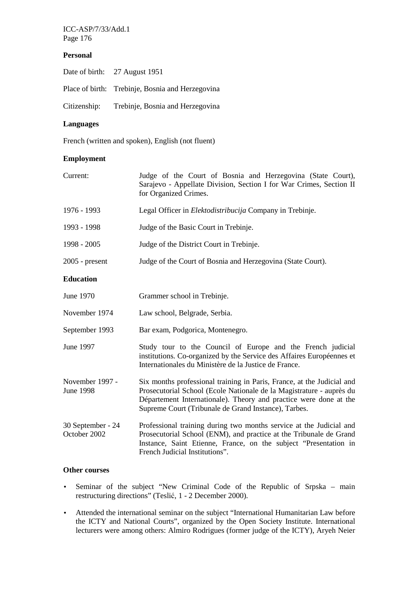ICC-ASP/7/33/Add.1 Page 176

## **Personal**

| Date of birth: 27 August 1951                    |
|--------------------------------------------------|
| Place of birth: Trebinje, Bosnia and Herzegovina |
| Citizenship: Trebinje, Bosnia and Herzegovina    |

## **Languages**

French (written and spoken), English (not fluent)

## **Employment**

| Current:                            | Judge of the Court of Bosnia and Herzegovina (State Court),<br>Sarajevo - Appellate Division, Section I for War Crimes, Section II<br>for Organized Crimes.                                                                                                                 |
|-------------------------------------|-----------------------------------------------------------------------------------------------------------------------------------------------------------------------------------------------------------------------------------------------------------------------------|
| 1976 - 1993                         | Legal Officer in <i>Elektodistribucija</i> Company in Trebinje.                                                                                                                                                                                                             |
| 1993 - 1998                         | Judge of the Basic Court in Trebinje.                                                                                                                                                                                                                                       |
| 1998 - 2005                         | Judge of the District Court in Trebinje.                                                                                                                                                                                                                                    |
| $2005$ - present                    | Judge of the Court of Bosnia and Herzegovina (State Court).                                                                                                                                                                                                                 |
| <b>Education</b>                    |                                                                                                                                                                                                                                                                             |
| June 1970                           | Grammer school in Trebinje.                                                                                                                                                                                                                                                 |
| November 1974                       | Law school, Belgrade, Serbia.                                                                                                                                                                                                                                               |
| September 1993                      | Bar exam, Podgorica, Montenegro.                                                                                                                                                                                                                                            |
| June 1997                           | Study tour to the Council of Europe and the French judicial<br>institutions. Co-organized by the Service des Affaires Européennes et<br>Internationales du Ministère de la Justice de France.                                                                               |
| November 1997 -<br><b>June 1998</b> | Six months professional training in Paris, France, at the Judicial and<br>Prosecutorial School (Ecole Nationale de la Magistrature - auprès du<br>Département Internationale). Theory and practice were done at the<br>Supreme Court (Tribunale de Grand Instance), Tarbes. |
| 30 September - 24<br>October 2002   | Professional training during two months service at the Judicial and<br>Prosecutorial School (ENM), and practice at the Tribunale de Grand<br>Instance, Saint Etienne, France, on the subject "Presentation in<br>French Judicial Institutions".                             |

### **Other courses**

- Seminar of the subject "New Criminal Code of the Republic of Srpska main restructuring directions" (Teslić, 1 - 2 December 2000).
- Attended the international seminar on the subject "International Humanitarian Law before the ICTY and National Courts", organized by the Open Society Institute. International lecturers were among others: Almiro Rodrigues (former judge of the ICTY), Aryeh Neier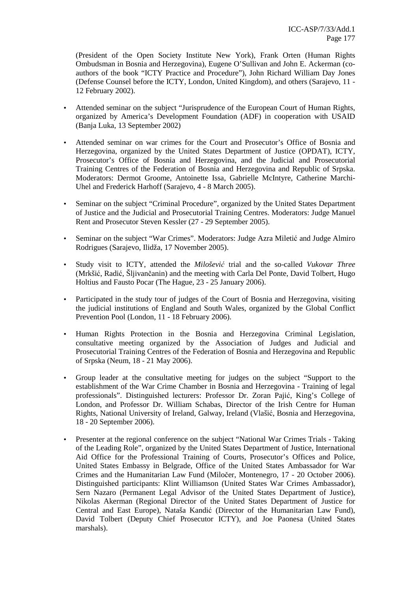(President of the Open Society Institute New York), Frank Orten (Human Rights Ombudsman in Bosnia and Herzegovina), Eugene O'Sullivan and John E. Ackerman (coauthors of the book "ICTY Practice and Procedure"), John Richard William Day Jones (Defense Counsel before the ICTY, London, United Kingdom), and others (Sarajevo, 11 - 12 February 2002).

- Attended seminar on the subject "Jurisprudence of the European Court of Human Rights, organized by America's Development Foundation (ADF) in cooperation with USAID (Banja Luka, 13 September 2002)
- Attended seminar on war crimes for the Court and Prosecutor's Office of Bosnia and Herzegovina, organized by the United States Department of Justice (OPDAT), ICTY, Prosecutor's Office of Bosnia and Herzegovina, and the Judicial and Prosecutorial Training Centres of the Federation of Bosnia and Herzegovina and Republic of Srpska. Moderators: Dermot Groome, Antoinette Issa, Gabrielle McIntyre, Catherine Marchi-Uhel and Frederick Harhoff (Sarajevo, 4 - 8 March 2005).
- Seminar on the subject "Criminal Procedure", organized by the United States Department of Justice and the Judicial and Prosecutorial Training Centres. Moderators: Judge Manuel Rent and Prosecutor Steven Kessler (27 - 29 September 2005).
- Seminar on the subject "War Crimes". Moderators: Judge Azra Miletić and Judge Almiro Rodrigues (Sarajevo, Ilidža, 17 November 2005).
- Study visit to ICTY, attended the *Miloševi*ć trial and the so-called *Vukovar Three* (Mrkšić, Radić, Šljivančanin) and the meeting with Carla Del Ponte, David Tolbert, Hugo Holtius and Fausto Pocar (The Hague, 23 - 25 January 2006).
- Participated in the study tour of judges of the Court of Bosnia and Herzegovina, visiting the judicial institutions of England and South Wales, organized by the Global Conflict Prevention Pool (London, 11 - 18 February 2006).
- Human Rights Protection in the Bosnia and Herzegovina Criminal Legislation, consultative meeting organized by the Association of Judges and Judicial and Prosecutorial Training Centres of the Federation of Bosnia and Herzegovina and Republic of Srpska (Neum, 18 - 21 May 2006).
- Group leader at the consultative meeting for judges on the subject "Support to the establishment of the War Crime Chamber in Bosnia and Herzegovina - Training of legal professionals". Distinguished lecturers: Professor Dr. Zoran Pajić, King's College of London, and Professor Dr. William Schabas, Director of the Irish Centre for Human Rights, National University of Ireland, Galway, Ireland (Vlašić, Bosnia and Herzegovina, 18 - 20 September 2006).
- Presenter at the regional conference on the subject "National War Crimes Trials Taking of the Leading Role", organized by the United States Department of Justice, International Aid Office for the Professional Training of Courts, Prosecutor's Offices and Police, United States Embassy in Belgrade, Office of the United States Ambassador for War Crimes and the Humanitarian Law Fund (Miločer, Montenegro, 17 - 20 October 2006). Distinguished participants: Klint Williamson (United States War Crimes Ambassador), Sern Nazaro (Permanent Legal Advisor of the United States Department of Justice), Nikolas Akerman (Regional Director of the United States Department of Justice for Central and East Europe), Nataša Kandić (Director of the Humanitarian Law Fund), David Tolbert (Deputy Chief Prosecutor ICTY), and Joe Paonesa (United States marshals).